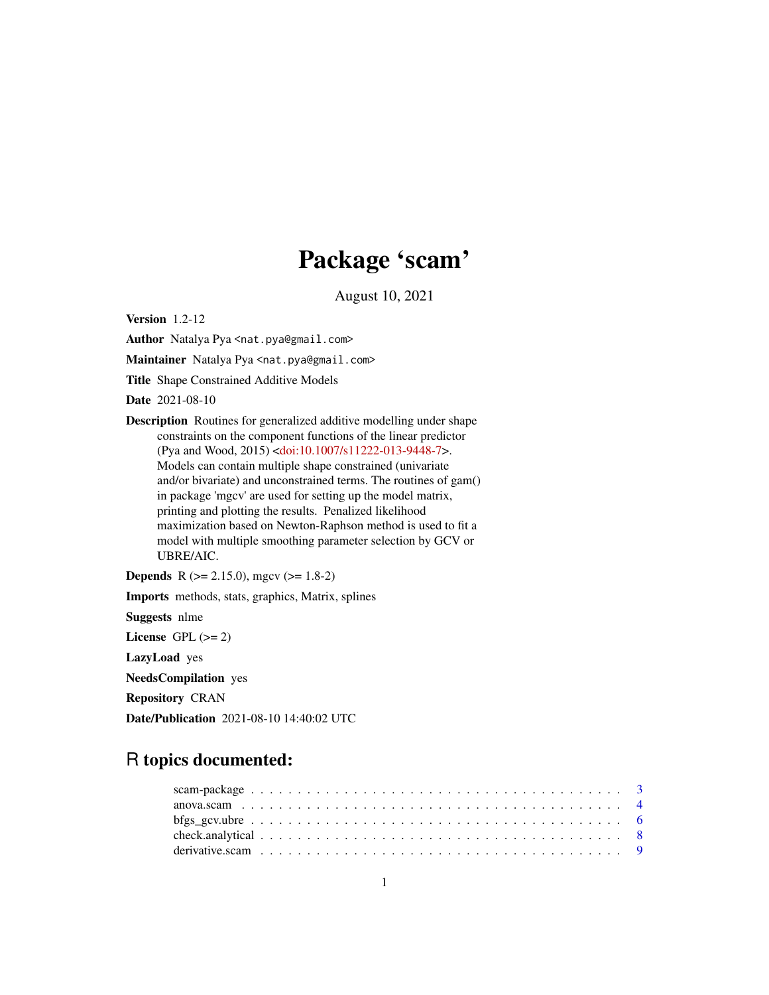# Package 'scam'

August 10, 2021

<span id="page-0-0"></span>Version 1.2-12

Author Natalya Pya <nat.pya@gmail.com>

Maintainer Natalya Pya <nat.pya@gmail.com>

Title Shape Constrained Additive Models

Date 2021-08-10

Description Routines for generalized additive modelling under shape constraints on the component functions of the linear predictor (Pya and Wood, 2015) [<doi:10.1007/s11222-013-9448-7>](https://doi.org/10.1007/s11222-013-9448-7). Models can contain multiple shape constrained (univariate and/or bivariate) and unconstrained terms. The routines of gam() in package 'mgcv' are used for setting up the model matrix, printing and plotting the results. Penalized likelihood maximization based on Newton-Raphson method is used to fit a model with multiple smoothing parameter selection by GCV or UBRE/AIC.

**Depends** R ( $>= 2.15.0$ ), mgcv ( $>= 1.8-2$ ) Imports methods, stats, graphics, Matrix, splines Suggests nlme License GPL  $(>= 2)$ LazyLoad yes NeedsCompilation yes Repository CRAN Date/Publication 2021-08-10 14:40:02 UTC

## R topics documented: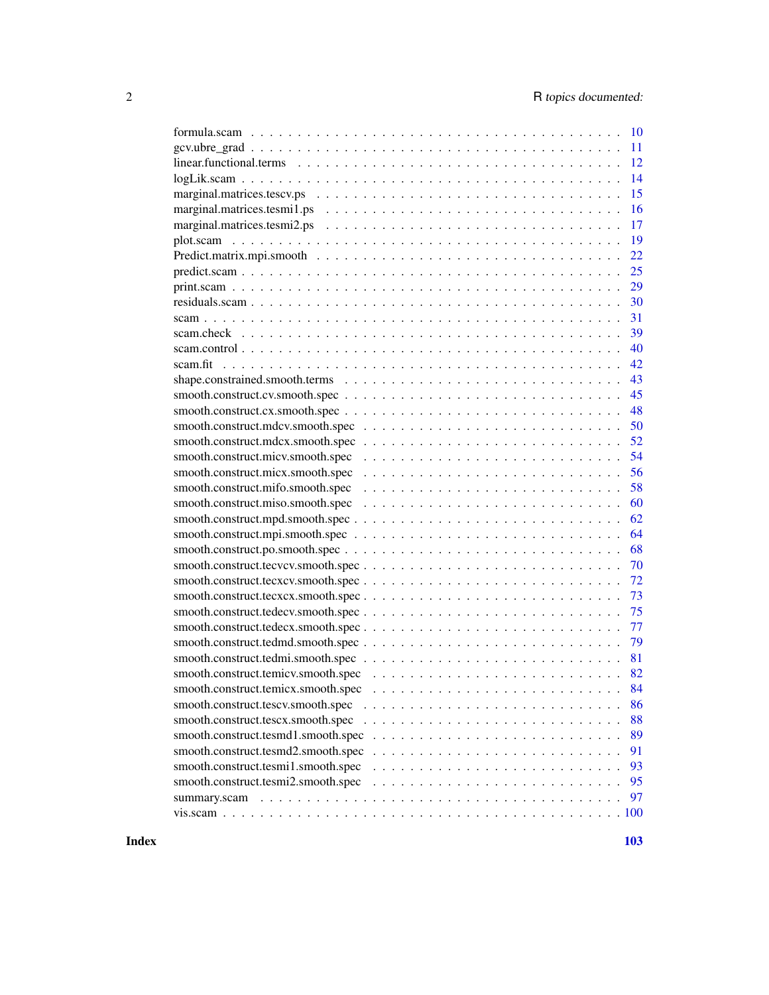|                                                                                                                   |  | 10 |
|-------------------------------------------------------------------------------------------------------------------|--|----|
|                                                                                                                   |  | 11 |
|                                                                                                                   |  | 12 |
| logLik.com                                                                                                        |  | 14 |
|                                                                                                                   |  | 15 |
| marginal.matrices.tesmi1.ps $\ldots \ldots \ldots \ldots \ldots \ldots \ldots \ldots \ldots \ldots \ldots \ldots$ |  | 16 |
|                                                                                                                   |  | 17 |
|                                                                                                                   |  | 19 |
|                                                                                                                   |  | 22 |
|                                                                                                                   |  | 25 |
|                                                                                                                   |  |    |
|                                                                                                                   |  | 30 |
|                                                                                                                   |  | 31 |
|                                                                                                                   |  | 39 |
|                                                                                                                   |  | 40 |
|                                                                                                                   |  | 42 |
|                                                                                                                   |  | 43 |
|                                                                                                                   |  | 45 |
| smooth.construct.cx.smooth.spec                                                                                   |  | 48 |
|                                                                                                                   |  | 50 |
|                                                                                                                   |  | 52 |
|                                                                                                                   |  | 54 |
|                                                                                                                   |  | 56 |
|                                                                                                                   |  | 58 |
|                                                                                                                   |  | 60 |
| smooth.construct.mpd.smooth.spec                                                                                  |  | 62 |
|                                                                                                                   |  | 64 |
|                                                                                                                   |  | 68 |
| smooth.construct.tecvcv.smooth.spec                                                                               |  | 70 |
| smooth.construct.tecxcv.smooth.spec                                                                               |  | 72 |
| smooth.construct.tecxcx.smooth.spec                                                                               |  | 73 |
|                                                                                                                   |  | 75 |
|                                                                                                                   |  | 77 |
| smooth.construct.tedmd.smooth.spec                                                                                |  | 79 |
|                                                                                                                   |  | 81 |
|                                                                                                                   |  | 82 |
| smooth.construct.temicx.smooth.spec                                                                               |  | 84 |
| smooth.construct.tescv.smooth.spec                                                                                |  | 86 |
| smooth.construct.tescx.smooth.spec                                                                                |  | 88 |
| smooth.construct.tesmd1.smooth.spec                                                                               |  | 89 |
| smooth.construct.tesmd2.smooth.spec                                                                               |  | 91 |
| smooth.construct.tesmi1.smooth.spec                                                                               |  | 93 |
| smooth.construct.tesmi2.smooth.spec                                                                               |  | 95 |
|                                                                                                                   |  | 97 |
|                                                                                                                   |  |    |
|                                                                                                                   |  |    |

**Index** the contract of the contract of the contract of the contract of the contract of the contract of the contract of the contract of the contract of the contract of the contract of the contract of the contract of the co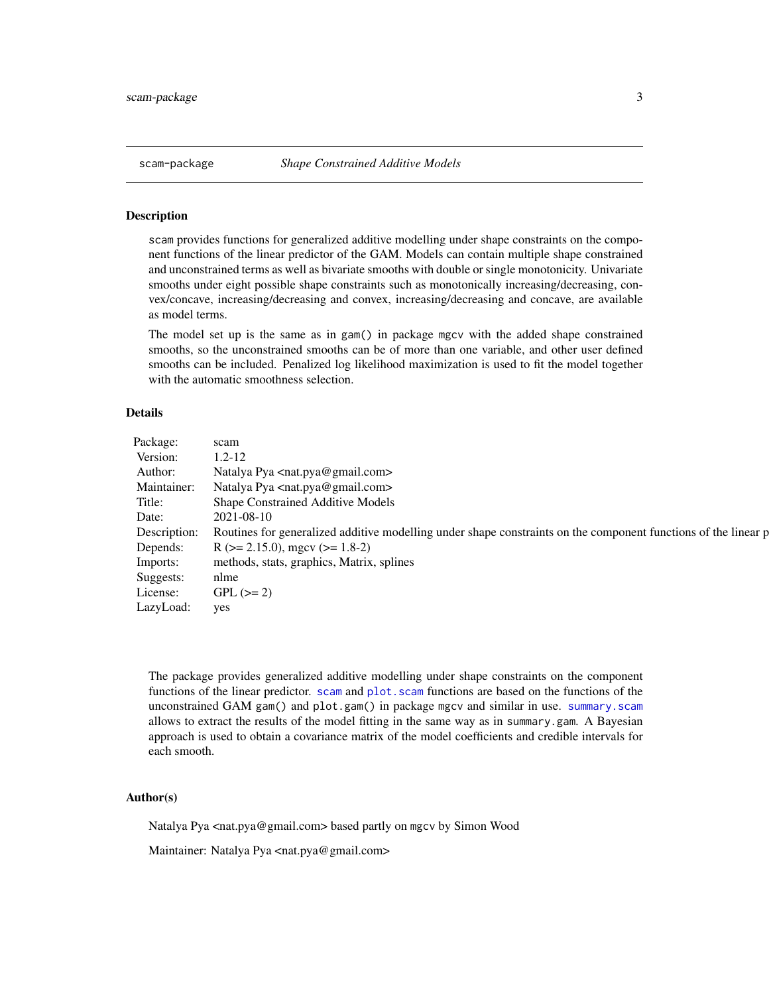#### <span id="page-2-1"></span><span id="page-2-0"></span>Description

scam provides functions for generalized additive modelling under shape constraints on the component functions of the linear predictor of the GAM. Models can contain multiple shape constrained and unconstrained terms as well as bivariate smooths with double or single monotonicity. Univariate smooths under eight possible shape constraints such as monotonically increasing/decreasing, convex/concave, increasing/decreasing and convex, increasing/decreasing and concave, are available as model terms.

The model set up is the same as in gam() in package mgcv with the added shape constrained smooths, so the unconstrained smooths can be of more than one variable, and other user defined smooths can be included. Penalized log likelihood maximization is used to fit the model together with the automatic smoothness selection.

### Details

| Package: scam     |                                                                                                                             |
|-------------------|-----------------------------------------------------------------------------------------------------------------------------|
| Version: $1.2-12$ |                                                                                                                             |
|                   | Author: Natalya Pya <nat.pya@gmail.com></nat.pya@gmail.com>                                                                 |
|                   | Maintainer: Natalya Pya <nat.pya@gmail.com></nat.pya@gmail.com>                                                             |
|                   | Title: Shape Constrained Additive Models                                                                                    |
|                   | Date: 2021-08-10                                                                                                            |
|                   | Description: Routines for generalized additive modelling under shape constraints on the component functions of the linear p |
|                   | Depends: $R (> = 2.15.0)$ , mgcv (>= 1.8-2)                                                                                 |
|                   | Imports: methods, stats, graphics, Matrix, splines                                                                          |
| Suggests: nlme    |                                                                                                                             |
|                   | License: GPL $(>= 2)$                                                                                                       |
| LazyLoad: yes     |                                                                                                                             |

The package provides generalized additive modelling under shape constraints on the component functions of the linear predictor. [scam](#page-30-1) and plot. scam functions are based on the functions of the unconstrained GAM gam() and plot.gam() in package mgcv and similar in use. [summary.scam](#page-96-1) allows to extract the results of the model fitting in the same way as in summary.gam. A Bayesian approach is used to obtain a covariance matrix of the model coefficients and credible intervals for each smooth.

#### Author(s)

Natalya Pya <nat.pya@gmail.com> based partly on mgcv by Simon Wood

Maintainer: Natalya Pya <nat.pya@gmail.com>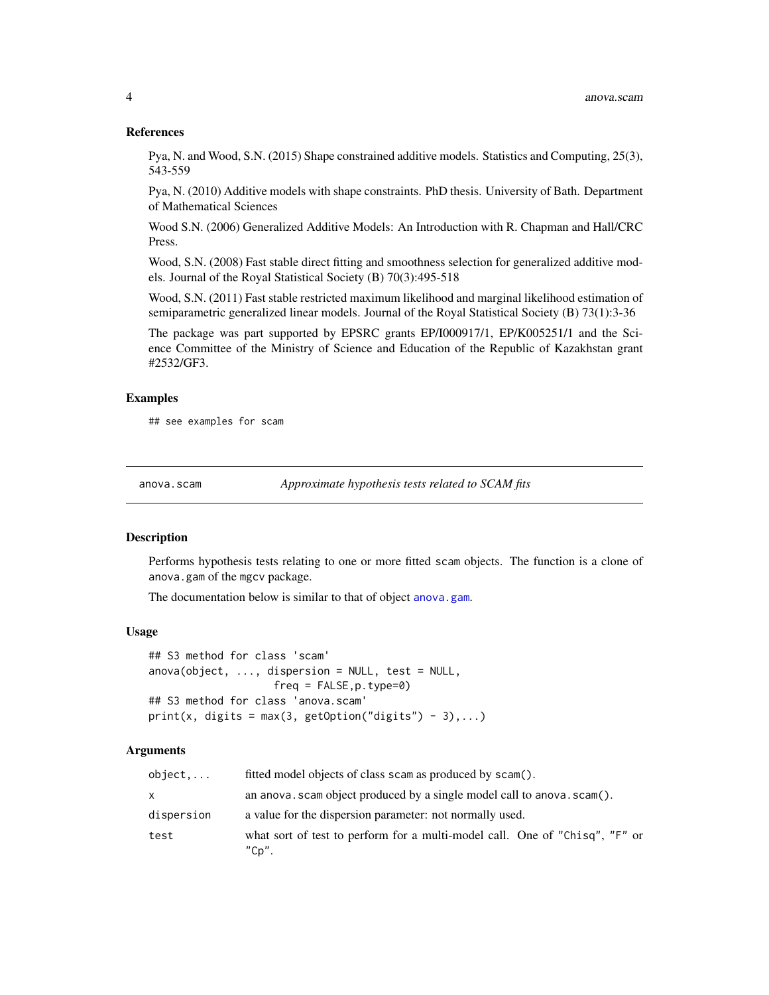#### References

Pya, N. and Wood, S.N. (2015) Shape constrained additive models. Statistics and Computing, 25(3), 543-559

Pya, N. (2010) Additive models with shape constraints. PhD thesis. University of Bath. Department of Mathematical Sciences

Wood S.N. (2006) Generalized Additive Models: An Introduction with R. Chapman and Hall/CRC Press.

Wood, S.N. (2008) Fast stable direct fitting and smoothness selection for generalized additive models. Journal of the Royal Statistical Society (B) 70(3):495-518

Wood, S.N. (2011) Fast stable restricted maximum likelihood and marginal likelihood estimation of semiparametric generalized linear models. Journal of the Royal Statistical Society (B) 73(1):3-36

The package was part supported by EPSRC grants EP/I000917/1, EP/K005251/1 and the Science Committee of the Ministry of Science and Education of the Republic of Kazakhstan grant #2532/GF3.

#### Examples

## see examples for scam

anova.scam *Approximate hypothesis tests related to SCAM fits*

#### **Description**

Performs hypothesis tests relating to one or more fitted scam objects. The function is a clone of anova.gam of the mgcv package.

The documentation below is similar to that of object [anova.gam](#page-0-0).

#### Usage

```
## S3 method for class 'scam'
anova(object, ..., disperson = NULL, test = NULL,freq = FALSE, p. type=0## S3 method for class 'anova.scam'
print(x, digits = max(3, getOption("digits") - 3),...)
```
### Arguments

| object     | fitted model objects of class scam as produced by scam().                            |
|------------|--------------------------------------------------------------------------------------|
| x.         | an anova. scam object produced by a single model call to anova. scam().              |
| dispersion | a value for the dispersion parameter: not normally used.                             |
| test       | what sort of test to perform for a multi-model call. One of "Chisq", "F" or<br>"Cp". |

<span id="page-3-0"></span>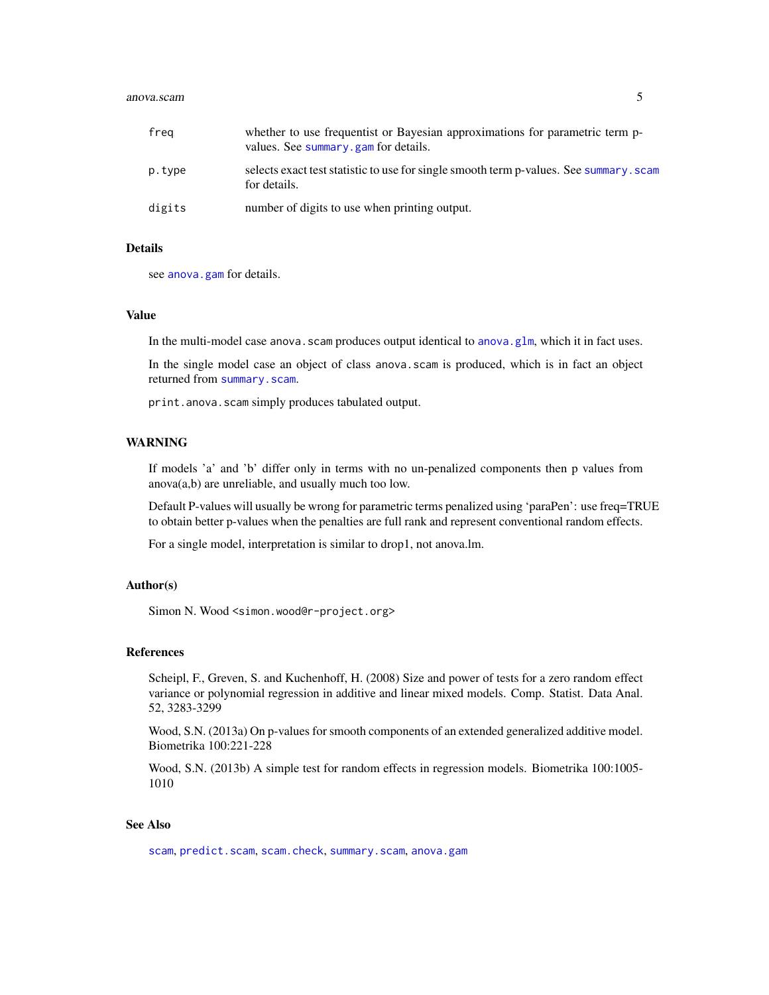#### anova.scam 5

| freg   | whether to use frequentist or Bayesian approximations for parametric term p-<br>values. See summary, gam for details. |
|--------|-----------------------------------------------------------------------------------------------------------------------|
| p.type | selects exact test statistic to use for single smooth term p-values. See summary. scam<br>for details.                |
| digits | number of digits to use when printing output.                                                                         |

#### Details

see [anova.gam](#page-0-0) for details.

#### Value

In the multi-model case anova. scam produces output identical to anova.  $g1m$ , which it in fact uses.

In the single model case an object of class anova.scam is produced, which is in fact an object returned from [summary.scam](#page-96-1).

print.anova.scam simply produces tabulated output.

### WARNING

If models 'a' and 'b' differ only in terms with no un-penalized components then p values from anova(a,b) are unreliable, and usually much too low.

Default P-values will usually be wrong for parametric terms penalized using 'paraPen': use freq=TRUE to obtain better p-values when the penalties are full rank and represent conventional random effects.

For a single model, interpretation is similar to drop1, not anova.lm.

#### Author(s)

Simon N. Wood <simon.wood@r-project.org>

### References

Scheipl, F., Greven, S. and Kuchenhoff, H. (2008) Size and power of tests for a zero random effect variance or polynomial regression in additive and linear mixed models. Comp. Statist. Data Anal. 52, 3283-3299

Wood, S.N. (2013a) On p-values for smooth components of an extended generalized additive model. Biometrika 100:221-228

Wood, S.N. (2013b) A simple test for random effects in regression models. Biometrika 100:1005- 1010

### See Also

[scam](#page-30-1), [predict.scam](#page-24-1), [scam.check](#page-38-1), [summary.scam](#page-96-1), [anova.gam](#page-0-0)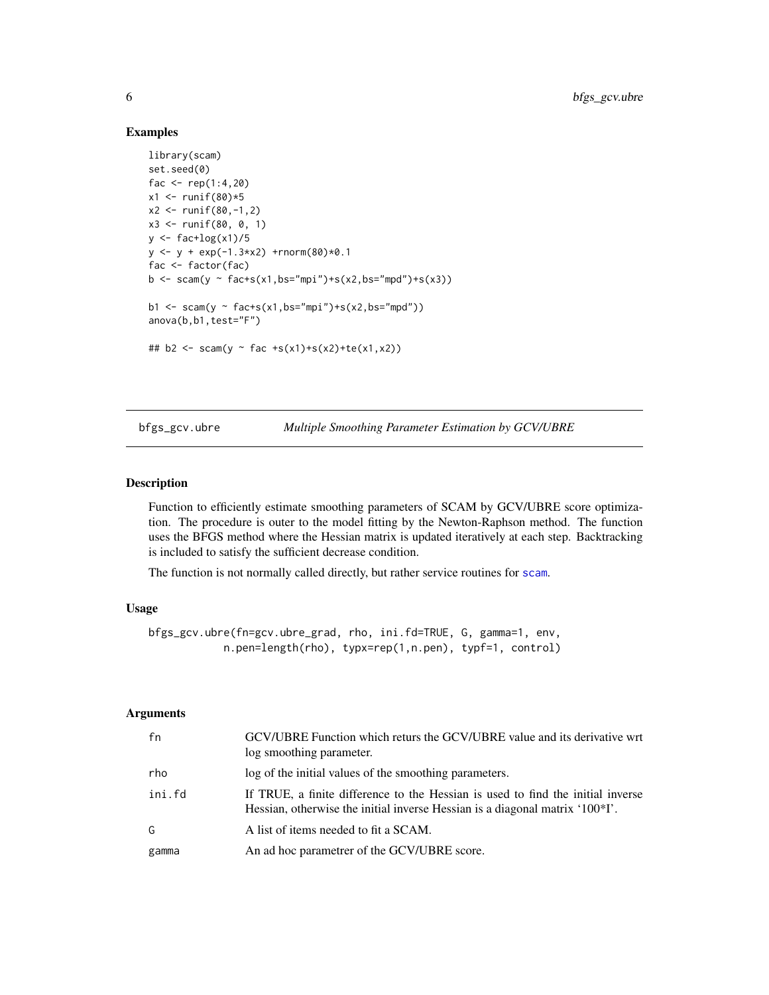#### Examples

```
library(scam)
set.seed(0)
fac <- rep(1:4,20)x1 <- runif(80)*5
x2 \le runif(80,-1,2)
x3 <- runif(80, 0, 1)
y \leftarrow \text{fac+log}(x1)/5y \le -y + \exp(-1.3*x^2) + \text{rnorm}(80)*0.1fac <- factor(fac)
b \leq -scam(y \sim fac+s(x1,bs="mpi")+s(x2,bs="mpd")+s(x3))b1 <- scam(y \sim fac+s(x1,bs="mpi")+s(x2,bs="mpd"))
anova(b,b1,test="F")
## b2 <- scam(y ~ fac +s(x1)+s(x2)+te(x1,x2))
```
<span id="page-5-1"></span>bfgs\_gcv.ubre *Multiple Smoothing Parameter Estimation by GCV/UBRE*

### Description

Function to efficiently estimate smoothing parameters of SCAM by GCV/UBRE score optimization. The procedure is outer to the model fitting by the Newton-Raphson method. The function uses the BFGS method where the Hessian matrix is updated iteratively at each step. Backtracking is included to satisfy the sufficient decrease condition.

The function is not normally called directly, but rather service routines for [scam](#page-30-1).

### Usage

```
bfgs_gcv.ubre(fn=gcv.ubre_grad, rho, ini.fd=TRUE, G, gamma=1, env,
            n.pen=length(rho), typx=rep(1,n.pen), typf=1, control)
```
#### Arguments

| fn     | GCV/UBRE Function which returs the GCV/UBRE value and its derivative wrt<br>log smoothing parameter.                                                            |
|--------|-----------------------------------------------------------------------------------------------------------------------------------------------------------------|
| rho    | log of the initial values of the smoothing parameters.                                                                                                          |
| ini.fd | If TRUE, a finite difference to the Hessian is used to find the initial inverse<br>Hessian, otherwise the initial inverse Hessian is a diagonal matrix '100*I'. |
| G      | A list of items needed to fit a SCAM.                                                                                                                           |
| gamma  | An ad hoc parametrer of the GCV/UBRE score.                                                                                                                     |

<span id="page-5-0"></span>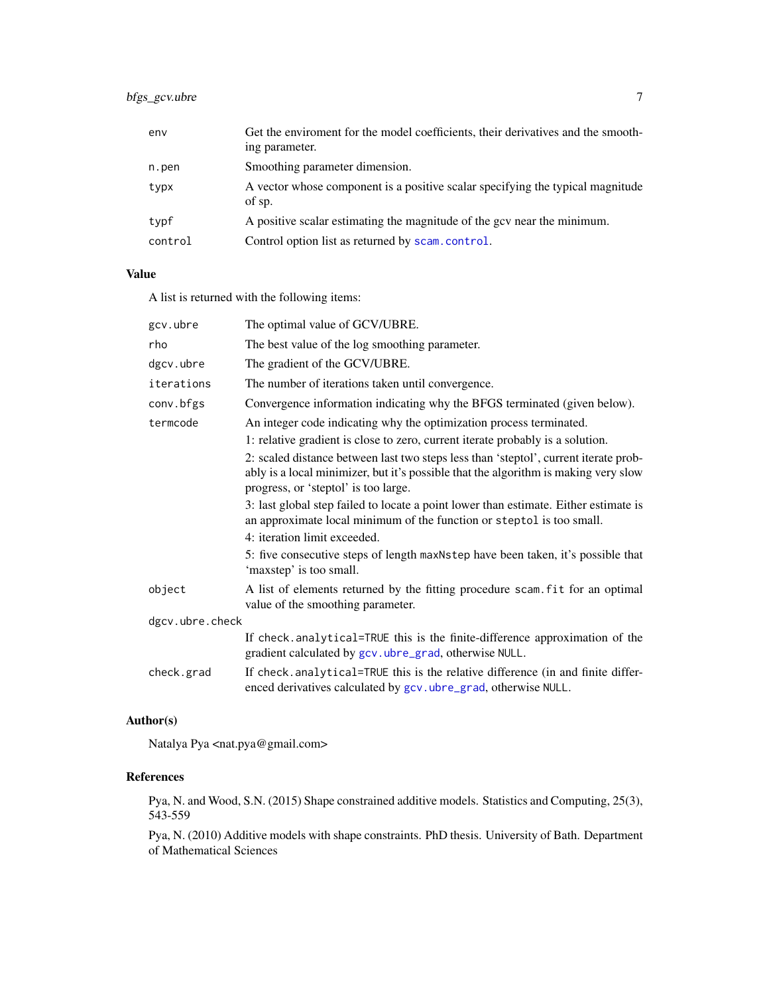### bfgs\_gcv.ubre 7

| env     | Get the enviroment for the model coefficients, their derivatives and the smooth-<br>ing parameter. |
|---------|----------------------------------------------------------------------------------------------------|
| n.pen   | Smoothing parameter dimension.                                                                     |
| typx    | A vector whose component is a positive scalar specifying the typical magnitude<br>of sp.           |
| typf    | A positive scalar estimating the magnitude of the gcv near the minimum.                            |
| control | Control option list as returned by scam.control.                                                   |

### Value

A list is returned with the following items:

| The best value of the log smoothing parameter.                                                                                                                                                                      |
|---------------------------------------------------------------------------------------------------------------------------------------------------------------------------------------------------------------------|
| The gradient of the GCV/UBRE.                                                                                                                                                                                       |
| The number of iterations taken until convergence.                                                                                                                                                                   |
| Convergence information indicating why the BFGS terminated (given below).                                                                                                                                           |
| An integer code indicating why the optimization process terminated.                                                                                                                                                 |
| 1: relative gradient is close to zero, current iterate probably is a solution.                                                                                                                                      |
| 2: scaled distance between last two steps less than 'steptol', current iterate prob-<br>ably is a local minimizer, but it's possible that the algorithm is making very slow<br>progress, or 'steptol' is too large. |
| 3: last global step failed to locate a point lower than estimate. Either estimate is<br>an approximate local minimum of the function or steptol is too small.<br>4: iteration limit exceeded.                       |
| 5: five consecutive steps of length maxnestep have been taken, it's possible that<br>'maxstep' is too small.                                                                                                        |
| A list of elements returned by the fitting procedure scam. fit for an optimal<br>value of the smoothing parameter.                                                                                                  |
| dgcv.ubre.check                                                                                                                                                                                                     |
| If check.analytical=TRUE this is the finite-difference approximation of the<br>gradient calculated by gcv.ubre_grad, otherwise NULL.                                                                                |
| If check.analytical=TRUE this is the relative difference (in and finite differ-<br>enced derivatives calculated by gcv.ubre_grad, otherwise NULL.                                                                   |
|                                                                                                                                                                                                                     |

### Author(s)

Natalya Pya <nat.pya@gmail.com>

### References

Pya, N. and Wood, S.N. (2015) Shape constrained additive models. Statistics and Computing, 25(3), 543-559

Pya, N. (2010) Additive models with shape constraints. PhD thesis. University of Bath. Department of Mathematical Sciences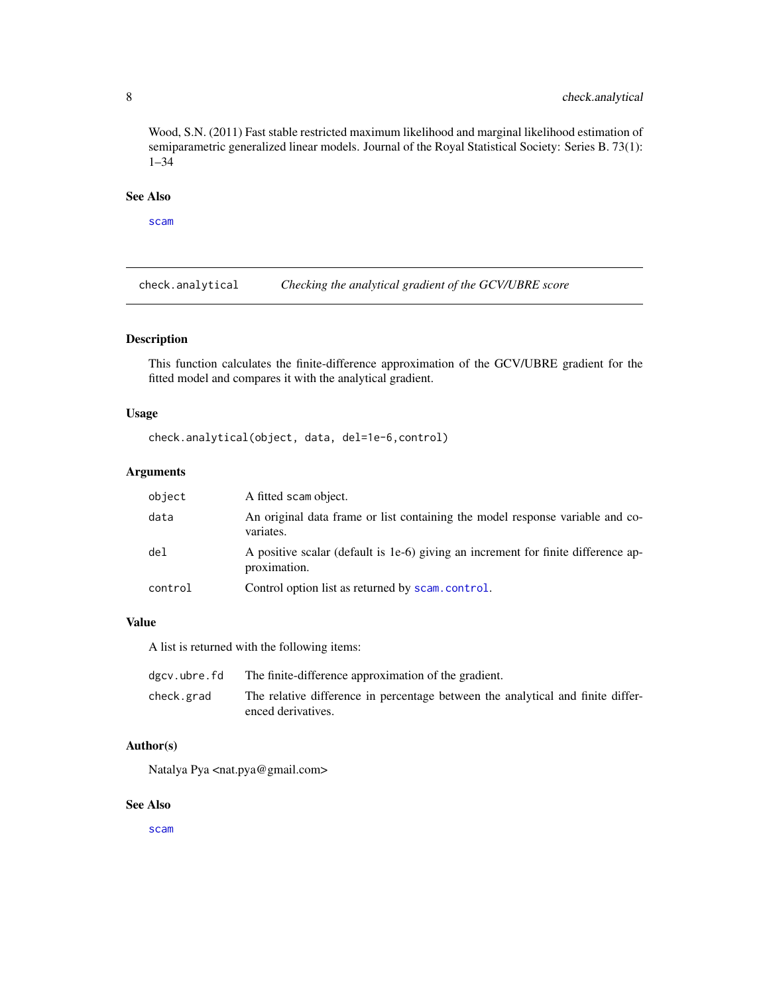<span id="page-7-0"></span>Wood, S.N. (2011) Fast stable restricted maximum likelihood and marginal likelihood estimation of semiparametric generalized linear models. Journal of the Royal Statistical Society: Series B. 73(1): 1–34

### See Also

[scam](#page-30-1)

check.analytical *Checking the analytical gradient of the GCV/UBRE score*

### Description

This function calculates the finite-difference approximation of the GCV/UBRE gradient for the fitted model and compares it with the analytical gradient.

### Usage

check.analytical(object, data, del=1e-6,control)

#### Arguments

| object  | A fitted scam object.                                                                             |
|---------|---------------------------------------------------------------------------------------------------|
| data    | An original data frame or list containing the model response variable and co-<br>variates.        |
| del     | A positive scalar (default is 1e-6) giving an increment for finite difference ap-<br>proximation. |
| control | Control option list as returned by scam.control.                                                  |

### Value

A list is returned with the following items:

| dgcv.ubre.fd | The finite-difference approximation of the gradient.                                                  |
|--------------|-------------------------------------------------------------------------------------------------------|
| check.grad   | The relative difference in percentage between the analytical and finite differ-<br>enced derivatives. |
|              |                                                                                                       |

### Author(s)

Natalya Pya <nat.pya@gmail.com>

#### See Also

[scam](#page-30-1)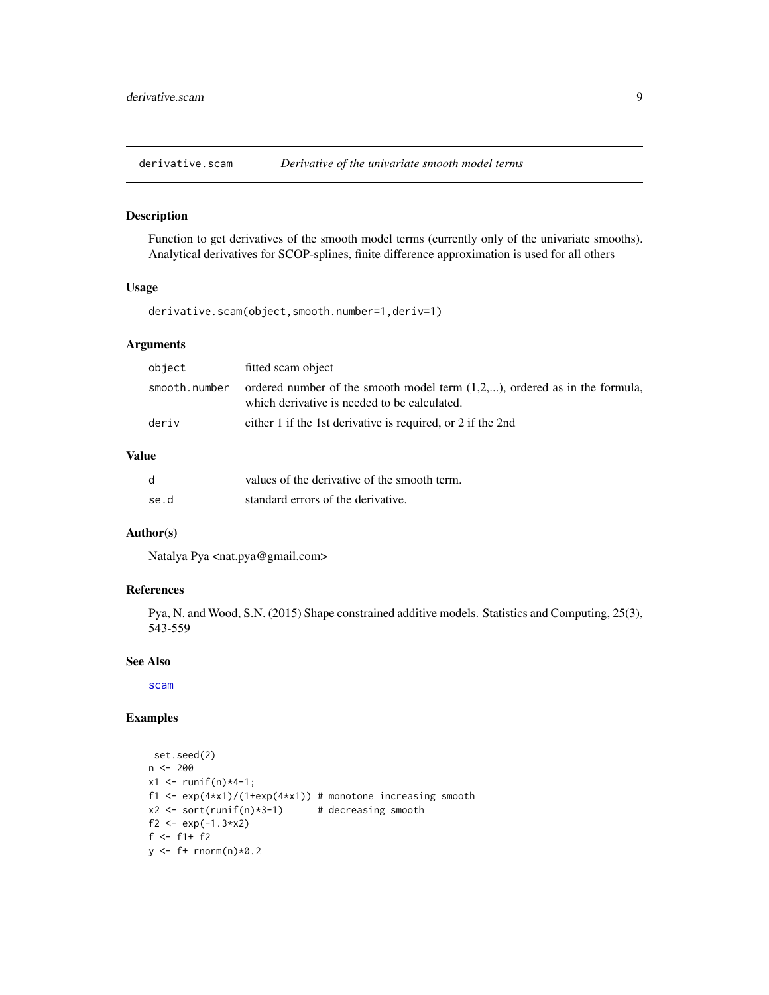<span id="page-8-0"></span>

### Description

Function to get derivatives of the smooth model terms (currently only of the univariate smooths). Analytical derivatives for SCOP-splines, finite difference approximation is used for all others

#### Usage

derivative.scam(object,smooth.number=1,deriv=1)

### Arguments

| object        | fitted scam object                                                                                                            |
|---------------|-------------------------------------------------------------------------------------------------------------------------------|
| smooth.number | ordered number of the smooth model term $(1,2,)$ , ordered as in the formula,<br>which derivative is needed to be calculated. |
| deriv         | either 1 if the 1st derivative is required, or 2 if the 2nd                                                                   |

### Value

| d    | values of the derivative of the smooth term. |
|------|----------------------------------------------|
| se.d | standard errors of the derivative.           |

### Author(s)

Natalya Pya <nat.pya@gmail.com>

#### References

Pya, N. and Wood, S.N. (2015) Shape constrained additive models. Statistics and Computing, 25(3), 543-559

### See Also

[scam](#page-30-1)

### Examples

```
set.seed(2)
n < - 200x1 \le runif(n) *4-1;
f1 <- exp(4*x1)/(1+exp(4*x1)) # monotone increasing smooth
x2 \le sort(runif(n)*3-1) # decreasing smooth
f2 <- exp(-1.3*x2)f <- f1+ f2y \leftarrow f + \text{norm}(n) \times 0.2
```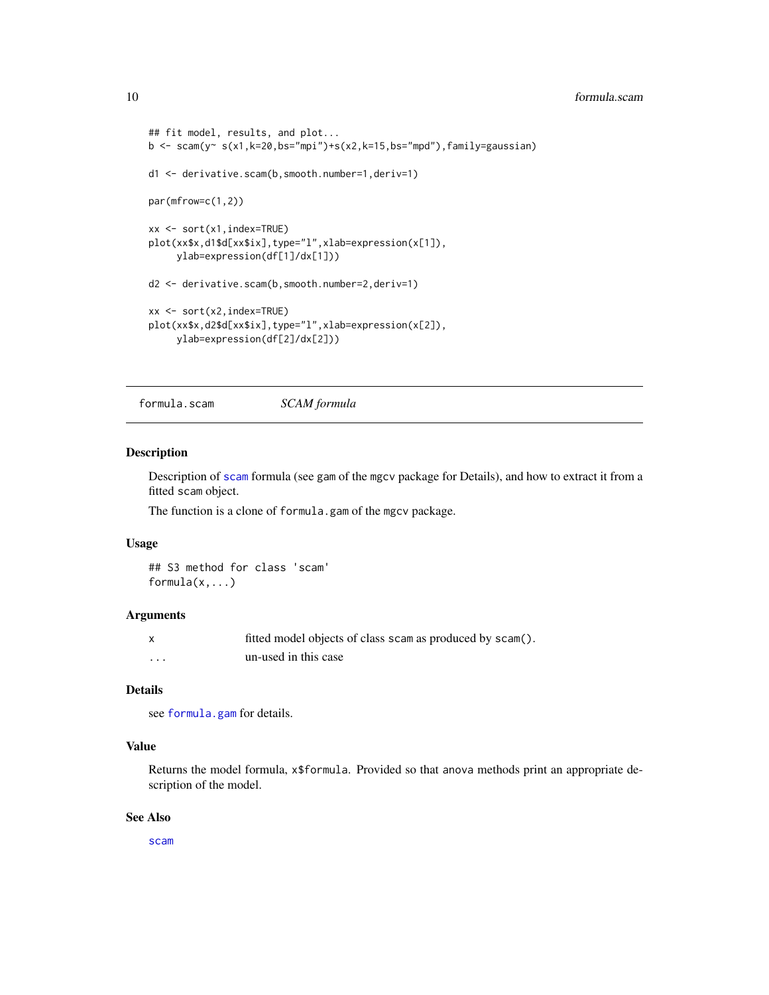```
## fit model, results, and plot...
b \leq -scam(y~ s(x1,k=20,bs="mpi")+s(x2,k=15,bs="mpd"),family=gaussian)
d1 <- derivative.scam(b,smooth.number=1,deriv=1)
par(mfrow=c(1,2))
xx <- sort(x1,index=TRUE)
plot(xx$x,d1$d[xx$ix],type="l",xlab=expression(x[1]),
     ylab=expression(df[1]/dx[1]))
d2 <- derivative.scam(b,smooth.number=2,deriv=1)
xx <- sort(x2,index=TRUE)
plot(xx$x,d2$d[xx$ix],type="l",xlab=expression(x[2]),
     ylab=expression(df[2]/dx[2]))
```
formula.scam *SCAM formula*

#### Description

Description of [scam](#page-30-1) formula (see gam of the mgcv package for Details), and how to extract it from a fitted scam object.

The function is a clone of formula.gam of the mgcv package.

#### Usage

```
## S3 method for class 'scam'
formula(x,...)
```
#### Arguments

| X | fitted model objects of class scam as produced by scam(). |
|---|-----------------------------------------------------------|
| . | un-used in this case                                      |

### Details

see [formula.gam](#page-0-0) for details.

#### Value

Returns the model formula, x\$formula. Provided so that anova methods print an appropriate description of the model.

### See Also

[scam](#page-30-1)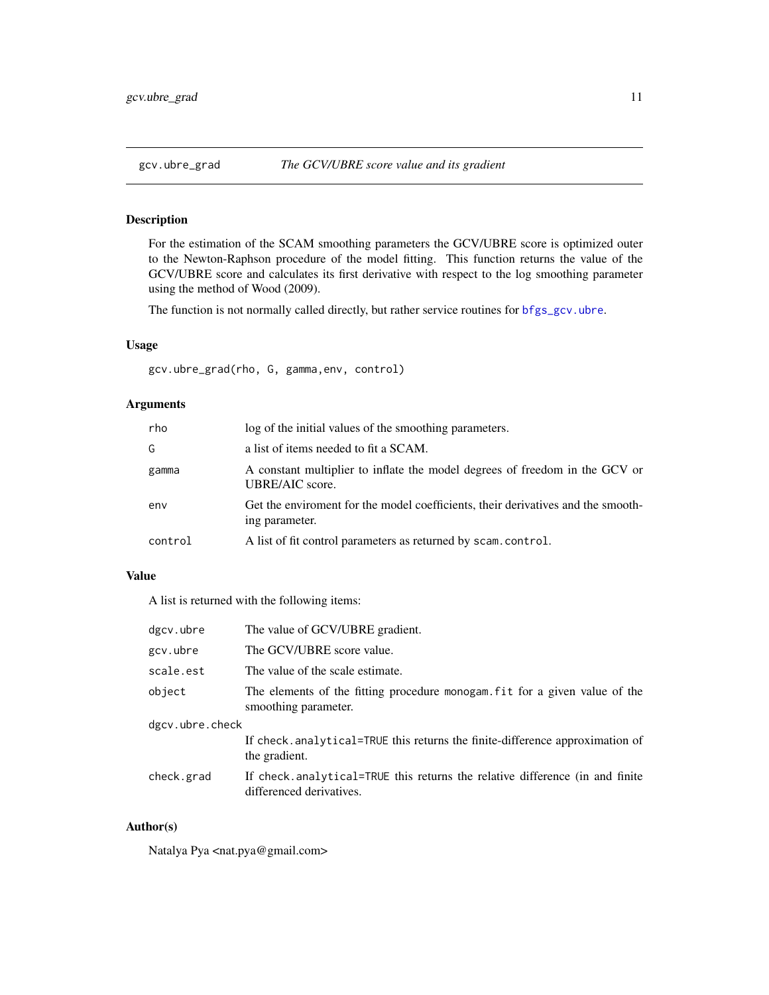<span id="page-10-1"></span><span id="page-10-0"></span>

### Description

For the estimation of the SCAM smoothing parameters the GCV/UBRE score is optimized outer to the Newton-Raphson procedure of the model fitting. This function returns the value of the GCV/UBRE score and calculates its first derivative with respect to the log smoothing parameter using the method of Wood (2009).

The function is not normally called directly, but rather service routines for [bfgs\\_gcv.ubre](#page-5-1).

### Usage

gcv.ubre\_grad(rho, G, gamma,env, control)

#### Arguments

| rho     | log of the initial values of the smoothing parameters.                                             |
|---------|----------------------------------------------------------------------------------------------------|
| G       | a list of items needed to fit a SCAM.                                                              |
| gamma   | A constant multiplier to inflate the model degrees of freedom in the GCV or<br>UBRE/AIC score.     |
| env     | Get the enviroment for the model coefficients, their derivatives and the smooth-<br>ing parameter. |
| control | A list of fit control parameters as returned by scam.control.                                      |

### Value

A list is returned with the following items:

| dgcv.ubre       | The value of GCV/UBRE gradient.                                                                          |  |
|-----------------|----------------------------------------------------------------------------------------------------------|--|
| gcv.ubre        | The GCV/UBRE score value.                                                                                |  |
| scale.est       | The value of the scale estimate.                                                                         |  |
| object          | The elements of the fitting procedure monogam fit for a given value of the<br>smoothing parameter.       |  |
| dgcv.ubre.check |                                                                                                          |  |
|                 | If check.analytical=TRUE this returns the finite-difference approximation of<br>the gradient.            |  |
| check.grad      | If check analytical=TRUE this returns the relative difference (in and finite<br>differenced derivatives. |  |

### Author(s)

Natalya Pya <nat.pya@gmail.com>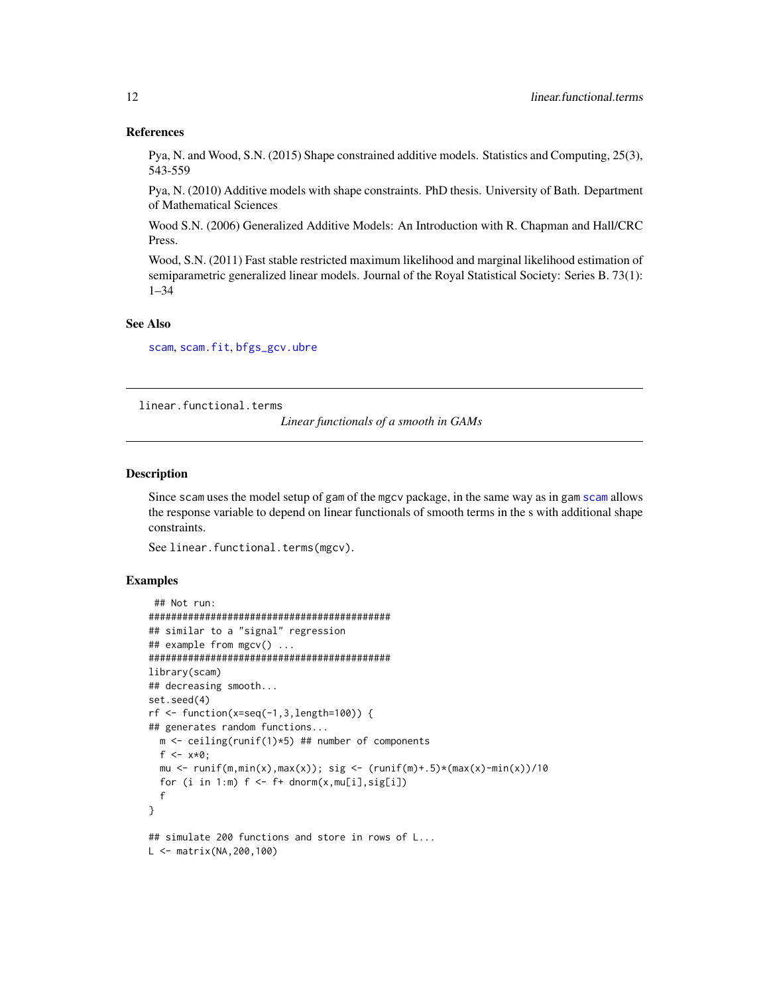#### References

Pya, N. and Wood, S.N. (2015) Shape constrained additive models. Statistics and Computing, 25(3), 543-559

Pya, N. (2010) Additive models with shape constraints. PhD thesis. University of Bath. Department of Mathematical Sciences

Wood S.N. (2006) Generalized Additive Models: An Introduction with R. Chapman and Hall/CRC Press.

Wood, S.N. (2011) Fast stable restricted maximum likelihood and marginal likelihood estimation of semiparametric generalized linear models. Journal of the Royal Statistical Society: Series B. 73(1): 1–34

### See Also

[scam](#page-30-1), [scam.fit](#page-41-1), [bfgs\\_gcv.ubre](#page-5-1)

linear.functional.terms

*Linear functionals of a smooth in GAMs*

#### **Description**

Since scam uses the model setup of gam of the mgcv package, in the same way as in gam [scam](#page-30-1) allows the response variable to depend on linear functionals of smooth terms in the s with additional shape constraints.

See linear.functional.terms(mgcv).

#### Examples

```
## Not run:
###########################################
## similar to a "signal" regression
## example from mgcv() ...
###########################################
library(scam)
## decreasing smooth...
set.seed(4)
rf \leftarrow function(x=seq(-1,3,length=100)) {
## generates random functions...
  m <- ceiling(runif(1)*5) ## number of components
  f \le -x * 0;
  mu \le runif(m,min(x),max(x)); sig \le (runif(m)+.5)*(max(x)-min(x))/10
  for (i in 1:m) f \leftarrow f + \text{dnorm}(x, \text{mul}[i], \text{sig}[i])f
}
## simulate 200 functions and store in rows of L...
L <- matrix(NA,200,100)
```
<span id="page-11-0"></span>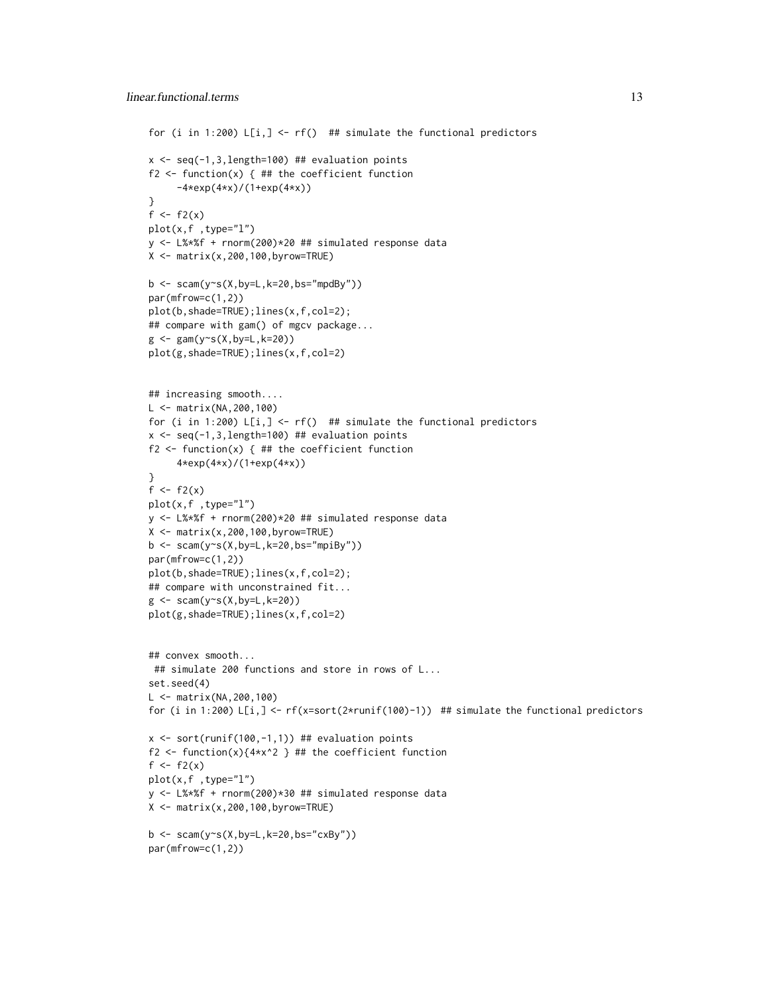```
for (i in 1:200) L[i, ] \leftarrow rf() ## simulate the functional predictors
x \leftarrow \text{seq}(-1, 3, \text{length}=100) ## evaluation points
f2 \leq - function(x) { ## the coefficient function
     -4*exp(4*x)/(1+exp(4*x))
}
f \leftarrow f2(x)
plot(x,f ,type="l")
y <- L%*%f + rnorm(200)*20 ## simulated response data
X \leftarrow matrix(x, 200, 100, byrow=True)b \leq -scam(y\text{~}(X,by=L,k=20,bs="mpdBy"))par(mfrow=c(1,2))
plot(b,shade=TRUE);lines(x,f,col=2);
## compare with gam() of mgcv package...
g \leftarrow \text{gam}(y \sim s(X, by=L, k=20))plot(g,shade=TRUE);lines(x,f,col=2)
## increasing smooth....
L <- matrix(NA,200,100)
for (i in 1:200) L[i, ] \leftarrow rf() ## simulate the functional predictors
x <- seq(-1,3,length=100) ## evaluation points
f2 \leftarrow function(x) { ## the coefficient function
      4*exp(4*x)/(1+exp(4*x))
}
f \leftarrow f2(x)plot(x,f ,type="l")
y <- L%*%f + rnorm(200)*20 ## simulated response data
X <- matrix(x,200,100,byrow=TRUE)
b \leq scam(y~s(X,by=L,k=20,bs="mpiBy"))
par(mfrow=c(1,2))
plot(b,shade=TRUE);lines(x,f,col=2);
## compare with unconstrained fit...
g \leftarrow \text{scam}(y \sim s(X, by=L, k=20))plot(g,shade=TRUE);lines(x,f,col=2)
## convex smooth...
 ## simulate 200 functions and store in rows of L...
set.seed(4)
L <- matrix(NA,200,100)
for (i in 1:200) L[i,] <- rf(x=sort(2*runif(100)-1)) ## simulate the functional predictors
x \leftarrow sort(runif(100, -1, 1)) ## evaluation points
f2 <- function(x){4*x^2 } ## the coefficient function
f \leftarrow f2(x)plot(x,f ,type="l")
y <- L%*%f + rnorm(200)*30 ## simulated response data
X \leftarrow matrix(x, 200, 100, byrow = TRUE)b \leq scam(y~s(X,by=L,k=20,bs="cxBy"))
par(mfrow=c(1,2))
```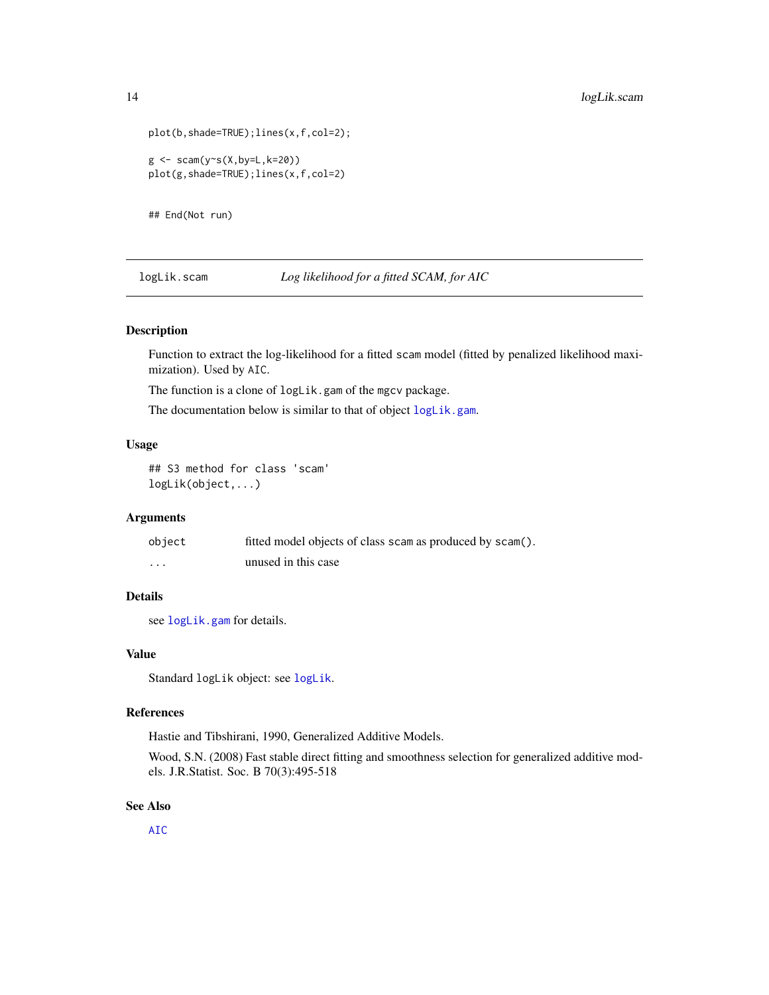```
plot(b,shade=TRUE);lines(x,f,col=2);
g \leftarrow \text{scam}(y \sim s(X, by=L, k=20))plot(g,shade=TRUE);lines(x,f,col=2)
```
## End(Not run)

logLik.scam *Log likelihood for a fitted SCAM, for AIC*

### Description

Function to extract the log-likelihood for a fitted scam model (fitted by penalized likelihood maximization). Used by AIC.

The function is a clone of logLik.gam of the mgcv package.

The documentation below is similar to that of object [logLik.gam](#page-0-0).

#### Usage

## S3 method for class 'scam' logLik(object,...)

### Arguments

| object   | fitted model objects of class scam as produced by scam(). |
|----------|-----------------------------------------------------------|
| $\cdots$ | unused in this case                                       |

### Details

see [logLik.gam](#page-0-0) for details.

#### Value

Standard logLik object: see [logLik](#page-0-0).

#### References

Hastie and Tibshirani, 1990, Generalized Additive Models.

Wood, S.N. (2008) Fast stable direct fitting and smoothness selection for generalized additive models. J.R.Statist. Soc. B 70(3):495-518

#### See Also

[AIC](#page-0-0)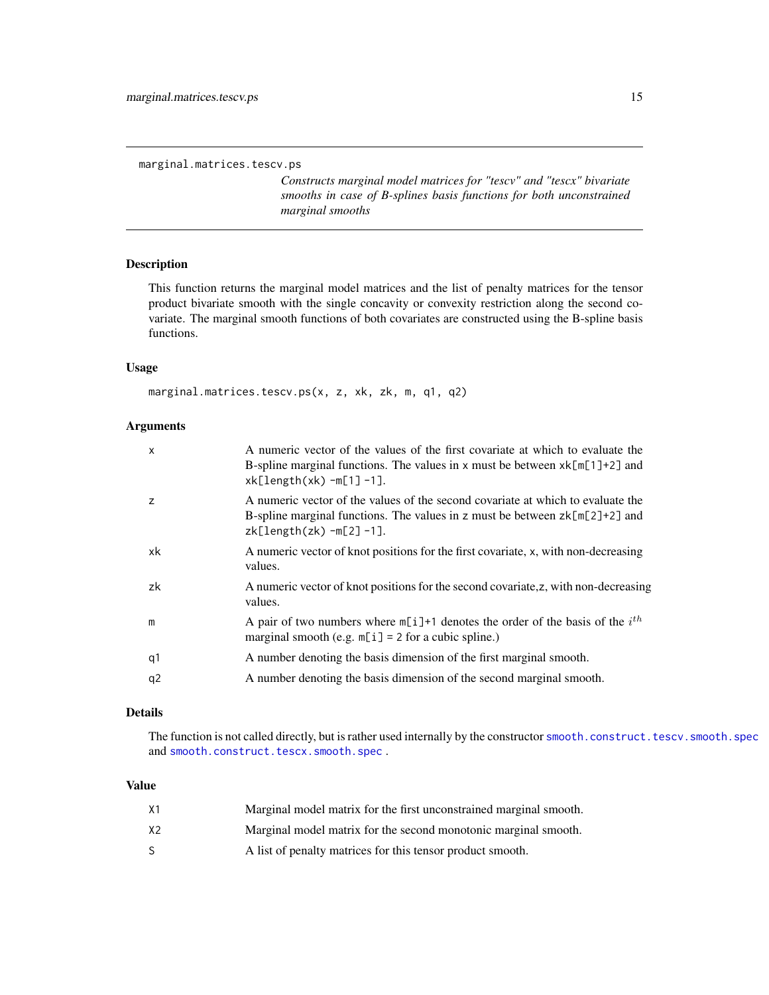<span id="page-14-0"></span>marginal.matrices.tescv.ps

*Constructs marginal model matrices for "tescv" and "tescx" bivariate smooths in case of B-splines basis functions for both unconstrained marginal smooths*

#### Description

This function returns the marginal model matrices and the list of penalty matrices for the tensor product bivariate smooth with the single concavity or convexity restriction along the second covariate. The marginal smooth functions of both covariates are constructed using the B-spline basis functions.

#### Usage

```
marginal.matrices.tescv.ps(x, z, xk, zk, m, q1, q2)
```
#### Arguments

| $\mathsf{x}$   | A numeric vector of the values of the first covariate at which to evaluate the<br>B-spline marginal functions. The values in x must be between $xk[\![m]\!]$ +2] and<br>$xk[length(xk) - m[1] - 1].$ |
|----------------|------------------------------------------------------------------------------------------------------------------------------------------------------------------------------------------------------|
| z              | A numeric vector of the values of the second covariate at which to evaluate the<br>B-spline marginal functions. The values in z must be between $zk[m[2]+2]$ and<br>$zk[length(zk) - m[2] - 1].$     |
| xk             | A numeric vector of knot positions for the first covariate, x, with non-decreasing<br>values.                                                                                                        |
| zk             | A numeric vector of knot positions for the second covariate, z, with non-decreasing<br>values.                                                                                                       |
| m              | A pair of two numbers where $m[i]+1$ denotes the order of the basis of the $ith$<br>marginal smooth (e.g. $m[i] = 2$ for a cubic spline.)                                                            |
| q1             | A number denoting the basis dimension of the first marginal smooth.                                                                                                                                  |
| q <sub>2</sub> | A number denoting the basis dimension of the second marginal smooth.                                                                                                                                 |

### Details

The function is not called directly, but is rather used internally by the constructor [smooth.construct.tescv.smooth.spec](#page-85-1) and [smooth.construct.tescx.smooth.spec](#page-87-1).

#### Value

| Х1 | Marginal model matrix for the first unconstrained marginal smooth. |
|----|--------------------------------------------------------------------|
| X2 | Marginal model matrix for the second monotonic marginal smooth.    |
|    | A list of penalty matrices for this tensor product smooth.         |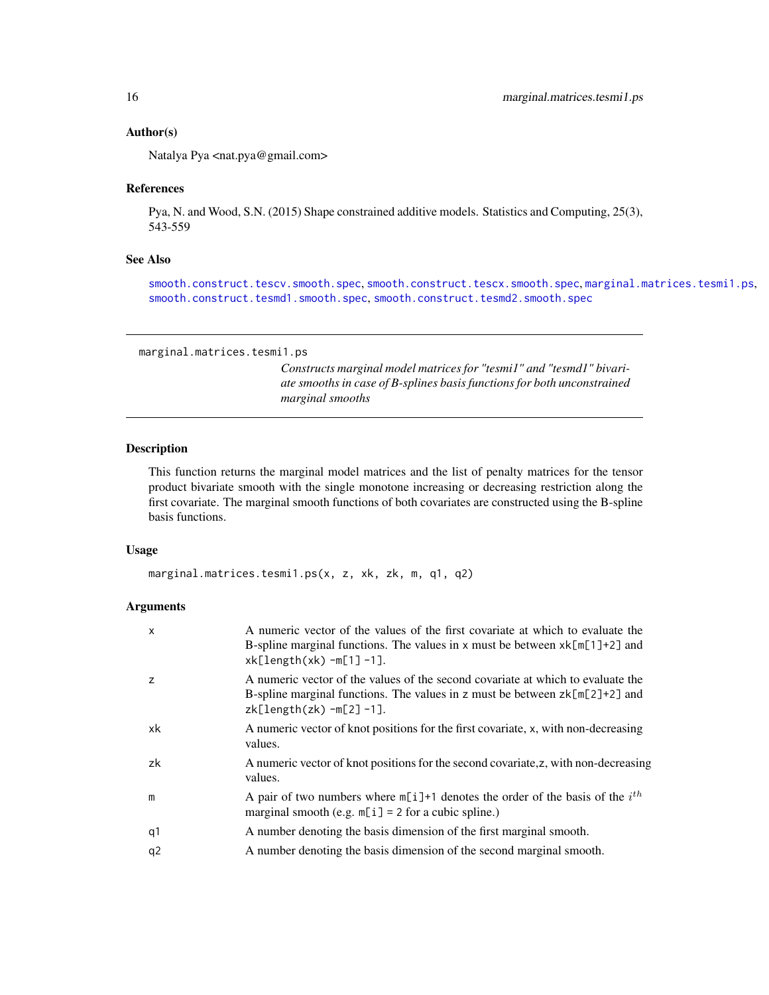#### <span id="page-15-0"></span>Author(s)

Natalya Pya <nat.pya@gmail.com>

#### References

Pya, N. and Wood, S.N. (2015) Shape constrained additive models. Statistics and Computing, 25(3), 543-559

### See Also

[smooth.construct.tescv.smooth.spec](#page-85-1), [smooth.construct.tescx.smooth.spec](#page-87-1), [marginal.matrices.tesmi1.ps](#page-15-1), [smooth.construct.tesmd1.smooth.spec](#page-88-1),[smooth.construct.tesmd2.smooth.spec](#page-90-1)

```
marginal.matrices.tesmi1.ps
```
*Constructs marginal model matrices for "tesmi1" and "tesmd1" bivariate smooths in case of B-splines basis functions for both unconstrained marginal smooths*

### Description

This function returns the marginal model matrices and the list of penalty matrices for the tensor product bivariate smooth with the single monotone increasing or decreasing restriction along the first covariate. The marginal smooth functions of both covariates are constructed using the B-spline basis functions.

#### Usage

marginal.matrices.tesmi1.ps(x, z, xk, zk, m, q1, q2)

#### Arguments

| X  | A numeric vector of the values of the first covariate at which to evaluate the<br>B-spline marginal functions. The values in x must be between $xk[\ln[1]+2]$ and<br>$xk[length(xk) - m[1] - 1].$ |
|----|---------------------------------------------------------------------------------------------------------------------------------------------------------------------------------------------------|
| Z  | A numeric vector of the values of the second covariate at which to evaluate the<br>B-spline marginal functions. The values in z must be between $zk[m[2]+2]$ and<br>$zk[length(zk) - m[2] - 1].$  |
| xk | A numeric vector of knot positions for the first covariate, x, with non-decreasing<br>values.                                                                                                     |
| zk | A numeric vector of knot positions for the second covariate, z, with non-decreasing<br>values.                                                                                                    |
| m  | A pair of two numbers where $m[i]+1$ denotes the order of the basis of the $ith$<br>marginal smooth (e.g. $m[i] = 2$ for a cubic spline.)                                                         |
| q1 | A number denoting the basis dimension of the first marginal smooth.                                                                                                                               |
| q2 | A number denoting the basis dimension of the second marginal smooth.                                                                                                                              |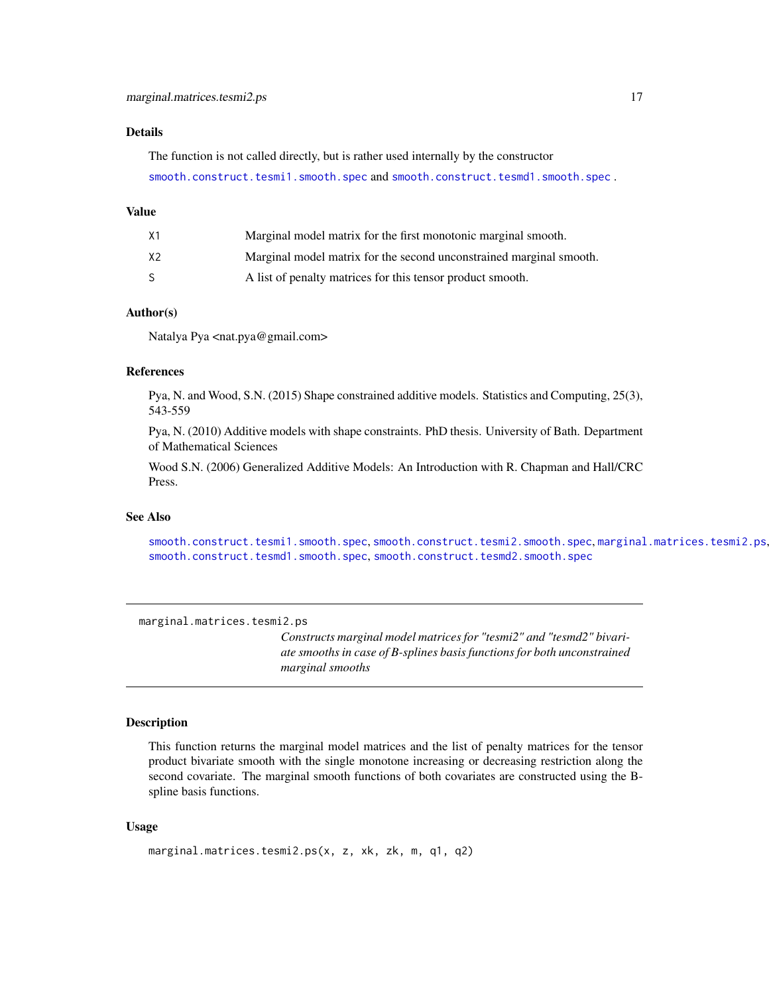### <span id="page-16-0"></span>Details

The function is not called directly, but is rather used internally by the constructor [smooth.construct.tesmi1.smooth.spec](#page-92-1) and [smooth.construct.tesmd1.smooth.spec](#page-88-1) .

#### Value

| X1 | Marginal model matrix for the first monotonic marginal smooth.      |
|----|---------------------------------------------------------------------|
| X2 | Marginal model matrix for the second unconstrained marginal smooth. |
| S  | A list of penalty matrices for this tensor product smooth.          |

### Author(s)

Natalya Pya <nat.pya@gmail.com>

### References

Pya, N. and Wood, S.N. (2015) Shape constrained additive models. Statistics and Computing, 25(3), 543-559

Pya, N. (2010) Additive models with shape constraints. PhD thesis. University of Bath. Department of Mathematical Sciences

Wood S.N. (2006) Generalized Additive Models: An Introduction with R. Chapman and Hall/CRC Press.

### See Also

[smooth.construct.tesmi1.smooth.spec](#page-92-1), [smooth.construct.tesmi2.smooth.spec](#page-94-1), [marginal.matrices.tesmi2.ps](#page-16-1), [smooth.construct.tesmd1.smooth.spec](#page-88-1),[smooth.construct.tesmd2.smooth.spec](#page-90-1)

<span id="page-16-1"></span>marginal.matrices.tesmi2.ps

*Constructs marginal model matrices for "tesmi2" and "tesmd2" bivariate smooths in case of B-splines basis functions for both unconstrained marginal smooths*

#### Description

This function returns the marginal model matrices and the list of penalty matrices for the tensor product bivariate smooth with the single monotone increasing or decreasing restriction along the second covariate. The marginal smooth functions of both covariates are constructed using the Bspline basis functions.

#### Usage

```
marginal.matrices.tesmi2.ps(x, z, xk, zk, m, q1, q2)
```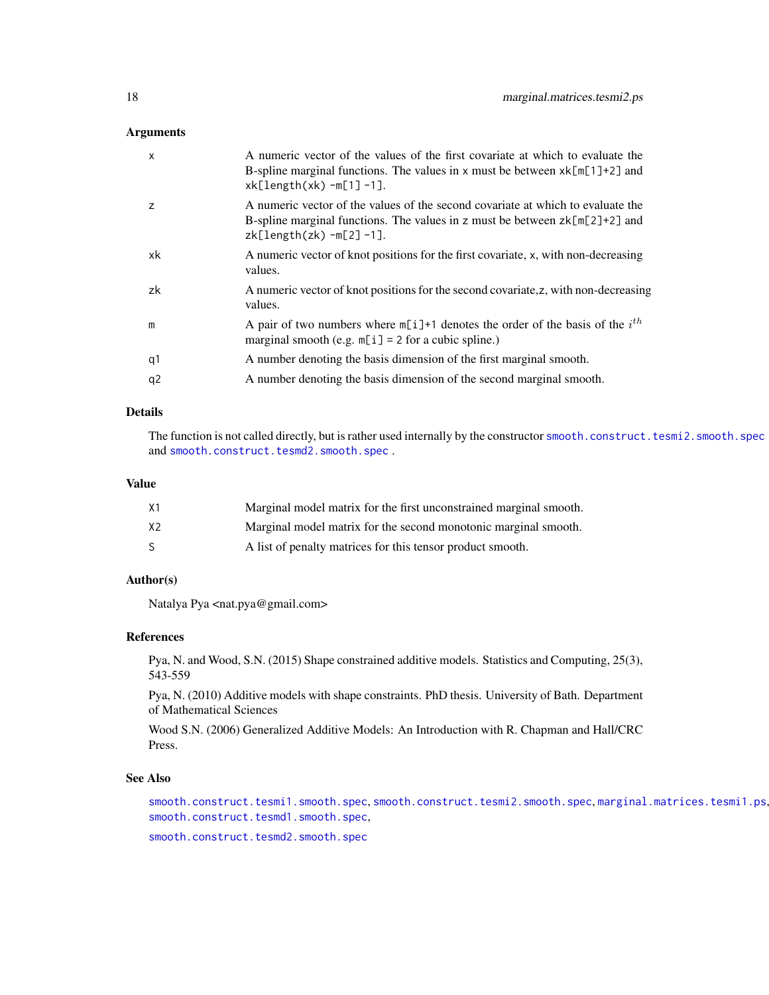#### Arguments

| $\mathsf{x}$   | A numeric vector of the values of the first covariate at which to evaluate the<br>B-spline marginal functions. The values in x must be between $xk[\ln[1]+2]$ and<br>$xk[length(xk) - m[1] - 1].$ |
|----------------|---------------------------------------------------------------------------------------------------------------------------------------------------------------------------------------------------|
| $\overline{z}$ | A numeric vector of the values of the second covariate at which to evaluate the<br>B-spline marginal functions. The values in z must be between $zk[m[2]+2]$ and<br>zk[length(zk) $-m[2]-1$ ].    |
| xk             | A numeric vector of knot positions for the first covariate, x, with non-decreasing<br>values.                                                                                                     |
| zk             | A numeric vector of knot positions for the second covariate, z, with non-decreasing<br>values.                                                                                                    |
| m              | A pair of two numbers where $m[i]+1$ denotes the order of the basis of the $ith$<br>marginal smooth (e.g. $m[i] = 2$ for a cubic spline.)                                                         |
| q1             | A number denoting the basis dimension of the first marginal smooth.                                                                                                                               |
| q <sub>2</sub> | A number denoting the basis dimension of the second marginal smooth.                                                                                                                              |

### Details

The function is not called directly, but is rather used internally by the constructor [smooth.construct.tesmi2.smooth.spec](#page-94-1) and [smooth.construct.tesmd2.smooth.spec](#page-90-1).

#### Value

| Χ1 | Marginal model matrix for the first unconstrained marginal smooth. |
|----|--------------------------------------------------------------------|
| X2 | Marginal model matrix for the second monotonic marginal smooth.    |
|    | A list of penalty matrices for this tensor product smooth.         |

#### Author(s)

Natalya Pya <nat.pya@gmail.com>

#### References

Pya, N. and Wood, S.N. (2015) Shape constrained additive models. Statistics and Computing, 25(3), 543-559

Pya, N. (2010) Additive models with shape constraints. PhD thesis. University of Bath. Department of Mathematical Sciences

Wood S.N. (2006) Generalized Additive Models: An Introduction with R. Chapman and Hall/CRC Press.

### See Also

[smooth.construct.tesmi1.smooth.spec](#page-92-1), [smooth.construct.tesmi2.smooth.spec](#page-94-1), [marginal.matrices.tesmi1.ps](#page-15-1), [smooth.construct.tesmd1.smooth.spec](#page-88-1),

[smooth.construct.tesmd2.smooth.spec](#page-90-1)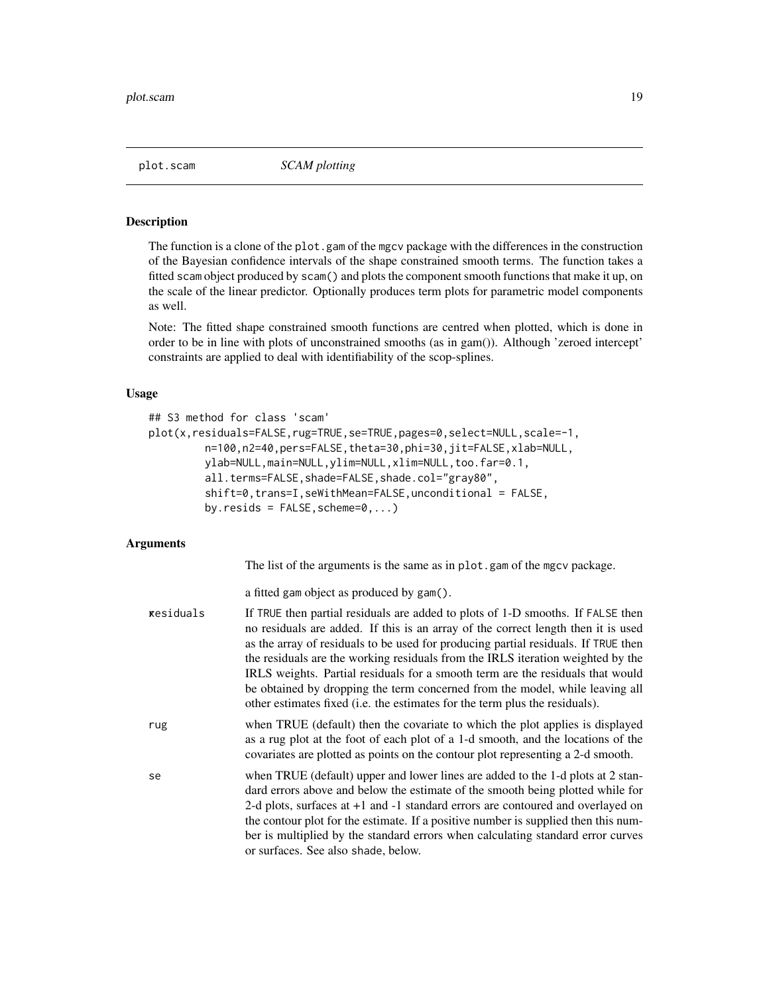<span id="page-18-1"></span><span id="page-18-0"></span>

#### Description

The function is a clone of the plot.gam of the mgcv package with the differences in the construction of the Bayesian confidence intervals of the shape constrained smooth terms. The function takes a fitted scam object produced by scam() and plots the component smooth functions that make it up, on the scale of the linear predictor. Optionally produces term plots for parametric model components as well.

Note: The fitted shape constrained smooth functions are centred when plotted, which is done in order to be in line with plots of unconstrained smooths (as in gam()). Although 'zeroed intercept' constraints are applied to deal with identifiability of the scop-splines.

#### Usage

```
## S3 method for class 'scam'
plot(x,residuals=FALSE,rug=TRUE,se=TRUE,pages=0,select=NULL,scale=-1,
         n=100,n2=40,pers=FALSE,theta=30,phi=30,jit=FALSE,xlab=NULL,
         ylab=NULL,main=NULL,ylim=NULL,xlim=NULL,too.far=0.1,
         all.terms=FALSE,shade=FALSE,shade.col="gray80",
         shift=0, trans=I, seWithMean=FALSE, unconditional = FALSE,
         by.resids = FALSE, scheme=0,...)
```
#### Arguments

The list of the arguments is the same as in plot.gam of the mgcv package.

a fitted gam object as produced by gam().

| kesiduals | If TRUE then partial residuals are added to plots of 1-D smooths. If FALSE then<br>no residuals are added. If this is an array of the correct length then it is used<br>as the array of residuals to be used for producing partial residuals. If TRUE then<br>the residuals are the working residuals from the IRLS iteration weighted by the<br>IRLS weights. Partial residuals for a smooth term are the residuals that would<br>be obtained by dropping the term concerned from the model, while leaving all<br>other estimates fixed (i.e. the estimates for the term plus the residuals). |
|-----------|------------------------------------------------------------------------------------------------------------------------------------------------------------------------------------------------------------------------------------------------------------------------------------------------------------------------------------------------------------------------------------------------------------------------------------------------------------------------------------------------------------------------------------------------------------------------------------------------|
| rug       | when TRUE (default) then the covariate to which the plot applies is displayed<br>as a rug plot at the foot of each plot of a 1-d smooth, and the locations of the<br>covariates are plotted as points on the contour plot representing a 2-d smooth.                                                                                                                                                                                                                                                                                                                                           |
| se        | when TRUE (default) upper and lower lines are added to the 1-d plots at 2 stan-<br>dard errors above and below the estimate of the smooth being plotted while for<br>2-d plots, surfaces at +1 and -1 standard errors are contoured and overlayed on<br>the contour plot for the estimate. If a positive number is supplied then this num-<br>ber is multiplied by the standard errors when calculating standard error curves<br>or surfaces. See also shade, below.                                                                                                                           |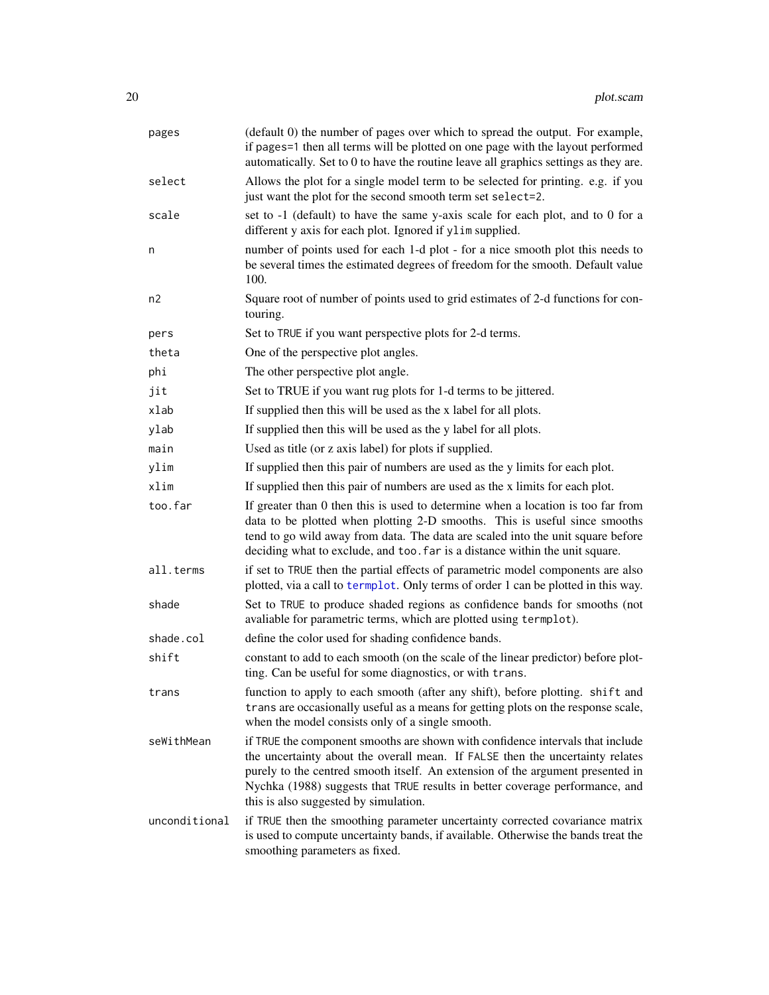| pages         | (default 0) the number of pages over which to spread the output. For example,<br>if pages=1 then all terms will be plotted on one page with the layout performed<br>automatically. Set to 0 to have the routine leave all graphics settings as they are.                                                                                                                   |
|---------------|----------------------------------------------------------------------------------------------------------------------------------------------------------------------------------------------------------------------------------------------------------------------------------------------------------------------------------------------------------------------------|
| select        | Allows the plot for a single model term to be selected for printing. e.g. if you<br>just want the plot for the second smooth term set select=2.                                                                                                                                                                                                                            |
| scale         | set to -1 (default) to have the same y-axis scale for each plot, and to 0 for a<br>different y axis for each plot. Ignored if ylim supplied.                                                                                                                                                                                                                               |
| n             | number of points used for each 1-d plot - for a nice smooth plot this needs to<br>be several times the estimated degrees of freedom for the smooth. Default value<br>100.                                                                                                                                                                                                  |
| n2            | Square root of number of points used to grid estimates of 2-d functions for con-<br>touring.                                                                                                                                                                                                                                                                               |
| pers          | Set to TRUE if you want perspective plots for 2-d terms.                                                                                                                                                                                                                                                                                                                   |
| theta         | One of the perspective plot angles.                                                                                                                                                                                                                                                                                                                                        |
| phi           | The other perspective plot angle.                                                                                                                                                                                                                                                                                                                                          |
| jit           | Set to TRUE if you want rug plots for 1-d terms to be jittered.                                                                                                                                                                                                                                                                                                            |
| xlab          | If supplied then this will be used as the x label for all plots.                                                                                                                                                                                                                                                                                                           |
| ylab          | If supplied then this will be used as the y label for all plots.                                                                                                                                                                                                                                                                                                           |
| main          | Used as title (or z axis label) for plots if supplied.                                                                                                                                                                                                                                                                                                                     |
| ylim          | If supplied then this pair of numbers are used as the y limits for each plot.                                                                                                                                                                                                                                                                                              |
| xlim          | If supplied then this pair of numbers are used as the x limits for each plot.                                                                                                                                                                                                                                                                                              |
| too.far       | If greater than 0 then this is used to determine when a location is too far from<br>data to be plotted when plotting 2-D smooths. This is useful since smooths<br>tend to go wild away from data. The data are scaled into the unit square before<br>deciding what to exclude, and too. far is a distance within the unit square.                                          |
| all.terms     | if set to TRUE then the partial effects of parametric model components are also<br>plotted, via a call to termplot. Only terms of order 1 can be plotted in this way.                                                                                                                                                                                                      |
| shade         | Set to TRUE to produce shaded regions as confidence bands for smooths (not<br>avaliable for parametric terms, which are plotted using termplot).                                                                                                                                                                                                                           |
| shade.col     | define the color used for shading confidence bands.                                                                                                                                                                                                                                                                                                                        |
| shift         | constant to add to each smooth (on the scale of the linear predictor) before plot-<br>ting. Can be useful for some diagnostics, or with trans.                                                                                                                                                                                                                             |
| trans         | function to apply to each smooth (after any shift), before plotting. shift and<br>trans are occasionally useful as a means for getting plots on the response scale,<br>when the model consists only of a single smooth.                                                                                                                                                    |
| seWithMean    | if TRUE the component smooths are shown with confidence intervals that include<br>the uncertainty about the overall mean. If FALSE then the uncertainty relates<br>purely to the centred smooth itself. An extension of the argument presented in<br>Nychka (1988) suggests that TRUE results in better coverage performance, and<br>this is also suggested by simulation. |
| unconditional | if TRUE then the smoothing parameter uncertainty corrected covariance matrix<br>is used to compute uncertainty bands, if available. Otherwise the bands treat the<br>smoothing parameters as fixed.                                                                                                                                                                        |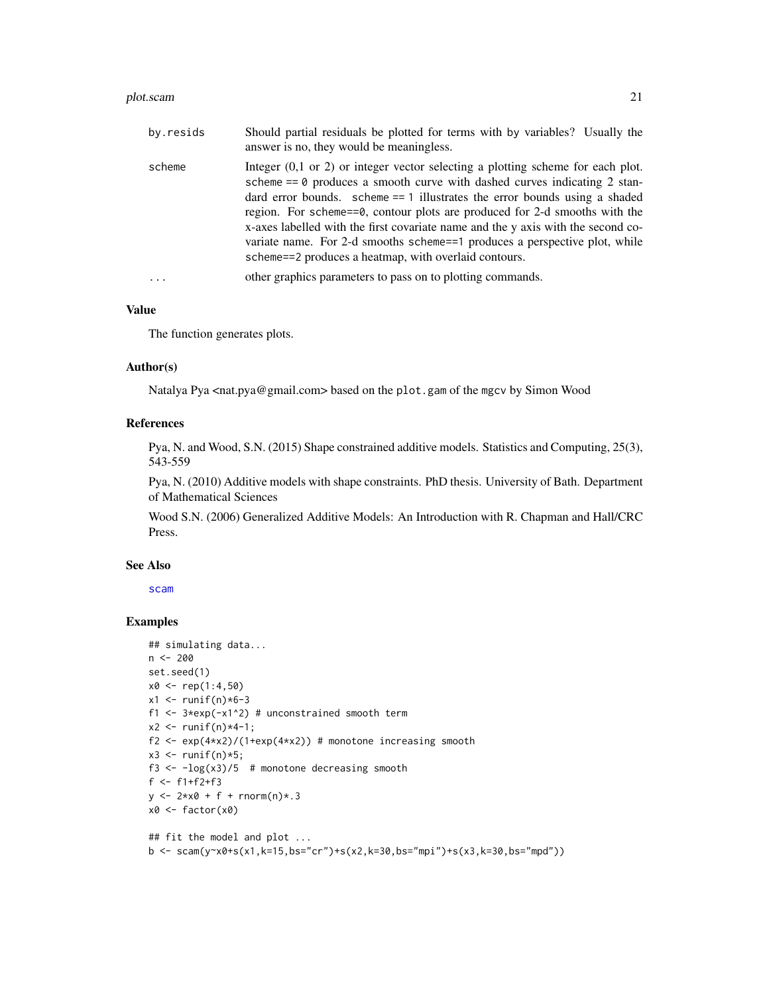#### plot.scam 21

| by.resids | Should partial residuals be plotted for terms with by variables? Usually the<br>answer is no, they would be meaningless.                                                                                                                                                                                                                                                                                                                                                                                                                                   |
|-----------|------------------------------------------------------------------------------------------------------------------------------------------------------------------------------------------------------------------------------------------------------------------------------------------------------------------------------------------------------------------------------------------------------------------------------------------------------------------------------------------------------------------------------------------------------------|
| scheme    | Integer $(0,1)$ or 2) or integer vector selecting a plotting scheme for each plot.<br>scheme $== 0$ produces a smooth curve with dashed curves indicating 2 stan-<br>dard error bounds. scheme $== 1$ illustrates the error bounds using a shaded<br>region. For scheme==0, contour plots are produced for 2-d smooths with the<br>x-axes labelled with the first covariate name and the y axis with the second co-<br>variate name. For 2-d smooths scheme==1 produces a perspective plot, while<br>scheme==2 produces a heatmap, with overlaid contours. |
|           | other graphics parameters to pass on to plotting commands.                                                                                                                                                                                                                                                                                                                                                                                                                                                                                                 |

### Value

The function generates plots.

#### Author(s)

Natalya Pya <nat.pya@gmail.com> based on the plot.gam of the mgcv by Simon Wood

#### References

Pya, N. and Wood, S.N. (2015) Shape constrained additive models. Statistics and Computing, 25(3), 543-559

Pya, N. (2010) Additive models with shape constraints. PhD thesis. University of Bath. Department of Mathematical Sciences

Wood S.N. (2006) Generalized Additive Models: An Introduction with R. Chapman and Hall/CRC Press.

### See Also

[scam](#page-30-1)

### Examples

```
## simulating data...
n <- 200
set.seed(1)
x0 \leq -\text{rep}(1:4,50)x1 \leftarrow runif(n)*6-3f1 \leq 3*exp(-x1^2) # unconstrained smooth term
x2 \le runif(n)*4-1;
f2 <- exp(4*x2)/(1+exp(4*x2)) # monotone increasing smooth
x3 \le- runif(n)*5;
f3 \leftarrow -\log(x_3)/5 # monotone decreasing smooth
f <- f1+f2+f3
y \le -2*x0 + f + rnorm(n) * .3x0 \leftarrow factor(x0)## fit the model and plot ...
```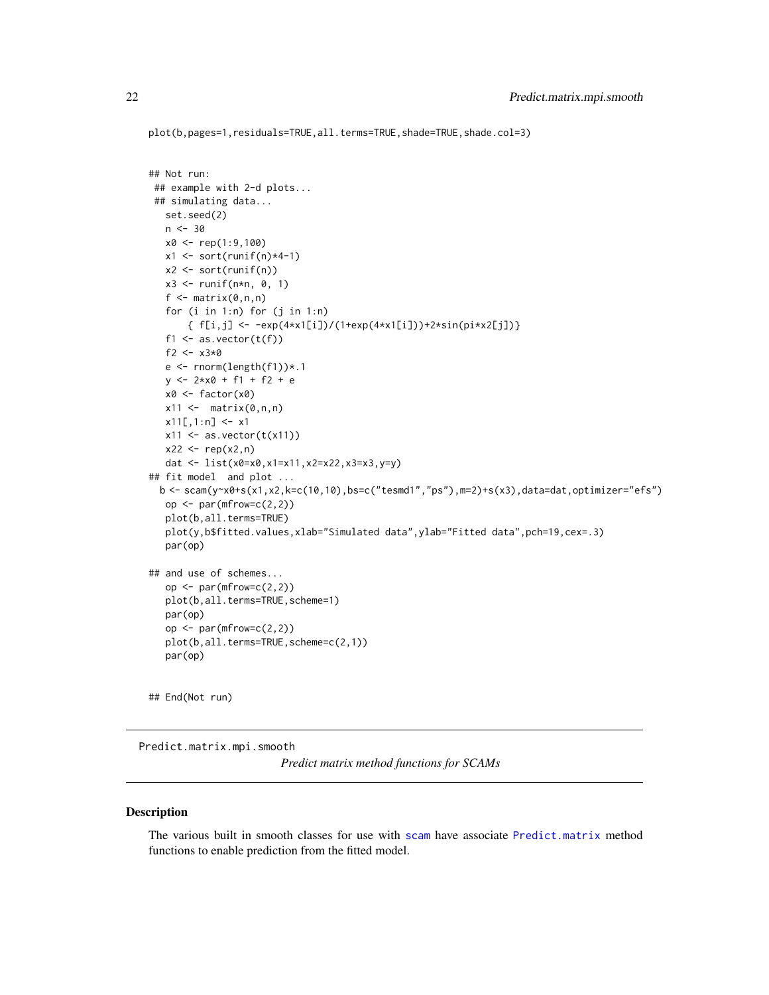```
plot(b,pages=1,residuals=TRUE,all.terms=TRUE,shade=TRUE,shade.col=3)
```

```
## Not run:
## example with 2-d plots...
## simulating data...
  set.seed(2)
   n < -30x0 <- rep(1:9,100)
  x1 \leftarrow sort(runif(n)*4-1)x2 \le sort(runif(n))
   x3 \le runif(n*n, 0, 1)
   f \leftarrow matrix(0,n,n)
   for (i \text{ in } 1:n) for (j \text{ in } 1:n){ f[i,j] <- -exp(4*x1[i])/(1+exp(4*x1[i]))+2*sin(pi*x2[j])}
   f1 \leftarrow as.vector(t(f))f2 <- x3*0e <- rnorm(length(f1))*.1
   y \le -2*x0 + f1 + f2 + ex0 <- factor(x0)
   x11 \leftarrow \text{matrix}(0, n, n)x11[,1:n] <- x1x11 \leftarrow as.{vector(t(x11))}x22 < - rep(x2, n)
   dat <- list(x0=x0,x1=x11,x2=x22,x3=x3,y=y)
## fit model and plot ...
  b \leq \text{scam}(y \geq x0+s(x1,x2,k=c(10,10),bs=c("tesmd1", "ps"),m=2)+s(x3),data=dat,optimizer="efs")op \leq par(mfrow=c(2,2))
   plot(b,all.terms=TRUE)
   plot(y,b$fitted.values,xlab="Simulated data",ylab="Fitted data",pch=19,cex=.3)
   par(op)
## and use of schemes...
   op \leq par(mfrow=c(2,2))
   plot(b,all.terms=TRUE,scheme=1)
   par(op)
   op \leq par(mfrow=c(2,2))
   plot(b,all.terms=TRUE,scheme=c(2,1))
   par(op)
## End(Not run)
```
Predict.matrix.mpi.smooth

*Predict matrix method functions for SCAMs*

### Description

The various built in smooth classes for use with [scam](#page-30-1) have associate [Predict.matrix](#page-0-0) method functions to enable prediction from the fitted model.

<span id="page-21-0"></span>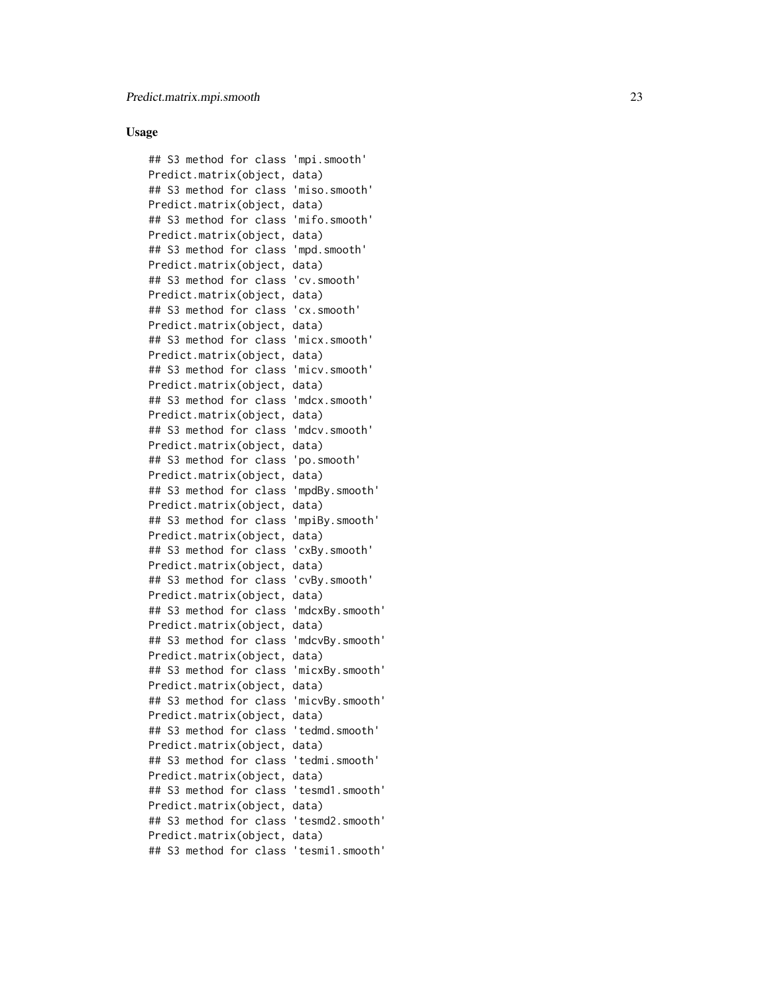#### Usage

## S3 method for class 'mpi.smooth' Predict.matrix(object, data) ## S3 method for class 'miso.smooth' Predict.matrix(object, data) ## S3 method for class 'mifo.smooth' Predict.matrix(object, data) ## S3 method for class 'mpd.smooth' Predict.matrix(object, data) ## S3 method for class 'cv.smooth' Predict.matrix(object, data) ## S3 method for class 'cx.smooth' Predict.matrix(object, data) ## S3 method for class 'micx.smooth' Predict.matrix(object, data) ## S3 method for class 'micv.smooth' Predict.matrix(object, data) ## S3 method for class 'mdcx.smooth' Predict.matrix(object, data) ## S3 method for class 'mdcv.smooth' Predict.matrix(object, data) ## S3 method for class 'po.smooth' Predict.matrix(object, data) ## S3 method for class 'mpdBy.smooth' Predict.matrix(object, data) ## S3 method for class 'mpiBy.smooth' Predict.matrix(object, data) ## S3 method for class 'cxBy.smooth' Predict.matrix(object, data) ## S3 method for class 'cvBy.smooth' Predict.matrix(object, data) ## S3 method for class 'mdcxBy.smooth' Predict.matrix(object, data) ## S3 method for class 'mdcvBy.smooth' Predict.matrix(object, data) ## S3 method for class 'micxBy.smooth' Predict.matrix(object, data) ## S3 method for class 'micvBy.smooth' Predict.matrix(object, data) ## S3 method for class 'tedmd.smooth' Predict.matrix(object, data) ## S3 method for class 'tedmi.smooth' Predict.matrix(object, data) ## S3 method for class 'tesmd1.smooth' Predict.matrix(object, data) ## S3 method for class 'tesmd2.smooth' Predict.matrix(object, data) ## S3 method for class 'tesmi1.smooth'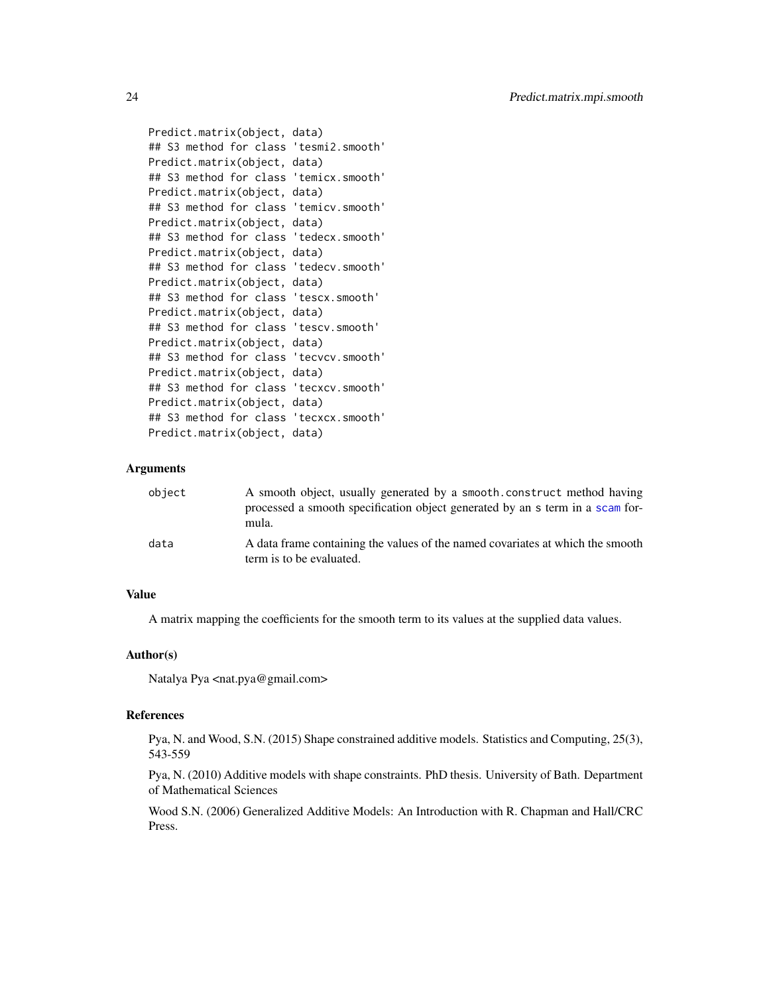```
Predict.matrix(object, data)
## S3 method for class 'tesmi2.smooth'
Predict.matrix(object, data)
## S3 method for class 'temicx.smooth'
Predict.matrix(object, data)
## S3 method for class 'temicv.smooth'
Predict.matrix(object, data)
## S3 method for class 'tedecx.smooth'
Predict.matrix(object, data)
## S3 method for class 'tedecv.smooth'
Predict.matrix(object, data)
## S3 method for class 'tescx.smooth'
Predict.matrix(object, data)
## S3 method for class 'tescv.smooth'
Predict.matrix(object, data)
## S3 method for class 'tecvcv.smooth'
Predict.matrix(object, data)
## S3 method for class 'tecxcv.smooth'
Predict.matrix(object, data)
## S3 method for class 'tecxcx.smooth'
Predict.matrix(object, data)
```
#### Arguments

| object | A smooth object, usually generated by a smooth construct method having<br>processed a smooth specification object generated by an s term in a scam for-<br>mula. |
|--------|------------------------------------------------------------------------------------------------------------------------------------------------------------------|
| data   | A data frame containing the values of the named covariates at which the smooth<br>term is to be evaluated.                                                       |

### Value

A matrix mapping the coefficients for the smooth term to its values at the supplied data values.

#### Author(s)

Natalya Pya <nat.pya@gmail.com>

#### References

Pya, N. and Wood, S.N. (2015) Shape constrained additive models. Statistics and Computing, 25(3), 543-559

Pya, N. (2010) Additive models with shape constraints. PhD thesis. University of Bath. Department of Mathematical Sciences

Wood S.N. (2006) Generalized Additive Models: An Introduction with R. Chapman and Hall/CRC Press.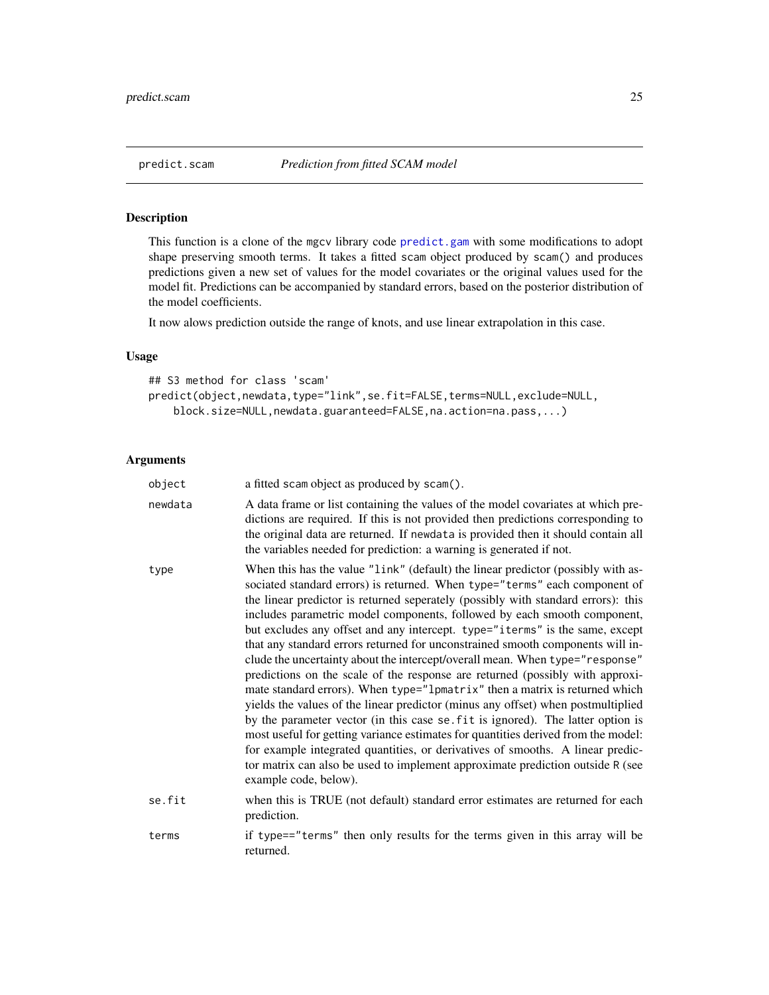<span id="page-24-1"></span><span id="page-24-0"></span>

#### Description

This function is a clone of the mgcv library code [predict.gam](#page-0-0) with some modifications to adopt shape preserving smooth terms. It takes a fitted scam object produced by scam() and produces predictions given a new set of values for the model covariates or the original values used for the model fit. Predictions can be accompanied by standard errors, based on the posterior distribution of the model coefficients.

It now alows prediction outside the range of knots, and use linear extrapolation in this case.

### Usage

```
## S3 method for class 'scam'
predict(object,newdata,type="link",se.fit=FALSE,terms=NULL,exclude=NULL,
    block.size=NULL,newdata.guaranteed=FALSE,na.action=na.pass,...)
```
### Arguments

| object  | a fitted scam object as produced by scam().                                                                                                                                                                                                                                                                                                                                                                                                                                                                                                                                                                                                                                                                                                                                                                                                                                                                                                                                                                                                                                                                                                                                                                |
|---------|------------------------------------------------------------------------------------------------------------------------------------------------------------------------------------------------------------------------------------------------------------------------------------------------------------------------------------------------------------------------------------------------------------------------------------------------------------------------------------------------------------------------------------------------------------------------------------------------------------------------------------------------------------------------------------------------------------------------------------------------------------------------------------------------------------------------------------------------------------------------------------------------------------------------------------------------------------------------------------------------------------------------------------------------------------------------------------------------------------------------------------------------------------------------------------------------------------|
| newdata | A data frame or list containing the values of the model covariates at which pre-<br>dictions are required. If this is not provided then predictions corresponding to<br>the original data are returned. If newdata is provided then it should contain all<br>the variables needed for prediction: a warning is generated if not.                                                                                                                                                                                                                                                                                                                                                                                                                                                                                                                                                                                                                                                                                                                                                                                                                                                                           |
| type    | When this has the value "link" (default) the linear predictor (possibly with as-<br>sociated standard errors) is returned. When type="terms" each component of<br>the linear predictor is returned seperately (possibly with standard errors): this<br>includes parametric model components, followed by each smooth component,<br>but excludes any offset and any intercept. type="iterms" is the same, except<br>that any standard errors returned for unconstrained smooth components will in-<br>clude the uncertainty about the intercept/overall mean. When type="response"<br>predictions on the scale of the response are returned (possibly with approxi-<br>mate standard errors). When type="lpmatrix" then a matrix is returned which<br>yields the values of the linear predictor (minus any offset) when postmultiplied<br>by the parameter vector (in this case se. fit is ignored). The latter option is<br>most useful for getting variance estimates for quantities derived from the model:<br>for example integrated quantities, or derivatives of smooths. A linear predic-<br>tor matrix can also be used to implement approximate prediction outside R (see<br>example code, below). |
| se.fit  | when this is TRUE (not default) standard error estimates are returned for each<br>prediction.                                                                                                                                                                                                                                                                                                                                                                                                                                                                                                                                                                                                                                                                                                                                                                                                                                                                                                                                                                                                                                                                                                              |
| terms   | if type=="terms" then only results for the terms given in this array will be<br>returned.                                                                                                                                                                                                                                                                                                                                                                                                                                                                                                                                                                                                                                                                                                                                                                                                                                                                                                                                                                                                                                                                                                                  |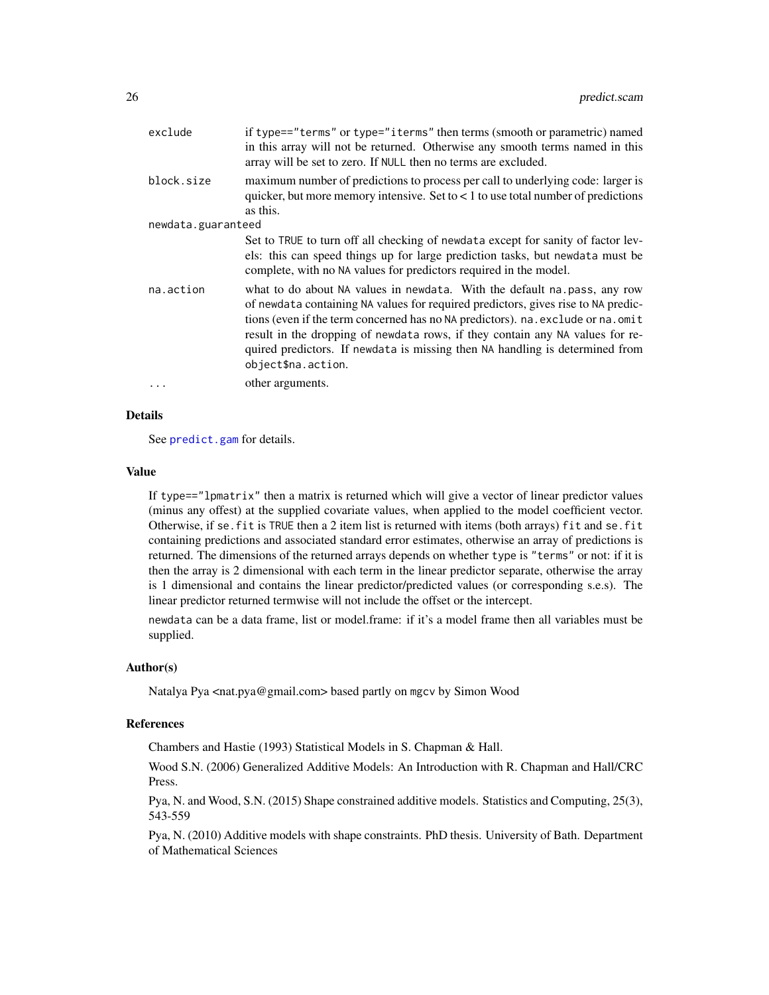| exclude            | if type=="terms" or type="iterms" then terms (smooth or parametric) named<br>in this array will not be returned. Otherwise any smooth terms named in this<br>array will be set to zero. If NULL then no terms are excluded.                                                                                                                                                                                                              |
|--------------------|------------------------------------------------------------------------------------------------------------------------------------------------------------------------------------------------------------------------------------------------------------------------------------------------------------------------------------------------------------------------------------------------------------------------------------------|
| block.size         | maximum number of predictions to process per call to underlying code: larger is<br>quicker, but more memory intensive. Set to $\lt 1$ to use total number of predictions<br>as this.                                                                                                                                                                                                                                                     |
| newdata.guaranteed |                                                                                                                                                                                                                                                                                                                                                                                                                                          |
|                    | Set to TRUE to turn off all checking of newdata except for sanity of factor lev-<br>els: this can speed things up for large prediction tasks, but newdata must be<br>complete, with no NA values for predictors required in the model.                                                                                                                                                                                                   |
| na.action          | what to do about NA values in newdata. With the default na.pass, any row<br>of newdata containing NA values for required predictors, gives rise to NA predic-<br>tions (even if the term concerned has no NA predictors). na. exclude or na. omit<br>result in the dropping of newdata rows, if they contain any NA values for re-<br>quired predictors. If newdata is missing then NA handling is determined from<br>object\$na.action. |
| $\ddots$           | other arguments.                                                                                                                                                                                                                                                                                                                                                                                                                         |

### Details

See [predict.gam](#page-0-0) for details.

#### Value

If type=="lpmatrix" then a matrix is returned which will give a vector of linear predictor values (minus any offest) at the supplied covariate values, when applied to the model coefficient vector. Otherwise, if se.fit is TRUE then a 2 item list is returned with items (both arrays) fit and se.fit containing predictions and associated standard error estimates, otherwise an array of predictions is returned. The dimensions of the returned arrays depends on whether type is "terms" or not: if it is then the array is 2 dimensional with each term in the linear predictor separate, otherwise the array is 1 dimensional and contains the linear predictor/predicted values (or corresponding s.e.s). The linear predictor returned termwise will not include the offset or the intercept.

newdata can be a data frame, list or model.frame: if it's a model frame then all variables must be supplied.

#### Author(s)

Natalya Pya <nat.pya@gmail.com> based partly on mgcv by Simon Wood

### References

Chambers and Hastie (1993) Statistical Models in S. Chapman & Hall.

Wood S.N. (2006) Generalized Additive Models: An Introduction with R. Chapman and Hall/CRC Press.

Pya, N. and Wood, S.N. (2015) Shape constrained additive models. Statistics and Computing, 25(3), 543-559

Pya, N. (2010) Additive models with shape constraints. PhD thesis. University of Bath. Department of Mathematical Sciences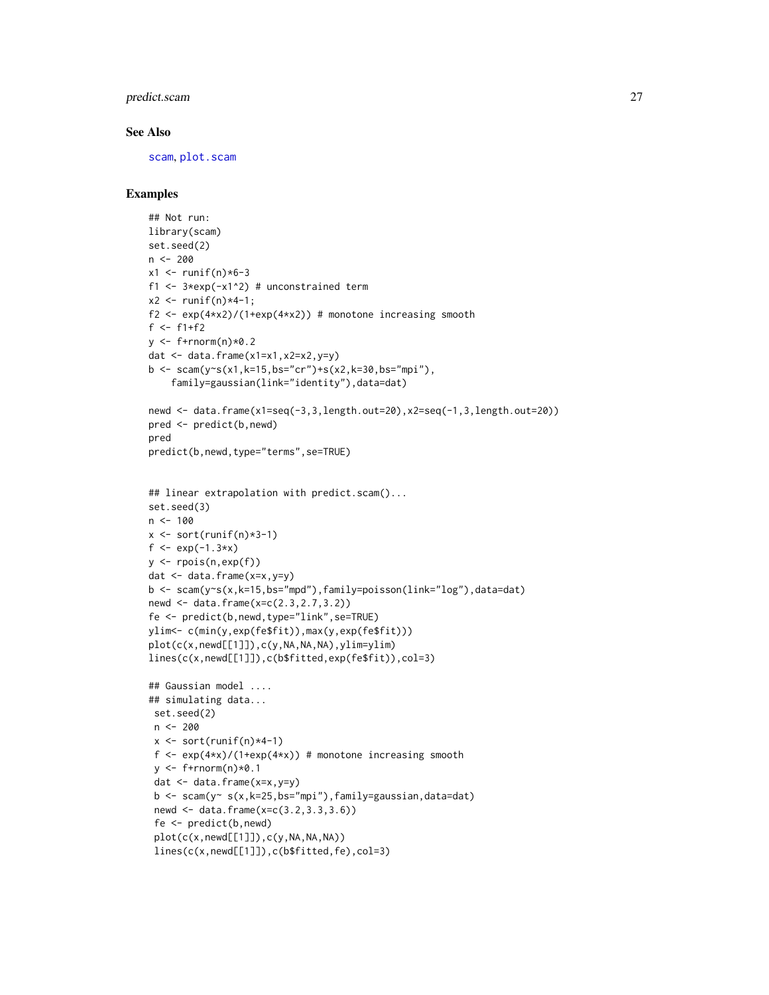### predict.scam 27

#### See Also

[scam](#page-30-1), [plot.scam](#page-18-1)

### Examples

```
## Not run:
library(scam)
set.seed(2)
n < -200x1 < - runif(n)*6-3
f1 <- 3*exp(-x1^2) # unconstrained term
x2 < - runif(n)*4-1;
f2 <- exp(4+x2)/(1+exp(4+x2)) # monotone increasing smooth
f \leftarrow f1+f2y \leq -f+rnorm(n)*0.2dat \leq data.frame(x1=x1,x2=x2,y=y)
b \leq scam(y~s(x1,k=15,bs="cr")+s(x2,k=30,bs="mpi"),
    family=gaussian(link="identity"),data=dat)
newd <- data.frame(x1=seq(-3,3,length.out=20),x2=seq(-1,3,length.out=20))
pred <- predict(b,newd)
pred
predict(b,newd,type="terms",se=TRUE)
## linear extrapolation with predict.scam()...
set.seed(3)
n < -100x \le - sort(runif(n)*3-1)
f \leftarrow \exp(-1.3*x)y <- rpois(n,exp(f))
dat <- data.frame(x=x,y=y)
b <- scam(y~s(x,k=15,bs="mpd"),family=poisson(link="log"),data=dat)
newd <- data.frame(x=c(2.3,2.7,3.2))
fe <- predict(b,newd,type="link",se=TRUE)
ylim<- c(min(y,exp(fe$fit)),max(y,exp(fe$fit)))
plot(c(x,newd[[1]]),c(y,NA,NA,NA),ylim=ylim)
lines(c(x,newd[[1]]),c(b$fitted,exp(fe$fit)),col=3)
## Gaussian model ....
## simulating data...
set.seed(2)
n <- 200
 x \leftarrow sort(runif(n)*4-1)f \leq exp(4*x)/(1+exp(4*x)) # monotone increasing smooth
 y \leq-f+rnorm(n)*0.1dat <- data.frame(x=x,y=y)
 b \leq scam(y \leq s(x, k=25, bs="mpi"), family=gaussian, data=dat)
 newd <- data.frame(x=c(3.2,3.3,3.6))
 fe <- predict(b,newd)
 plot(c(x,newd[[1]]),c(y,NA,NA,NA))lines(c(x,newd[[1]]),c(b$fitted,fe),col=3)
```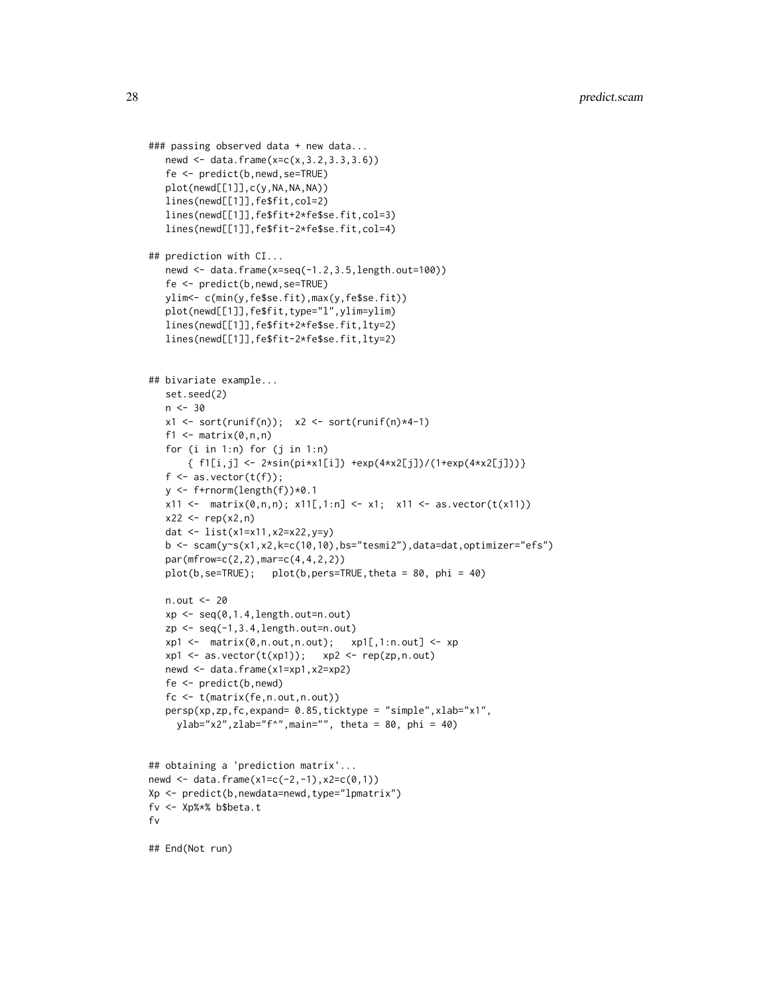```
### passing observed data + new data...
   newd <- data.frame(x=c(x,3.2,3.3,3.6))
   fe <- predict(b,newd,se=TRUE)
   plot(newd[[1]],c(y,NA,NA,NA))
   lines(newd[[1]],fe$fit,col=2)
   lines(newd[[1]],fe$fit+2*fe$se.fit,col=3)
   lines(newd[[1]],fe$fit-2*fe$se.fit,col=4)
## prediction with CI...
   newd <- data.frame(x=seq(-1.2,3.5,length.out=100))
   fe <- predict(b,newd,se=TRUE)
   ylim<- c(min(y,fe$se.fit),max(y,fe$se.fit))
   plot(newd[[1]],fe$fit,type="l",ylim=ylim)
   lines(newd[[1]],fe$fit+2*fe$se.fit,lty=2)
   lines(newd[[1]],fe$fit-2*fe$se.fit,lty=2)
## bivariate example...
   set.seed(2)
   n < -30x1 \leftarrow sort(runif(n)); x2 \leftarrow sort(runif(n)*4-1)f1 \leftarrow matrix(0, n, n)for (i in 1:n) for (j in 1:n)
       { f1[i,j] <- 2*sin(pi*x1[i]) +exp(4*x2[j])/(1+exp(4*x2[j]))}
   f \leftarrow as.vector(t(f));y \leftarrow f+rnorm(length(f))*0.1
   x11 \leftarrow \text{matrix}(0, n, n); x11[, 1:n] \leftarrow x1; x11 \leftarrow \text{as.vector}(t(x11))x22 < - rep(x2, n)
   dat <- list(x1=x11,x2=x22,y=y)
   b \leq -scam(y~s(x1,x2,k=c(10,10),bs="tesmi2"),data=dat,optimizer="efs")
   par(mfrow=c(2,2),mar=c(4,4,2,2))
   plot(b,se=TRUE); plot(b,pers=TRUE,theta = 80, phi = 40)
   n.out <- 20
   xp \leftarrow seq(0, 1.4, length.out=n.out)zp <- seq(-1,3.4,length.out=n.out)
   xp1 \leftarrow matrix(0, n.out, n.out); \quad xp1[, 1:n.out] \leftarrow xpxp1 \leq -as.vector(t(xp1)); xp2 \leq -rep(zp,n.out)newd <- data.frame(x1=xp1,x2=xp2)
   fe <- predict(b,newd)
   fc <- t(matrix(fe,n.out,n.out))
   persp(xp,zp,fc,expand= 0.85,ticktype = "simple",xlab="x1",
     ylab="x2",zlab="f^",main="", theta = 80, phi = 40)
## obtaining a 'prediction matrix'...
newd \leq data.frame(x1=c(-2,-1), x2=c(0,1))
Xp <- predict(b,newdata=newd,type="lpmatrix")
fv <- Xp%*% b$beta.t
fv
```
## End(Not run)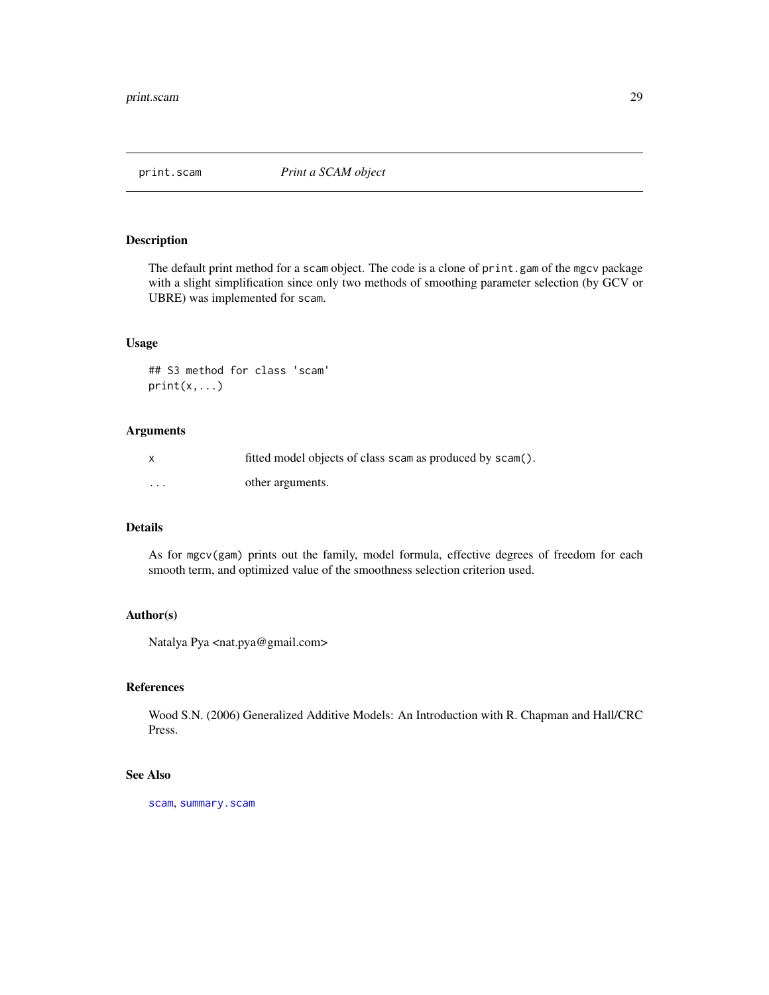<span id="page-28-0"></span>

### Description

The default print method for a scam object. The code is a clone of print.gam of the mgcv package with a slight simplification since only two methods of smoothing parameter selection (by GCV or UBRE) was implemented for scam.

#### Usage

## S3 method for class 'scam' print(x,...)

#### Arguments

|          | fitted model objects of class scam as produced by scam(). |
|----------|-----------------------------------------------------------|
| $\cdots$ | other arguments.                                          |

### Details

As for mgcv(gam) prints out the family, model formula, effective degrees of freedom for each smooth term, and optimized value of the smoothness selection criterion used.

### Author(s)

Natalya Pya <nat.pya@gmail.com>

### References

Wood S.N. (2006) Generalized Additive Models: An Introduction with R. Chapman and Hall/CRC Press.

### See Also

[scam](#page-30-1), [summary.scam](#page-96-1)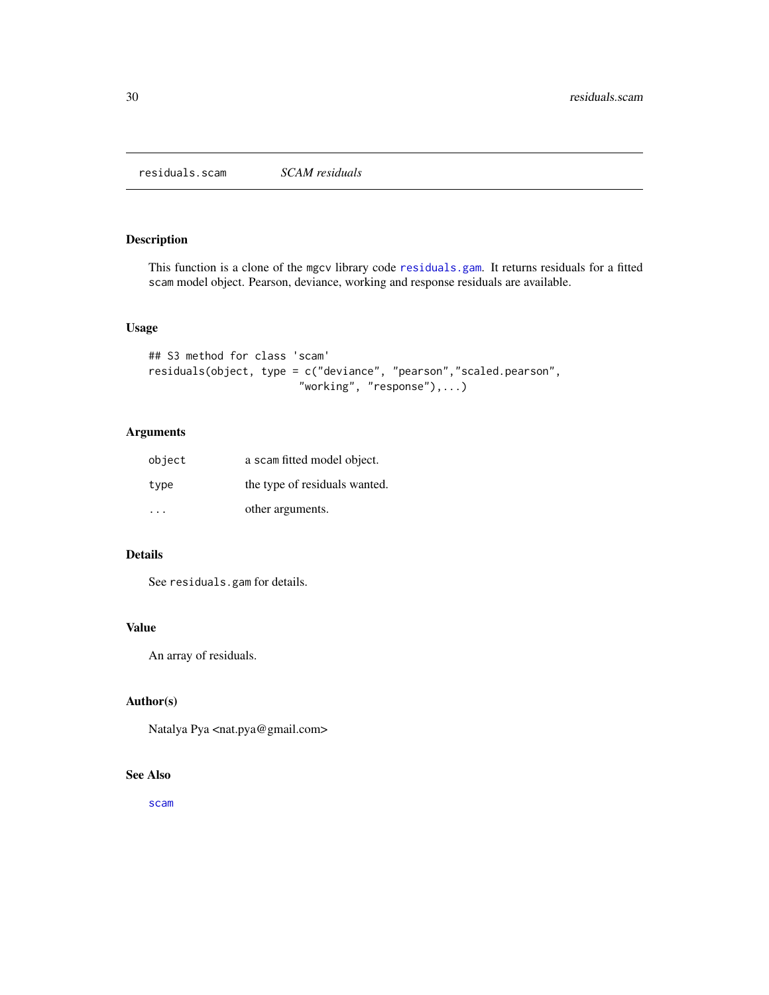<span id="page-29-0"></span>residuals.scam *SCAM residuals*

### Description

This function is a clone of the mgcv library code [residuals.gam](#page-0-0). It returns residuals for a fitted scam model object. Pearson, deviance, working and response residuals are available.

### Usage

```
## S3 method for class 'scam'
residuals(object, type = c("deviance", "pearson","scaled.pearson",
                        "working", "response"),...)
```
### Arguments

| object | a scam fitted model object.   |
|--------|-------------------------------|
| type   | the type of residuals wanted. |
|        | other arguments.              |

### Details

See residuals.gam for details.

### Value

An array of residuals.

### Author(s)

Natalya Pya <nat.pya@gmail.com>

### See Also

[scam](#page-30-1)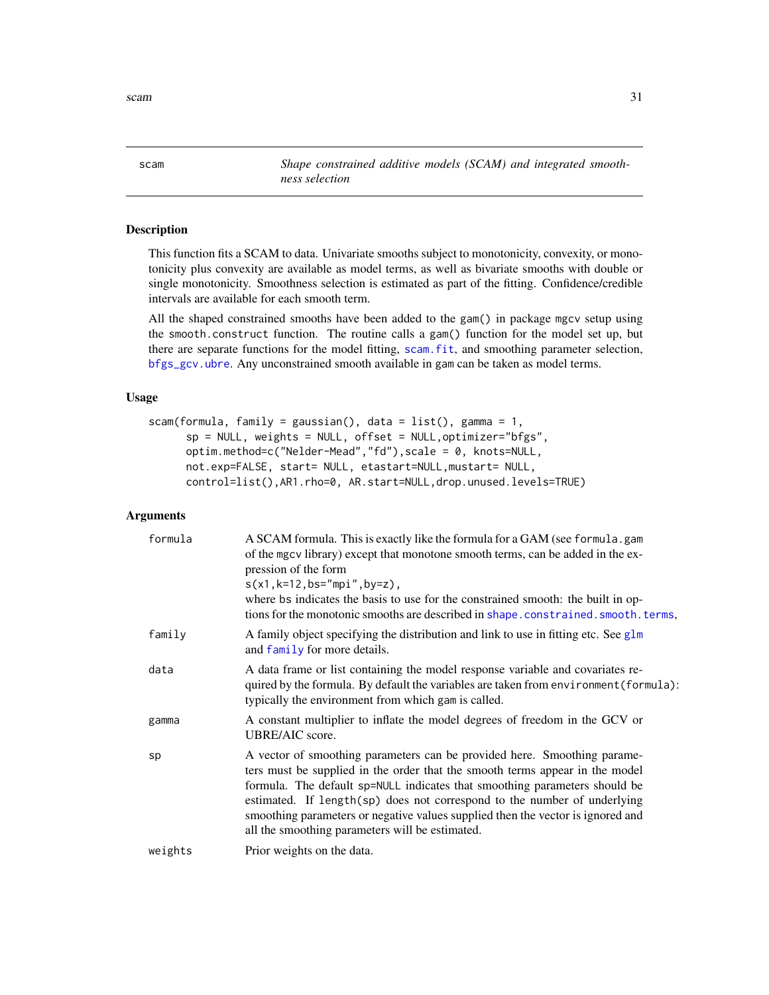<span id="page-30-1"></span>

<span id="page-30-0"></span>scam *Shape constrained additive models (SCAM) and integrated smoothness selection*

### Description

This function fits a SCAM to data. Univariate smooths subject to monotonicity, convexity, or monotonicity plus convexity are available as model terms, as well as bivariate smooths with double or single monotonicity. Smoothness selection is estimated as part of the fitting. Confidence/credible intervals are available for each smooth term.

All the shaped constrained smooths have been added to the gam() in package mgcv setup using the smooth.construct function. The routine calls a gam() function for the model set up, but there are separate functions for the model fitting, [scam.fit](#page-41-1), and smoothing parameter selection, [bfgs\\_gcv.ubre](#page-5-1). Any unconstrained smooth available in gam can be taken as model terms.

### Usage

```
scam(formula, family = gaussian(), data = list(), gamma = 1,
     sp = NULL, weights = NULL, offset = NULL,optimizer="bfgs",
     optim.method=c("Nelder-Mead","fd"),scale = 0, knots=NULL,
     not.exp=FALSE, start= NULL, etastart=NULL,mustart= NULL,
     control=list(),AR1.rho=0, AR.start=NULL,drop.unused.levels=TRUE)
```
### Arguments

| formula | A SCAM formula. This is exactly like the formula for a GAM (see formula.gam<br>of the mgcv library) except that monotone smooth terms, can be added in the ex-<br>pression of the form<br>$s(x1, k=12, bs="mpi", by=z),$<br>where bs indicates the basis to use for the constrained smooth: the built in op-<br>tions for the monotonic smooths are described in shape.constrained.smooth.terms,                                                         |
|---------|----------------------------------------------------------------------------------------------------------------------------------------------------------------------------------------------------------------------------------------------------------------------------------------------------------------------------------------------------------------------------------------------------------------------------------------------------------|
| family  | A family object specifying the distribution and link to use in fitting etc. See $g1m$<br>and family for more details.                                                                                                                                                                                                                                                                                                                                    |
| data    | A data frame or list containing the model response variable and covariates re-<br>quired by the formula. By default the variables are taken from environment (formula):<br>typically the environment from which gam is called.                                                                                                                                                                                                                           |
| gamma   | A constant multiplier to inflate the model degrees of freedom in the GCV or<br>UBRE/AIC score.                                                                                                                                                                                                                                                                                                                                                           |
| sp      | A vector of smoothing parameters can be provided here. Smoothing parame-<br>ters must be supplied in the order that the smooth terms appear in the model<br>formula. The default sp=NULL indicates that smoothing parameters should be<br>estimated. If length(sp) does not correspond to the number of underlying<br>smoothing parameters or negative values supplied then the vector is ignored and<br>all the smoothing parameters will be estimated. |
| weights | Prior weights on the data.                                                                                                                                                                                                                                                                                                                                                                                                                               |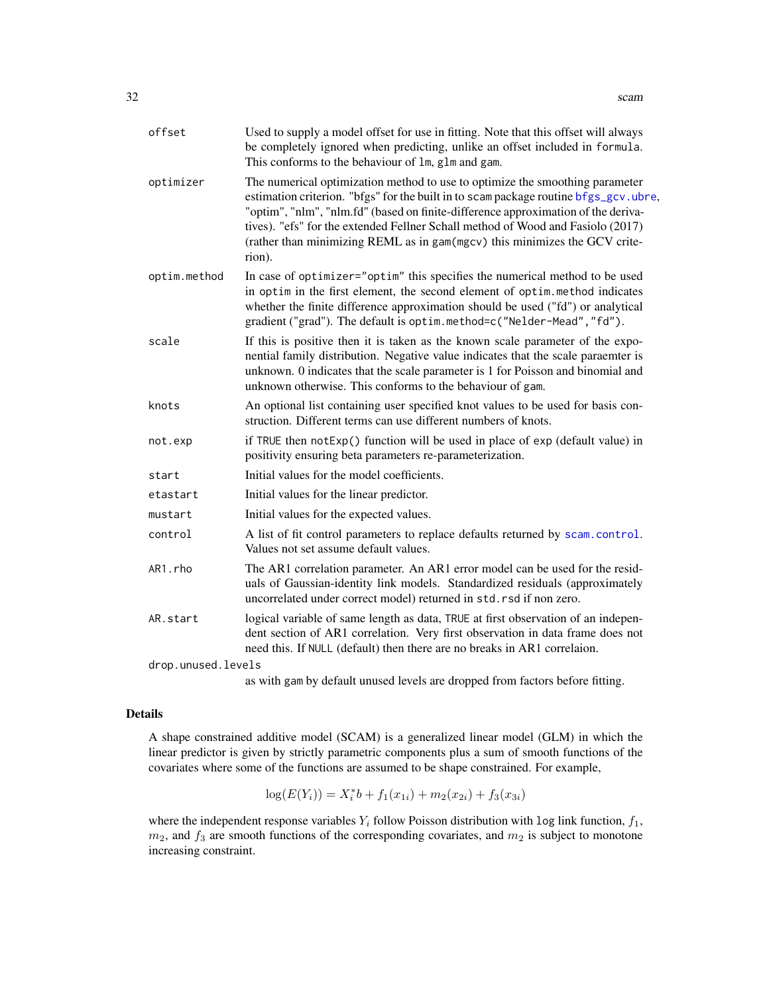| optimizer<br>The numerical optimization method to use to optimize the smoothing parameter<br>estimation criterion. "bfgs" for the built in to scam package routine bfgs_gcv.ubre,<br>"optim", "nlm", "nlm.fd" (based on finite-difference approximation of the deriva-<br>tives). "efs" for the extended Fellner Schall method of Wood and Fasiolo (2017)<br>(rather than minimizing REML as in gam(mgcv) this minimizes the GCV crite-<br>rion).<br>optim.method<br>In case of optimizer="optim" this specifies the numerical method to be used<br>in optim in the first element, the second element of optim.method indicates<br>whether the finite difference approximation should be used ("fd") or analytical<br>gradient ("grad"). The default is optim.method=c("Nelder-Mead", "fd").<br>If this is positive then it is taken as the known scale parameter of the expo-<br>scale<br>nential family distribution. Negative value indicates that the scale paraemter is<br>unknown. 0 indicates that the scale parameter is 1 for Poisson and binomial and<br>unknown otherwise. This conforms to the behaviour of gam.<br>knots<br>An optional list containing user specified knot values to be used for basis con-<br>struction. Different terms can use different numbers of knots.<br>if TRUE then notExp() function will be used in place of exp (default value) in<br>not.exp<br>positivity ensuring beta parameters re-parameterization.<br>Initial values for the model coefficients.<br>start<br>Initial values for the linear predictor.<br>etastart<br>Initial values for the expected values.<br>mustart<br>control<br>A list of fit control parameters to replace defaults returned by scam.control.<br>Values not set assume default values.<br>AR1.rho<br>The AR1 correlation parameter. An AR1 error model can be used for the resid-<br>uals of Gaussian-identity link models. Standardized residuals (approximately<br>uncorrelated under correct model) returned in std.rsd if non zero.<br>logical variable of same length as data, TRUE at first observation of an indepen-<br>AR.start<br>dent section of AR1 correlation. Very first observation in data frame does not<br>need this. If NULL (default) then there are no breaks in AR1 correlaion.<br>drop.unused.levels | offset | Used to supply a model offset for use in fitting. Note that this offset will always<br>be completely ignored when predicting, unlike an offset included in formula.<br>This conforms to the behaviour of 1m, g1m and gam. |
|-------------------------------------------------------------------------------------------------------------------------------------------------------------------------------------------------------------------------------------------------------------------------------------------------------------------------------------------------------------------------------------------------------------------------------------------------------------------------------------------------------------------------------------------------------------------------------------------------------------------------------------------------------------------------------------------------------------------------------------------------------------------------------------------------------------------------------------------------------------------------------------------------------------------------------------------------------------------------------------------------------------------------------------------------------------------------------------------------------------------------------------------------------------------------------------------------------------------------------------------------------------------------------------------------------------------------------------------------------------------------------------------------------------------------------------------------------------------------------------------------------------------------------------------------------------------------------------------------------------------------------------------------------------------------------------------------------------------------------------------------------------------------------------------------------------------------------------------------------------------------------------------------------------------------------------------------------------------------------------------------------------------------------------------------------------------------------------------------------------------------------------------------------------------------------------------------------------------------------------------------------------------------------------------------------|--------|---------------------------------------------------------------------------------------------------------------------------------------------------------------------------------------------------------------------------|
|                                                                                                                                                                                                                                                                                                                                                                                                                                                                                                                                                                                                                                                                                                                                                                                                                                                                                                                                                                                                                                                                                                                                                                                                                                                                                                                                                                                                                                                                                                                                                                                                                                                                                                                                                                                                                                                                                                                                                                                                                                                                                                                                                                                                                                                                                                       |        |                                                                                                                                                                                                                           |
|                                                                                                                                                                                                                                                                                                                                                                                                                                                                                                                                                                                                                                                                                                                                                                                                                                                                                                                                                                                                                                                                                                                                                                                                                                                                                                                                                                                                                                                                                                                                                                                                                                                                                                                                                                                                                                                                                                                                                                                                                                                                                                                                                                                                                                                                                                       |        |                                                                                                                                                                                                                           |
|                                                                                                                                                                                                                                                                                                                                                                                                                                                                                                                                                                                                                                                                                                                                                                                                                                                                                                                                                                                                                                                                                                                                                                                                                                                                                                                                                                                                                                                                                                                                                                                                                                                                                                                                                                                                                                                                                                                                                                                                                                                                                                                                                                                                                                                                                                       |        |                                                                                                                                                                                                                           |
|                                                                                                                                                                                                                                                                                                                                                                                                                                                                                                                                                                                                                                                                                                                                                                                                                                                                                                                                                                                                                                                                                                                                                                                                                                                                                                                                                                                                                                                                                                                                                                                                                                                                                                                                                                                                                                                                                                                                                                                                                                                                                                                                                                                                                                                                                                       |        |                                                                                                                                                                                                                           |
|                                                                                                                                                                                                                                                                                                                                                                                                                                                                                                                                                                                                                                                                                                                                                                                                                                                                                                                                                                                                                                                                                                                                                                                                                                                                                                                                                                                                                                                                                                                                                                                                                                                                                                                                                                                                                                                                                                                                                                                                                                                                                                                                                                                                                                                                                                       |        |                                                                                                                                                                                                                           |
|                                                                                                                                                                                                                                                                                                                                                                                                                                                                                                                                                                                                                                                                                                                                                                                                                                                                                                                                                                                                                                                                                                                                                                                                                                                                                                                                                                                                                                                                                                                                                                                                                                                                                                                                                                                                                                                                                                                                                                                                                                                                                                                                                                                                                                                                                                       |        |                                                                                                                                                                                                                           |
|                                                                                                                                                                                                                                                                                                                                                                                                                                                                                                                                                                                                                                                                                                                                                                                                                                                                                                                                                                                                                                                                                                                                                                                                                                                                                                                                                                                                                                                                                                                                                                                                                                                                                                                                                                                                                                                                                                                                                                                                                                                                                                                                                                                                                                                                                                       |        |                                                                                                                                                                                                                           |
|                                                                                                                                                                                                                                                                                                                                                                                                                                                                                                                                                                                                                                                                                                                                                                                                                                                                                                                                                                                                                                                                                                                                                                                                                                                                                                                                                                                                                                                                                                                                                                                                                                                                                                                                                                                                                                                                                                                                                                                                                                                                                                                                                                                                                                                                                                       |        |                                                                                                                                                                                                                           |
|                                                                                                                                                                                                                                                                                                                                                                                                                                                                                                                                                                                                                                                                                                                                                                                                                                                                                                                                                                                                                                                                                                                                                                                                                                                                                                                                                                                                                                                                                                                                                                                                                                                                                                                                                                                                                                                                                                                                                                                                                                                                                                                                                                                                                                                                                                       |        |                                                                                                                                                                                                                           |
|                                                                                                                                                                                                                                                                                                                                                                                                                                                                                                                                                                                                                                                                                                                                                                                                                                                                                                                                                                                                                                                                                                                                                                                                                                                                                                                                                                                                                                                                                                                                                                                                                                                                                                                                                                                                                                                                                                                                                                                                                                                                                                                                                                                                                                                                                                       |        |                                                                                                                                                                                                                           |
|                                                                                                                                                                                                                                                                                                                                                                                                                                                                                                                                                                                                                                                                                                                                                                                                                                                                                                                                                                                                                                                                                                                                                                                                                                                                                                                                                                                                                                                                                                                                                                                                                                                                                                                                                                                                                                                                                                                                                                                                                                                                                                                                                                                                                                                                                                       |        |                                                                                                                                                                                                                           |
|                                                                                                                                                                                                                                                                                                                                                                                                                                                                                                                                                                                                                                                                                                                                                                                                                                                                                                                                                                                                                                                                                                                                                                                                                                                                                                                                                                                                                                                                                                                                                                                                                                                                                                                                                                                                                                                                                                                                                                                                                                                                                                                                                                                                                                                                                                       |        |                                                                                                                                                                                                                           |

as with gam by default unused levels are dropped from factors before fitting.

#### Details

A shape constrained additive model (SCAM) is a generalized linear model (GLM) in which the linear predictor is given by strictly parametric components plus a sum of smooth functions of the covariates where some of the functions are assumed to be shape constrained. For example,

$$
\log(E(Y_i)) = X_i^*b + f_1(x_{1i}) + m_2(x_{2i}) + f_3(x_{3i})
$$

where the independent response variables  $Y_i$  follow Poisson distribution with log link function,  $f_1$ ,  $m_2$ , and  $f_3$  are smooth functions of the corresponding covariates, and  $m_2$  is subject to monotone increasing constraint.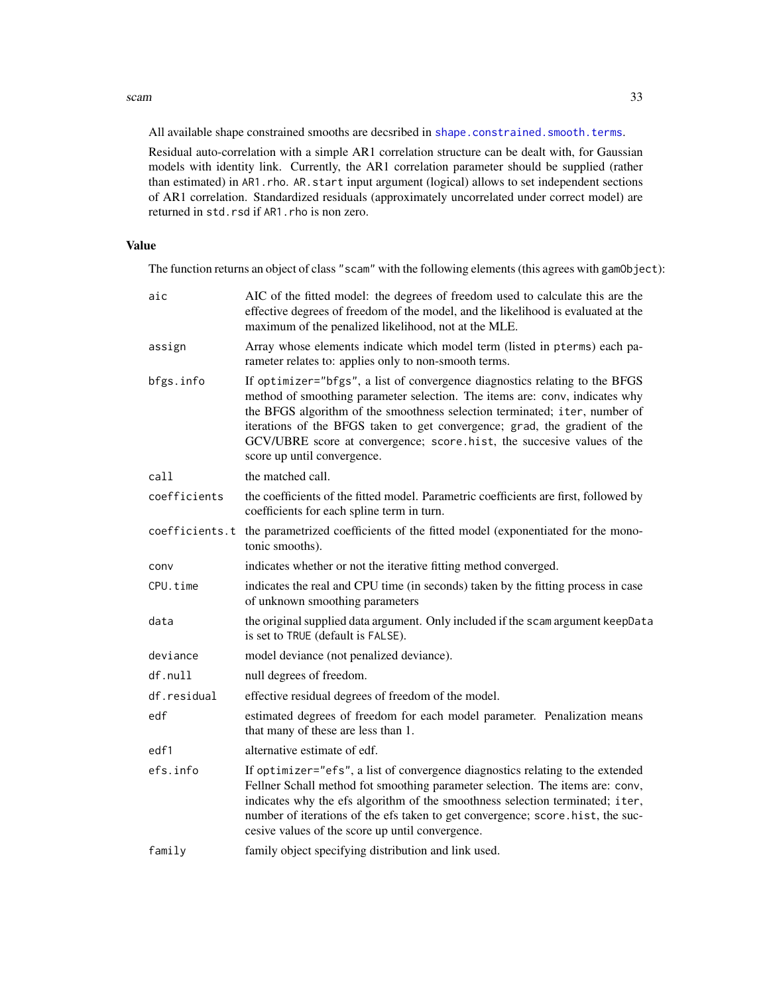#### scam 33

All available shape constrained smooths are decsribed in [shape.constrained.smooth.terms](#page-42-1).

Residual auto-correlation with a simple AR1 correlation structure can be dealt with, for Gaussian models with identity link. Currently, the AR1 correlation parameter should be supplied (rather than estimated) in AR1.rho. AR.start input argument (logical) allows to set independent sections of AR1 correlation. Standardized residuals (approximately uncorrelated under correct model) are returned in std.rsd if AR1.rho is non zero.

#### Value

The function returns an object of class "scam" with the following elements (this agrees with gamObject):

| aic          | AIC of the fitted model: the degrees of freedom used to calculate this are the<br>effective degrees of freedom of the model, and the likelihood is evaluated at the<br>maximum of the penalized likelihood, not at the MLE.                                                                                                                                                                                                     |
|--------------|---------------------------------------------------------------------------------------------------------------------------------------------------------------------------------------------------------------------------------------------------------------------------------------------------------------------------------------------------------------------------------------------------------------------------------|
| assign       | Array whose elements indicate which model term (listed in pterms) each pa-<br>rameter relates to: applies only to non-smooth terms.                                                                                                                                                                                                                                                                                             |
| bfgs.info    | If optimizer="bfgs", a list of convergence diagnostics relating to the BFGS<br>method of smoothing parameter selection. The items are: conv, indicates why<br>the BFGS algorithm of the smoothness selection terminated; iter, number of<br>iterations of the BFGS taken to get convergence; grad, the gradient of the<br>GCV/UBRE score at convergence; score hist, the succesive values of the<br>score up until convergence. |
| call         | the matched call.                                                                                                                                                                                                                                                                                                                                                                                                               |
| coefficients | the coefficients of the fitted model. Parametric coefficients are first, followed by<br>coefficients for each spline term in turn.                                                                                                                                                                                                                                                                                              |
|              | coefficients.t the parametrized coefficients of the fitted model (exponentiated for the mono-<br>tonic smooths).                                                                                                                                                                                                                                                                                                                |
| conv         | indicates whether or not the iterative fitting method converged.                                                                                                                                                                                                                                                                                                                                                                |
| CPU.time     | indicates the real and CPU time (in seconds) taken by the fitting process in case<br>of unknown smoothing parameters                                                                                                                                                                                                                                                                                                            |
| data         | the original supplied data argument. Only included if the scam argument keepData<br>is set to TRUE (default is FALSE).                                                                                                                                                                                                                                                                                                          |
| deviance     | model deviance (not penalized deviance).                                                                                                                                                                                                                                                                                                                                                                                        |
| df.null      | null degrees of freedom.                                                                                                                                                                                                                                                                                                                                                                                                        |
| df.residual  | effective residual degrees of freedom of the model.                                                                                                                                                                                                                                                                                                                                                                             |
| edf          | estimated degrees of freedom for each model parameter. Penalization means<br>that many of these are less than 1.                                                                                                                                                                                                                                                                                                                |
| edf1         | alternative estimate of edf.                                                                                                                                                                                                                                                                                                                                                                                                    |
| efs.info     | If optimizer="efs", a list of convergence diagnostics relating to the extended<br>Fellner Schall method fot smoothing parameter selection. The items are: conv,<br>indicates why the efs algorithm of the smoothness selection terminated; iter,<br>number of iterations of the efs taken to get convergence; score.hist, the suc-<br>cesive values of the score up until convergence.                                          |
| family       | family object specifying distribution and link used.                                                                                                                                                                                                                                                                                                                                                                            |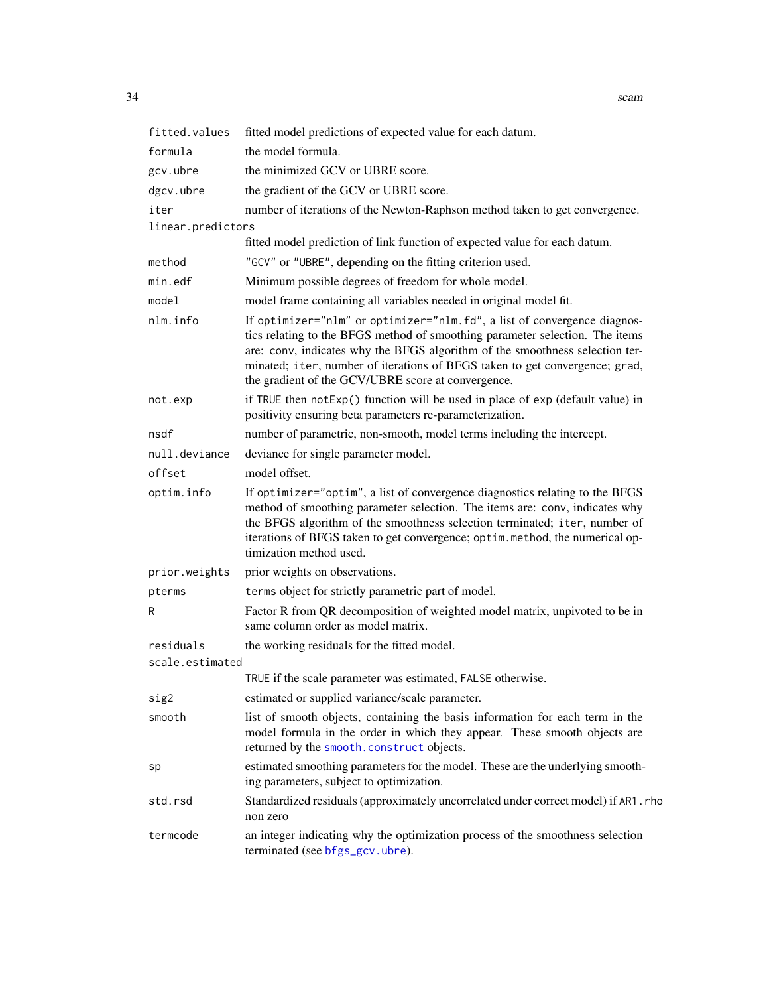| fitted.values     | fitted model predictions of expected value for each datum.                                                                                                                                                                                                                                                                                                                    |
|-------------------|-------------------------------------------------------------------------------------------------------------------------------------------------------------------------------------------------------------------------------------------------------------------------------------------------------------------------------------------------------------------------------|
| formula           | the model formula.                                                                                                                                                                                                                                                                                                                                                            |
| gcv.ubre          | the minimized GCV or UBRE score.                                                                                                                                                                                                                                                                                                                                              |
| dgcv.ubre         | the gradient of the GCV or UBRE score.                                                                                                                                                                                                                                                                                                                                        |
| iter              | number of iterations of the Newton-Raphson method taken to get convergence.                                                                                                                                                                                                                                                                                                   |
| linear.predictors |                                                                                                                                                                                                                                                                                                                                                                               |
|                   | fitted model prediction of link function of expected value for each datum.                                                                                                                                                                                                                                                                                                    |
| method            | "GCV" or "UBRE", depending on the fitting criterion used.                                                                                                                                                                                                                                                                                                                     |
| min.edf           | Minimum possible degrees of freedom for whole model.                                                                                                                                                                                                                                                                                                                          |
| model             | model frame containing all variables needed in original model fit.                                                                                                                                                                                                                                                                                                            |
| nlm.info          | If optimizer="nlm" or optimizer="nlm.fd", a list of convergence diagnos-<br>tics relating to the BFGS method of smoothing parameter selection. The items<br>are: conv, indicates why the BFGS algorithm of the smoothness selection ter-<br>minated; iter, number of iterations of BFGS taken to get convergence; grad,<br>the gradient of the GCV/UBRE score at convergence. |
| not.exp           | if TRUE then notExp() function will be used in place of exp (default value) in<br>positivity ensuring beta parameters re-parameterization.                                                                                                                                                                                                                                    |
| nsdf              | number of parametric, non-smooth, model terms including the intercept.                                                                                                                                                                                                                                                                                                        |
| null.deviance     | deviance for single parameter model.                                                                                                                                                                                                                                                                                                                                          |
| offset            | model offset.                                                                                                                                                                                                                                                                                                                                                                 |
| optim.info        | If optimizer="optim", a list of convergence diagnostics relating to the BFGS<br>method of smoothing parameter selection. The items are: conv, indicates why<br>the BFGS algorithm of the smoothness selection terminated; iter, number of<br>iterations of BFGS taken to get convergence; optim. method, the numerical op-<br>timization method used.                         |
| prior.weights     | prior weights on observations.                                                                                                                                                                                                                                                                                                                                                |
| pterms            | terms object for strictly parametric part of model.                                                                                                                                                                                                                                                                                                                           |
| R                 | Factor R from QR decomposition of weighted model matrix, unpivoted to be in<br>same column order as model matrix.                                                                                                                                                                                                                                                             |
| residuals         | the working residuals for the fitted model.                                                                                                                                                                                                                                                                                                                                   |
| scale.estimated   |                                                                                                                                                                                                                                                                                                                                                                               |
|                   | TRUE if the scale parameter was estimated, FALSE otherwise.                                                                                                                                                                                                                                                                                                                   |
| sig2              | estimated or supplied variance/scale parameter.                                                                                                                                                                                                                                                                                                                               |
| smooth            | list of smooth objects, containing the basis information for each term in the<br>model formula in the order in which they appear. These smooth objects are<br>returned by the smooth.construct objects.                                                                                                                                                                       |
| sp                | estimated smoothing parameters for the model. These are the underlying smooth-<br>ing parameters, subject to optimization.                                                                                                                                                                                                                                                    |
| std.rsd           | Standardized residuals (approximately uncorrelated under correct model) if AR1. rho<br>non zero                                                                                                                                                                                                                                                                               |
| termcode          | an integer indicating why the optimization process of the smoothness selection<br>terminated (see bfgs_gcv.ubre).                                                                                                                                                                                                                                                             |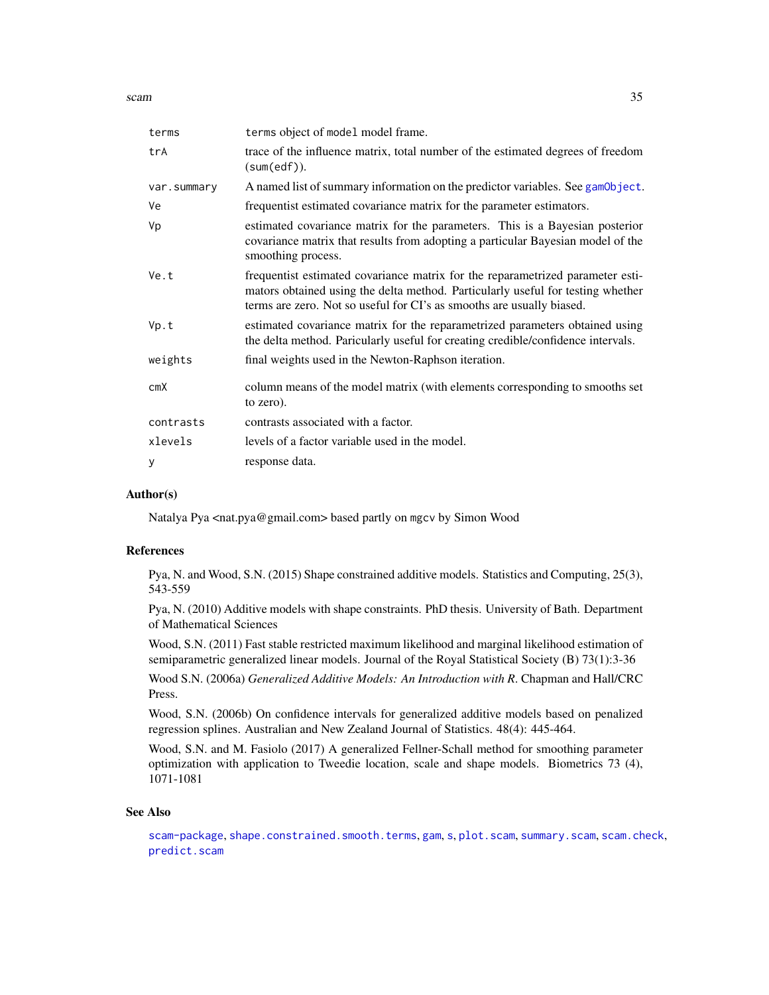scam 35

| terms       | terms object of model model frame.                                                                                                                                                                                                         |
|-------------|--------------------------------------------------------------------------------------------------------------------------------------------------------------------------------------------------------------------------------------------|
| trA         | trace of the influence matrix, total number of the estimated degrees of freedom<br>(sum(edf)).                                                                                                                                             |
| var.summary | A named list of summary information on the predictor variables. See gamObject.                                                                                                                                                             |
| Ve          | frequentist estimated covariance matrix for the parameter estimators.                                                                                                                                                                      |
| Vp          | estimated covariance matrix for the parameters. This is a Bayesian posterior<br>covariance matrix that results from adopting a particular Bayesian model of the<br>smoothing process.                                                      |
| Ve.t        | frequentist estimated covariance matrix for the reparametrized parameter esti-<br>mators obtained using the delta method. Particularly useful for testing whether<br>terms are zero. Not so useful for CI's as smooths are usually biased. |
| Vp.t        | estimated covariance matrix for the reparametrized parameters obtained using<br>the delta method. Paricularly useful for creating credible/confidence intervals.                                                                           |
| weights     | final weights used in the Newton-Raphson iteration.                                                                                                                                                                                        |
| cmX         | column means of the model matrix (with elements corresponding to smooths set<br>to zero).                                                                                                                                                  |
| contrasts   | contrasts associated with a factor.                                                                                                                                                                                                        |
| xlevels     | levels of a factor variable used in the model.                                                                                                                                                                                             |
| y           | response data.                                                                                                                                                                                                                             |

#### Author(s)

Natalya Pya <nat.pya@gmail.com> based partly on mgcv by Simon Wood

#### References

Pya, N. and Wood, S.N. (2015) Shape constrained additive models. Statistics and Computing, 25(3), 543-559

Pya, N. (2010) Additive models with shape constraints. PhD thesis. University of Bath. Department of Mathematical Sciences

Wood, S.N. (2011) Fast stable restricted maximum likelihood and marginal likelihood estimation of semiparametric generalized linear models. Journal of the Royal Statistical Society (B) 73(1):3-36

Wood S.N. (2006a) *Generalized Additive Models: An Introduction with R*. Chapman and Hall/CRC Press.

Wood, S.N. (2006b) On confidence intervals for generalized additive models based on penalized regression splines. Australian and New Zealand Journal of Statistics. 48(4): 445-464.

Wood, S.N. and M. Fasiolo (2017) A generalized Fellner-Schall method for smoothing parameter optimization with application to Tweedie location, scale and shape models. Biometrics 73 (4), 1071-1081

#### See Also

[scam-package](#page-2-1), [shape.constrained.smooth.terms](#page-42-1), [gam](#page-0-0), [s](#page-0-0), [plot.scam](#page-18-1), [summary.scam](#page-96-1), [scam.check](#page-38-1), [predict.scam](#page-24-1)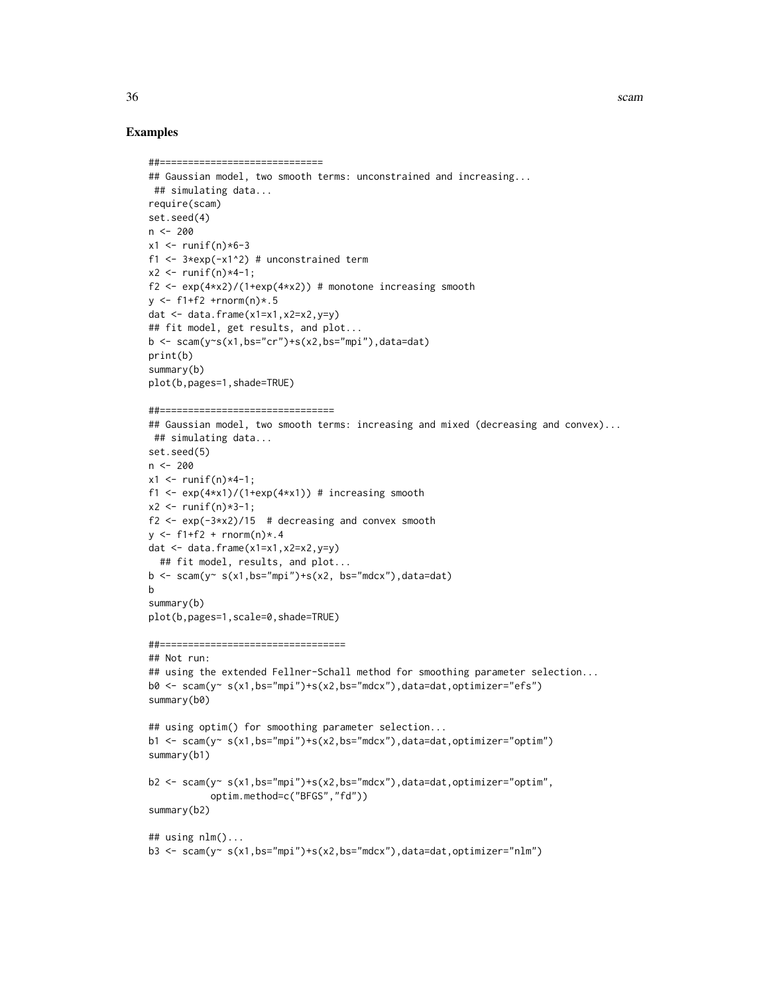#### Examples

```
##=============================
## Gaussian model, two smooth terms: unconstrained and increasing...
## simulating data...
require(scam)
set.seed(4)
n <- 200
x1 <- runif(n)*6-3
f1 \leftarrow 3*exp(-x1^2) # unconstrained term
x2 < - runif(n) *4-1;
f2 <- exp(4+x2)/(1+exp(4+x2)) # monotone increasing smooth
y \le -f1+f2 +rnorm(n)*.5dat \leq data.frame(x1=x1,x2=x2,y=y)
## fit model, get results, and plot...
b \leq -\text{scam}(y \sim s(x1,bs="cr") + s(x2,bs="mpi''), data=dat)
print(b)
summary(b)
plot(b,pages=1,shade=TRUE)
##===============================
## Gaussian model, two smooth terms: increasing and mixed (decreasing and convex)...
 ## simulating data...
set.seed(5)
n < -200x1 \le runif(n) *4-1;
f1 <- exp(4*x1)/(1+exp(4*x1)) # increasing smooth
x2 \le - runif(n) *3-1;
f2 \le exp(-3*x2)/15 # decreasing and convex smooth
y \le -f1+f2 + \text{rnorm}(n) * .4dat <- data.frame(x1=x1,x2=x2,y=y)
  ## fit model, results, and plot...
b \leq -scam(y \leq s(x1,bs="mpi") + s(x2, bs="mdcx"), data=dat)
b
summary(b)
plot(b,pages=1,scale=0,shade=TRUE)
##=================================
## Not run:
## using the extended Fellner-Schall method for smoothing parameter selection...
b0 \leq -scam(y \leq (x1,bs="mpi") + s(x2,bs="mdcx"), data=dat, optimizer="efs")
summary(b0)
## using optim() for smoothing parameter selection...
b1 <- scam(y < s(x1,bs="mpi")+s(x2,bs="mdcx"),data=dat,optimizer="optim")
summary(b1)
b2 <- scam(y~ s(x1,bs="mpi")+s(x2,bs="mdcx"),data=dat,optimizer="optim",
           optim.method=c("BFGS","fd"))
summary(b2)
## using nlm()...
b3 \leq scam(y\leq s(x1,bs="mpi")+s(x2,bs="mdcx"),data=dat,optimizer="nlm")
```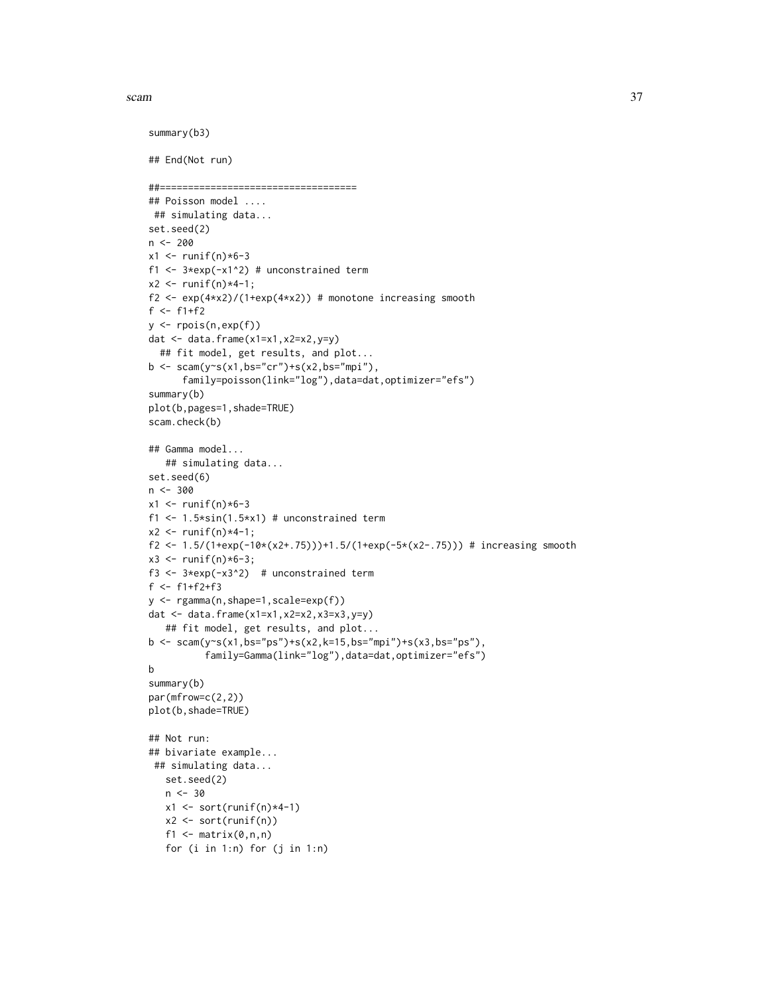scam 37

```
summary(b3)
## End(Not run)
##===================================
## Poisson model ....
## simulating data...
set.seed(2)
n < -200x1 \leftarrow runif(n)*6-3f1 <- 3*exp(-x1^2) # unconstrained term
x2 < - runif(n)*4-1;
f2 <- exp(4*x2)/(1+exp(4*x2)) # monotone increasing smooth
f <- f1+f2y <- rpois(n,exp(f))
dat \leq data.frame(x1=x1,x2=x2,y=y)
  ## fit model, get results, and plot...
b <- scam(y~s(x1,bs="cr")+s(x2,bs="mpi"),
      family=poisson(link="log"),data=dat,optimizer="efs")
summary(b)
plot(b,pages=1,shade=TRUE)
scam.check(b)
## Gamma model...
   ## simulating data...
set.seed(6)
n <- 300
x1 < - runif(n)*6-3
f1 <- 1.5*sin(1.5*x1) # unconstrained term
x2 \le runif(n)*4-1;
f2 <- 1.5/(1+exp(-10*(x2+.75)))+1.5/(1+exp(-5*(x2-.75))) # increasing smooth
x3 \le runif(n)*6-3;
f3 <- 3*exp(-x3^2) # unconstrained term
f <- f1+f2+f3
y <- rgamma(n,shape=1,scale=exp(f))
dat <- data.frame(x1=x1,x2=x2,x3=x3,y=y)
   ## fit model, get results, and plot...
b <- scam(y~s(x1,bs="ps")+s(x2,k=15,bs="mpi")+s(x3,bs="ps"),
          family=Gamma(link="log"),data=dat,optimizer="efs")
b
summary(b)
par(mfrow=c(2,2))
plot(b,shade=TRUE)
## Not run:
## bivariate example...
 ## simulating data...
   set.seed(2)
   n < -30x1 \leftarrow sort(runif(n)*4-1)x2 <- sort(runif(n))
   f1 \leq matrix(0,n,n)
   for (i in 1:n) for (j in 1:n)
```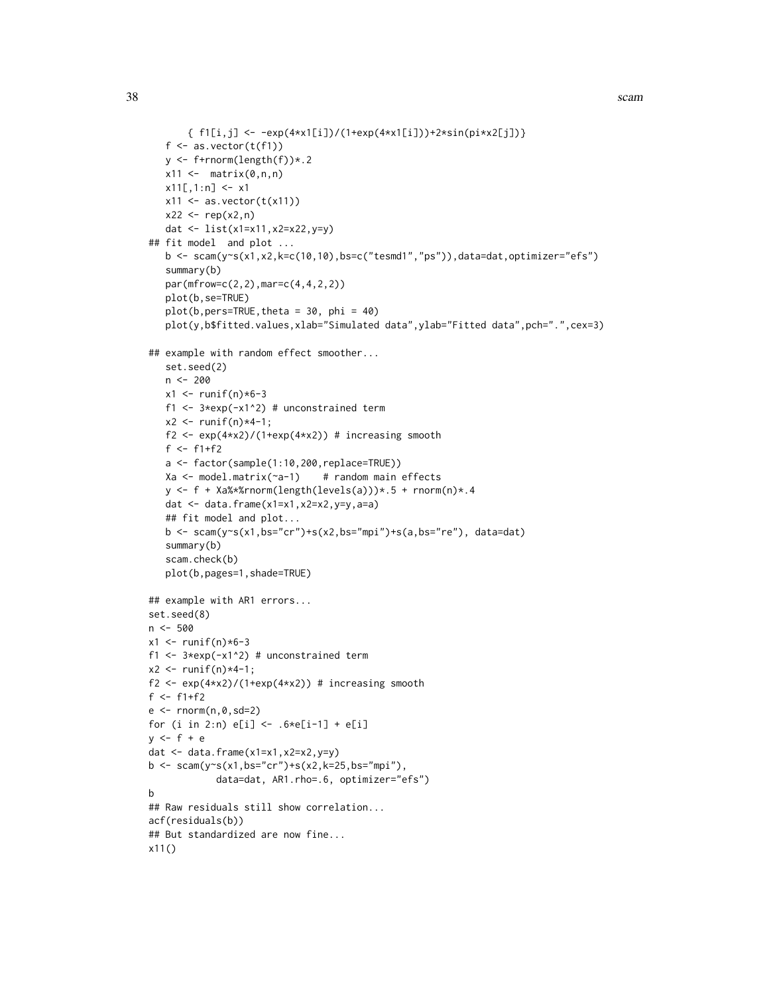```
{ f1[i,j] <- -exp(4*x1[i])/(1+exp(4*x1[i]))+2*sin(pix2[j]))}
   f \leftarrow as.vector(t(f1))y <- f+rnorm(length(f))*.2
   x11 \leftarrow \text{matrix}(0, n, n)x11[,1:n] <- x1x11 \leftarrow as.vector(t(x11))x22 \le - rep(x2, n)
   dat <- list(x1=x11,x2=x22,y=y)
## fit model and plot ...
   b \leq scam(y\leq(x1,x2,k=c(10,10),bs=c("tesmd1","ps")),data=dat,optimizer="efs")
   summary(b)
   par(mfrow=c(2,2),mar=c(4,4,2,2))
   plot(b,se=TRUE)
   plot(b,pers=TRUE, theta = 30, phi = 40)plot(y,b$fitted.values,xlab="Simulated data",ylab="Fitted data",pch=".",cex=3)
## example with random effect smoother...
   set.seed(2)
   n <- 200
   x1 <- runif(n)*6-3
   f1 <- 3*exp(-x1^2) # unconstrained term
   x2 \le - runif(n) *4-1;
   f2 <- exp(4*x2)/(1+exp(4*x2)) # increasing smooth
   f <- f1+f2
   a <- factor(sample(1:10,200,replace=TRUE))
   Xa \leq model.matrix(\text{a}-1) # random main effects
   y \leftarrow f + \text{Xa%*}rnorm(length(levels(a)))*.5 + rnorm(n)*.4
   dat \leq data.frame(x1=x1,x2=x2,y=y,a=a)
   ## fit model and plot...
   b <- scam(y~s(x1,bs="cr")+s(x2,bs="mpi")+s(a,bs="re"), data=dat)
   summary(b)
   scam.check(b)
   plot(b,pages=1,shade=TRUE)
## example with AR1 errors...
set.seed(8)
n < -500x1 \leftarrow runif(n)*6-3f1 <- 3*exp(-x1^2) # unconstrained term
x2 < - runif(n) *4-1;
f2 <- exp(4*x2)/(1+exp(4*x2)) # increasing smooth
f <- f1+f2e \leftarrow \text{norm}(n, \emptyset, \text{sd=2})for (i in 2:n) e[i] <- .6*e[i-1] + e[i]y \leq-f+edat \leq data.frame(x1=x1,x2=x2,y=y)
b \leq scam(y~s(x1,bs="cr")+s(x2,k=25,bs="mpi"),
             data=dat, AR1.rho=.6, optimizer="efs")
b
## Raw residuals still show correlation...
acf(residuals(b))
## But standardized are now fine...
x11()
```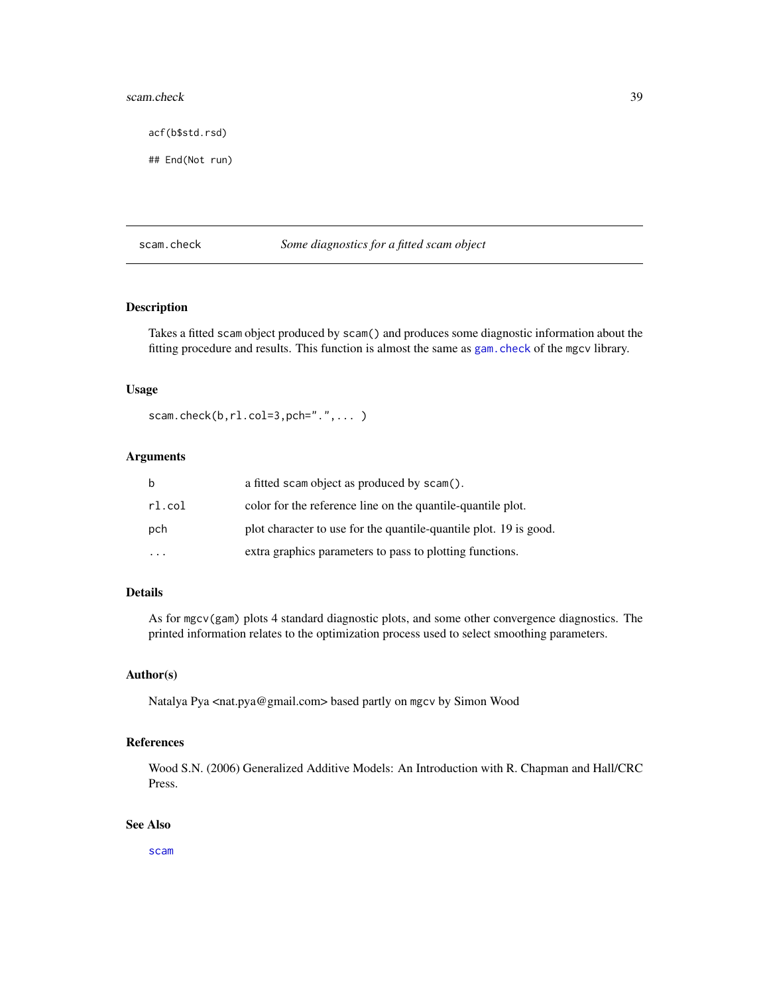#### scam.check 39

acf(b\$std.rsd)

## End(Not run)

## scam.check *Some diagnostics for a fitted scam object*

### Description

Takes a fitted scam object produced by scam() and produces some diagnostic information about the fitting procedure and results. This function is almost the same as [gam.check](#page-0-0) of the mgcv library.

#### Usage

scam.check(b,rl.col=3,pch=".",...)

# Arguments

| b                       | a fitted scam object as produced by scam().                       |
|-------------------------|-------------------------------------------------------------------|
| rl.col                  | color for the reference line on the quantile-quantile plot.       |
| pch                     | plot character to use for the quantile-quantile plot. 19 is good. |
| $\cdot$ $\cdot$ $\cdot$ | extra graphics parameters to pass to plotting functions.          |

### Details

As for mgcv(gam) plots 4 standard diagnostic plots, and some other convergence diagnostics. The printed information relates to the optimization process used to select smoothing parameters.

#### Author(s)

Natalya Pya <nat.pya@gmail.com> based partly on mgcv by Simon Wood

#### References

Wood S.N. (2006) Generalized Additive Models: An Introduction with R. Chapman and Hall/CRC Press.

## See Also

[scam](#page-30-0)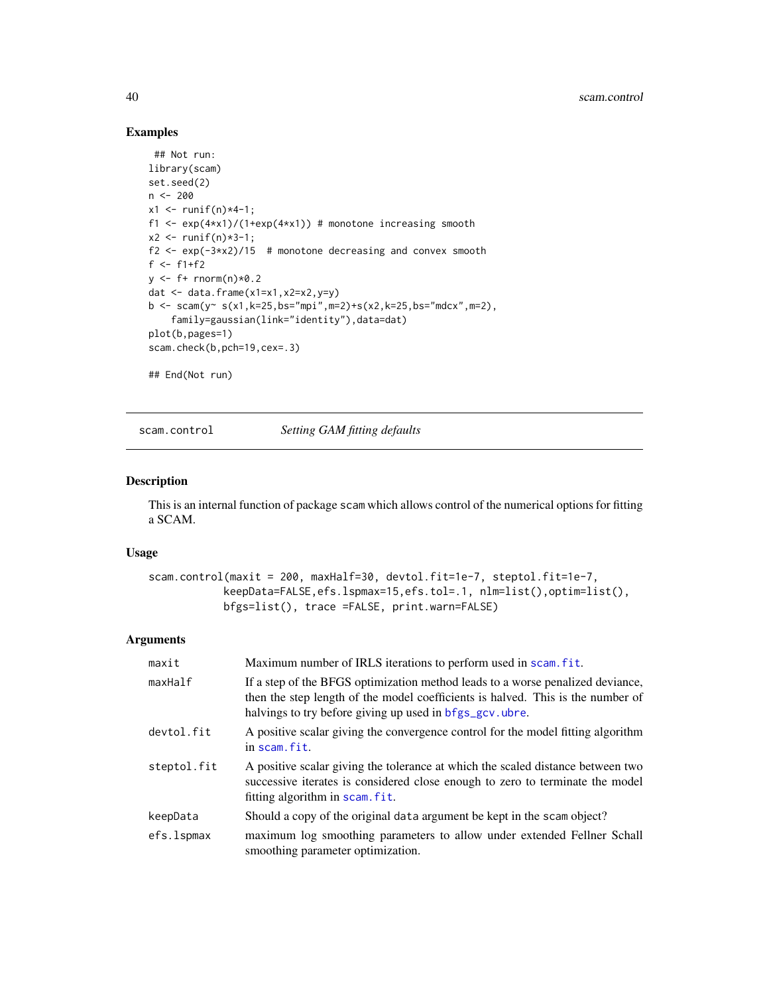### Examples

```
## Not run:
library(scam)
set.seed(2)
n < -200x1 \le runif(n) *4-1;
f1 <- exp(4*x1)/(1+exp(4*x1)) # monotone increasing smooth
x2 \le runif(n)*3-1;
f2 \leq exp(-3*x2)/15 # monotone decreasing and convex smooth
f <- f1+f2
y \leftarrow f+ \text{norm}(n) \times 0.2dat \leq data.frame(x1=x1,x2=x2,y=y)
b <- scam(y~ s(x1,k=25,bs="mpi",m=2)+s(x2,k=25,bs="mdcx",m=2),
    family=gaussian(link="identity"),data=dat)
plot(b,pages=1)
scam.check(b,pch=19,cex=.3)
## End(Not run)
```
scam.control *Setting GAM fitting defaults*

### Description

This is an internal function of package scam which allows control of the numerical options for fitting a SCAM.

#### Usage

```
scam.control(maxit = 200, maxHalf=30, devtol.fit=1e-7, steptol.fit=1e-7,
            keepData=FALSE,efs.lspmax=15,efs.tol=.1, nlm=list(),optim=list(),
            bfgs=list(), trace =FALSE, print.warn=FALSE)
```
#### Arguments

| maxit       | Maximum number of IRLS iterations to perform used in scam. fit.                                                                                                                                                              |
|-------------|------------------------------------------------------------------------------------------------------------------------------------------------------------------------------------------------------------------------------|
| maxHalf     | If a step of the BFGS optimization method leads to a worse penalized deviance,<br>then the step length of the model coefficients is halved. This is the number of<br>halvings to try before giving up used in bfgs_gcv.ubre. |
| devtol.fit  | A positive scalar giving the convergence control for the model fitting algorithm<br>in scam. fit.                                                                                                                            |
| steptol.fit | A positive scalar giving the tolerance at which the scaled distance between two<br>successive iterates is considered close enough to zero to terminate the model<br>fitting algorithm in scam. fit.                          |
| keepData    | Should a copy of the original data argument be kept in the scam object?                                                                                                                                                      |
| efs.lspmax  | maximum log smoothing parameters to allow under extended Fellner Schall<br>smoothing parameter optimization.                                                                                                                 |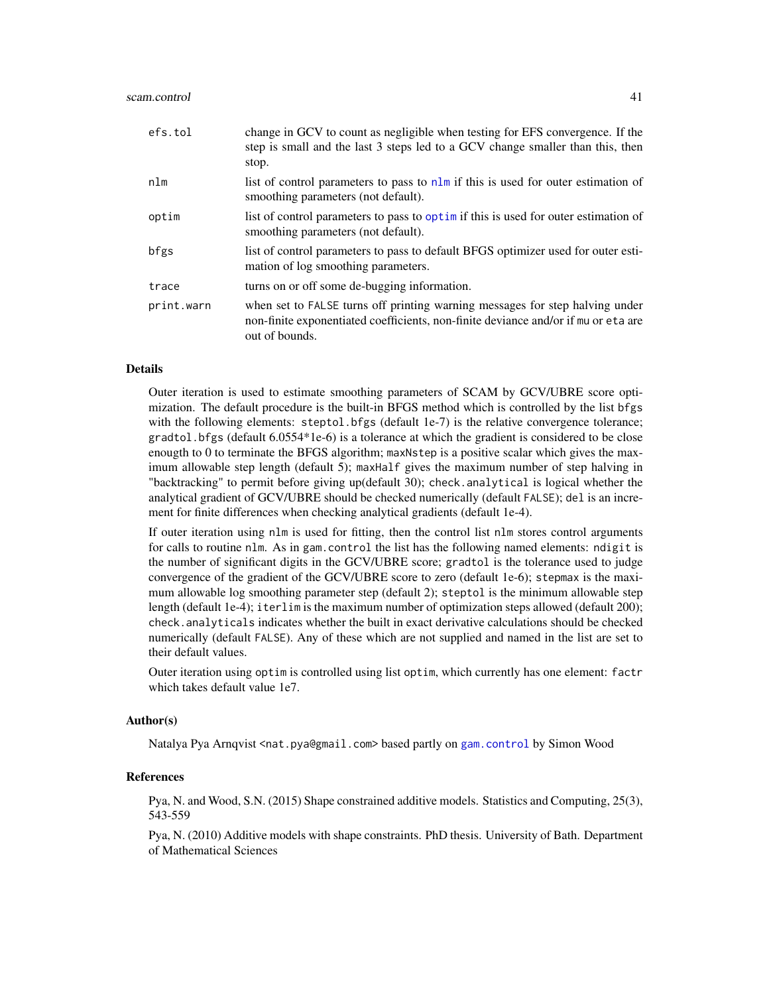#### scam.control 41

| efs.tol    | change in GCV to count as negligible when testing for EFS convergence. If the<br>step is small and the last 3 steps led to a GCV change smaller than this, then<br>stop.             |
|------------|--------------------------------------------------------------------------------------------------------------------------------------------------------------------------------------|
| nlm        | list of control parameters to pass to nlm if this is used for outer estimation of<br>smoothing parameters (not default).                                                             |
| optim      | list of control parameters to pass to optimit this is used for outer estimation of<br>smoothing parameters (not default).                                                            |
| bfgs       | list of control parameters to pass to default BFGS optimizer used for outer esti-<br>mation of log smoothing parameters.                                                             |
| trace      | turns on or off some de-bugging information.                                                                                                                                         |
| print.warn | when set to FALSE turns off printing warning messages for step halving under<br>non-finite exponentiated coefficients, non-finite deviance and/or if mu or eta are<br>out of bounds. |

## Details

Outer iteration is used to estimate smoothing parameters of SCAM by GCV/UBRE score optimization. The default procedure is the built-in BFGS method which is controlled by the list bfgs with the following elements: steptol.bfgs (default 1e-7) is the relative convergence tolerance; gradtol.bfgs (default 6.0554\*1e-6) is a tolerance at which the gradient is considered to be close enougth to 0 to terminate the BFGS algorithm; maxNstep is a positive scalar which gives the maximum allowable step length (default 5); maxHalf gives the maximum number of step halving in "backtracking" to permit before giving up(default 30); check.analytical is logical whether the analytical gradient of GCV/UBRE should be checked numerically (default FALSE); del is an increment for finite differences when checking analytical gradients (default 1e-4).

If outer iteration using nlm is used for fitting, then the control list nlm stores control arguments for calls to routine nlm. As in gam.control the list has the following named elements: ndigit is the number of significant digits in the GCV/UBRE score; gradtol is the tolerance used to judge convergence of the gradient of the GCV/UBRE score to zero (default 1e-6); stepmax is the maximum allowable log smoothing parameter step (default 2); steptol is the minimum allowable step length (default 1e-4); iterlim is the maximum number of optimization steps allowed (default 200); check.analyticals indicates whether the built in exact derivative calculations should be checked numerically (default FALSE). Any of these which are not supplied and named in the list are set to their default values.

Outer iteration using optim is controlled using list optim, which currently has one element: factr which takes default value 1e7.

#### Author(s)

Natalya Pya Arnqvist <nat.pya@gmail.com> based partly on [gam.control](#page-0-0) by Simon Wood

### References

Pya, N. and Wood, S.N. (2015) Shape constrained additive models. Statistics and Computing, 25(3), 543-559

Pya, N. (2010) Additive models with shape constraints. PhD thesis. University of Bath. Department of Mathematical Sciences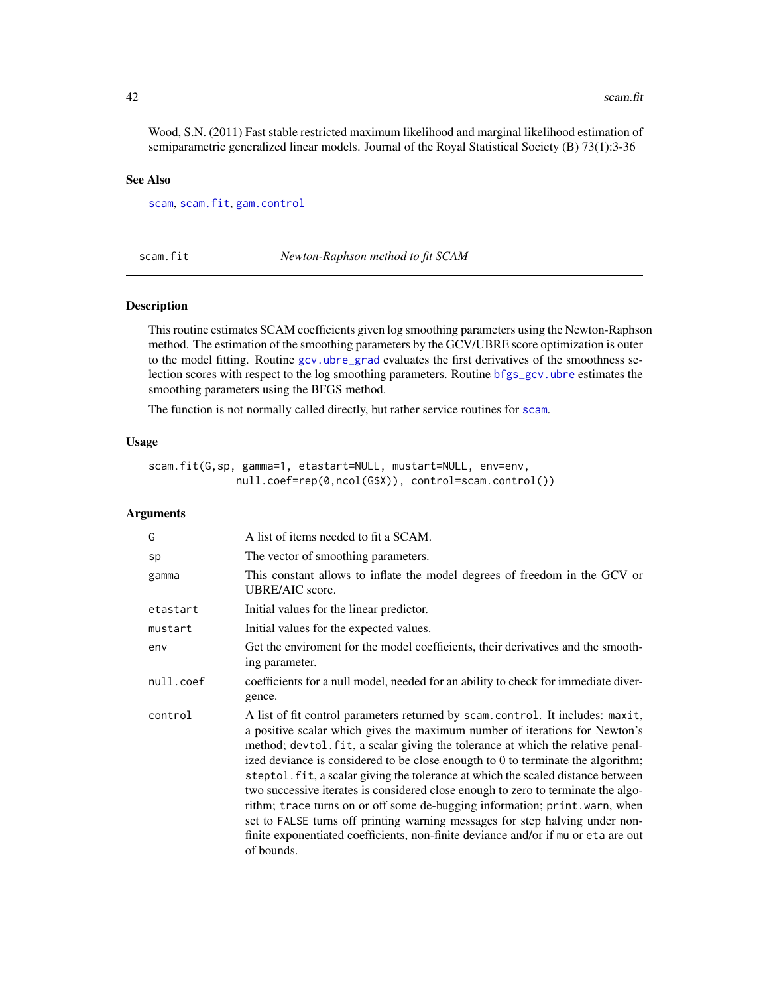Wood, S.N. (2011) Fast stable restricted maximum likelihood and marginal likelihood estimation of semiparametric generalized linear models. Journal of the Royal Statistical Society (B) 73(1):3-36

#### See Also

[scam](#page-30-0), [scam.fit](#page-41-0), [gam.control](#page-0-0)

<span id="page-41-0"></span>scam.fit *Newton-Raphson method to fit SCAM*

### Description

This routine estimates SCAM coefficients given log smoothing parameters using the Newton-Raphson method. The estimation of the smoothing parameters by the GCV/UBRE score optimization is outer to the model fitting. Routine [gcv.ubre\\_grad](#page-10-0) evaluates the first derivatives of the smoothness selection scores with respect to the log smoothing parameters. Routine [bfgs\\_gcv.ubre](#page-5-0) estimates the smoothing parameters using the BFGS method.

The function is not normally called directly, but rather service routines for [scam](#page-30-0).

## Usage

```
scam.fit(G,sp, gamma=1, etastart=NULL, mustart=NULL, env=env,
              null.coef=rep(0,ncol(G$X)), control=scam.control())
```
#### **Arguments**

| G         | A list of items needed to fit a SCAM.                                                                                                                                                                                                                                                                                                                                                                                                                                                                                                                                                                                                                                                                                                                                           |
|-----------|---------------------------------------------------------------------------------------------------------------------------------------------------------------------------------------------------------------------------------------------------------------------------------------------------------------------------------------------------------------------------------------------------------------------------------------------------------------------------------------------------------------------------------------------------------------------------------------------------------------------------------------------------------------------------------------------------------------------------------------------------------------------------------|
| sp        | The vector of smoothing parameters.                                                                                                                                                                                                                                                                                                                                                                                                                                                                                                                                                                                                                                                                                                                                             |
| gamma     | This constant allows to inflate the model degrees of freedom in the GCV or<br>UBRE/AIC score.                                                                                                                                                                                                                                                                                                                                                                                                                                                                                                                                                                                                                                                                                   |
| etastart  | Initial values for the linear predictor.                                                                                                                                                                                                                                                                                                                                                                                                                                                                                                                                                                                                                                                                                                                                        |
| mustart   | Initial values for the expected values.                                                                                                                                                                                                                                                                                                                                                                                                                                                                                                                                                                                                                                                                                                                                         |
| env       | Get the enviroment for the model coefficients, their derivatives and the smooth-<br>ing parameter.                                                                                                                                                                                                                                                                                                                                                                                                                                                                                                                                                                                                                                                                              |
| null.coef | coefficients for a null model, needed for an ability to check for immediate diver-<br>gence.                                                                                                                                                                                                                                                                                                                                                                                                                                                                                                                                                                                                                                                                                    |
| control   | A list of fit control parameters returned by scam.control. It includes: maxit,<br>a positive scalar which gives the maximum number of iterations for Newton's<br>method; devtol. fit, a scalar giving the tolerance at which the relative penal-<br>ized deviance is considered to be close enougth to 0 to terminate the algorithm;<br>steptol. fit, a scalar giving the tolerance at which the scaled distance between<br>two successive iterates is considered close enough to zero to terminate the algo-<br>rithm; trace turns on or off some de-bugging information; print.warn, when<br>set to FALSE turns off printing warning messages for step halving under non-<br>finite exponentiated coefficients, non-finite deviance and/or if mu or eta are out<br>of bounds. |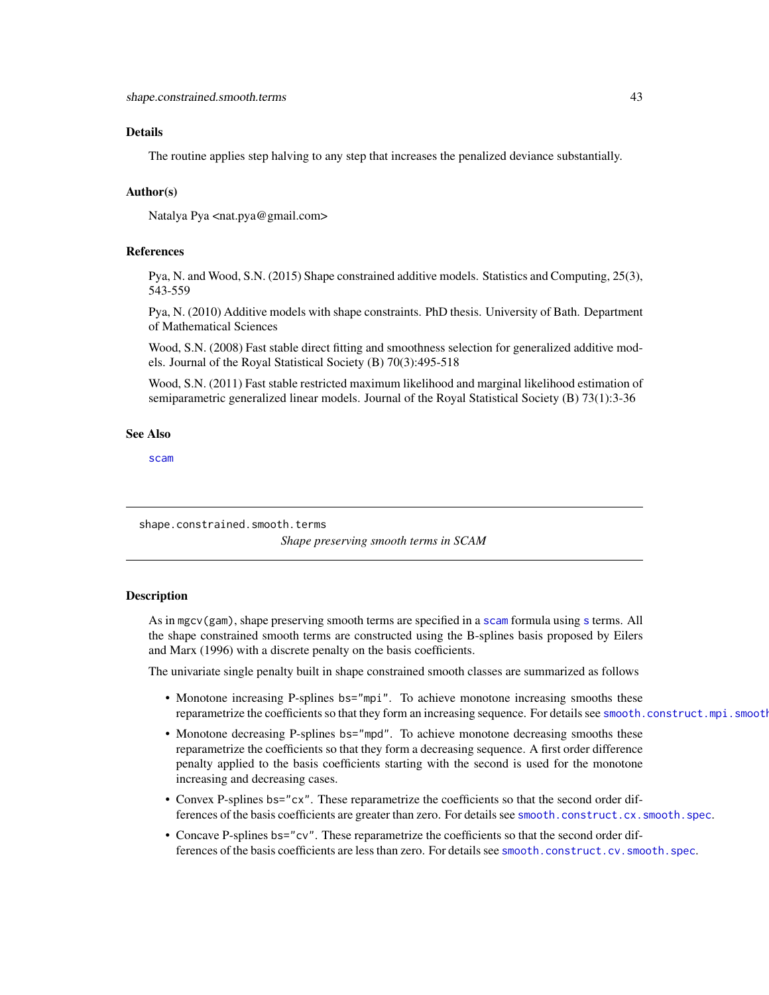### Details

The routine applies step halving to any step that increases the penalized deviance substantially.

### Author(s)

Natalya Pya <nat.pya@gmail.com>

### References

Pya, N. and Wood, S.N. (2015) Shape constrained additive models. Statistics and Computing, 25(3), 543-559

Pya, N. (2010) Additive models with shape constraints. PhD thesis. University of Bath. Department of Mathematical Sciences

Wood, S.N. (2008) Fast stable direct fitting and smoothness selection for generalized additive models. Journal of the Royal Statistical Society (B) 70(3):495-518

Wood, S.N. (2011) Fast stable restricted maximum likelihood and marginal likelihood estimation of semiparametric generalized linear models. Journal of the Royal Statistical Society (B) 73(1):3-36

### See Also

[scam](#page-30-0)

shape.constrained.smooth.terms

*Shape preserving smooth terms in SCAM*

### **Description**

As in mgcv(gam), shape preserving smooth terms are specified in a [scam](#page-30-0) formula using [s](#page-0-0) terms. All the shape constrained smooth terms are constructed using the B-splines basis proposed by Eilers and Marx (1996) with a discrete penalty on the basis coefficients.

The univariate single penalty built in shape constrained smooth classes are summarized as follows

- Monotone increasing P-splines bs="mpi". To achieve monotone increasing smooths these reparametrize the coefficients so that they form an increasing sequence. For details see smooth.construct.mpi.smooth
- Monotone decreasing P-splines bs="mpd". To achieve monotone decreasing smooths these reparametrize the coefficients so that they form a decreasing sequence. A first order difference penalty applied to the basis coefficients starting with the second is used for the monotone increasing and decreasing cases.
- Convex P-splines bs="cx". These reparametrize the coefficients so that the second order differences of the basis coefficients are greater than zero. For details see [smooth.construct.cx.smooth.spec](#page-47-0).
- Concave P-splines bs="cv". These reparametrize the coefficients so that the second order differences of the basis coefficients are less than zero. For details see [smooth.construct.cv.smooth.spec](#page-44-0).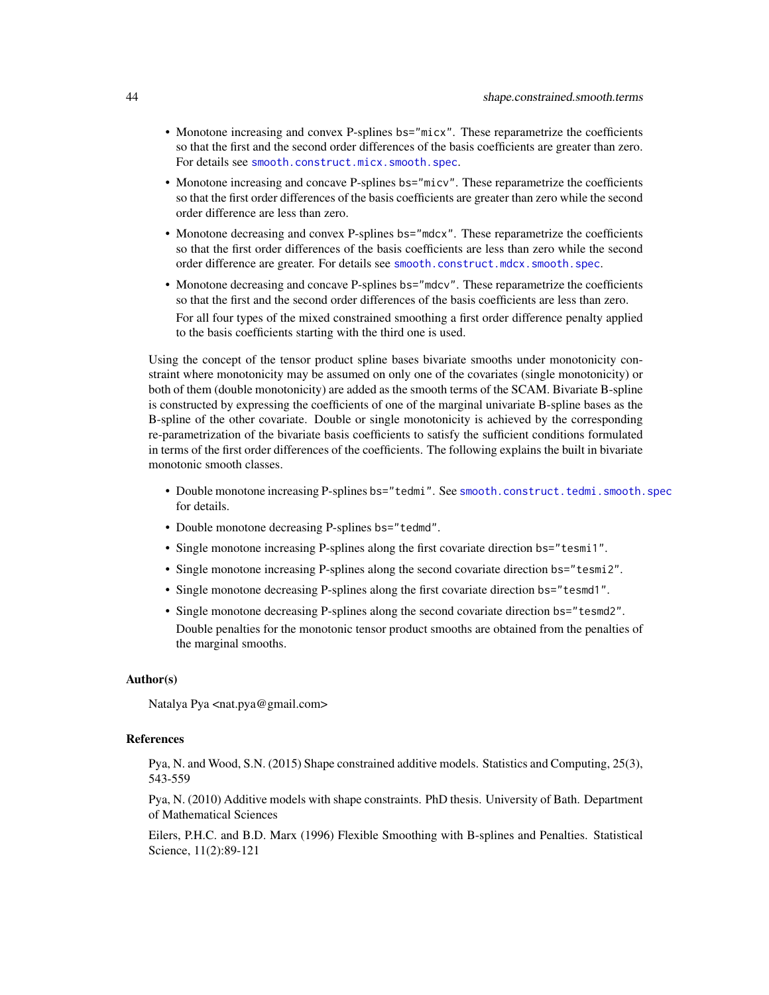- Monotone increasing and convex P-splines bs="micx". These reparametrize the coefficients so that the first and the second order differences of the basis coefficients are greater than zero. For details see [smooth.construct.micx.smooth.spec](#page-55-0).
- Monotone increasing and concave P-splines bs="micv". These reparametrize the coefficients so that the first order differences of the basis coefficients are greater than zero while the second order difference are less than zero.
- Monotone decreasing and convex P-splines bs="mdcx". These reparametrize the coefficients so that the first order differences of the basis coefficients are less than zero while the second order difference are greater. For details see [smooth.construct.mdcx.smooth.spec](#page-51-0).
- Monotone decreasing and concave P-splines bs="mdcv". These reparametrize the coefficients so that the first and the second order differences of the basis coefficients are less than zero. For all four types of the mixed constrained smoothing a first order difference penalty applied to the basis coefficients starting with the third one is used.

Using the concept of the tensor product spline bases bivariate smooths under monotonicity constraint where monotonicity may be assumed on only one of the covariates (single monotonicity) or both of them (double monotonicity) are added as the smooth terms of the SCAM. Bivariate B-spline is constructed by expressing the coefficients of one of the marginal univariate B-spline bases as the B-spline of the other covariate. Double or single monotonicity is achieved by the corresponding re-parametrization of the bivariate basis coefficients to satisfy the sufficient conditions formulated in terms of the first order differences of the coefficients. The following explains the built in bivariate monotonic smooth classes.

- Double monotone increasing P-splines bs="tedmi". See [smooth.construct.tedmi.smooth.spec](#page-80-0) for details.
- Double monotone decreasing P-splines bs="tedmd".
- Single monotone increasing P-splines along the first covariate direction bs="tesmi1".
- Single monotone increasing P-splines along the second covariate direction bs="tesmi2".
- Single monotone decreasing P-splines along the first covariate direction bs="tesmd1".
- Single monotone decreasing P-splines along the second covariate direction bs="tesmd2". Double penalties for the monotonic tensor product smooths are obtained from the penalties of the marginal smooths.

#### Author(s)

Natalya Pya <nat.pya@gmail.com>

### References

Pya, N. and Wood, S.N. (2015) Shape constrained additive models. Statistics and Computing, 25(3), 543-559

Pya, N. (2010) Additive models with shape constraints. PhD thesis. University of Bath. Department of Mathematical Sciences

Eilers, P.H.C. and B.D. Marx (1996) Flexible Smoothing with B-splines and Penalties. Statistical Science, 11(2):89-121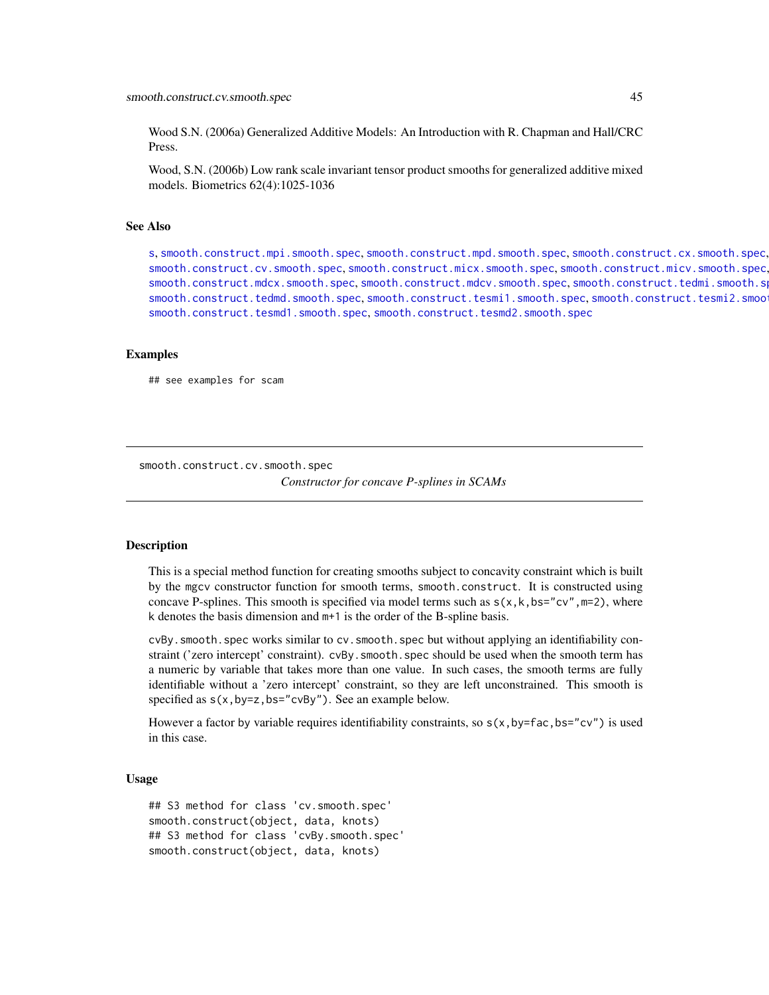Wood S.N. (2006a) Generalized Additive Models: An Introduction with R. Chapman and Hall/CRC Press.

Wood, S.N. (2006b) Low rank scale invariant tensor product smooths for generalized additive mixed models. Biometrics 62(4):1025-1036

## See Also

[s](#page-0-0), [smooth.construct.mpi.smooth.spec](#page-63-0), [smooth.construct.mpd.smooth.spec](#page-61-0), [smooth.construct.cx.smooth.spec](#page-47-0), [smooth.construct.cv.smooth.spec](#page-44-0), [smooth.construct.micx.smooth.spec](#page-55-0), [smooth.construct.micv.smooth.spec](#page-53-0), [smooth.construct.mdcx.smooth.spec](#page-51-0), [smooth.construct.mdcv.smooth.spec](#page-49-0), [smooth.construct.tedmi.smooth.spec](#page-80-0), [smooth.construct.tedmd.smooth.spec](#page-78-0), [smooth.construct.tesmi1.smooth.spec](#page-92-0), smooth.construct.tesmi2.smoo [smooth.construct.tesmd1.smooth.spec](#page-88-0), [smooth.construct.tesmd2.smooth.spec](#page-90-0)

#### Examples

## see examples for scam

<span id="page-44-0"></span>smooth.construct.cv.smooth.spec

*Constructor for concave P-splines in SCAMs*

#### Description

This is a special method function for creating smooths subject to concavity constraint which is built by the mgcv constructor function for smooth terms, smooth.construct. It is constructed using concave P-splines. This smooth is specified via model terms such as  $s(x, k, bs="cv", m=2)$ , where k denotes the basis dimension and m+1 is the order of the B-spline basis.

cvBy.smooth.spec works similar to cv.smooth.spec but without applying an identifiability constraint ('zero intercept' constraint). cvBy. smooth. spec should be used when the smooth term has a numeric by variable that takes more than one value. In such cases, the smooth terms are fully identifiable without a 'zero intercept' constraint, so they are left unconstrained. This smooth is specified as  $s(x,by=z,bs="cvBy")$ . See an example below.

However a factor by variable requires identifiability constraints, so  $s(x,by=fac,bs="cv")$  is used in this case.

#### Usage

```
## S3 method for class 'cv.smooth.spec'
smooth.construct(object, data, knots)
## S3 method for class 'cvBy.smooth.spec'
smooth.construct(object, data, knots)
```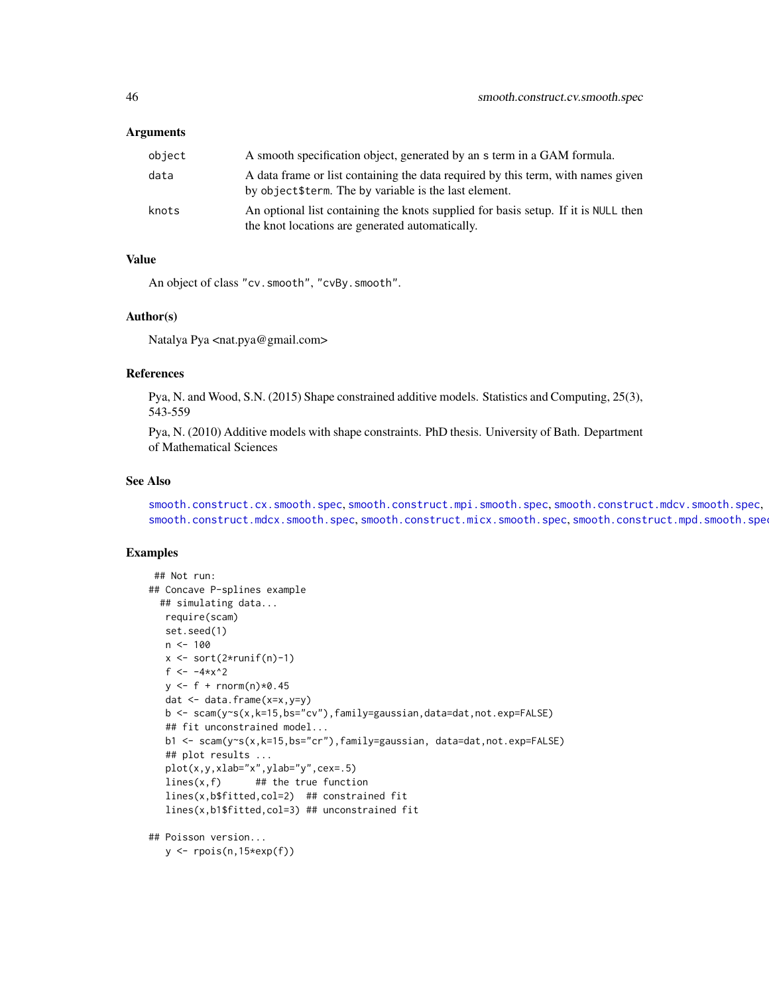### Arguments

| object | A smooth specification object, generated by an s term in a GAM formula.                                                                    |
|--------|--------------------------------------------------------------------------------------------------------------------------------------------|
| data   | A data frame or list containing the data required by this term, with names given<br>by object \$term. The by variable is the last element. |
| knots  | An optional list containing the knots supplied for basis setup. If it is NULL then<br>the knot locations are generated automatically.      |

#### Value

An object of class "cv.smooth", "cvBy.smooth".

### Author(s)

Natalya Pya <nat.pya@gmail.com>

#### References

Pya, N. and Wood, S.N. (2015) Shape constrained additive models. Statistics and Computing, 25(3), 543-559

Pya, N. (2010) Additive models with shape constraints. PhD thesis. University of Bath. Department of Mathematical Sciences

#### See Also

[smooth.construct.cx.smooth.spec](#page-47-0), [smooth.construct.mpi.smooth.spec](#page-63-0), [smooth.construct.mdcv.smooth.spec](#page-49-0), [smooth.construct.mdcx.smooth.spec](#page-51-0), [smooth.construct.micx.smooth.spec](#page-55-0), [smooth.construct.mpd.smooth.spec](#page-61-0)

### Examples

```
## Not run:
## Concave P-splines example
 ## simulating data...
  require(scam)
  set.seed(1)
  n < -100x \leftarrow sort(2 \times runif(n)-1)f <- -4*x^2y \leq-f + \text{rnorm}(n) \times 0.45dat <- data.frame(x=x,y=y)
   b <- scam(y~s(x,k=15,bs="cv"),family=gaussian,data=dat,not.exp=FALSE)
   ## fit unconstrained model...
   b1 <- scam(y~s(x,k=15,bs="cr"),family=gaussian, data=dat,not.exp=FALSE)
   ## plot results ...
   plot(x,y,xlab="x",ylab="y",cex=.5)
   lines(x, f) ## the true function
   lines(x,b$fitted,col=2) ## constrained fit
   lines(x,b1$fitted,col=3) ## unconstrained fit
## Poisson version...
```
y <- rpois(n,15\*exp(f))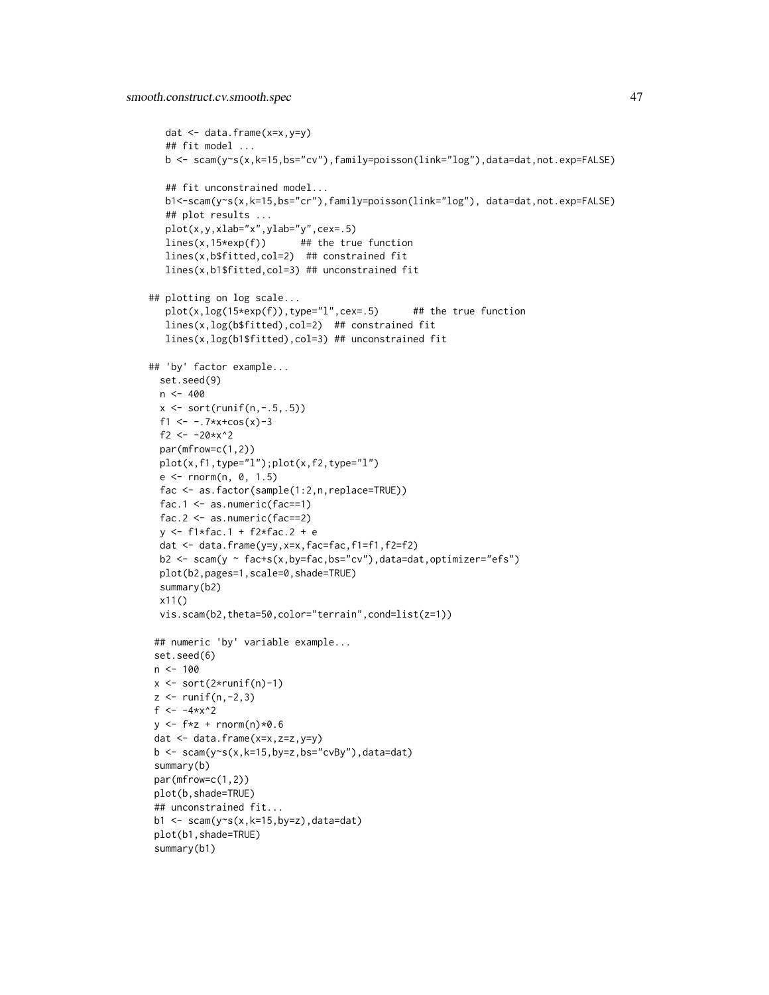```
dat <- data.frame(x=x,y=y)
   ## fit model ...
   b <- scam(y~s(x,k=15,bs="cv"),family=poisson(link="log"),data=dat,not.exp=FALSE)
   ## fit unconstrained model...
   b1<-scam(y~s(x,k=15,bs="cr"),family=poisson(link="log"), data=dat,not.exp=FALSE)
   ## plot results ...
   plot(x,y,xlab="x",ylab="y",cex=.5)
   lines(x, 15*exp(f)) ## the true function
   lines(x,b$fitted,col=2) ## constrained fit
   lines(x,b1$fitted,col=3) ## unconstrained fit
## plotting on log scale...
   plot(x, log(15*exp(f)), type="1", cex=.5) ## the true function
   lines(x,log(b$fitted),col=2) ## constrained fit
   lines(x,log(b1$fitted),col=3) ## unconstrained fit
## 'by' factor example...
 set.seed(9)
 n < -400x \leftarrow sort(runif(n,-.5,.5))f1 \leftarrow -7*x + \cos(x) - 3f2 <- -20*x^2par(mfrow=c(1,2))
 plot(x,f1,type="l");plot(x,f2,type="l")
 e \le - rnorm(n, 0, 1.5)fac <- as.factor(sample(1:2,n,replace=TRUE))
 fac.1 \leq as.numeric(fac==1)
 fac.2 \leq -as.numeric(fac==2)y <- f1*fac.1 + f2*fac.2 + e
 dat <- data.frame(y=y,x=x,fac=fac,f1=f1,f2=f2)
 b2 \leq scam(y \sim fac+s(x,by=fac,bs="cv"),data=dat,optimizer="efs")
 plot(b2,pages=1,scale=0,shade=TRUE)
 summary(b2)
 x11()
 vis.scam(b2,theta=50,color="terrain",cond=list(z=1))
 ## numeric 'by' variable example...
 set.seed(6)
n < -100x \le -\text{sort}(2 \times \text{runif(n)}-1)z \leftarrow runif(n,-2,3)f <- -4*x^2y \leftarrow f * z + \text{norm}(n) * 0.6dat \leq data.frame(x=x,z=z,y=y)
b \leq scam(y~s(x,k=15,by=z,bs="cvBy"),data=dat)
summary(b)
par(mfrow=c(1,2))
plot(b,shade=TRUE)
## unconstrained fit...
b1 <- scam(y~s(x,k=15,by=z),data=dat)
plot(b1,shade=TRUE)
 summary(b1)
```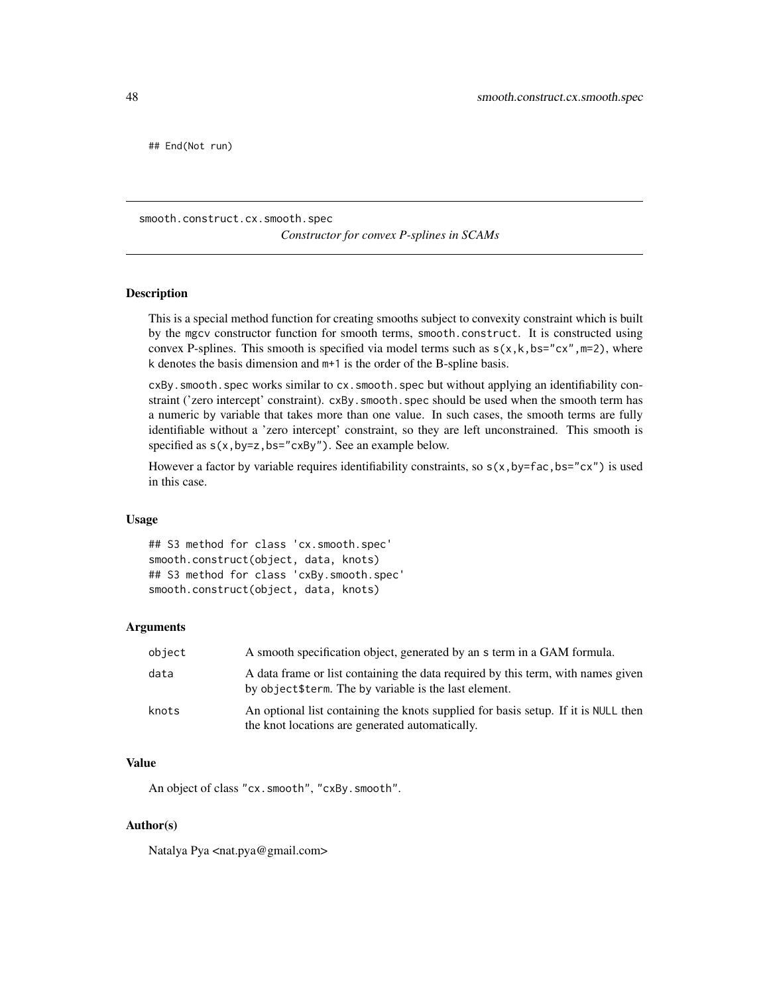## End(Not run)

<span id="page-47-0"></span>smooth.construct.cx.smooth.spec

*Constructor for convex P-splines in SCAMs*

#### Description

This is a special method function for creating smooths subject to convexity constraint which is built by the mgcv constructor function for smooth terms, smooth.construct. It is constructed using convex P-splines. This smooth is specified via model terms such as  $s(x, k, bs="cx", m=2)$ , where k denotes the basis dimension and m+1 is the order of the B-spline basis.

cxBy.smooth.spec works similar to cx.smooth.spec but without applying an identifiability constraint ('zero intercept' constraint). cxBy. smooth. spec should be used when the smooth term has a numeric by variable that takes more than one value. In such cases, the smooth terms are fully identifiable without a 'zero intercept' constraint, so they are left unconstrained. This smooth is specified as  $s(x,by=z,bs="cxdy")$ . See an example below.

However a factor by variable requires identifiability constraints, so  $s(x, by=fac, bs="cx")$  is used in this case.

#### Usage

## S3 method for class 'cx.smooth.spec' smooth.construct(object, data, knots) ## S3 method for class 'cxBy.smooth.spec' smooth.construct(object, data, knots)

#### Arguments

| object | A smooth specification object, generated by an s term in a GAM formula.                                                                    |
|--------|--------------------------------------------------------------------------------------------------------------------------------------------|
| data   | A data frame or list containing the data required by this term, with names given<br>by object \$term. The by variable is the last element. |
| knots  | An optional list containing the knots supplied for basis setup. If it is NULL then<br>the knot locations are generated automatically.      |

### Value

An object of class "cx.smooth", "cxBy.smooth".

#### Author(s)

Natalya Pya <nat.pya@gmail.com>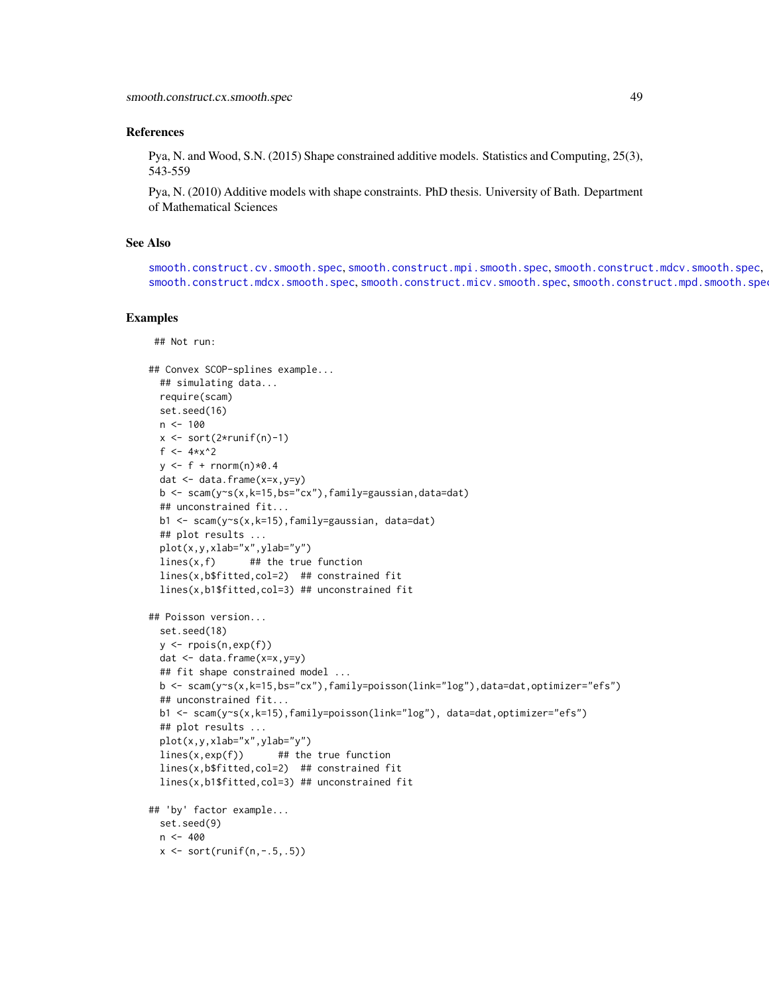### References

Pya, N. and Wood, S.N. (2015) Shape constrained additive models. Statistics and Computing, 25(3), 543-559

Pya, N. (2010) Additive models with shape constraints. PhD thesis. University of Bath. Department of Mathematical Sciences

# See Also

[smooth.construct.cv.smooth.spec](#page-44-0), [smooth.construct.mpi.smooth.spec](#page-63-0), [smooth.construct.mdcv.smooth.spec](#page-49-0), [smooth.construct.mdcx.smooth.spec](#page-51-0), [smooth.construct.micv.smooth.spec](#page-53-0), [smooth.construct.mpd.smooth.spec](#page-61-0)

```
## Not run:
```

```
## Convex SCOP-splines example...
 ## simulating data...
 require(scam)
 set.seed(16)
 n < -100x \le -\text{sort}(2 \cdot \text{runif(n)}-1)f <-4*x^2y \leq-f + \text{rnorm}(n) \times 0.4dat <- data.frame(x=x,y=y)
 b <- scam(y~s(x,k=15,bs="cx"),family=gaussian,data=dat)
 ## unconstrained fit...
 b1 <- scam(y~s(x,k=15),family=gaussian, data=dat)
 ## plot results ...
 plot(x,y,xlab="x",ylab="y")
 lines(x, f) ## the true function
 lines(x,b$fitted,col=2) ## constrained fit
 lines(x,b1$fitted,col=3) ## unconstrained fit
## Poisson version...
 set.seed(18)
 y <- rpois(n,exp(f))
 dat <- data.frame(x=x,y=y)
 ## fit shape constrained model ...
 b \leq -\text{scam}(y\text{-}s(x,k=15,bs="cx"),\text{family}=poisson(link="log"),\text{data}=dat,\text{optimize}=r=fs")## unconstrained fit...
 b1 <- scam(y~s(x,k=15),family=poisson(link="log"), data=dat,optimizer="efs")
 ## plot results ...
 plot(x,y,xlab="x",ylab="y")
 lines(x,exp(f)) ## the true function
 lines(x,b$fitted,col=2) ## constrained fit
 lines(x,b1$fitted,col=3) ## unconstrained fit
## 'by' factor example...
 set.seed(9)
 n < -400x \leftarrow sort(runif(n,-.5,.5))
```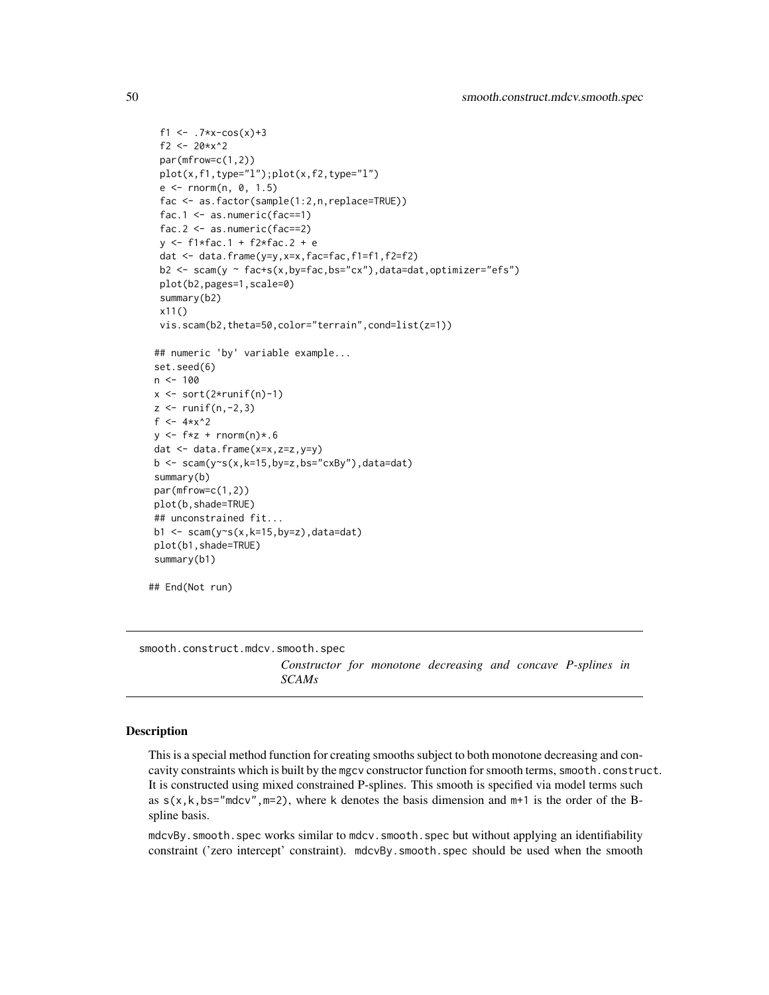```
f1 <- .7*x-cos(x)+3f2 <- 20*x^2par(mfrow=c(1,2))
 plot(x, f1, type="1");plot(x, f2, type="1")e \le rnorm(n, 0, 1.5)
 fac <- as.factor(sample(1:2,n,replace=TRUE))
 fac.1 \leq as.numeric(fac==1)
 fac.2 \leq as.numeric(fac==2)
 y <- f1*fac.1 + f2*fac.2 + e
 dat <- data.frame(y=y,x=x,fac=fac,f1=f1,f2=f2)
 b2 \leq scam(y \sim fac+s(x,by=fac,bs="cx"),data=dat,optimizer="efs")
 plot(b2,pages=1,scale=0)
 summary(b2)
 x11()
 vis.scam(b2,theta=50,color="terrain",cond=list(z=1))
## numeric 'by' variable example...
set.seed(6)
n < - 100x \leftarrow sort(2*runif(n)-1)z \leftarrow runif(n,-2,3)f \le -4*x^2y \leftarrow f * z + \text{norm}(n) * . 6dat <- data.frame(x=x,z=z,y=y)
b \leq scam(y~s(x,k=15,by=z,bs="cxBy"),data=dat)
summary(b)
par(mfrow=c(1,2))
plot(b,shade=TRUE)
## unconstrained fit...
b1 <- scam(y~s(x,k=15,by=z),data=dat)
plot(b1,shade=TRUE)
summary(b1)
```

```
## End(Not run)
```
<span id="page-49-0"></span>smooth.construct.mdcv.smooth.spec

*Constructor for monotone decreasing and concave P-splines in SCAMs*

#### Description

This is a special method function for creating smooths subject to both monotone decreasing and concavity constraints which is built by the mgcv constructor function for smooth terms, smooth.construct. It is constructed using mixed constrained P-splines. This smooth is specified via model terms such as  $s(x, k, bs="mdcv", m=2)$ , where k denotes the basis dimension and  $m+1$  is the order of the Bspline basis.

mdcvBy.smooth.spec works similar to mdcv.smooth.spec but without applying an identifiability constraint ('zero intercept' constraint). mdcvBy.smooth.spec should be used when the smooth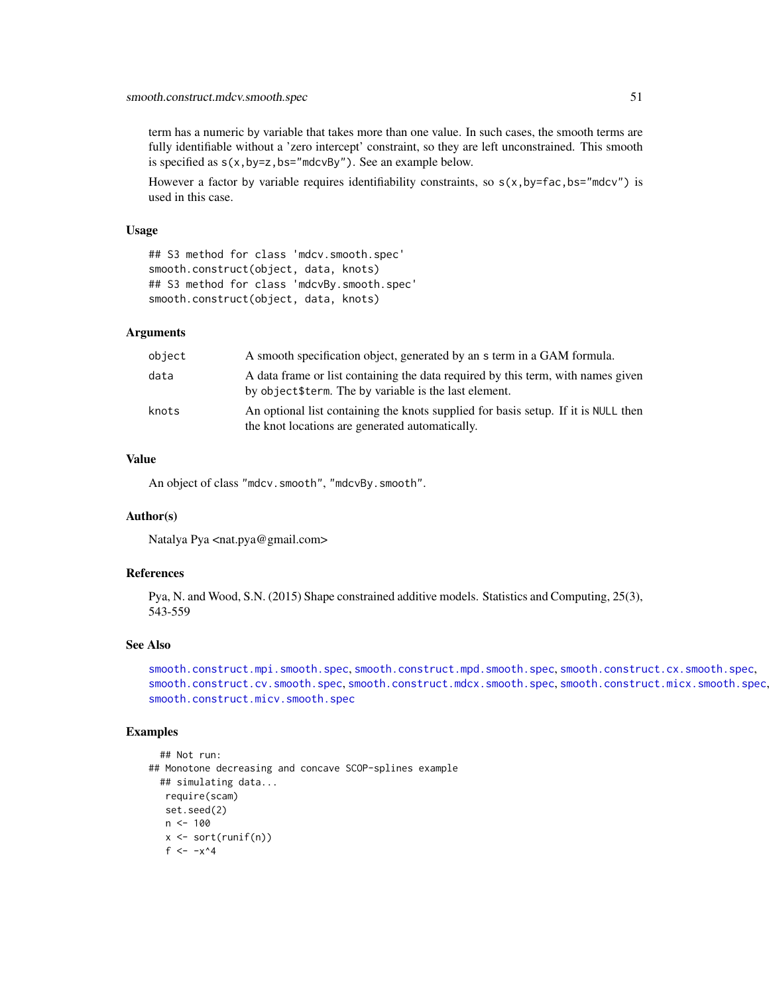term has a numeric by variable that takes more than one value. In such cases, the smooth terms are fully identifiable without a 'zero intercept' constraint, so they are left unconstrained. This smooth is specified as  $s(x,by=z,bs="mdcvBy'')$ . See an example below.

However a factor by variable requires identifiability constraints, so  $s(x, by=fac, bs="mdcv")$  is used in this case.

### Usage

```
## S3 method for class 'mdcv.smooth.spec'
smooth.construct(object, data, knots)
## S3 method for class 'mdcvBy.smooth.spec'
smooth.construct(object, data, knots)
```
# Arguments

| object | A smooth specification object, generated by an s term in a GAM formula.                                                                    |
|--------|--------------------------------------------------------------------------------------------------------------------------------------------|
| data   | A data frame or list containing the data required by this term, with names given<br>by object \$term. The by variable is the last element. |
| knots  | An optional list containing the knots supplied for basis setup. If it is NULL then<br>the knot locations are generated automatically.      |

## Value

An object of class "mdcv.smooth", "mdcvBy.smooth".

## Author(s)

Natalya Pya <nat.pya@gmail.com>

### References

Pya, N. and Wood, S.N. (2015) Shape constrained additive models. Statistics and Computing, 25(3), 543-559

### See Also

```
smooth.construct.mpi.smooth.spec, smooth.construct.mpd.smooth.spec, smooth.construct.cx.smooth.spec,
smooth.construct.cv.smooth.spec, smooth.construct.mdcx.smooth.spec, smooth.construct.micx.smooth.spec,
smooth.construct.micv.smooth.spec
```

```
## Not run:
## Monotone decreasing and concave SCOP-splines example
 ## simulating data...
  require(scam)
   set.seed(2)
   n < -100x \leftarrow sort(runif(n))f <- -x^4
```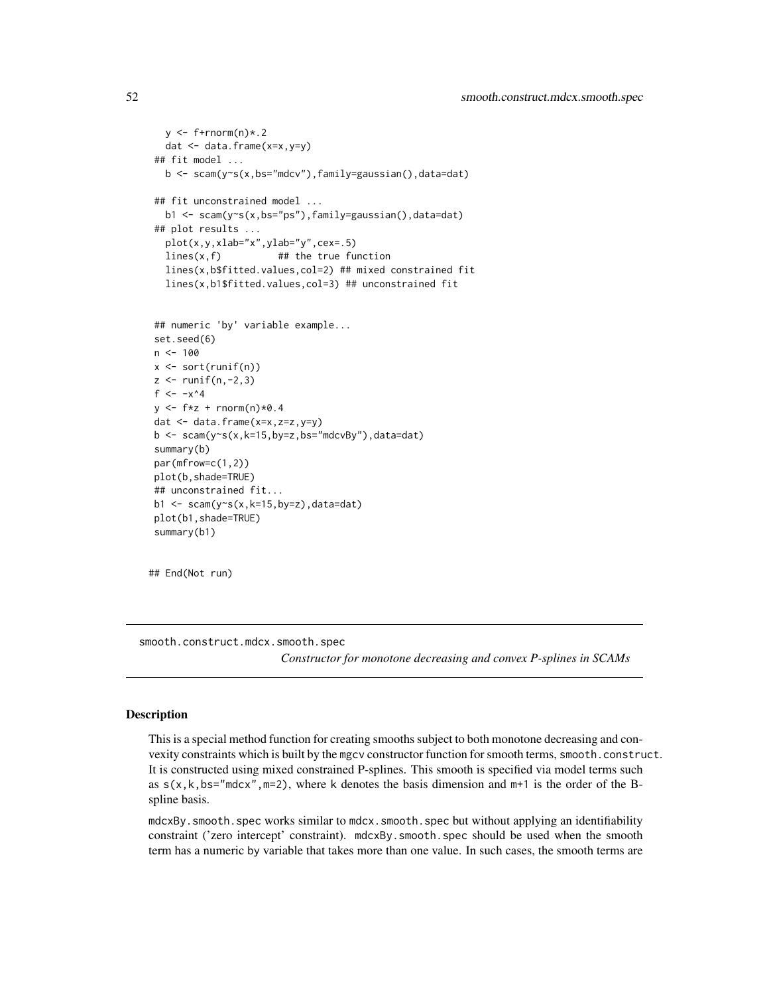```
y \leftarrow f+rnorm(n)*.2dat <- data.frame(x=x,y=y)
## fit model ...
  b <- scam(y~s(x,bs="mdcv"),family=gaussian(),data=dat)
## fit unconstrained model ...
  b1 <- scam(y~s(x,bs="ps"),family=gaussian(),data=dat)
## plot results ...
  plot(x,y,xlab="x",ylab="y",cex=.5)
  lines(x, f) ## the true function
  lines(x,b$fitted.values,col=2) ## mixed constrained fit
  lines(x,b1$fitted.values,col=3) ## unconstrained fit
## numeric 'by' variable example...
set.seed(6)
n < - 100x <- sort(runif(n))
z \leftarrow runif(n,-2,3)f \leftarrow -x^4y \leftarrow f * z + \text{norm}(n) * 0.4dat <- data.frame(x=x,z=z,y=y)
b \leq -scam(y\gamma s(x,k=15,by=z,bs="mdcvBy''), data=dat)
summary(b)
par(mfrow=c(1,2))
plot(b,shade=TRUE)
## unconstrained fit...
b1 <- scam(y\text{-}s(x,k=15,by=z), data=dat)
plot(b1,shade=TRUE)
summary(b1)
```
## End(Not run)

<span id="page-51-0"></span>smooth.construct.mdcx.smooth.spec *Constructor for monotone decreasing and convex P-splines in SCAMs*

#### Description

This is a special method function for creating smooths subject to both monotone decreasing and convexity constraints which is built by the mgcv constructor function for smooth terms, smooth.construct. It is constructed using mixed constrained P-splines. This smooth is specified via model terms such as  $s(x, k, bs="mdcx", m=2)$ , where k denotes the basis dimension and  $m+1$  is the order of the Bspline basis.

mdcxBy.smooth.spec works similar to mdcx.smooth.spec but without applying an identifiability constraint ('zero intercept' constraint). mdcxBy.smooth.spec should be used when the smooth term has a numeric by variable that takes more than one value. In such cases, the smooth terms are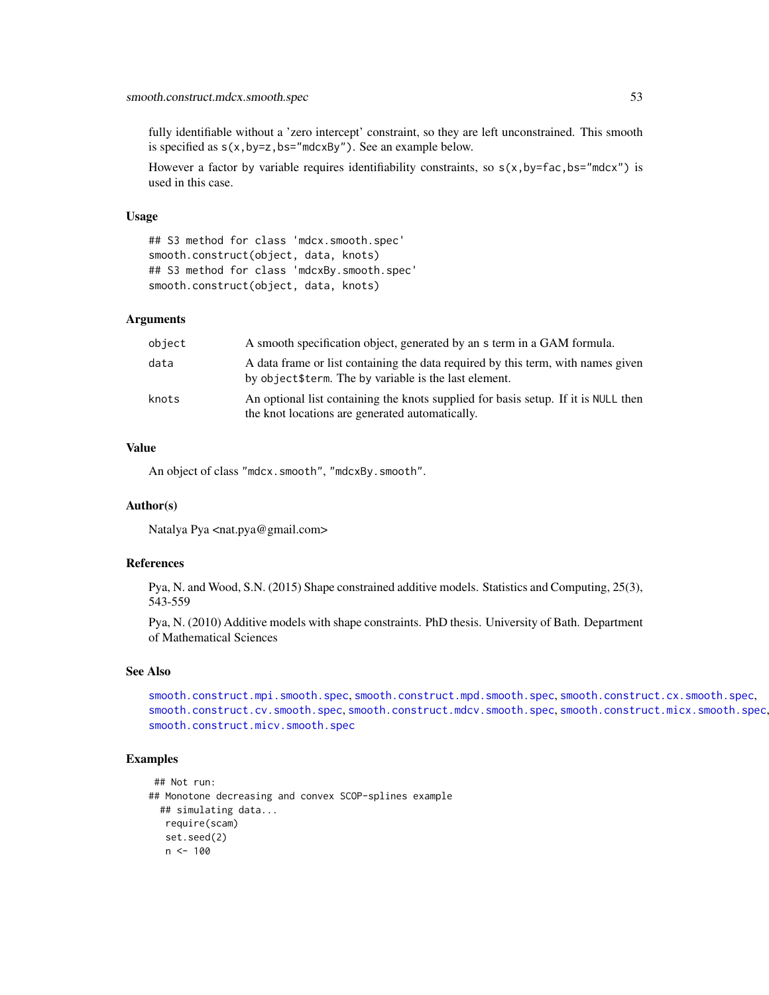fully identifiable without a 'zero intercept' constraint, so they are left unconstrained. This smooth is specified as  $s(x,by=z,bs="mdcxBy")$ . See an example below.

However a factor by variable requires identifiability constraints, so  $s(x, by=fac, bs="mdcx")$  is used in this case.

#### Usage

## S3 method for class 'mdcx.smooth.spec' smooth.construct(object, data, knots) ## S3 method for class 'mdcxBy.smooth.spec' smooth.construct(object, data, knots)

#### Arguments

| object | A smooth specification object, generated by an s term in a GAM formula.                                                                    |
|--------|--------------------------------------------------------------------------------------------------------------------------------------------|
| data   | A data frame or list containing the data required by this term, with names given<br>by object \$term. The by variable is the last element. |
| knots  | An optional list containing the knots supplied for basis setup. If it is NULL then<br>the knot locations are generated automatically.      |

#### Value

An object of class "mdcx.smooth", "mdcxBy.smooth".

### Author(s)

Natalya Pya <nat.pya@gmail.com>

## References

Pya, N. and Wood, S.N. (2015) Shape constrained additive models. Statistics and Computing, 25(3), 543-559

Pya, N. (2010) Additive models with shape constraints. PhD thesis. University of Bath. Department of Mathematical Sciences

## See Also

[smooth.construct.mpi.smooth.spec](#page-63-0), [smooth.construct.mpd.smooth.spec](#page-61-0), [smooth.construct.cx.smooth.spec](#page-47-0), [smooth.construct.cv.smooth.spec](#page-44-0), [smooth.construct.mdcv.smooth.spec](#page-49-0), [smooth.construct.micx.smooth.spec](#page-55-0), [smooth.construct.micv.smooth.spec](#page-53-0)

```
## Not run:
## Monotone decreasing and convex SCOP-splines example
 ## simulating data...
  require(scam)
  set.seed(2)
  n < -100
```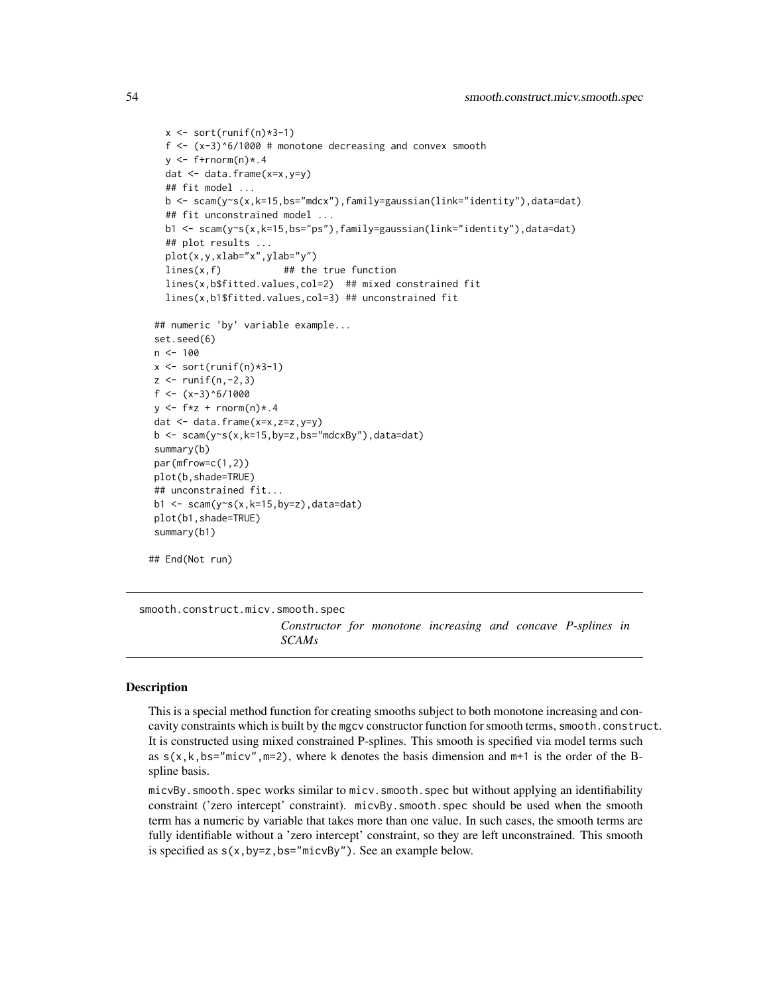```
x \leftarrow sort(runif(n)*3-1)f \leftarrow (x-3)^6/1000 # monotone decreasing and convex smooth
  y \leq-f+rnorm(n)*.4dat <- data.frame(x=x,y=y)
   ## fit model ...
  b <- scam(y~s(x,k=15,bs="mdcx"),family=gaussian(link="identity"),data=dat)
   ## fit unconstrained model ...
  b1 <- scam(y~s(x,k=15,bs="ps"),family=gaussian(link="identity"),data=dat)
   ## plot results ...
  plot(x,y,xlab="x",ylab="y")
  lines(x,f) ## the true function
  lines(x,b$fitted.values,col=2) ## mixed constrained fit
   lines(x,b1$fitted.values,col=3) ## unconstrained fit
## numeric 'by' variable example...
set.seed(6)
n < - 100x \leftarrow sort(runif(n)*3-1)z \le runif(n,-2,3)
f <- (x-3)^{6}/1000y \leq -f*z + \text{rnorm}(n)*.4dat \leq data.frame(x=x,z=z,y=y)
b \leq -scam(y\gamma s(x,k=15,by=z,bs="mdcxBy''), data=dat)
summary(b)
par(mfrow=c(1,2))
plot(b,shade=TRUE)
## unconstrained fit...
b1 <- scam(y\text{-}s(x,k=15,by=z),data=dat)plot(b1,shade=TRUE)
summary(b1)
## End(Not run)
```
<span id="page-53-0"></span>smooth.construct.micv.smooth.spec

*Constructor for monotone increasing and concave P-splines in SCAMs*

## Description

This is a special method function for creating smooths subject to both monotone increasing and concavity constraints which is built by the mgcv constructor function for smooth terms, smooth.construct. It is constructed using mixed constrained P-splines. This smooth is specified via model terms such as  $s(x, k, bs="micro", m=2)$ , where k denotes the basis dimension and  $m+1$  is the order of the Bspline basis.

micvBy.smooth.spec works similar to micv.smooth.spec but without applying an identifiability constraint ('zero intercept' constraint). micvBy.smooth.spec should be used when the smooth term has a numeric by variable that takes more than one value. In such cases, the smooth terms are fully identifiable without a 'zero intercept' constraint, so they are left unconstrained. This smooth is specified as  $s(x,by=z,bs="microBy")$ . See an example below.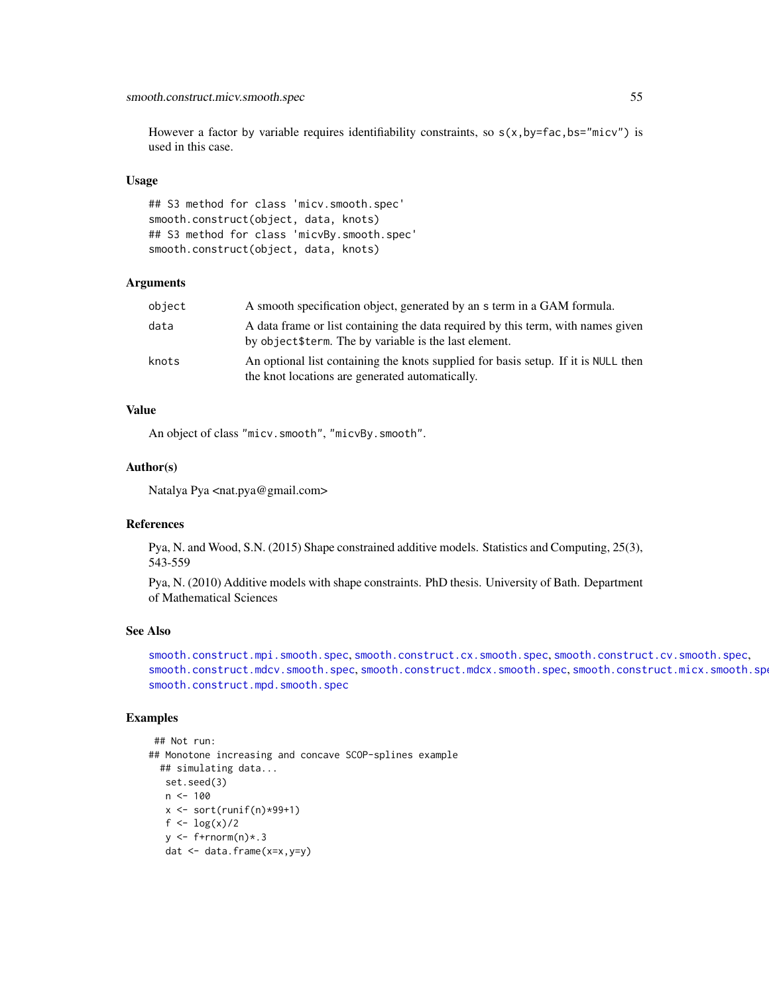## smooth.construct.micv.smooth.spec 55

However a factor by variable requires identifiability constraints, so  $s(x, by=fac, bs="micv")$  is used in this case.

## Usage

## S3 method for class 'micv.smooth.spec' smooth.construct(object, data, knots) ## S3 method for class 'micvBy.smooth.spec' smooth.construct(object, data, knots)

# Arguments

| object | A smooth specification object, generated by an s term in a GAM formula.                                                                    |
|--------|--------------------------------------------------------------------------------------------------------------------------------------------|
| data   | A data frame or list containing the data required by this term, with names given<br>by object \$term. The by variable is the last element. |
| knots  | An optional list containing the knots supplied for basis setup. If it is NULL then<br>the knot locations are generated automatically.      |

## Value

An object of class "micv.smooth", "micvBy.smooth".

#### Author(s)

Natalya Pya <nat.pya@gmail.com>

#### References

Pya, N. and Wood, S.N. (2015) Shape constrained additive models. Statistics and Computing, 25(3), 543-559

Pya, N. (2010) Additive models with shape constraints. PhD thesis. University of Bath. Department of Mathematical Sciences

### See Also

[smooth.construct.mpi.smooth.spec](#page-63-0), [smooth.construct.cx.smooth.spec](#page-47-0), [smooth.construct.cv.smooth.spec](#page-44-0), [smooth.construct.mdcv.smooth.spec](#page-49-0), [smooth.construct.mdcx.smooth.spec](#page-51-0), [smooth.construct.micx.smooth.spec](#page-55-0), [smooth.construct.mpd.smooth.spec](#page-61-0)

```
## Not run:
## Monotone increasing and concave SCOP-splines example
  ## simulating data...
  set.seed(3)
  n <- 100
   x \leftarrow sort(runif(n)*99+1)f <- log(x)/2
  y \leftarrow f+|r|norm(n)*.3dat <- data.frame(x=x,y=y)
```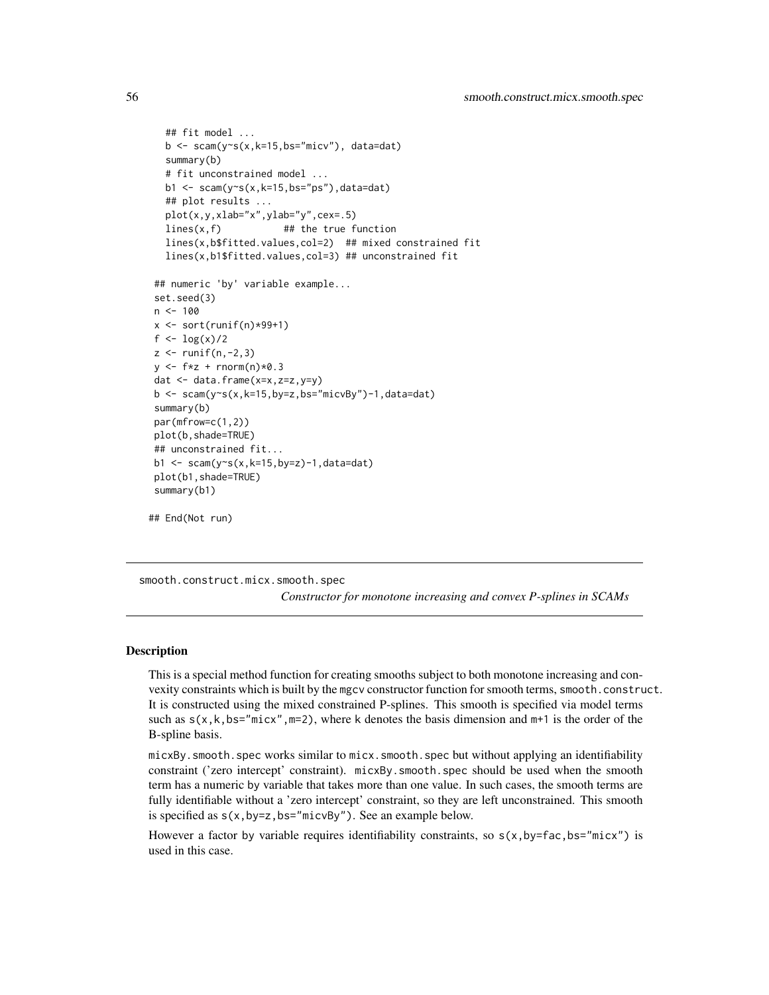```
## fit model ...
  b \leq scam(y~s(x,k=15,bs="micv"), data=dat)
  summary(b)
  # fit unconstrained model ...
  b1 \leq scam(y\leq(x, k=15, bs="ps"), data=dat)
  ## plot results ...
  plot(x,y,xlab="x",ylab="y",cex=.5)
  lines(x, f) ## the true function
  lines(x,b$fitted.values,col=2) ## mixed constrained fit
  lines(x,b1$fitted.values,col=3) ## unconstrained fit
## numeric 'by' variable example...
set.seed(3)
n < -100x \leftarrow sort(runif(n)*99+1)f <- log(x)/2
z <- runif(n,-2,3)
y \leftarrow f * z + \text{norm}(n) * 0.3dat <- data.frame(x=x,z=z,y=y)
b \leq scam(y~s(x,k=15,by=z,bs="micvBy")-1,data=dat)
summary(b)
par(mfrow=c(1,2))
plot(b,shade=TRUE)
## unconstrained fit...
b1 \le scam(y\le(x, k=15, by=z)-1, data=dat)
plot(b1,shade=TRUE)
summary(b1)
```
## End(Not run)

<span id="page-55-0"></span>smooth.construct.micx.smooth.spec *Constructor for monotone increasing and convex P-splines in SCAMs*

## **Description**

This is a special method function for creating smooths subject to both monotone increasing and convexity constraints which is built by the mgcv constructor function for smooth terms, smooth.construct. It is constructed using the mixed constrained P-splines. This smooth is specified via model terms such as  $s(x, k, bs="mix", m=2)$ , where k denotes the basis dimension and  $m+1$  is the order of the B-spline basis.

micxBy.smooth.spec works similar to micx.smooth.spec but without applying an identifiability constraint ('zero intercept' constraint). micxBy.smooth.spec should be used when the smooth term has a numeric by variable that takes more than one value. In such cases, the smooth terms are fully identifiable without a 'zero intercept' constraint, so they are left unconstrained. This smooth is specified as  $s(x,by=z,bs="microBy")$ . See an example below.

However a factor by variable requires identifiability constraints, so  $s(x, by=fac, bs="micx")$  is used in this case.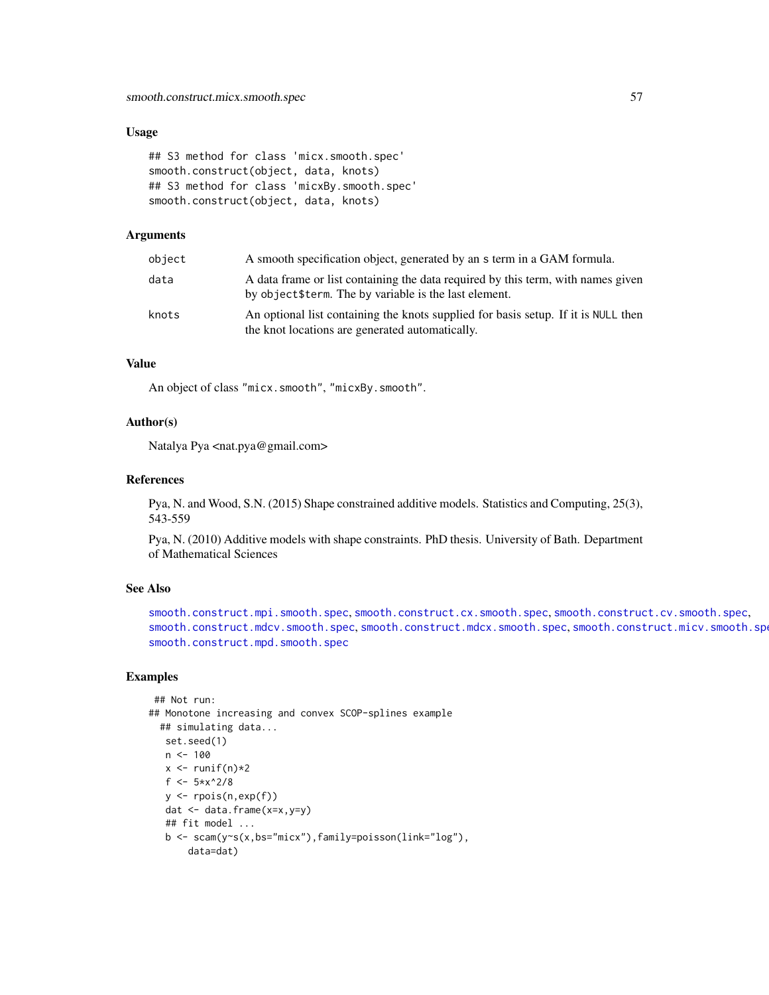### Usage

```
## S3 method for class 'micx.smooth.spec'
smooth.construct(object, data, knots)
## S3 method for class 'micxBy.smooth.spec'
smooth.construct(object, data, knots)
```
### Arguments

| object | A smooth specification object, generated by an s term in a GAM formula.                                                                    |
|--------|--------------------------------------------------------------------------------------------------------------------------------------------|
| data   | A data frame or list containing the data required by this term, with names given<br>by object \$term. The by variable is the last element. |
| knots  | An optional list containing the knots supplied for basis setup. If it is NULL then<br>the knot locations are generated automatically.      |

### Value

An object of class "micx.smooth", "micxBy.smooth".

## Author(s)

Natalya Pya <nat.pya@gmail.com>

#### References

Pya, N. and Wood, S.N. (2015) Shape constrained additive models. Statistics and Computing, 25(3), 543-559

Pya, N. (2010) Additive models with shape constraints. PhD thesis. University of Bath. Department of Mathematical Sciences

## See Also

```
smooth.construct.mpi.smooth.spec, smooth.construct.cx.smooth.spec, smooth.construct.cv.smooth.spec,
smooth.construct.mdcv.smooth.spec, smooth.construct.mdcx.smooth.spec, smooth.construct.micv.smooth.spec,
smooth.construct.mpd.smooth.spec
```

```
## Not run:
## Monotone increasing and convex SCOP-splines example
  ## simulating data...
  set.seed(1)
  n < -100x \leftarrow runif(n)*2f <- 5*x^2/8
   y \leftarrow \text{rpois}(n, \exp(f))dat <- data.frame(x=x,y=y)
   ## fit model ...
   b <- scam(y~s(x,bs="micx"),family=poisson(link="log"),
       data=dat)
```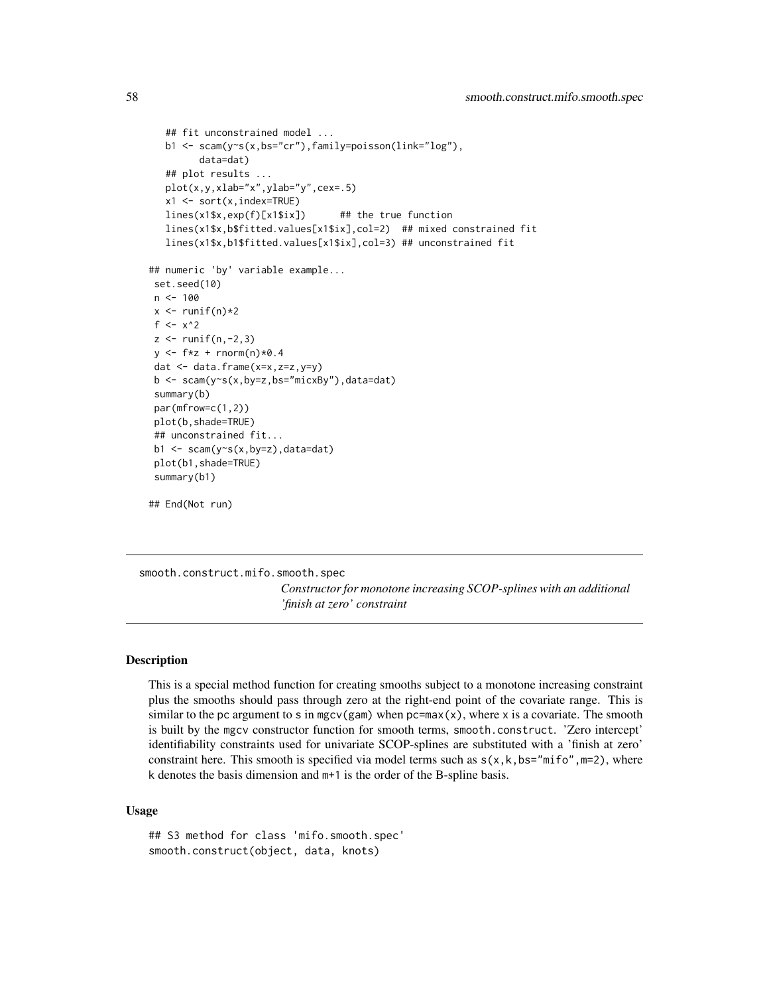```
## fit unconstrained model ...
  b1 <- scam(y~s(x,bs="cr"),family=poisson(link="log"),
         data=dat)
   ## plot results ...
  plot(x,y,xlab="x",ylab="y",cex=.5)
  x1 \leftarrow sort(x,index=True)lines(x1$x,exp(f)[x1$ix]) ## the true function
  lines(x1$x,b$fitted.values[x1$ix],col=2) ## mixed constrained fit
  lines(x1$x,b1$fitted.values[x1$ix],col=3) ## unconstrained fit
## numeric 'by' variable example...
set.seed(10)
n < -100x \leftarrow runif(n)*2f \leftarrow x^2z \le runif(n,-2,3)
y \leftarrow f * z + \text{norm}(n) * 0.4dat <- data.frame(x=x,z=z,y=y)
b <- scam(y~s(x,by=z,bs="micxBy"),data=dat)
summary(b)
par(mfrow=c(1,2))
plot(b,shade=TRUE)
## unconstrained fit...
b1 <- scam(y~s(x,by=z),data=dat)
plot(b1,shade=TRUE)
summary(b1)
```
## End(Not run)

<span id="page-57-0"></span>smooth.construct.mifo.smooth.spec

*Constructor for monotone increasing SCOP-splines with an additional 'finish at zero' constraint*

### Description

This is a special method function for creating smooths subject to a monotone increasing constraint plus the smooths should pass through zero at the right-end point of the covariate range. This is similar to the pc argument to s in mgcv(gam) when  $pc = max(x)$ , where x is a covariate. The smooth is built by the mgcv constructor function for smooth terms, smooth.construct. 'Zero intercept' identifiability constraints used for univariate SCOP-splines are substituted with a 'finish at zero' constraint here. This smooth is specified via model terms such as  $s(x, k, bs="mif_0", m=2)$ , where k denotes the basis dimension and m+1 is the order of the B-spline basis.

## Usage

```
## S3 method for class 'mifo.smooth.spec'
smooth.construct(object, data, knots)
```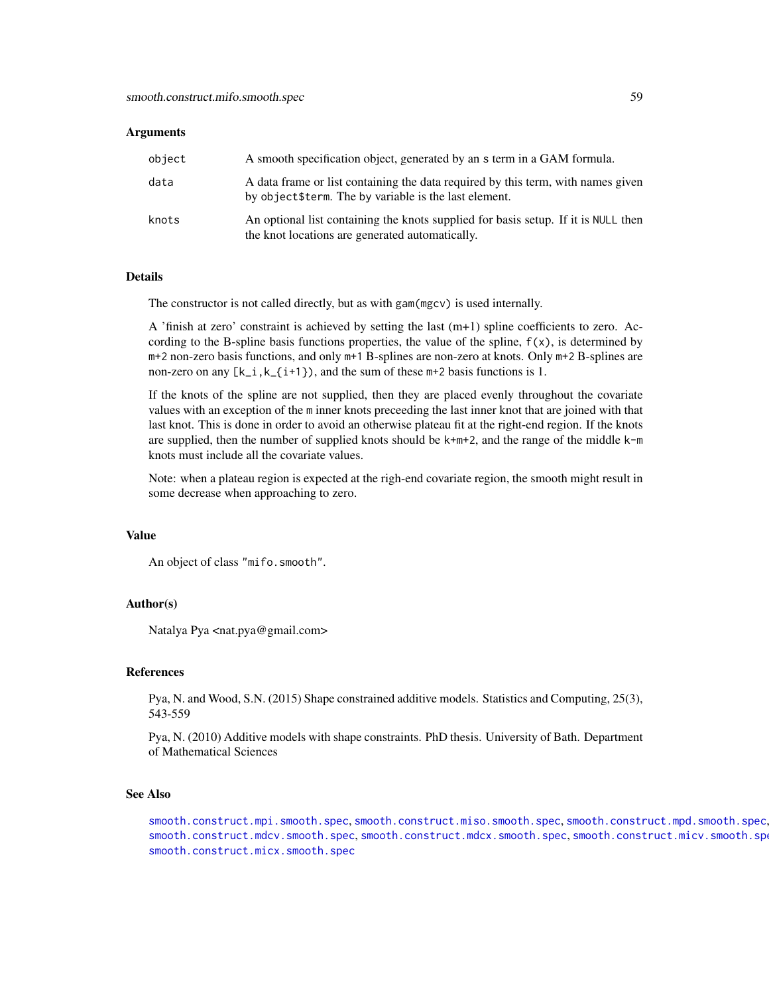#### Arguments

| object | A smooth specification object, generated by an s term in a GAM formula.                                                                    |
|--------|--------------------------------------------------------------------------------------------------------------------------------------------|
| data   | A data frame or list containing the data required by this term, with names given<br>by object \$term. The by variable is the last element. |
| knots  | An optional list containing the knots supplied for basis setup. If it is NULL then<br>the knot locations are generated automatically.      |

## Details

The constructor is not called directly, but as with gam(mgcv) is used internally.

A 'finish at zero' constraint is achieved by setting the last (m+1) spline coefficients to zero. According to the B-spline basis functions properties, the value of the spline,  $f(x)$ , is determined by m+2 non-zero basis functions, and only m+1 B-splines are non-zero at knots. Only m+2 B-splines are non-zero on any  $[k_i, k_{i+1})$ , and the sum of these  $m+2$  basis functions is 1.

If the knots of the spline are not supplied, then they are placed evenly throughout the covariate values with an exception of the m inner knots preceeding the last inner knot that are joined with that last knot. This is done in order to avoid an otherwise plateau fit at the right-end region. If the knots are supplied, then the number of supplied knots should be  $k+m+2$ , and the range of the middle  $k-m$ knots must include all the covariate values.

Note: when a plateau region is expected at the righ-end covariate region, the smooth might result in some decrease when approaching to zero.

### Value

An object of class "mifo.smooth".

#### Author(s)

Natalya Pya <nat.pya@gmail.com>

#### References

Pya, N. and Wood, S.N. (2015) Shape constrained additive models. Statistics and Computing, 25(3), 543-559

Pya, N. (2010) Additive models with shape constraints. PhD thesis. University of Bath. Department of Mathematical Sciences

### See Also

[smooth.construct.mpi.smooth.spec](#page-63-0), [smooth.construct.miso.smooth.spec](#page-59-0), [smooth.construct.mpd.smooth.spec](#page-61-0), [smooth.construct.mdcv.smooth.spec](#page-49-0), [smooth.construct.mdcx.smooth.spec](#page-51-0), [smooth.construct.micv.smooth.spec](#page-53-0), [smooth.construct.micx.smooth.spec](#page-55-0)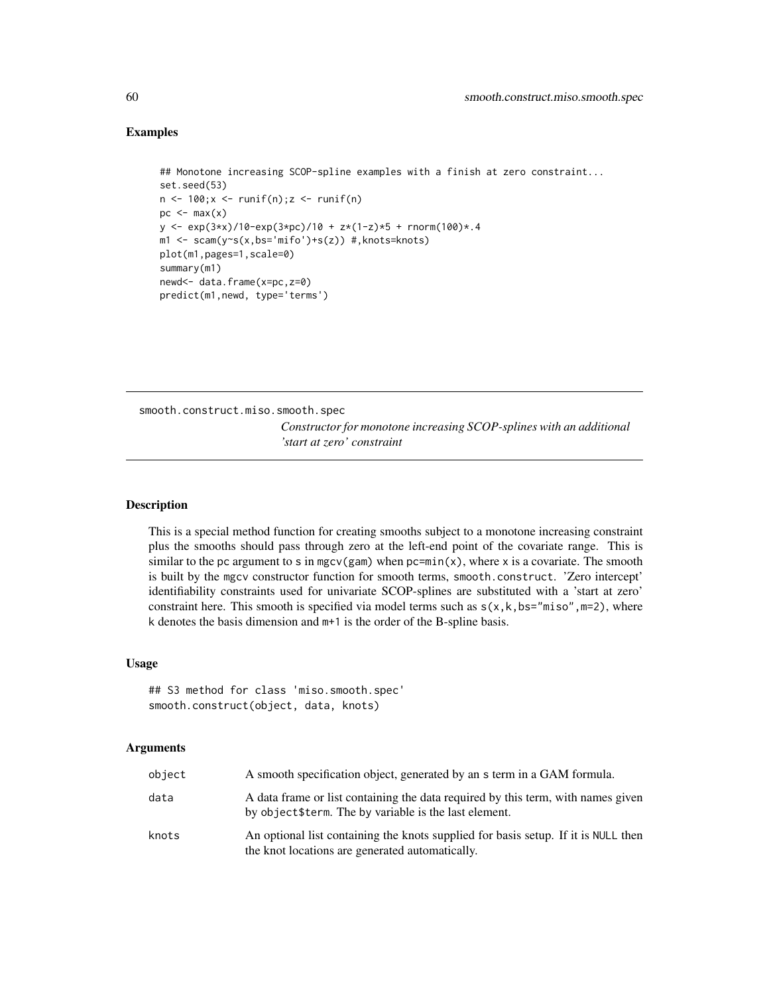## Examples

```
## Monotone increasing SCOP-spline examples with a finish at zero constraint...
set.seed(53)
n \leq 100; x \leq runif(n); z \leq runif(n)pc < - max(x)y \le - \exp(3*x)/10-\exp(3*pc)/10 + z*(1-z)*5 + \text{norm}(100)*.4m1 <- scam(y~s(x,bs='mifo')+s(z)) #,knots=knots)
plot(m1,pages=1,scale=0)
summary(m1)
newd<- data.frame(x=pc,z=0)
predict(m1,newd, type='terms')
```
<span id="page-59-0"></span>smooth.construct.miso.smooth.spec *Constructor for monotone increasing SCOP-splines with an additional 'start at zero' constraint*

## Description

This is a special method function for creating smooths subject to a monotone increasing constraint plus the smooths should pass through zero at the left-end point of the covariate range. This is similar to the pc argument to s in mgcv(gam) when  $pc = min(x)$ , where x is a covariate. The smooth is built by the mgcv constructor function for smooth terms, smooth.construct. 'Zero intercept' identifiability constraints used for univariate SCOP-splines are substituted with a 'start at zero' constraint here. This smooth is specified via model terms such as  $s(x, k, bs="miso", m=2)$ , where k denotes the basis dimension and m+1 is the order of the B-spline basis.

## Usage

```
## S3 method for class 'miso.smooth.spec'
smooth.construct(object, data, knots)
```
## Arguments

| object | A smooth specification object, generated by an s term in a GAM formula.                                                                    |
|--------|--------------------------------------------------------------------------------------------------------------------------------------------|
| data   | A data frame or list containing the data required by this term, with names given<br>by object \$term. The by variable is the last element. |
| knots  | An optional list containing the knots supplied for basis setup. If it is NULL then<br>the knot locations are generated automatically.      |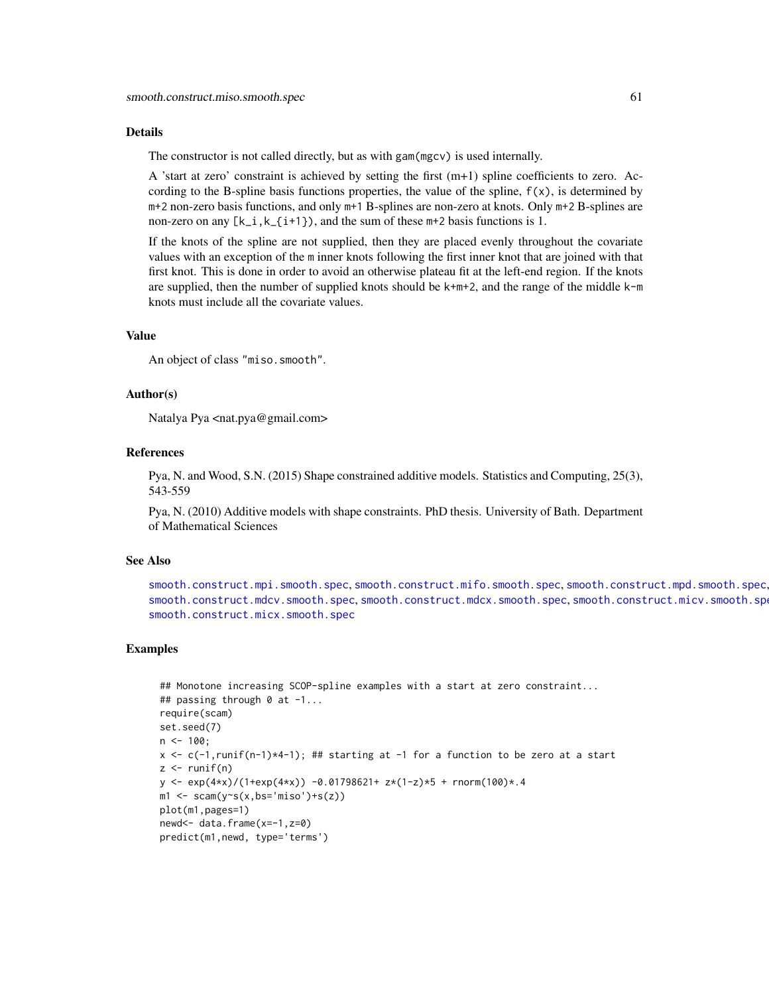#### Details

The constructor is not called directly, but as with gam(mgcv) is used internally.

A 'start at zero' constraint is achieved by setting the first  $(m+1)$  spline coefficients to zero. According to the B-spline basis functions properties, the value of the spline,  $f(x)$ , is determined by m+2 non-zero basis functions, and only m+1 B-splines are non-zero at knots. Only m+2 B-splines are non-zero on any  $[k_i, k_{i+1})$ , and the sum of these  $m+2$  basis functions is 1.

If the knots of the spline are not supplied, then they are placed evenly throughout the covariate values with an exception of the m inner knots following the first inner knot that are joined with that first knot. This is done in order to avoid an otherwise plateau fit at the left-end region. If the knots are supplied, then the number of supplied knots should be  $k+m+2$ , and the range of the middle  $k-m$ knots must include all the covariate values.

#### Value

An object of class "miso.smooth".

### Author(s)

Natalya Pya <nat.pya@gmail.com>

#### References

Pya, N. and Wood, S.N. (2015) Shape constrained additive models. Statistics and Computing, 25(3), 543-559

Pya, N. (2010) Additive models with shape constraints. PhD thesis. University of Bath. Department of Mathematical Sciences

#### See Also

[smooth.construct.mpi.smooth.spec](#page-63-0), [smooth.construct.mifo.smooth.spec](#page-57-0), [smooth.construct.mpd.smooth.spec](#page-61-0), [smooth.construct.mdcv.smooth.spec](#page-49-0), [smooth.construct.mdcx.smooth.spec](#page-51-0), [smooth.construct.micv.smooth.spec](#page-53-0), [smooth.construct.micx.smooth.spec](#page-55-0)

```
## Monotone increasing SCOP-spline examples with a start at zero constraint...
## passing through 0 at -1...
require(scam)
set.seed(7)
n \le -100;
x \leftarrow c(-1, runif(n-1)*4-1); ## starting at -1 for a function to be zero at a start
z \le- runif(n)
y \leq - \exp(4+x) / (1+\exp(4+x)) - 0.01798621 + z * (1-z) * 5 + \text{norm}(100) * .4m1 \leq -scam(y\text{~}(x,bs='miso') + s(z))plot(m1,pages=1)
newd<- data.frame(x=-1,z=0)
predict(m1,newd, type='terms')
```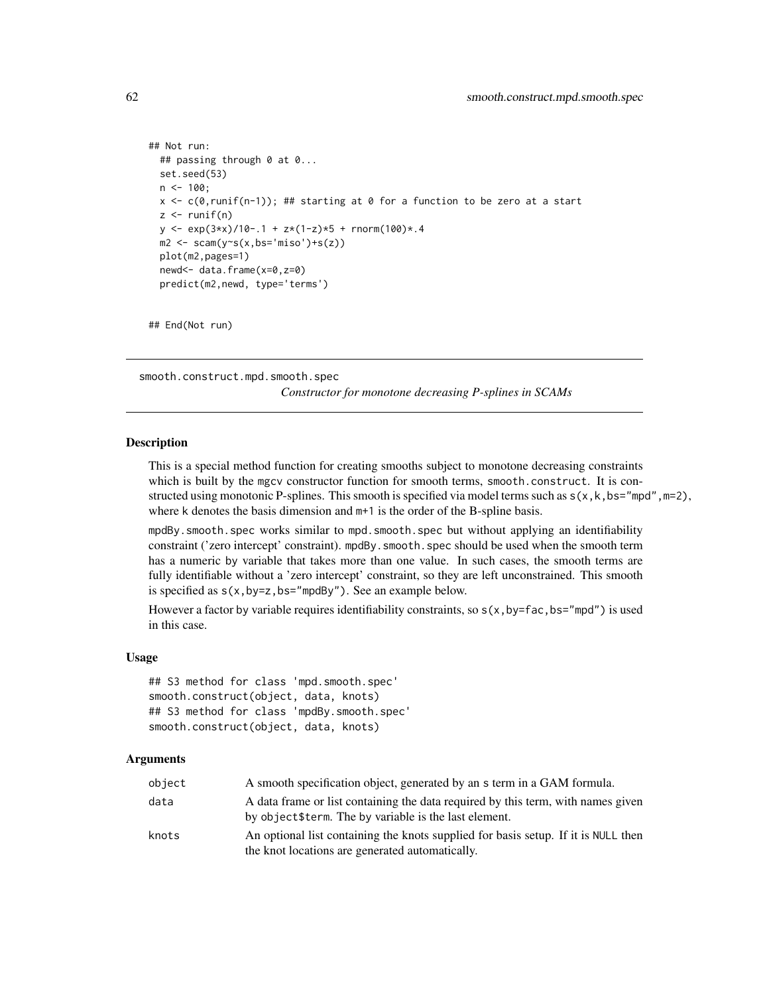```
## Not run:
 ## passing through 0 at 0...
 set.seed(53)
 n < -100;x \leftarrow c(\emptyset, runif(n-1)); ## starting at \emptyset for a function to be zero at a start
 z \leftarrow runif(n)y \le - \exp(3*x)/10-.1 + z*(1-z)*5 + \text{norm}(100)*.4m2 \leq -scam(y\text{~}(x,bs='miso') + s(z))plot(m2,pages=1)
 newd<- data.frame(x=0,z=0)
 predict(m2,newd, type='terms')
```
## End(Not run)

<span id="page-61-0"></span>smooth.construct.mpd.smooth.spec

*Constructor for monotone decreasing P-splines in SCAMs*

### Description

This is a special method function for creating smooths subject to monotone decreasing constraints which is built by the mgcv constructor function for smooth terms, smooth.construct. It is constructed using monotonic P-splines. This smooth is specified via model terms such as  $s(x, k, bs="mpd", m=2)$ , where k denotes the basis dimension and  $m+1$  is the order of the B-spline basis.

mpdBy.smooth.spec works similar to mpd.smooth.spec but without applying an identifiability constraint ('zero intercept' constraint). mpdBy.smooth.spec should be used when the smooth term has a numeric by variable that takes more than one value. In such cases, the smooth terms are fully identifiable without a 'zero intercept' constraint, so they are left unconstrained. This smooth is specified as  $s(x,by=z,bs="mpdBy")$ . See an example below.

However a factor by variable requires identifiability constraints, so  $s(x, by=fac, bs="mpd")$  is used in this case.

#### Usage

```
## S3 method for class 'mpd.smooth.spec'
smooth.construct(object, data, knots)
## S3 method for class 'mpdBy.smooth.spec'
smooth.construct(object, data, knots)
```
#### Arguments

| object | A smooth specification object, generated by an s term in a GAM formula.                                                                    |
|--------|--------------------------------------------------------------------------------------------------------------------------------------------|
| data   | A data frame or list containing the data required by this term, with names given<br>by object \$term. The by variable is the last element. |
| knots  | An optional list containing the knots supplied for basis setup. If it is NULL then<br>the knot locations are generated automatically.      |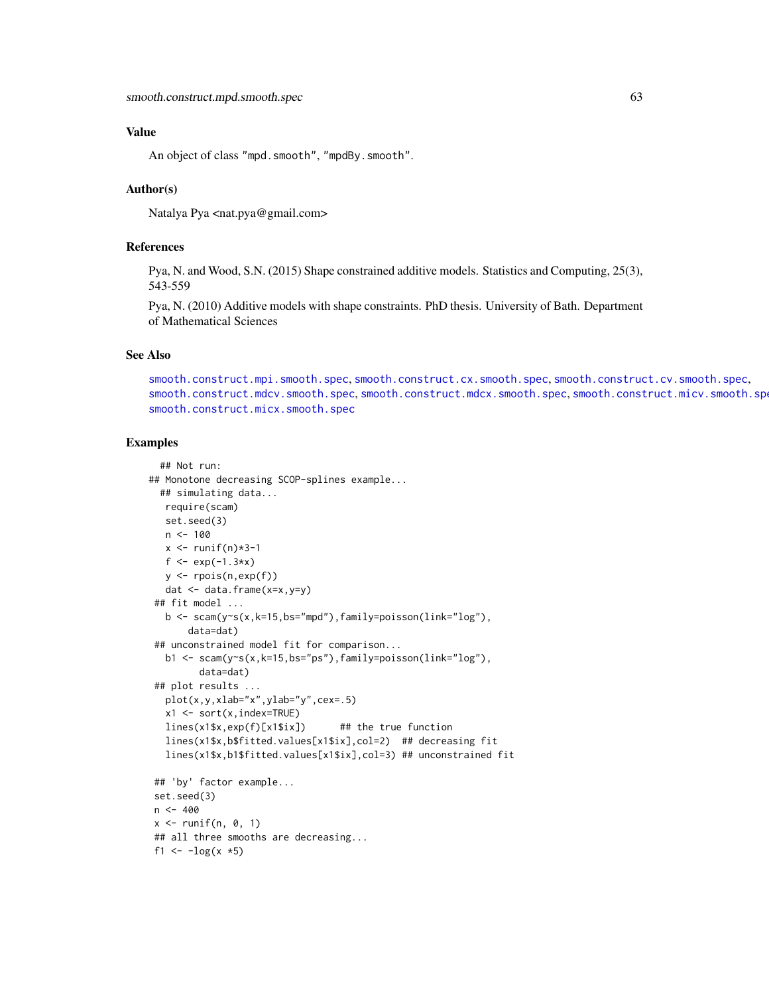## Value

An object of class "mpd.smooth", "mpdBy.smooth".

### Author(s)

Natalya Pya <nat.pya@gmail.com>

# References

Pya, N. and Wood, S.N. (2015) Shape constrained additive models. Statistics and Computing, 25(3), 543-559

Pya, N. (2010) Additive models with shape constraints. PhD thesis. University of Bath. Department of Mathematical Sciences

#### See Also

[smooth.construct.mpi.smooth.spec](#page-63-0), [smooth.construct.cx.smooth.spec](#page-47-0), [smooth.construct.cv.smooth.spec](#page-44-0), [smooth.construct.mdcv.smooth.spec](#page-49-0), [smooth.construct.mdcx.smooth.spec](#page-51-0), [smooth.construct.micv.smooth.spec](#page-53-0), [smooth.construct.micx.smooth.spec](#page-55-0)

```
## Not run:
## Monotone decreasing SCOP-splines example...
 ## simulating data...
  require(scam)
  set.seed(3)
  n < -100x \leftarrow runif(n)*3-1f \leftarrow \exp(-1.3*x)y <- rpois(n,exp(f))
  dat <- data.frame(x=x,y=y)
 ## fit model ...
   b \leq scam(y~s(x,k=15,bs="mpd"),family=poisson(link="log"),
       data=dat)
 ## unconstrained model fit for comparison...
  b1 <- scam(y~s(x,k=15,bs="ps"),family=poisson(link="log"),
         data=dat)
 ## plot results ...
   plot(x,y,xlab="x",ylab="y",cex=.5)
   x1 \le -\text{sort}(x, \text{index} = \text{TRUE})lines(x1$x,exp(f)[x1$ix]) ## the true function
   lines(x1$x,b$fitted.values[x1$ix],col=2) ## decreasing fit
   lines(x1$x,b1$fitted.values[x1$ix],col=3) ## unconstrained fit
 ## 'by' factor example...
 set.seed(3)
n < -400x \le runif(n, 0, 1)
## all three smooths are decreasing...
f1 <- -log(x * 5)
```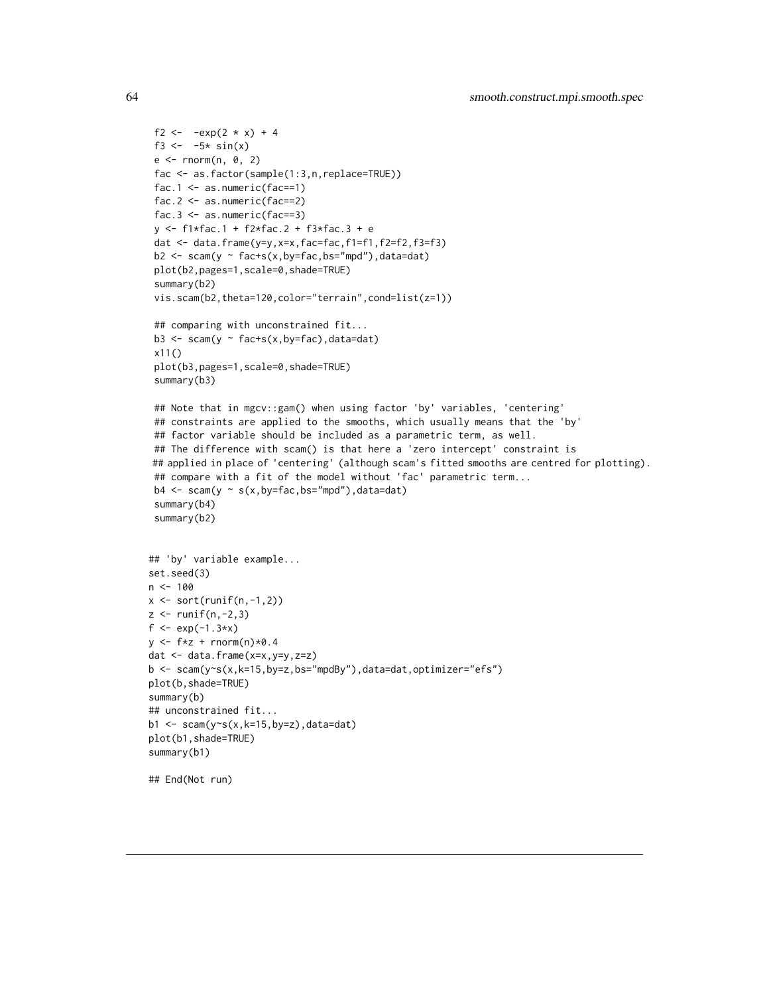```
f2 <- -exp(2 * x) + 4f3 <- -5* sin(x)e \leq -rnorm(n, 0, 2)fac <- as.factor(sample(1:3,n,replace=TRUE))
 fac.1 \leq as.numeric(fac==1)
 fac.2 \leq as.numeric(fac==2)
 fac.3 \leq -as.numeric(fac==3)y <- f1*fac.1 + f2*fac.2 + f3*fac.3 + e
 dat <- data.frame(y=y,x=x,fac=fac,f1=f1,f2=f2,f3=f3)
 b2 \leq scam(y \sim fac+s(x,by=fac,bs="mpd"),data=dat)
 plot(b2,pages=1,scale=0,shade=TRUE)
 summary(b2)
 vis.scam(b2,theta=120,color="terrain",cond=list(z=1))
 ## comparing with unconstrained fit...
 b3 <- scam(y ~ fac+s(x,by=fac),data=dat)
 x11()
 plot(b3,pages=1,scale=0,shade=TRUE)
 summary(b3)
 ## Note that in mgcv::gam() when using factor 'by' variables, 'centering'
 ## constraints are applied to the smooths, which usually means that the 'by'
 ## factor variable should be included as a parametric term, as well.
 ## The difference with scam() is that here a 'zero intercept' constraint is
## applied in place of 'centering' (although scam's fitted smooths are centred for plotting).
 ## compare with a fit of the model without 'fac' parametric term...
 b4 \leftarrow \text{scam}(y \sim s(x, by = fac, bs = "mpd"), data = dat)summary(b4)
 summary(b2)
## 'by' variable example...
set.seed(3)
n < -100x \leftarrow sort(runif(n,-1,2))z < - runif(n, -2, 3)
f \leq - \exp(-1.3*x)y \leftarrow f * z + \text{norm}(n) * 0.4dat <- data.frame(x=x,y=y,z=z)
b <- scam(y~s(x,k=15,by=z,bs="mpdBy"),data=dat,optimizer="efs")
plot(b,shade=TRUE)
summary(b)
## unconstrained fit...
b1 <- scam(y \sim s(x, k=15, by=z), data=dat)
plot(b1,shade=TRUE)
summary(b1)
## End(Not run)
```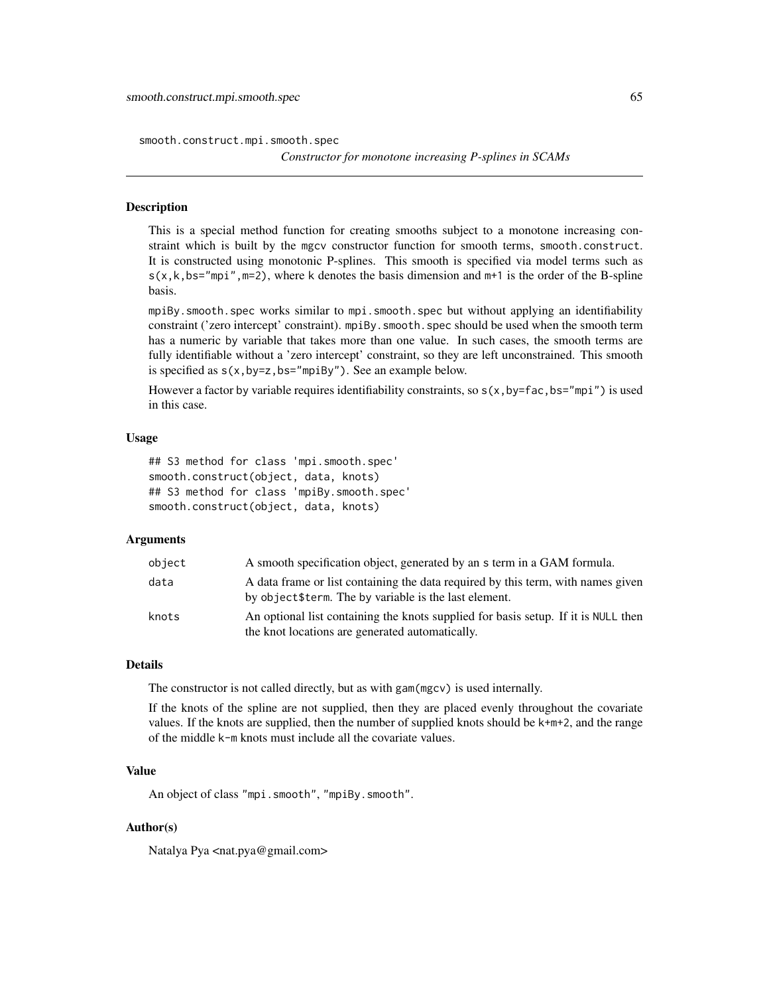smooth.construct.mpi.smooth.spec

## Description

This is a special method function for creating smooths subject to a monotone increasing constraint which is built by the mgcv constructor function for smooth terms, smooth.construct. It is constructed using monotonic P-splines. This smooth is specified via model terms such as  $s(x, k, bs="mpi", m=2)$ , where k denotes the basis dimension and  $m+1$  is the order of the B-spline basis.

mpiBy.smooth.spec works similar to mpi.smooth.spec but without applying an identifiability constraint ('zero intercept' constraint). mpiBy.smooth.spec should be used when the smooth term has a numeric by variable that takes more than one value. In such cases, the smooth terms are fully identifiable without a 'zero intercept' constraint, so they are left unconstrained. This smooth is specified as  $s(x, by=z, bs="mpiBy")$ . See an example below.

However a factor by variable requires identifiability constraints, so  $s(x, by=fac, bs="mpi")$  is used in this case.

### Usage

```
## S3 method for class 'mpi.smooth.spec'
smooth.construct(object, data, knots)
## S3 method for class 'mpiBy.smooth.spec'
smooth.construct(object, data, knots)
```
## Arguments

| object | A smooth specification object, generated by an s term in a GAM formula.                                                                    |
|--------|--------------------------------------------------------------------------------------------------------------------------------------------|
| data   | A data frame or list containing the data required by this term, with names given<br>by object \$term. The by variable is the last element. |
| knots  | An optional list containing the knots supplied for basis setup. If it is NULL then<br>the knot locations are generated automatically.      |

## Details

The constructor is not called directly, but as with gam(mgcv) is used internally.

If the knots of the spline are not supplied, then they are placed evenly throughout the covariate values. If the knots are supplied, then the number of supplied knots should be k+m+2, and the range of the middle k-m knots must include all the covariate values.

# Value

An object of class "mpi.smooth", "mpiBy.smooth".

## Author(s)

Natalya Pya <nat.pya@gmail.com>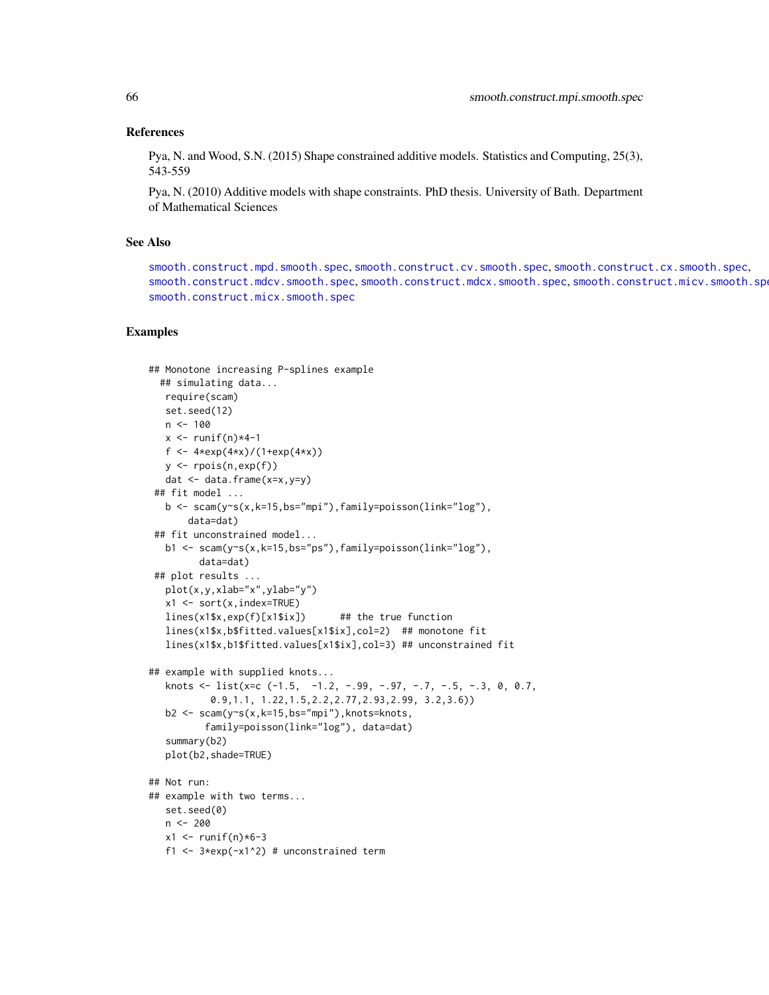### References

Pya, N. and Wood, S.N. (2015) Shape constrained additive models. Statistics and Computing, 25(3), 543-559

Pya, N. (2010) Additive models with shape constraints. PhD thesis. University of Bath. Department of Mathematical Sciences

# See Also

[smooth.construct.mpd.smooth.spec](#page-61-0), [smooth.construct.cv.smooth.spec](#page-44-0), [smooth.construct.cx.smooth.spec](#page-47-0), [smooth.construct.mdcv.smooth.spec](#page-49-0), [smooth.construct.mdcx.smooth.spec](#page-51-0), [smooth.construct.micv.smooth.spec](#page-53-0), [smooth.construct.micx.smooth.spec](#page-55-0)

```
## Monotone increasing P-splines example
 ## simulating data...
  require(scam)
  set.seed(12)
  n < -100x \le- runif(n)*4-1
  f <- 4*exp(4*x)/(1+exp(4*x))
  y \leftarrow \text{rpois}(n, \exp(f))dat <- data.frame(x=x,y=y)
 ## fit model ...
  b \leq scam(y~s(x,k=15,bs="mpi"),family=poisson(link="log"),
       data=dat)
 ## fit unconstrained model...
  b1 <- scam(y~s(x,k=15,bs="ps"),family=poisson(link="log"),
         data=dat)
 ## plot results ...
  plot(x,y,xlab="x",ylab="y")
  x1 <- sort(x,index=TRUE)
  lines(x1$x,exp(f)[x1$ix]) ## the true function
  lines(x1$x,b$fitted.values[x1$ix],col=2) ## monotone fit
  lines(x1$x,b1$fitted.values[x1$ix],col=3) ## unconstrained fit
## example with supplied knots...
  knots \le list(x=c (-1.5, -1.2, -.99, -.97, -.7, -.5, -.3, 0, 0.7,
           0.9,1.1, 1.22,1.5,2.2,2.77,2.93,2.99, 3.2,3.6))
  b2 \leq -\text{scam}(y \sim s(x, k=15, bs="mpi''),knots=knots,
          family=poisson(link="log"), data=dat)
   summary(b2)
  plot(b2,shade=TRUE)
## Not run:
## example with two terms...
  set.seed(0)
  n <- 200
  x1 < - runif(n)*6-3
  f1 <- 3*exp(-x1^2) # unconstrained term
```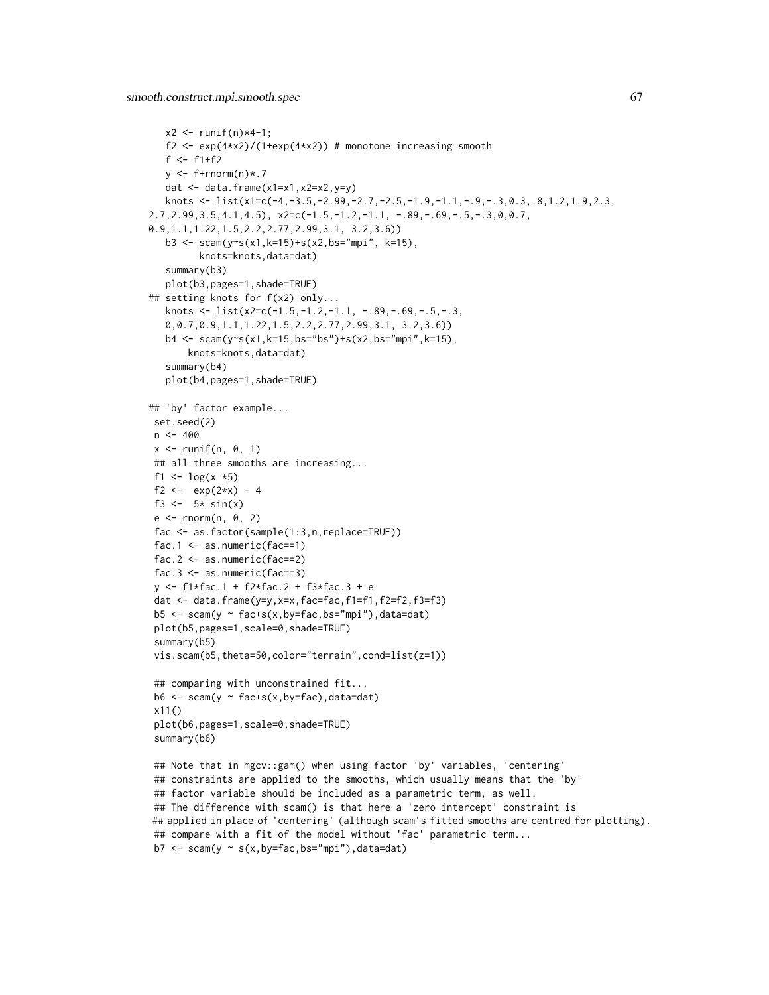```
x2 < - runif(n) *4-1;
   f2 <- exp(4*x2)/(1+exp(4*x2)) # monotone increasing smooth
   f \leftarrow f1+f2y \leftarrow f+|r|norm(n)*.7dat \leq data.frame(x1=x1,x2=x2,y=y)
  knots \leq list(x1=c(-4,-3.5,-2.99,-2.7,-2.5,-1.9,-1.1,-.9,-.3,0.3,.8,1.2,1.9,2.3,
2.7, 2.99, 3.5, 4.1, 4.5, x2=c(-1.5, -1.2, -1.1, -.89, -.69, -.5, -.3, 0, 0.7,0.9,1.1,1.22,1.5,2.2,2.77,2.99,3.1, 3.2,3.6))
  b3 <- scam(y~s(x1,k=15)+s(x2,bs="mpi", k=15),
         knots=knots,data=dat)
   summary(b3)
  plot(b3,pages=1,shade=TRUE)
## setting knots for f(x2) only...
  knots \le list(x2=c(-1.5,-1.2,-1.1, -.89,-.69,-.5,-.3,
   0,0.7,0.9,1.1,1.22,1.5,2.2,2.77,2.99,3.1, 3.2,3.6))
  b4 <- scam(y~s(x1,k=15,bs="bs")+s(x2,bs="mpi",k=15),
       knots=knots,data=dat)
   summary(b4)
  plot(b4,pages=1,shade=TRUE)
## 'by' factor example...
set.seed(2)
n < -400x \leftarrow runif(n, 0, 1)## all three smooths are increasing...
 f1 <- \log(x * 5)f2 <- exp(2*x) - 4f3 <-5* sin(x)e \leq rnorm(n, 0, 2)fac <- as.factor(sample(1:3,n,replace=TRUE))
 fac.1 \leq as.numeric(fac==1)
fac.2 \leq as.numeric(fac==2)
fac.3 \leq -as.numeric(fac==3)y <- f1*fac.1 + f2*fac.2 + f3*fac.3 + e
dat <- data.frame(y=y,x=x,fac=fac,f1=f1,f2=f2,f3=f3)
 b5 \leq scam(y \sim fac+s(x,by=fac,bs="mpi"),data=dat)
plot(b5,pages=1,scale=0,shade=TRUE)
 summary(b5)
 vis.scam(b5,theta=50,color="terrain",cond=list(z=1))
 ## comparing with unconstrained fit...
b6 <- scam(y ~ fac+s(x,by=fac),data=dat)
x11()
plot(b6,pages=1,scale=0,shade=TRUE)
summary(b6)
## Note that in mgcv::gam() when using factor 'by' variables, 'centering'
 ## constraints are applied to the smooths, which usually means that the 'by'
 ## factor variable should be included as a parametric term, as well.
 ## The difference with scam() is that here a 'zero intercept' constraint is
## applied in place of 'centering' (although scam's fitted smooths are centred for plotting).
 ## compare with a fit of the model without 'fac' parametric term...
 b7 \leq scam(y \sim s(x, by=fac, bs="mpi"), data=dat)
```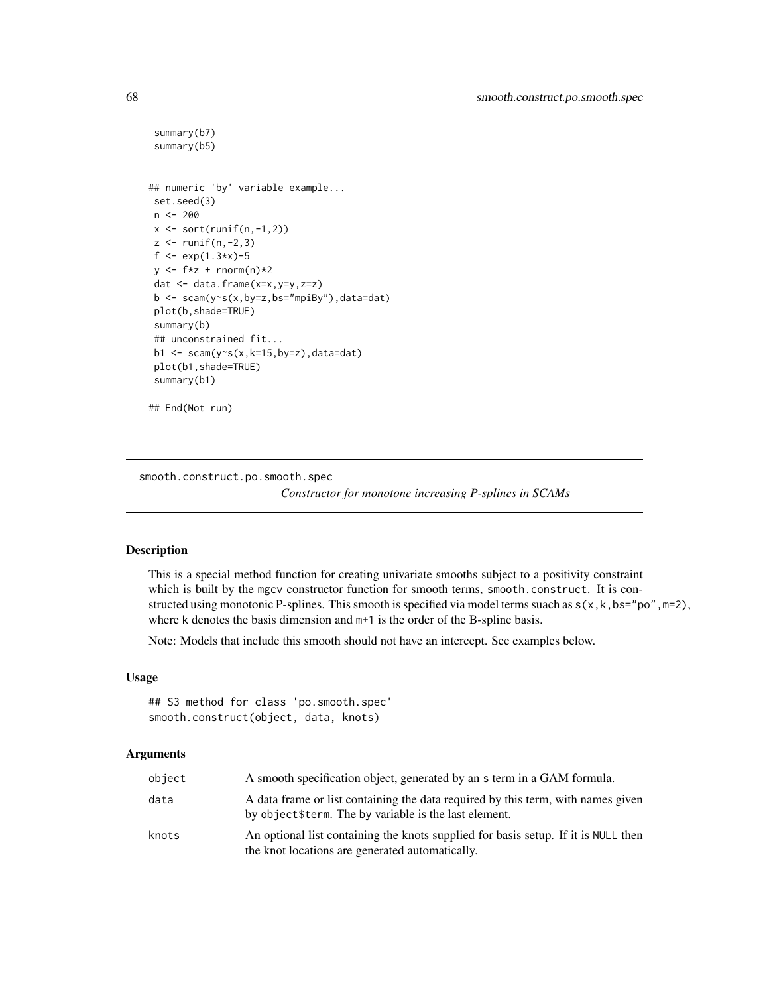```
summary(b7)
summary(b5)
## numeric 'by' variable example...
set.seed(3)
n <- 200
x \leftarrow sort(runif(n,-1,2))z < - runif(n, -2, 3)
f <- exp(1.3*x)-5
y \leftarrow f * z + \text{norm}(n) * 2dat <- data.frame(x=x,y=y,z=z)
b \leq scam(y\leq(x,by=z,bs="mpiBy"),data=dat)
plot(b,shade=TRUE)
summary(b)
## unconstrained fit...
b1 <- scam(y~s(x,k=15,by=z),data=dat)
plot(b1,shade=TRUE)
summary(b1)
## End(Not run)
```
smooth.construct.po.smooth.spec

*Constructor for monotone increasing P-splines in SCAMs*

### Description

This is a special method function for creating univariate smooths subject to a positivity constraint which is built by the mgcv constructor function for smooth terms, smooth.construct. It is constructed using monotonic P-splines. This smooth is specified via model terms suach as  $s(x, k, b s = "po", m=2)$ , where k denotes the basis dimension and  $m+1$  is the order of the B-spline basis.

Note: Models that include this smooth should not have an intercept. See examples below.

## Usage

```
## S3 method for class 'po.smooth.spec'
smooth.construct(object, data, knots)
```
## Arguments

| object | A smooth specification object, generated by an s term in a GAM formula.                                                                    |
|--------|--------------------------------------------------------------------------------------------------------------------------------------------|
| data   | A data frame or list containing the data required by this term, with names given<br>by object \$term. The by variable is the last element. |
| knots  | An optional list containing the knots supplied for basis setup. If it is NULL then<br>the knot locations are generated automatically.      |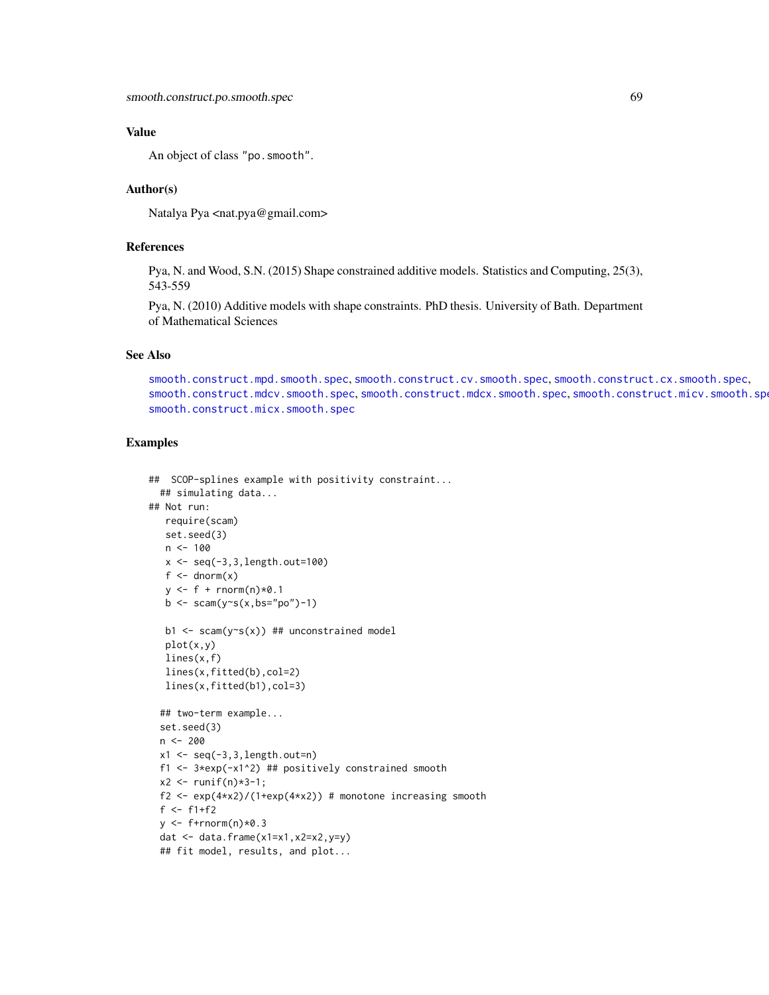## Value

An object of class "po.smooth".

## Author(s)

Natalya Pya <nat.pya@gmail.com>

# References

Pya, N. and Wood, S.N. (2015) Shape constrained additive models. Statistics and Computing, 25(3), 543-559

Pya, N. (2010) Additive models with shape constraints. PhD thesis. University of Bath. Department of Mathematical Sciences

## See Also

[smooth.construct.mpd.smooth.spec](#page-61-0), [smooth.construct.cv.smooth.spec](#page-44-0), [smooth.construct.cx.smooth.spec](#page-47-0), [smooth.construct.mdcv.smooth.spec](#page-49-0), [smooth.construct.mdcx.smooth.spec](#page-51-0), [smooth.construct.micv.smooth.spec](#page-53-0), [smooth.construct.micx.smooth.spec](#page-55-0)

```
## SCOP-splines example with positivity constraint...
  ## simulating data...
## Not run:
   require(scam)
   set.seed(3)
   n < -100x <- seq(-3,3,length.out=100)
   f \leftarrow \text{dnorm}(x)y \leftarrow f + \text{rnorm}(n) \times 0.1b \leq -\text{scam}(y \sim s(x, bs = "po") - 1)b1 \leq -\text{scam}(y \leq (x)) ## unconstrained model
   plot(x,y)
   lines(x,f)
   lines(x,fitted(b),col=2)
   lines(x,fitted(b1),col=3)
  ## two-term example...
  set.seed(3)
  n <- 200
  x1 \leftarrow \text{seq}(-3, 3, \text{length}.)f1 \leftarrow 3*exp(-x1^2) ## positively constrained smooth
  x2 \le runif(n) *3-1;
  f2 <- exp(4*x2)/(1+exp(4*x2)) # monotone increasing smooth
  f \leftarrow f1+f2y \leftarrow f+rnorm(n)*0.3dat \leq data.frame(x1=x1,x2=x2,y=y)
  ## fit model, results, and plot...
```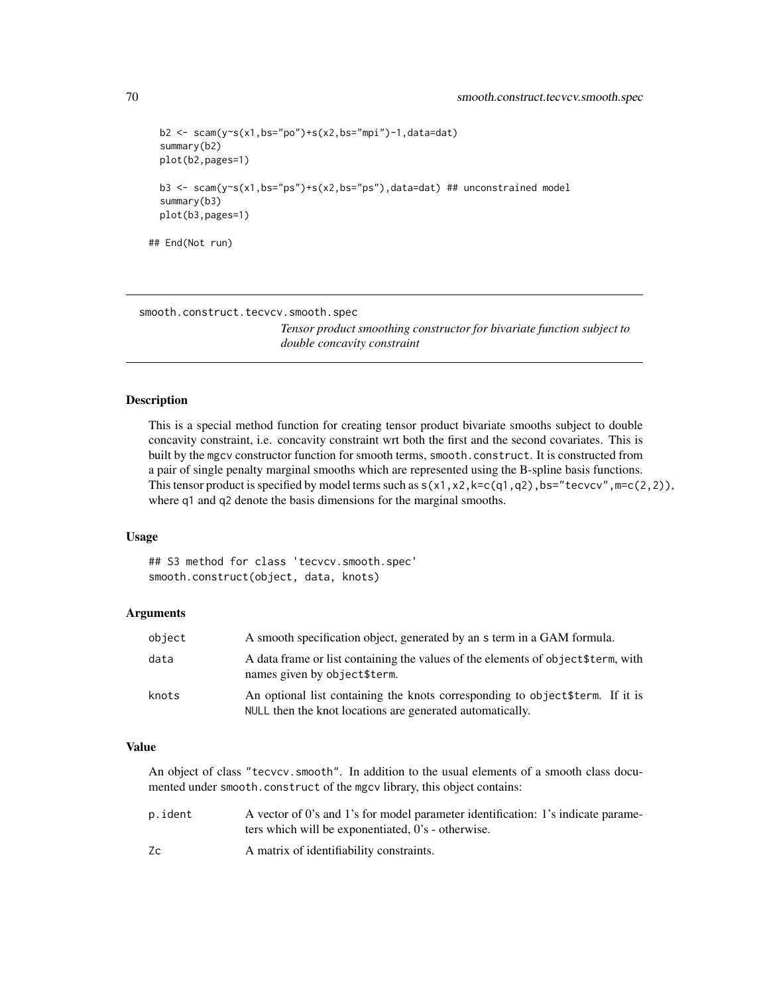```
b2 \leq scam(y~s(x1,bs="po")+s(x2,bs="mpi")-1,data=dat)
 summary(b2)
 plot(b2,pages=1)
 b3 <- scam(y~s(x1,bs="ps")+s(x2,bs="ps"),data=dat) ## unconstrained model
 summary(b3)
 plot(b3,pages=1)
## End(Not run)
```
smooth.construct.tecvcv.smooth.spec

*Tensor product smoothing constructor for bivariate function subject to double concavity constraint*

### Description

This is a special method function for creating tensor product bivariate smooths subject to double concavity constraint, i.e. concavity constraint wrt both the first and the second covariates. This is built by the mgcv constructor function for smooth terms, smooth.construct. It is constructed from a pair of single penalty marginal smooths which are represented using the B-spline basis functions. This tensor product is specified by model terms such as  $s(x1, x2, k=c(q1, q2), bs="tevcvcv", m=c(2,2)),$ where q1 and q2 denote the basis dimensions for the marginal smooths.

#### Usage

## S3 method for class 'tecvcv.smooth.spec' smooth.construct(object, data, knots)

## Arguments

| object | A smooth specification object, generated by an s term in a GAM formula.                                                                     |
|--------|---------------------------------------------------------------------------------------------------------------------------------------------|
| data   | A data frame or list containing the values of the elements of object \$term, with<br>names given by object\$term.                           |
| knots  | An optional list containing the knots corresponding to object \$term. If it is<br>NULL then the knot locations are generated automatically. |

#### Value

An object of class "tecvcv.smooth". In addition to the usual elements of a smooth class documented under smooth.construct of the mgcv library, this object contains:

| p.ident | A vector of 0's and 1's for model parameter identification: 1's indicate parame- |
|---------|----------------------------------------------------------------------------------|
|         | ters which will be exponentiated, 0's - otherwise.                               |
| Zc      | A matrix of identifiability constraints.                                         |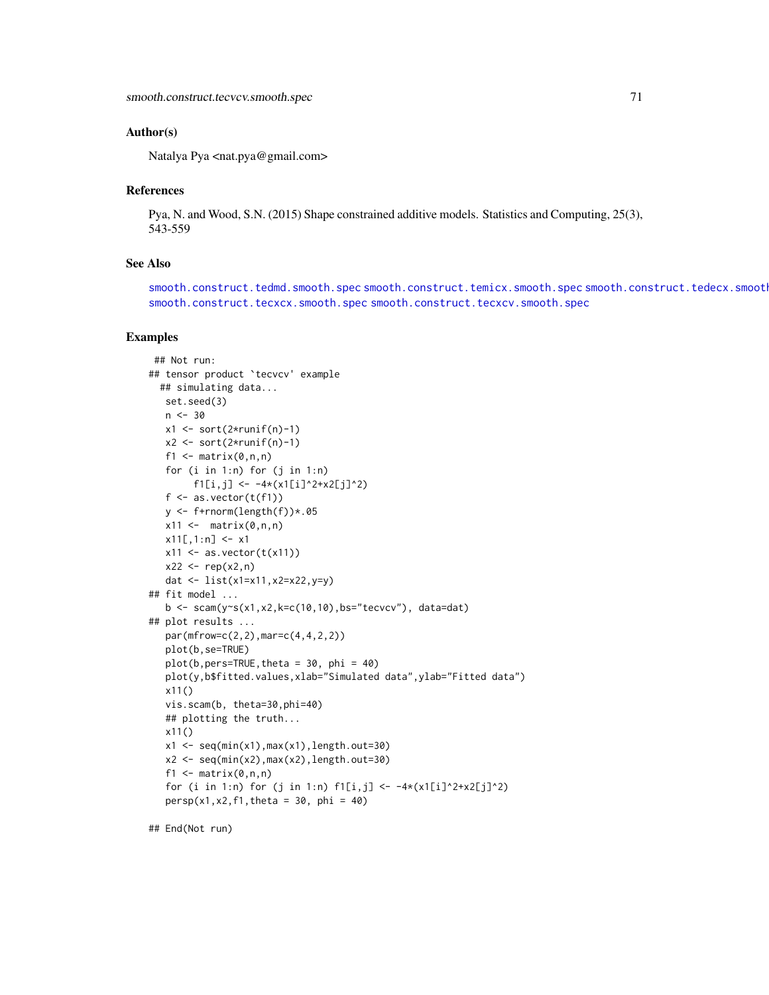### Author(s)

Natalya Pya <nat.pya@gmail.com>

#### **References**

Pya, N. and Wood, S.N. (2015) Shape constrained additive models. Statistics and Computing, 25(3), 543-559

## See Also

[smooth.construct.tedmd.smooth.spec](#page-78-0) [smooth.construct.temicx.smooth.spec](#page-83-0) smooth.construct.tedecx.smoot [smooth.construct.tecxcx.smooth.spec](#page-72-0) [smooth.construct.tecxcv.smooth.spec](#page-71-0)

#### Examples

```
## Not run:
## tensor product `tecvcv' example
  ## simulating data...
   set.seed(3)
   n < -30x1 \leftarrow sort(2*runif(n)-1)x2 \le sort(2*runif(n)-1)
   f1 \leq matrix(0,n,n)
   for (i in 1:n) for (j in 1:n)
         f1[i,j] <- -4*(x1[i]^2+x2[j]^2)
   f \leftarrow as-vector(t(f1))y <- f+rnorm(length(f))*.05
   x11 \leftarrow \text{matrix}(0, n, n)x11[,1:n] <- x1x11 \leftarrow as.vector(t(x11))x22 \le - rep(x2, n)
   dat <- list(x1=x11,x2=x22,y=y)
## fit model ...
   b \leq \text{scam}(y\text{-}s(x1,x2,k=c(10,10),bs='teccov")), data=dat)
## plot results ...
   par(mfrow=c(2,2),mar=c(4,4,2,2))
   plot(b,se=TRUE)
   plot(b,pers=TRUE,theta = 30, phi = 40)
   plot(y,b$fitted.values,xlab="Simulated data",ylab="Fitted data")
   x11()
   vis.scam(b, theta=30,phi=40)
   ## plotting the truth...
   x11()
   x1 \leftarrow \text{seq}(\text{min}(x1),\text{max}(x1),\text{length}.\text{out=30})x2 \leq -\text{seq}(\text{min}(x2),\text{max}(x2),\text{length.out}=30)f1 \leq matrix(0, n, n)for (i in 1:n) for (j in 1:n) f1[i,j] < -4*(x1[i]^{2}+x2[j]^{2})persp(x1, x2, f1, theta = 30, phi = 40)
```
## End(Not run)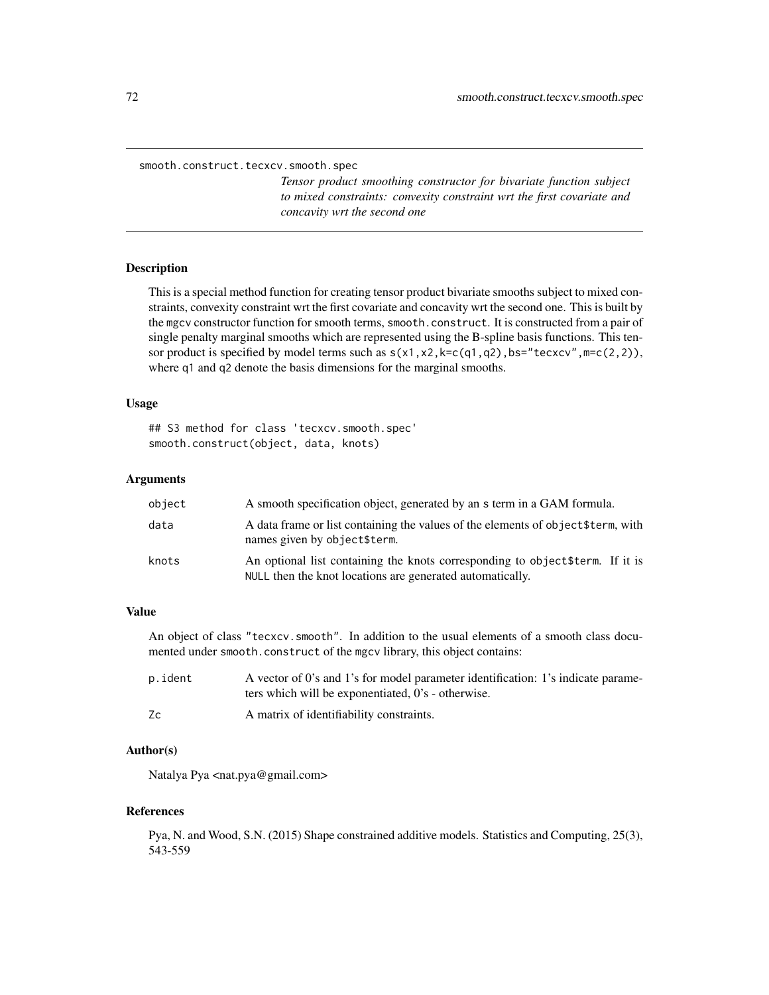<span id="page-71-0"></span>smooth.construct.tecxcv.smooth.spec

*Tensor product smoothing constructor for bivariate function subject to mixed constraints: convexity constraint wrt the first covariate and concavity wrt the second one*

#### Description

This is a special method function for creating tensor product bivariate smooths subject to mixed constraints, convexity constraint wrt the first covariate and concavity wrt the second one. This is built by the mgcv constructor function for smooth terms, smooth.construct. It is constructed from a pair of single penalty marginal smooths which are represented using the B-spline basis functions. This tensor product is specified by model terms such as  $s(x1, x2, k=c(q1, q2), bs="teexcv", m=c(2,2)),$ where q1 and q2 denote the basis dimensions for the marginal smooths.

#### Usage

## S3 method for class 'tecxcv.smooth.spec' smooth.construct(object, data, knots)

#### Arguments

| object | A smooth specification object, generated by an s term in a GAM formula.                                                                     |
|--------|---------------------------------------------------------------------------------------------------------------------------------------------|
| data   | A data frame or list containing the values of the elements of object \$term, with<br>names given by object\$term.                           |
| knots  | An optional list containing the knots corresponding to object \$term. If it is<br>NULL then the knot locations are generated automatically. |

## Value

An object of class "tecxcv.smooth". In addition to the usual elements of a smooth class documented under smooth.construct of the mgcv library, this object contains:

| p.ident | A vector of 0's and 1's for model parameter identification: 1's indicate parame- |
|---------|----------------------------------------------------------------------------------|
|         | ters which will be exponentiated, 0's - otherwise.                               |
| Zc      | A matrix of identifiability constraints.                                         |

### Author(s)

Natalya Pya <nat.pya@gmail.com>

#### References

Pya, N. and Wood, S.N. (2015) Shape constrained additive models. Statistics and Computing, 25(3), 543-559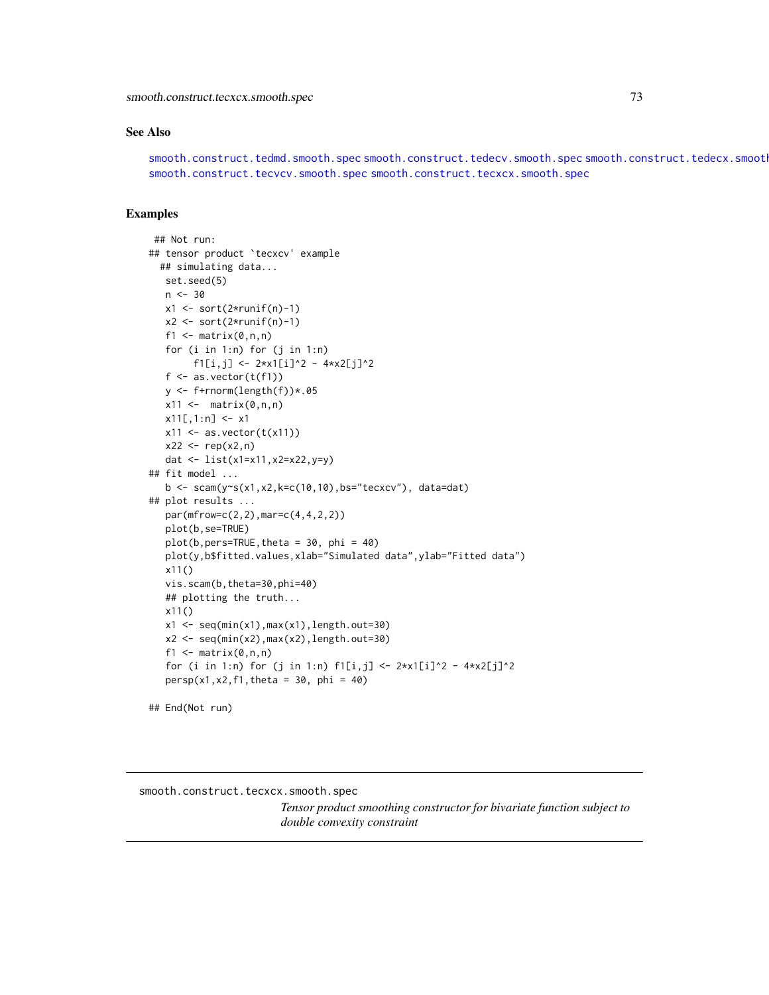<span id="page-72-1"></span>smooth.construct.tecxcx.smooth.spec 73

#### See Also

[smooth.construct.tedmd.smooth.spec](#page-78-0) [smooth.construct.tedecv.smooth.spec](#page-74-0) smooth.construct.tedecx.smoot [smooth.construct.tecvcv.smooth.spec](#page-69-0) [smooth.construct.tecxcx.smooth.spec](#page-72-0)

### Examples

```
## Not run:
## tensor product `tecxcv' example
  ## simulating data...
  set.seed(5)
   n < -30x1 \leftarrow sort(2*runif(n)-1)x2 \le sort(2*runif(n)-1)
   f1 \leftarrow matrix(0, n, n)for (i in 1:n) for (j in 1:n)
         f1[i,j] <- 2*x1[i]^2 - 4*x2[j]^2
   f \leftarrow as.vector(t(f1))y <- f+rnorm(length(f))*.05
   x11 \leftarrow \text{matrix}(0, n, n)x11[,1:n] <- x1x11 \leftarrow as.vector(t(x11))x22 \le - rep(x2, n)
   dat <- list(x1=x11,x2=x22,y=y)
## fit model ...
   b \leq scam(y\inftys(x1,x2,k=c(10,10),bs="tecxcv"), data=dat)
## plot results ...
   par(mfrow=c(2,2),mar=c(4,4,2,2))
   plot(b,se=TRUE)
   plot(b,pers=TRUE, theta = 30, phi = 40)plot(y,b$fitted.values,xlab="Simulated data",ylab="Fitted data")
   x11()
   vis.scam(b,theta=30,phi=40)
   ## plotting the truth...
   x11()
   x1 \leftarrow \text{seq}(\text{min}(x1),\text{max}(x1),\text{length}.\text{out=30})x2 \leq -\text{seq}(\text{min}(x2),\text{max}(x2),\text{length}.\text{out=30})f1 \leq matrix(0,n,n)
   for (i in 1:n) for (j in 1:n) f1[i,j] < -2*x1[i]<sup>2</sup> - 4*x2[j]<sup>2</sup>
   persp(x1, x2, f1, theta = 30, phi = 40)## End(Not run)
```
<span id="page-72-0"></span>smooth.construct.tecxcx.smooth.spec

*Tensor product smoothing constructor for bivariate function subject to double convexity constraint*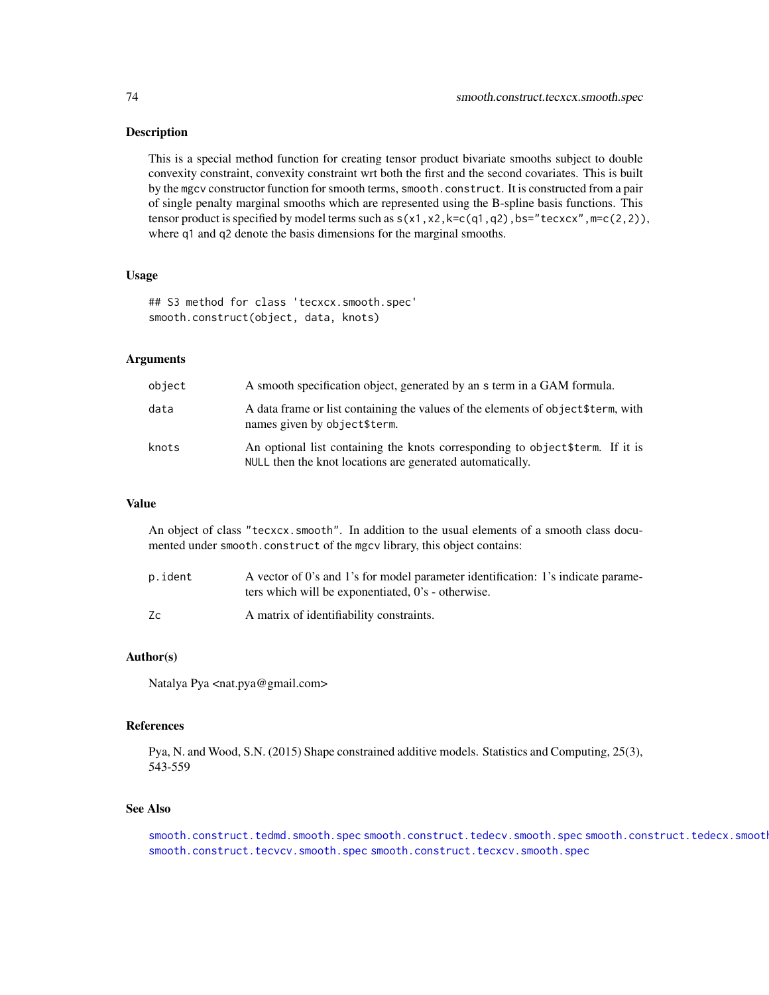#### <span id="page-73-0"></span>**Description**

This is a special method function for creating tensor product bivariate smooths subject to double convexity constraint, convexity constraint wrt both the first and the second covariates. This is built by the mgcv constructor function for smooth terms, smooth.construct. It is constructed from a pair of single penalty marginal smooths which are represented using the B-spline basis functions. This tensor product is specified by model terms such as  $s(x1, x2, k=c(q1, q2), bs="teccx", m=c(2,2)),$ where q1 and q2 denote the basis dimensions for the marginal smooths.

# Usage

## S3 method for class 'tecxcx.smooth.spec' smooth.construct(object, data, knots)

# Arguments

| object | A smooth specification object, generated by an s term in a GAM formula.                                                                     |
|--------|---------------------------------------------------------------------------------------------------------------------------------------------|
| data   | A data frame or list containing the values of the elements of object \$term, with<br>names given by object\$term.                           |
| knots  | An optional list containing the knots corresponding to object \$term. If it is<br>NULL then the knot locations are generated automatically. |

#### Value

An object of class "tecxcx.smooth". In addition to the usual elements of a smooth class documented under smooth.construct of the mgcv library, this object contains:

| p.ident | A vector of 0's and 1's for model parameter identification: 1's indicate parame- |
|---------|----------------------------------------------------------------------------------|
|         | ters which will be exponentiated, 0's - otherwise.                               |
| Zc      | A matrix of identifiability constraints.                                         |

#### Author(s)

Natalya Pya <nat.pya@gmail.com>

# References

Pya, N. and Wood, S.N. (2015) Shape constrained additive models. Statistics and Computing, 25(3), 543-559

#### See Also

[smooth.construct.tedmd.smooth.spec](#page-78-0) [smooth.construct.tedecv.smooth.spec](#page-74-0) smooth.construct.tedecx.smoot [smooth.construct.tecvcv.smooth.spec](#page-69-0) [smooth.construct.tecxcv.smooth.spec](#page-71-0)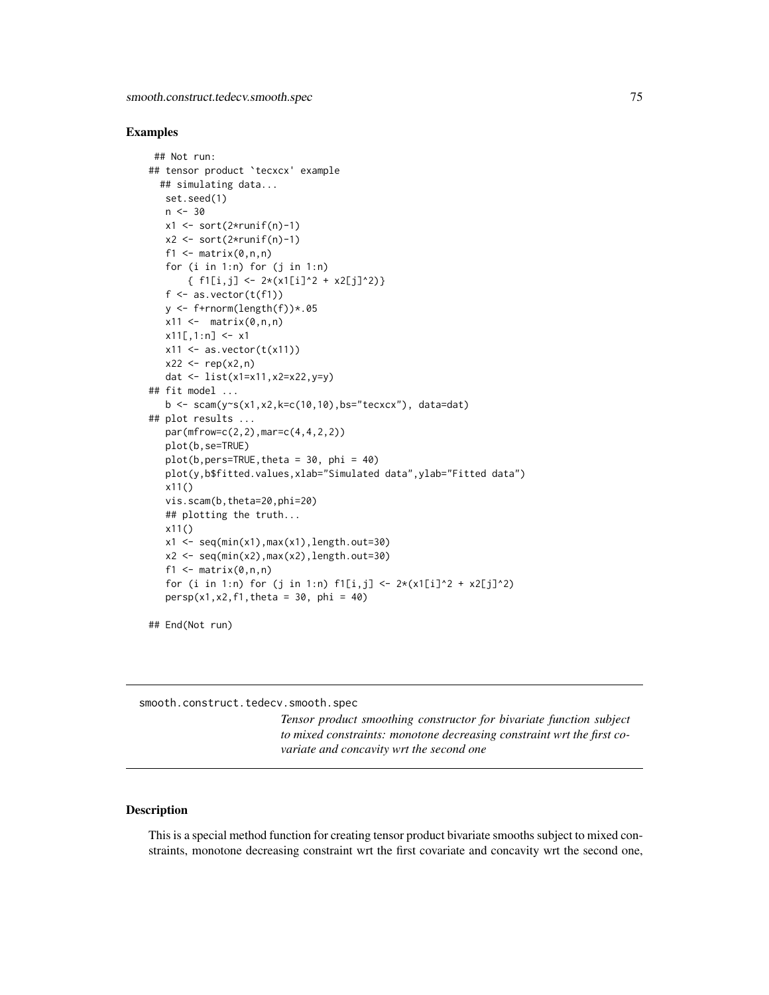#### <span id="page-74-1"></span>Examples

```
## Not run:
## tensor product `tecxcx' example
  ## simulating data...
   set.seed(1)
   n < -30x1 \le -\text{sort}(2 \times \text{runif(n)}-1)x2 \leftarrow sort(2*runif(n)-1)f1 \leq matrix(0,n,n)
   for (i in 1:n) for (j in 1:n)
        { f1[i,j] \leftarrow 2*(x1[i]'2 + x2[j]'2)}
   f \leftarrow as.vector(t(f1))y \leftarrow f+rnorm(length(f))*.05
   x11 \leftarrow \text{matrix}(0, n, n)x11[,1:n] <- x1x11 \leftarrow as.vector(t(x11))x22 \leq -rep(x2, n)dat <- list(x1=x11,x2=x22,y=y)
## fit model ...
   b \leq scam(y~s(x1,x2,k=c(10,10),bs="tecxcx"), data=dat)
## plot results ...
   par(mfrow=c(2,2),mar=c(4,4,2,2))
   plot(b,se=TRUE)
   plot(b,pers=TRUE, theta = 30, phi = 40)plot(y,b$fitted.values,xlab="Simulated data",ylab="Fitted data")
   x11()
   vis.scam(b,theta=20,phi=20)
   ## plotting the truth...
   x11()
   x1 \leftarrow \text{seq}(\text{min}(x1),\text{max}(x1),\text{length}.\text{out=30})x2 \leq -\text{seq}(\text{min}(x2),\text{max}(x2),\text{length}.\text{out=30})f1 \leftarrow matrix(0, n, n)for (i in 1:n) for (j in 1:n) f1[i,j] < -2*(x1[i]^{2} + x2[j]^{2})persp(x1, x2, f1, theta = 30, phi = 40)
```
## End(Not run)

<span id="page-74-0"></span>smooth.construct.tedecv.smooth.spec

*Tensor product smoothing constructor for bivariate function subject to mixed constraints: monotone decreasing constraint wrt the first covariate and concavity wrt the second one*

# Description

This is a special method function for creating tensor product bivariate smooths subject to mixed constraints, monotone decreasing constraint wrt the first covariate and concavity wrt the second one,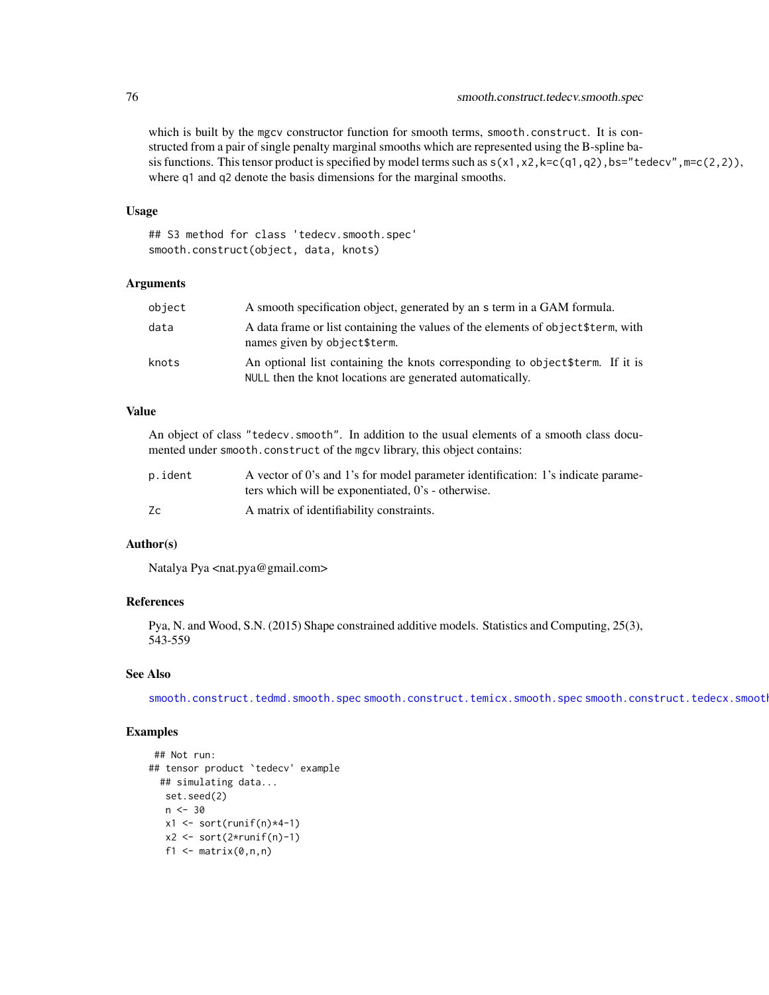which is built by the mgcv constructor function for smooth terms, smooth.construct. It is constructed from a pair of single penalty marginal smooths which are represented using the B-spline basis functions. This tensor product is specified by model terms such as  $s(x1, x2, k=c(q1, q2)$ , bs="tedecv", m=c(2,2)), where q1 and q2 denote the basis dimensions for the marginal smooths.

#### Usage

## S3 method for class 'tedecv.smooth.spec' smooth.construct(object, data, knots)

# Arguments

| object | A smooth specification object, generated by an s term in a GAM formula.                                                                     |
|--------|---------------------------------------------------------------------------------------------------------------------------------------------|
| data   | A data frame or list containing the values of the elements of object \$term, with<br>names given by object\$term.                           |
| knots  | An optional list containing the knots corresponding to object \$term. If it is<br>NULL then the knot locations are generated automatically. |

# Value

An object of class "tedecv.smooth". In addition to the usual elements of a smooth class documented under smooth.construct of the mgcv library, this object contains:

| p.ident | A vector of 0's and 1's for model parameter identification: 1's indicate parame- |
|---------|----------------------------------------------------------------------------------|
|         | ters which will be exponentiated, 0's - otherwise.                               |
| Zc      | A matrix of identifiability constraints.                                         |

#### Author(s)

Natalya Pya <nat.pya@gmail.com>

## References

Pya, N. and Wood, S.N. (2015) Shape constrained additive models. Statistics and Computing, 25(3), 543-559

# See Also

[smooth.construct.tedmd.smooth.spec](#page-78-0) [smooth.construct.temicx.smooth.spec](#page-83-0) smooth.construct.tedecx.smoot

```
## Not run:
## tensor product `tedecv' example
 ## simulating data...
  set.seed(2)
  n < -30x1 \leftarrow sort(runif(n)*4-1)x2 \le sort(2*runif(n)-1)
   f1 \leq matrix(0,n,n)
```
<span id="page-75-0"></span>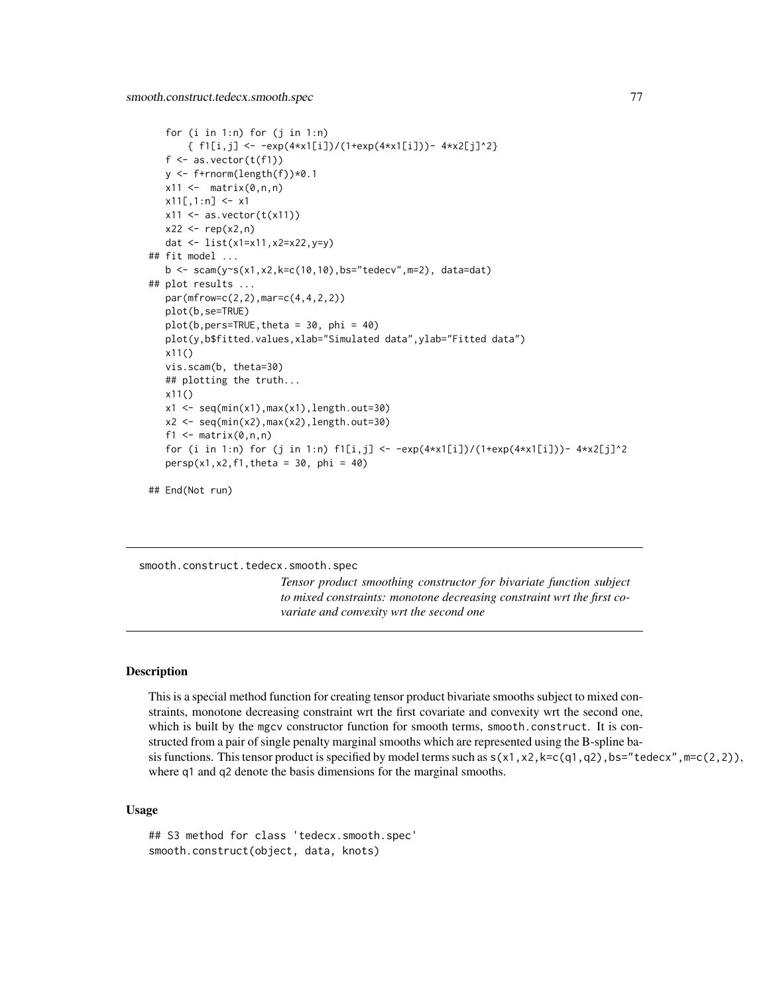```
for (i \text{ in } 1:n) for (j \text{ in } 1:n){ f1[i,j] <- -exp(4*x1[i])/(1+exp(4*x1[i])) - 4*x2[j]^2}
   f \leftarrow as.{vector(t(f1))}y \leftarrow f+rnorm(length(f))*0.1
   x11 \leftarrow \text{matrix}(0, n, n)x11[,1:n] <- x1x11 \leftarrow as.vector(t(x11))x22 \le - rep(x2, n)
   dat <- list(x1=x11,x2=x22,y=y)
## fit model ...
   b \leq scam(y~s(x1,x2,k=c(10,10),bs="tedecv",m=2), data=dat)
## plot results ...
   par(mfrow=c(2,2),mar=c(4,4,2,2))
   plot(b,se=TRUE)
   plot(b,pers=TRUE,theta = 30, phi = 40)
   plot(y,b$fitted.values,xlab="Simulated data",ylab="Fitted data")
   x11()
   vis.scam(b, theta=30)
   ## plotting the truth...
   x11()
   x1 \leftarrow \text{seq}(\text{min}(x1),\text{max}(x1),\text{length}.\text{out=30})x2 <- seq(min(x2),max(x2),length.out=30)
   f1 \leq matrix(0,n,n)
   for (i in 1:n) for (j in 1:n) f1[i,j] < -exp(4*x1[i])/(1+exp(4*x1[i])) - 4*x2[j]^2persp(x1, x2, f1, theta = 30, phi = 40)
```

```
## End(Not run)
```

```
smooth.construct.tedecx.smooth.spec
```
*Tensor product smoothing constructor for bivariate function subject to mixed constraints: monotone decreasing constraint wrt the first covariate and convexity wrt the second one*

# Description

This is a special method function for creating tensor product bivariate smooths subject to mixed constraints, monotone decreasing constraint wrt the first covariate and convexity wrt the second one, which is built by the mgcv constructor function for smooth terms, smooth.construct. It is constructed from a pair of single penalty marginal smooths which are represented using the B-spline basis functions. This tensor product is specified by model terms such as  $s(x1, x2, k=c(q1, q2)$ , bs="tedecx",  $m=c(2, 2)$ ), where q1 and q2 denote the basis dimensions for the marginal smooths.

#### Usage

```
## S3 method for class 'tedecx.smooth.spec'
smooth.construct(object, data, knots)
```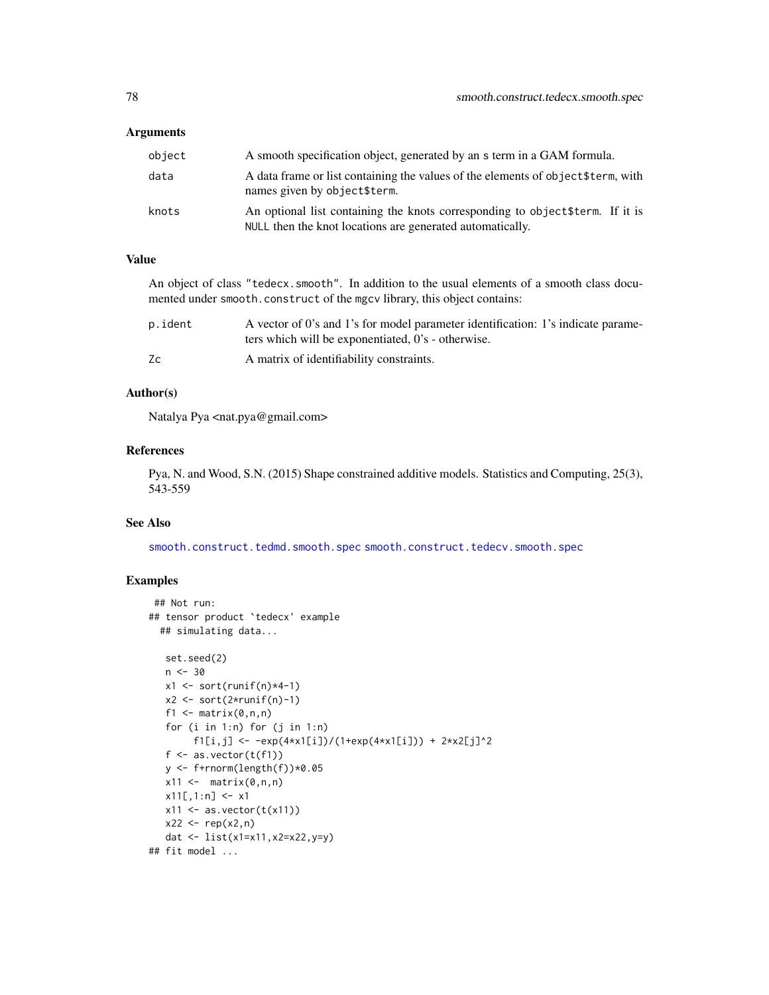#### <span id="page-77-0"></span>**Arguments**

| object | A smooth specification object, generated by an s term in a GAM formula.                                                                     |
|--------|---------------------------------------------------------------------------------------------------------------------------------------------|
| data   | A data frame or list containing the values of the elements of object \$term, with<br>names given by object\$term.                           |
| knots  | An optional list containing the knots corresponding to object \$term. If it is<br>NULL then the knot locations are generated automatically. |

# Value

An object of class "tedecx.smooth". In addition to the usual elements of a smooth class documented under smooth.construct of the mgcv library, this object contains:

| p.ident | A vector of 0's and 1's for model parameter identification: 1's indicate parame- |
|---------|----------------------------------------------------------------------------------|
|         | ters which will be exponentiated, 0's - otherwise.                               |
| Zc      | A matrix of identifiability constraints.                                         |

## Author(s)

Natalya Pya <nat.pya@gmail.com>

#### References

Pya, N. and Wood, S.N. (2015) Shape constrained additive models. Statistics and Computing, 25(3), 543-559

### See Also

[smooth.construct.tedmd.smooth.spec](#page-78-0) [smooth.construct.tedecv.smooth.spec](#page-74-0)

```
## Not run:
## tensor product `tedecx' example
  ## simulating data...
   set.seed(2)
   n < -30x1 \leftarrow sort(runif(n)*4-1)x2 \le sort(2*runif(n)-1)
   f1 \leq matrix(0,n,n)
   for (i in 1:n) for (j in 1:n)
        f1[i,j] <- -exp(4*x1[i])/(1+exp(4*x1[i])) + 2*x2[j]^2f \leftarrow as.{vector(t(f1))}y \leftarrow f+rnorm(length(f))*0.05
   x11 \leftarrow \text{matrix}(0, n, n)x11[,1:n] <- x1x11 \leftarrow as.vector(t(x11))x22 < - rep(x2, n)
   dat <- list(x1=x11,x2=x22,y=y)
## fit model ...
```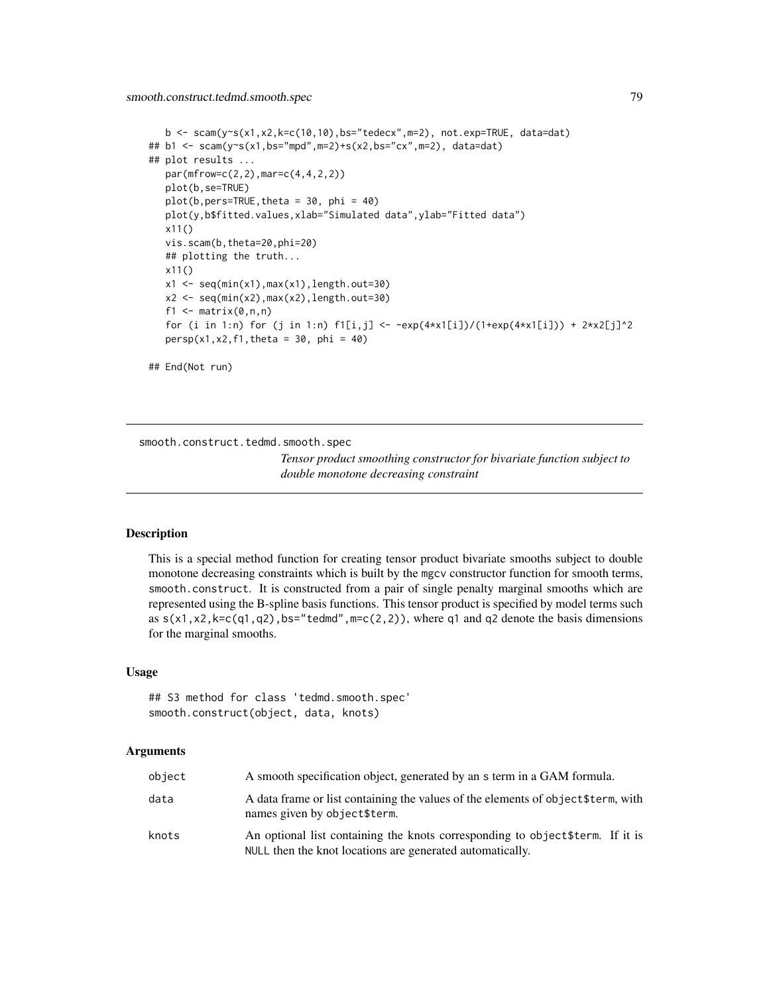<span id="page-78-1"></span>smooth.construct.tedmd.smooth.spec 79

```
b \leq -\text{scam}(y \leq (x1, x2, k=c(10, 10), bs='tedecx", m=2), not.exp=True, data=dat)## b1 <- scam(y~s(x1,bs="mpd",m=2)+s(x2,bs="cx",m=2), data=dat)
## plot results ...
   par(mfrow=c(2,2),mar=c(4,4,2,2))
   plot(b,se=TRUE)
   plot(b,pers=TRUE,theta = 30, phi = 40)
   plot(y,b$fitted.values,xlab="Simulated data",ylab="Fitted data")
   x11()
   vis.scam(b,theta=20,phi=20)
   ## plotting the truth...
   x11()
   x1 \leftarrow \text{seq}(\text{min}(x1),\text{max}(x1),\text{length}.\text{out=30})x2 \leq -\text{seq}(\min(x2),\max(x2),\text{length}.\text{out=30})f1 \leq matrix(0, n, n)for (i in 1:n) for (j in 1:n) f1[i,j] < -exp(4*x1[i])/(1+exp(4*x1[i])) + 2*x2[j]^2persp(x1, x2, f1, theta = 30, phi = 40)## End(Not run)
```
<span id="page-78-0"></span>smooth.construct.tedmd.smooth.spec

*Tensor product smoothing constructor for bivariate function subject to double monotone decreasing constraint*

# **Description**

This is a special method function for creating tensor product bivariate smooths subject to double monotone decreasing constraints which is built by the mgcv constructor function for smooth terms, smooth.construct. It is constructed from a pair of single penalty marginal smooths which are represented using the B-spline basis functions. This tensor product is specified by model terms such as  $s(x1, x2, k=c(q1, q2), bs="tedmd", m=c(2, 2))$ , where q1 and q2 denote the basis dimensions for the marginal smooths.

# Usage

```
## S3 method for class 'tedmd.smooth.spec'
smooth.construct(object, data, knots)
```
#### Arguments

| object | A smooth specification object, generated by an s term in a GAM formula.                                                                     |
|--------|---------------------------------------------------------------------------------------------------------------------------------------------|
| data   | A data frame or list containing the values of the elements of object \$term, with<br>names given by object\$term.                           |
| knots  | An optional list containing the knots corresponding to object \$term. If it is<br>NULL then the knot locations are generated automatically. |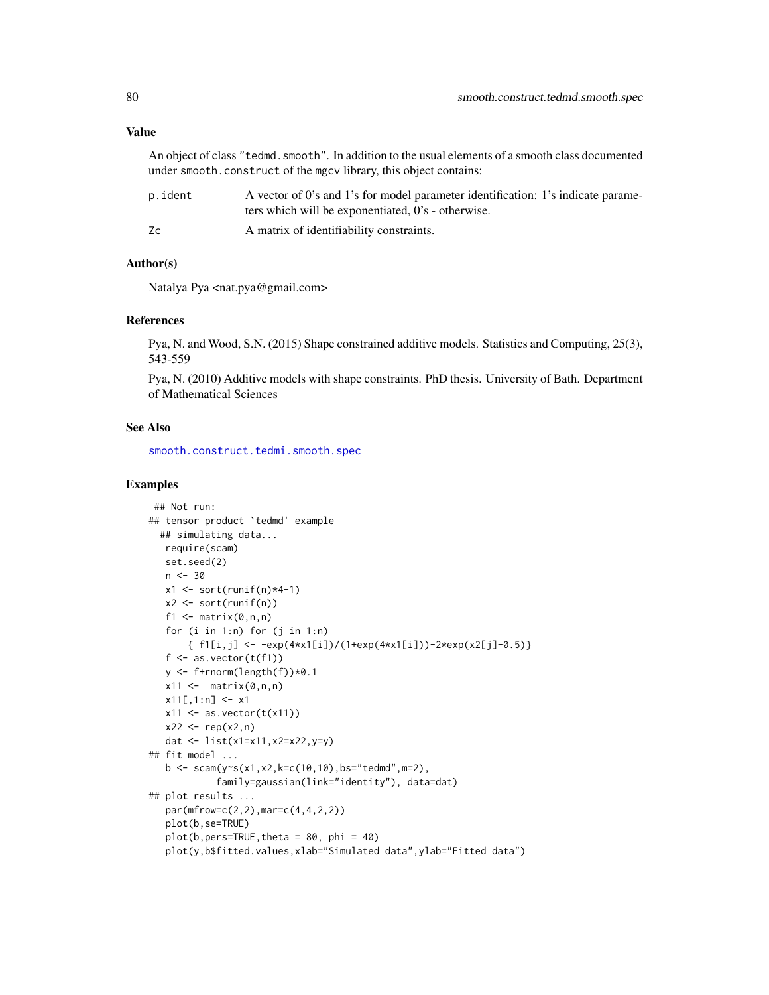<span id="page-79-0"></span>An object of class "tedmd.smooth". In addition to the usual elements of a smooth class documented under smooth.construct of the mgcv library, this object contains:

| p.ident | A vector of 0's and 1's for model parameter identification: 1's indicate parame- |
|---------|----------------------------------------------------------------------------------|
|         | ters which will be exponentiated, 0's - otherwise.                               |
| Zс      | A matrix of identifiability constraints.                                         |

#### Author(s)

Natalya Pya <nat.pya@gmail.com>

#### References

Pya, N. and Wood, S.N. (2015) Shape constrained additive models. Statistics and Computing, 25(3), 543-559

Pya, N. (2010) Additive models with shape constraints. PhD thesis. University of Bath. Department of Mathematical Sciences

#### See Also

[smooth.construct.tedmi.smooth.spec](#page-80-0)

```
## Not run:
## tensor product `tedmd' example
  ## simulating data...
  require(scam)
  set.seed(2)
  n < -30x1 \leftarrow sort(runif(n)*4-1)x2 \le sort(runif(n))
   f1 \leq matrix(0,n,n)
   for (i \text{ in } 1:n) for (j \text{ in } 1:n){ f1[i,j] <- -exp(4*x1[i])/(1+exp(4*x1[i]))-2*exp(x2[j]-0.5)}
   f \leftarrow as.vector(t(f1))y <- f+rnorm(length(f))*0.1
   x11 \leftarrow \text{matrix}(0, n, n)x11[,1:n] <- x1x11 \leftarrow as.vector(t(x11))x22 < - rep(x2, n)
  dat <- list(x1=x11,x2=x22,y=y)
## fit model ...
   b \leq scam(y\inftys(x1,x2,k=c(10,10),bs="tedmd",m=2),
             family=gaussian(link="identity"), data=dat)
## plot results ...
   par(mfrow=c(2,2),mar=c(4,4,2,2))
   plot(b,se=TRUE)
   plot(b,pers=TRUE, theta = 80, phi = 40)plot(y,b$fitted.values,xlab="Simulated data",ylab="Fitted data")
```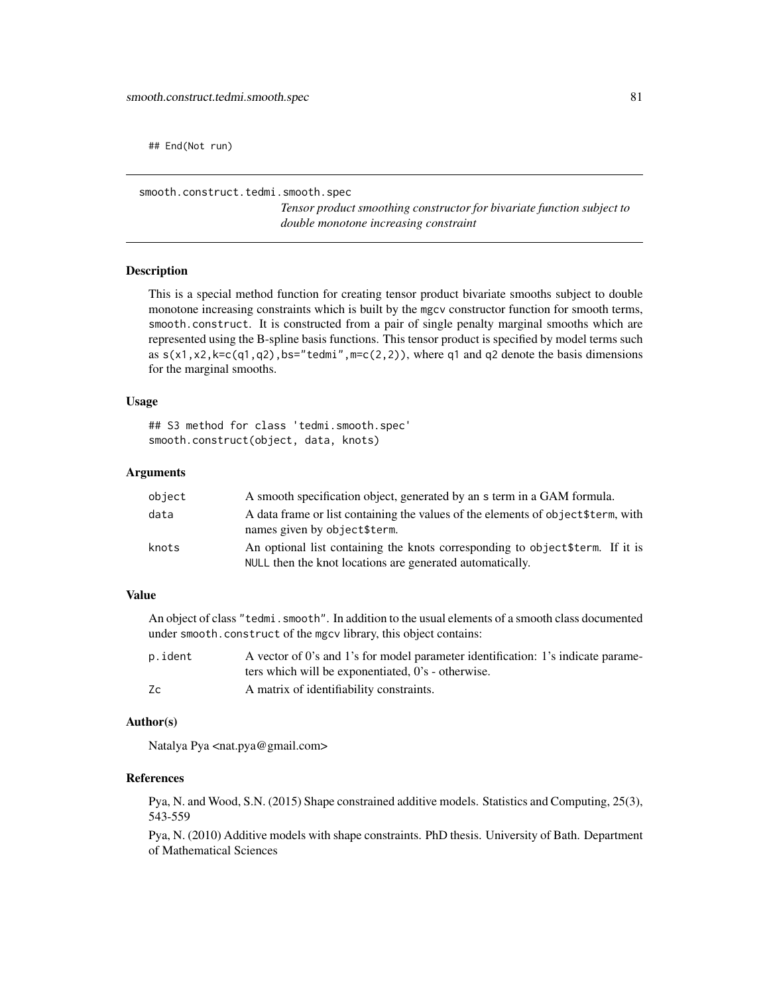<span id="page-80-1"></span>## End(Not run)

<span id="page-80-0"></span>smooth.construct.tedmi.smooth.spec

*Tensor product smoothing constructor for bivariate function subject to double monotone increasing constraint*

#### Description

This is a special method function for creating tensor product bivariate smooths subject to double monotone increasing constraints which is built by the mgcv constructor function for smooth terms, smooth.construct. It is constructed from a pair of single penalty marginal smooths which are represented using the B-spline basis functions. This tensor product is specified by model terms such as  $s(x1, x2, k=c(q1, q2), bs="tedmi", m=c(2, 2))$ , where q1 and q2 denote the basis dimensions for the marginal smooths.

#### Usage

## S3 method for class 'tedmi.smooth.spec' smooth.construct(object, data, knots)

#### Arguments

| object | A smooth specification object, generated by an s term in a GAM formula.                                                                     |
|--------|---------------------------------------------------------------------------------------------------------------------------------------------|
| data   | A data frame or list containing the values of the elements of object \$term, with<br>names given by object\$term.                           |
| knots  | An optional list containing the knots corresponding to object \$term. If it is<br>NULL then the knot locations are generated automatically. |

# Value

An object of class "tedmi. smooth". In addition to the usual elements of a smooth class documented under smooth.construct of the mgcv library, this object contains:

| p.ident | A vector of 0's and 1's for model parameter identification: 1's indicate parame- |
|---------|----------------------------------------------------------------------------------|
|         | ters which will be exponentiated, 0's - otherwise.                               |
| Zc      | A matrix of identifiability constraints.                                         |

#### Author(s)

Natalya Pya <nat.pya@gmail.com>

# References

Pya, N. and Wood, S.N. (2015) Shape constrained additive models. Statistics and Computing, 25(3), 543-559

Pya, N. (2010) Additive models with shape constraints. PhD thesis. University of Bath. Department of Mathematical Sciences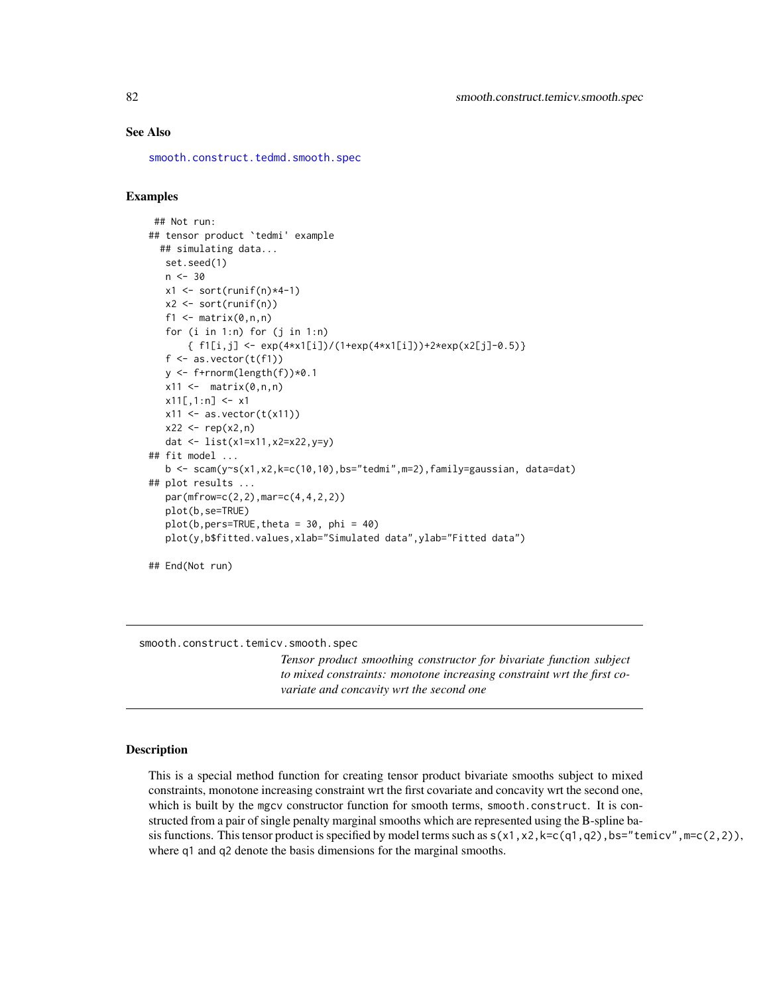# See Also

[smooth.construct.tedmd.smooth.spec](#page-78-0)

# Examples

```
## Not run:
## tensor product `tedmi' example
  ## simulating data...
  set.seed(1)
  n < -30x1 \leftarrow sort(runif(n)*4-1)x2 \le sort(runif(n))
   f1 \leftarrow matrix(0, n, n)for (i in 1:n) for (j in 1:n)
       { f1[i,j] <- exp(4*x1[i])/(1+exp(4*x1[i]))+2*exp(x2[j]-0.5)}
   f \leftarrow as.{vector(t(f1))}y <- f+rnorm(length(f))*0.1
   x11 \leftarrow \text{matrix}(0, n, n)x11[,1:n] <- x1x11 \leftarrow as.vector(t(x11))x22 \le - rep(x2, n)
   dat <- list(x1=x11,x2=x22,y=y)
## fit model ...
   b <- scam(y~s(x1,x2,k=c(10,10),bs="tedmi",m=2),family=gaussian, data=dat)
## plot results ...
   par(mfrow=c(2,2),mar=c(4,4,2,2))
   plot(b,se=TRUE)
   plot(b,pers=TRUE, theta = 30, phi = 40)plot(y,b$fitted.values,xlab="Simulated data",ylab="Fitted data")
## End(Not run)
```
<span id="page-81-0"></span>smooth.construct.temicv.smooth.spec

*Tensor product smoothing constructor for bivariate function subject to mixed constraints: monotone increasing constraint wrt the first covariate and concavity wrt the second one*

#### **Description**

This is a special method function for creating tensor product bivariate smooths subject to mixed constraints, monotone increasing constraint wrt the first covariate and concavity wrt the second one, which is built by the mgcv constructor function for smooth terms, smooth.construct. It is constructed from a pair of single penalty marginal smooths which are represented using the B-spline basis functions. This tensor product is specified by model terms such as  $s(x1, x2, k=c(q1, q2)$ , bs="temicv", m=c(2,2)), where q1 and q2 denote the basis dimensions for the marginal smooths.

<span id="page-81-1"></span>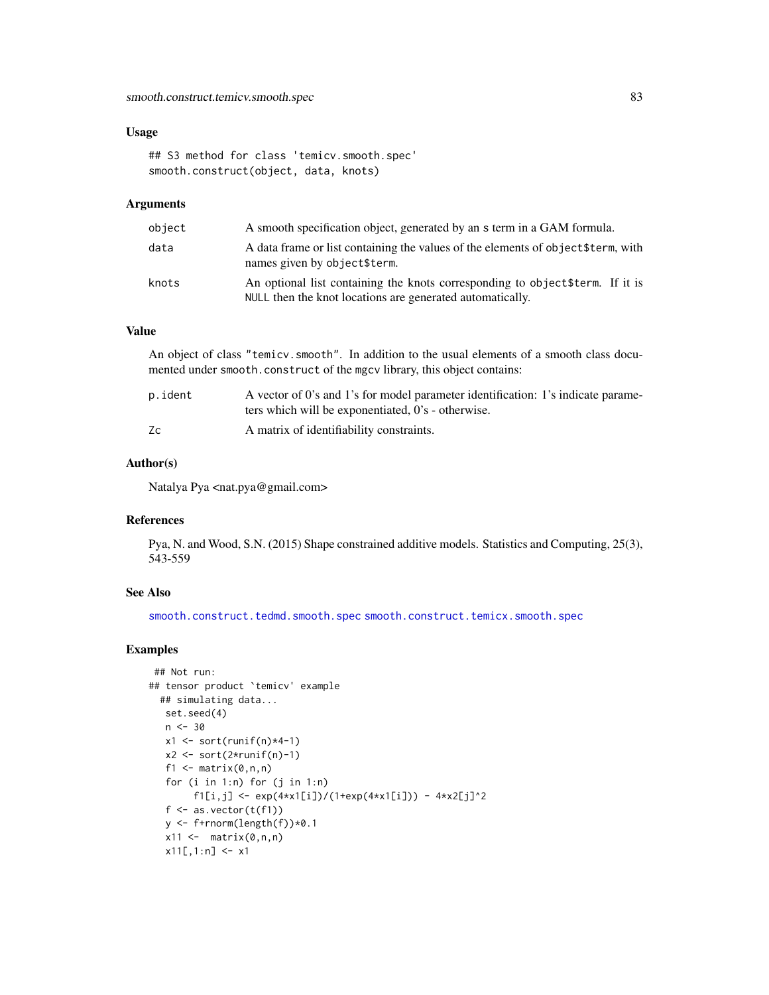# <span id="page-82-0"></span>Usage

## S3 method for class 'temicv.smooth.spec' smooth.construct(object, data, knots)

#### Arguments

| object | A smooth specification object, generated by an s term in a GAM formula.                                                                     |
|--------|---------------------------------------------------------------------------------------------------------------------------------------------|
| data   | A data frame or list containing the values of the elements of object \$term, with<br>names given by object\$term.                           |
| knots  | An optional list containing the knots corresponding to object \$term. If it is<br>NULL then the knot locations are generated automatically. |

# Value

An object of class "temicv.smooth". In addition to the usual elements of a smooth class documented under smooth.construct of the mgcv library, this object contains:

| p.ident | A vector of 0's and 1's for model parameter identification: 1's indicate parame- |
|---------|----------------------------------------------------------------------------------|
|         | ters which will be exponentiated, 0's - otherwise.                               |
| Zc      | A matrix of identifiability constraints.                                         |

# Author(s)

Natalya Pya <nat.pya@gmail.com>

#### References

Pya, N. and Wood, S.N. (2015) Shape constrained additive models. Statistics and Computing, 25(3), 543-559

# See Also

[smooth.construct.tedmd.smooth.spec](#page-78-0) [smooth.construct.temicx.smooth.spec](#page-83-0)

```
## Not run:
## tensor product `temicv' example
  ## simulating data...
  set.seed(4)
   n < -30x1 \leftarrow sort(runif(n)*4-1)x2 \leftarrow sort(2*runif(n)-1)f1 \leq matrix(0,n,n)
   for (i in 1:n) for (j in 1:n)
        f1[i,j] <- exp(4*x1[i])/(1+exp(4*x1[i])) - 4*x2[j]^2
   f \leftarrow as-vector(t(f1))y <- f+rnorm(length(f))*0.1
   x11 \leftarrow \text{matrix}(0, n, n)x11[,1:n] <- x1
```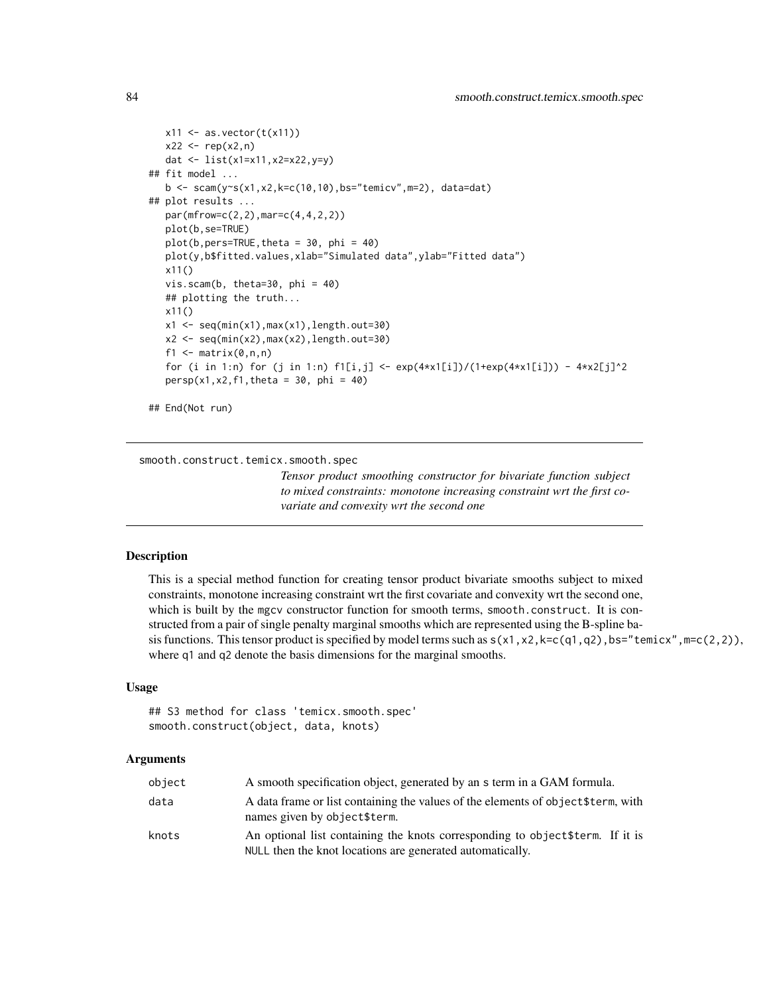```
x11 \leftarrow as.vector(t(x11))x22 \leq -rep(x2, n)dat <- list(x1=x11,x2=x22,y=y)
## fit model ...
   b \leq scam(y\leqs(x1,x2,k=c(10,10),bs="temicv",m=2), data=dat)
## plot results ...
   par(mfrow=c(2,2),mar=c(4,4,2,2))
   plot(b,se=TRUE)
   plot(b,pers=TRUE, theta = 30, phi = 40)plot(y,b$fitted.values,xlab="Simulated data",ylab="Fitted data")
   x11()
   vis.scam(b, theta=30, phi = 40)
   ## plotting the truth...
   x11()
   x1 \leftarrow \text{seq}(\text{min}(x1),\text{max}(x1),\text{length}.\text{out=30})x2 \leq -\text{seq}(\text{min}(x2),\text{max}(x2),\text{length}.\text{out=30})f1 \leq matrix(0,n,n)
   for (i in 1:n) for (j in 1:n) f1[i,j] < -exp(4*x1[i])/(1+exp(4*x1[i])) - 4*x2[j]^2persp(x1, x2, f1, theta = 30, phi = 40)
```

```
## End(Not run)
```
<span id="page-83-0"></span>smooth.construct.temicx.smooth.spec

*Tensor product smoothing constructor for bivariate function subject to mixed constraints: monotone increasing constraint wrt the first covariate and convexity wrt the second one*

#### Description

This is a special method function for creating tensor product bivariate smooths subject to mixed constraints, monotone increasing constraint wrt the first covariate and convexity wrt the second one, which is built by the mgcv constructor function for smooth terms, smooth.construct. It is constructed from a pair of single penalty marginal smooths which are represented using the B-spline basis functions. This tensor product is specified by model terms such as  $s(x1, x2, k=c(q1, q2)$ , bs="temicx", m=c(2,2)), where q1 and q2 denote the basis dimensions for the marginal smooths.

# Usage

## S3 method for class 'temicx.smooth.spec' smooth.construct(object, data, knots)

#### Arguments

| object | A smooth specification object, generated by an s term in a GAM formula.                                                                     |
|--------|---------------------------------------------------------------------------------------------------------------------------------------------|
| data   | A data frame or list containing the values of the elements of object \$term, with<br>names given by object\$term.                           |
| knots  | An optional list containing the knots corresponding to object \$term. If it is<br>NULL then the knot locations are generated automatically. |

<span id="page-83-1"></span>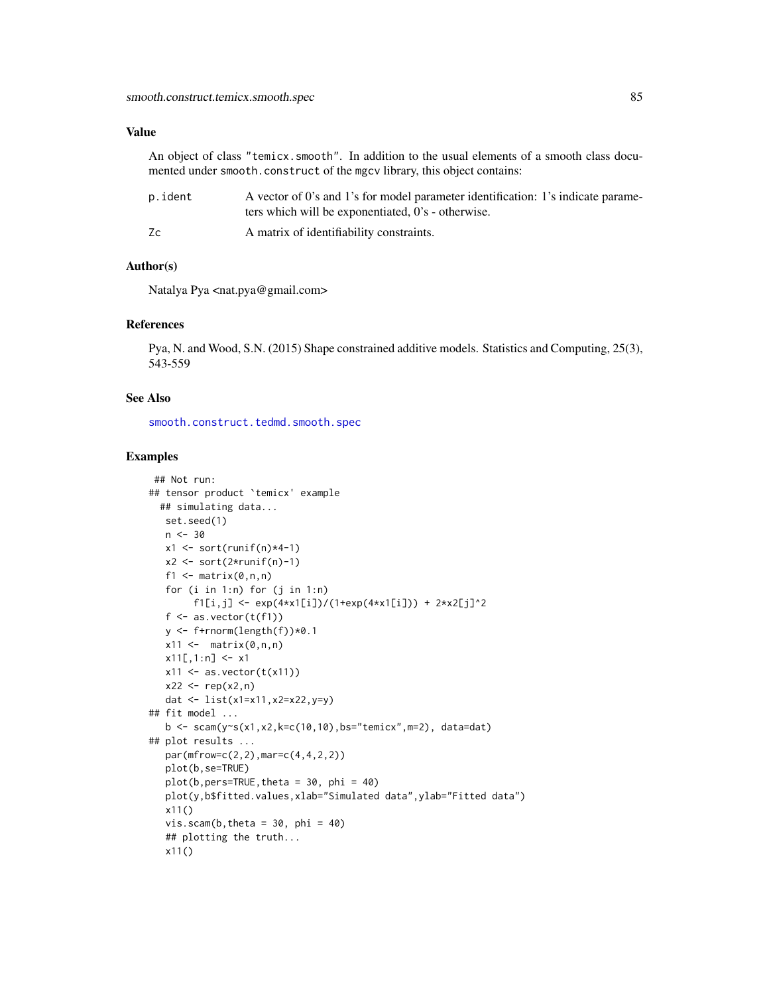# <span id="page-84-0"></span>Value

An object of class "temicx.smooth". In addition to the usual elements of a smooth class documented under smooth.construct of the mgcv library, this object contains:

| p.ident | A vector of 0's and 1's for model parameter identification: 1's indicate parame- |
|---------|----------------------------------------------------------------------------------|
|         | ters which will be exponentiated, 0's - otherwise.                               |
| Zс      | A matrix of identifiability constraints.                                         |

#### Author(s)

Natalya Pya <nat.pya@gmail.com>

#### References

Pya, N. and Wood, S.N. (2015) Shape constrained additive models. Statistics and Computing, 25(3), 543-559

#### See Also

[smooth.construct.tedmd.smooth.spec](#page-78-0)

```
## Not run:
## tensor product `temicx' example
  ## simulating data...
  set.seed(1)
   n < -30x1 \leftarrow sort(runif(n)*4-1)x2 \le sort(2*runif(n)-1)
   f1 \leftarrow matrix(0, n, n)for (i in 1:n) for (j in 1:n)
        f1[i,j] <- exp(4*x1[i])/(1+exp(4*x1[i])) + 2 \times x2[j]<sup>2</sup>
   f \leftarrow as.vector(t(f1))y \leftarrow f+rnorm(length(f))*0.1
   x11 \leftarrow \text{matrix}(0, n, n)x11[,1:n] <- x1x11 \leftarrow as.vector(t(x11))x22 \le - rep(x2, n)
   dat <- list(x1=x11,x2=x22,y=y)
## fit model ...
   b <- scam(y~s(x1,x2,k=c(10,10),bs="temicx",m=2), data=dat)
## plot results ...
   par(mfrow=c(2,2),mar=c(4,4,2,2))
   plot(b,se=TRUE)
   plot(b,pers=TRUE, theta = 30, phi = 40)plot(y,b$fitted.values,xlab="Simulated data",ylab="Fitted data")
   x11()
   vis.scam(b, theta = 30, phi = 40)
   ## plotting the truth...
   x11()
```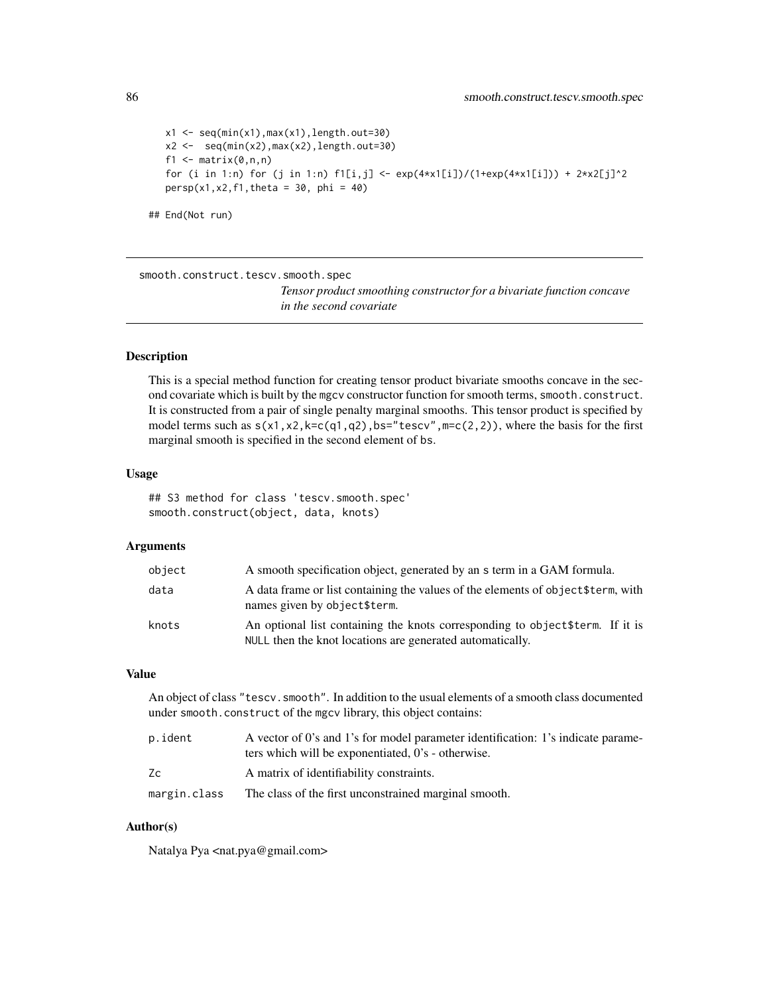```
x1 \leq -\text{seq}(\text{min}(x1),\text{max}(x1),\text{length}.\text{out=30})x2 \leftarrow \text{seq}(\text{min}(x2),\text{max}(x2),\text{length}.\text{out=30})f1 \leq matrix(0,n,n)
for (i in 1:n) for (j in 1:n) f1[i,j] < -exp(4*x1[i])/(1+exp(4*x1[i])) + 2*x2[j]^2persp(x1, x2, f1, theta = 30, phi = 40)
```

```
## End(Not run)
```
<span id="page-85-0"></span>smooth.construct.tescv.smooth.spec

*Tensor product smoothing constructor for a bivariate function concave in the second covariate*

# Description

This is a special method function for creating tensor product bivariate smooths concave in the second covariate which is built by the mgcv constructor function for smooth terms, smooth.construct. It is constructed from a pair of single penalty marginal smooths. This tensor product is specified by model terms such as  $s(x1, x2, k=c(q1, q2), bs="tescv", m=c(2,2)),$  where the basis for the first marginal smooth is specified in the second element of bs.

#### Usage

## S3 method for class 'tescv.smooth.spec' smooth.construct(object, data, knots)

#### Arguments

| object | A smooth specification object, generated by an s term in a GAM formula.                                                                     |
|--------|---------------------------------------------------------------------------------------------------------------------------------------------|
| data   | A data frame or list containing the values of the elements of object \$term, with<br>names given by object\$term.                           |
| knots  | An optional list containing the knots corresponding to object \$term. If it is<br>NULL then the knot locations are generated automatically. |

# Value

An object of class "tescv.smooth". In addition to the usual elements of a smooth class documented under smooth.construct of the mgcv library, this object contains:

| p.ident      | A vector of 0's and 1's for model parameter identification: 1's indicate parame-<br>ters which will be exponentiated, 0's - otherwise. |
|--------------|----------------------------------------------------------------------------------------------------------------------------------------|
| Zс           | A matrix of identifiability constraints.                                                                                               |
| margin.class | The class of the first unconstrained marginal smooth.                                                                                  |

# Author(s)

Natalya Pya <nat.pya@gmail.com>

<span id="page-85-1"></span>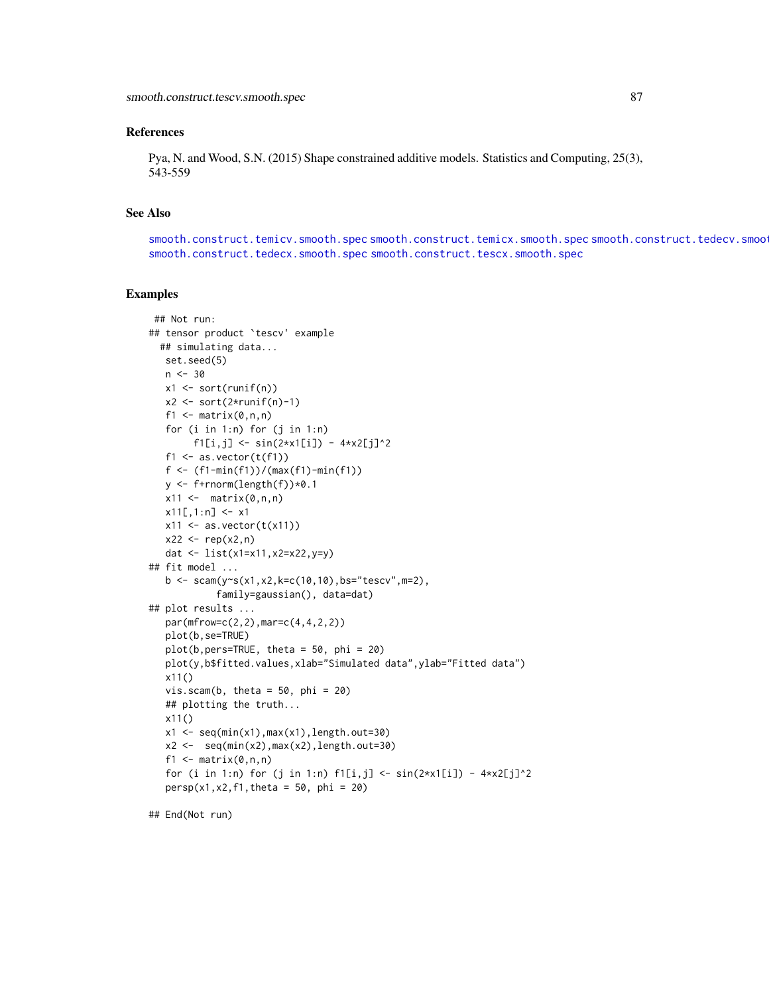#### <span id="page-86-0"></span>References

Pya, N. and Wood, S.N. (2015) Shape constrained additive models. Statistics and Computing, 25(3), 543-559

#### See Also

[smooth.construct.temicv.smooth.spec](#page-81-0) [smooth.construct.temicx.smooth.spec](#page-83-0) smooth.construct.tedecv.smoo [smooth.construct.tedecx.smooth.spec](#page-76-0) [smooth.construct.tescx.smooth.spec](#page-87-0)

#### Examples

```
## Not run:
## tensor product `tescv' example
  ## simulating data...
  set.seed(5)
   n < -30x1 <- sort(runif(n))
   x2 \leftarrow sort(2*runif(n)-1)f1 \leq matrix(0,n,n)
   for (i in 1:n) for (j in 1:n)
         f1[i,j] <- sin(2*x1[i]) - 4*x2[j]'^2f1 \leq as.vector(t(f1))
   f <- (f1-min(f1))/(max(f1)-min(f1))
   y <- f+rnorm(length(f))*0.1
   x11 \leftarrow \text{matrix}(0, n, n)x11[,1:n] <- x1x11 \leftarrow as.vector(t(x11))x22 < - rep(x2, n)
   dat <- list(x1=x11,x2=x22,y=y)
## fit model ...
   b \leq scam(y s(x1, x2, k=c(10, 10), bs="tescv", m=2),
             family=gaussian(), data=dat)
## plot results ...
   par(mfrow=c(2,2),mar=c(4,4,2,2))
   plot(b,se=TRUE)
   plot(b,pers=TRUE, theta = 50, phi = 20)
   plot(y,b$fitted.values,xlab="Simulated data",ylab="Fitted data")
   x11()
   vis.scam(b, theta = 50, phi = 20)
   ## plotting the truth...
   x11()
   x1 \leftarrow \text{seq}(\text{min}(x1),\text{max}(x1),\text{length}.\text{out=30})x2 \leq -\text{seq}(\text{min}(x2),\text{max}(x2),\text{length}.\text{out=30})f1 \leftarrow matrix(0, n, n)for (i in 1:n) for (j in 1:n) f1[i,j] < - \sin(2*x1[i]) - 4*x2[j]^2persp(x1, x2, f1, theta = 50, phi = 20)
```
## End(Not run)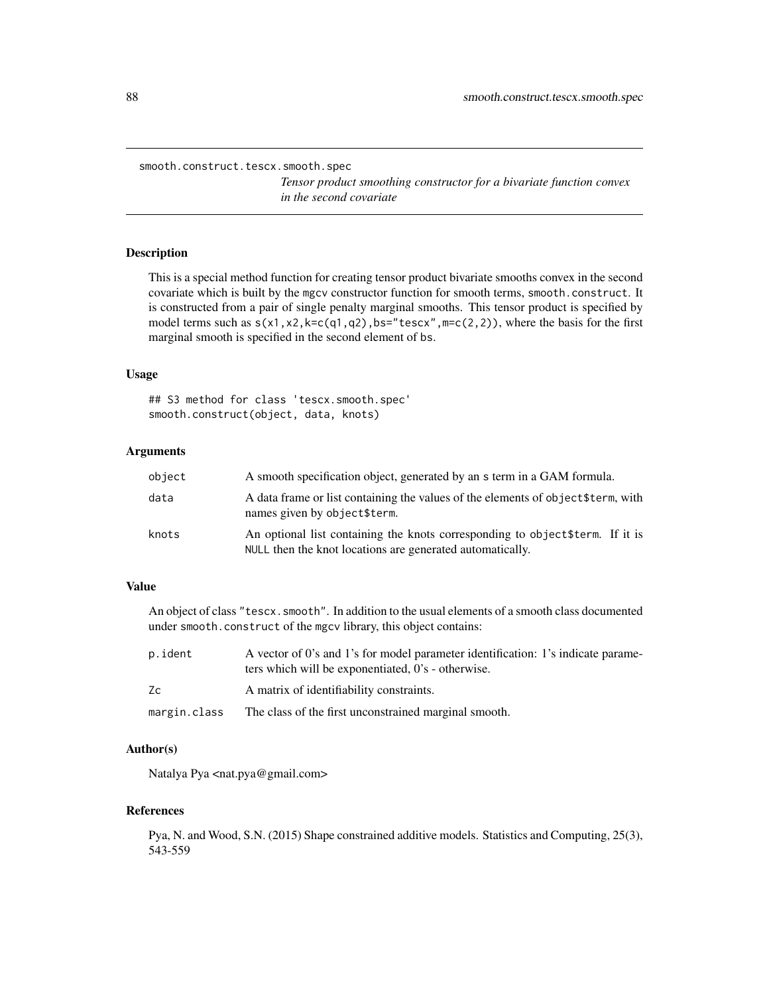<span id="page-87-1"></span><span id="page-87-0"></span>smooth.construct.tescx.smooth.spec

*Tensor product smoothing constructor for a bivariate function convex in the second covariate*

# Description

This is a special method function for creating tensor product bivariate smooths convex in the second covariate which is built by the mgcv constructor function for smooth terms, smooth.construct. It is constructed from a pair of single penalty marginal smooths. This tensor product is specified by model terms such as  $s(x1, x2, k=c(q1, q2), bs="tescx", m=c(2,2)),$  where the basis for the first marginal smooth is specified in the second element of bs.

#### Usage

## S3 method for class 'tescx.smooth.spec' smooth.construct(object, data, knots)

#### Arguments

| object | A smooth specification object, generated by an s term in a GAM formula.                                                                     |
|--------|---------------------------------------------------------------------------------------------------------------------------------------------|
| data   | A data frame or list containing the values of the elements of object \$term, with<br>names given by object\$term.                           |
| knots  | An optional list containing the knots corresponding to object \$term. If it is<br>NULL then the knot locations are generated automatically. |

# Value

An object of class "tescx.smooth". In addition to the usual elements of a smooth class documented under smooth.construct of the mgcv library, this object contains:

| p.ident      | A vector of 0's and 1's for model parameter identification: 1's indicate parame-<br>ters which will be exponentiated, 0's - otherwise. |
|--------------|----------------------------------------------------------------------------------------------------------------------------------------|
| Zc           | A matrix of identifiability constraints.                                                                                               |
| margin.class | The class of the first unconstrained marginal smooth.                                                                                  |

#### Author(s)

Natalya Pya <nat.pya@gmail.com>

#### References

Pya, N. and Wood, S.N. (2015) Shape constrained additive models. Statistics and Computing, 25(3), 543-559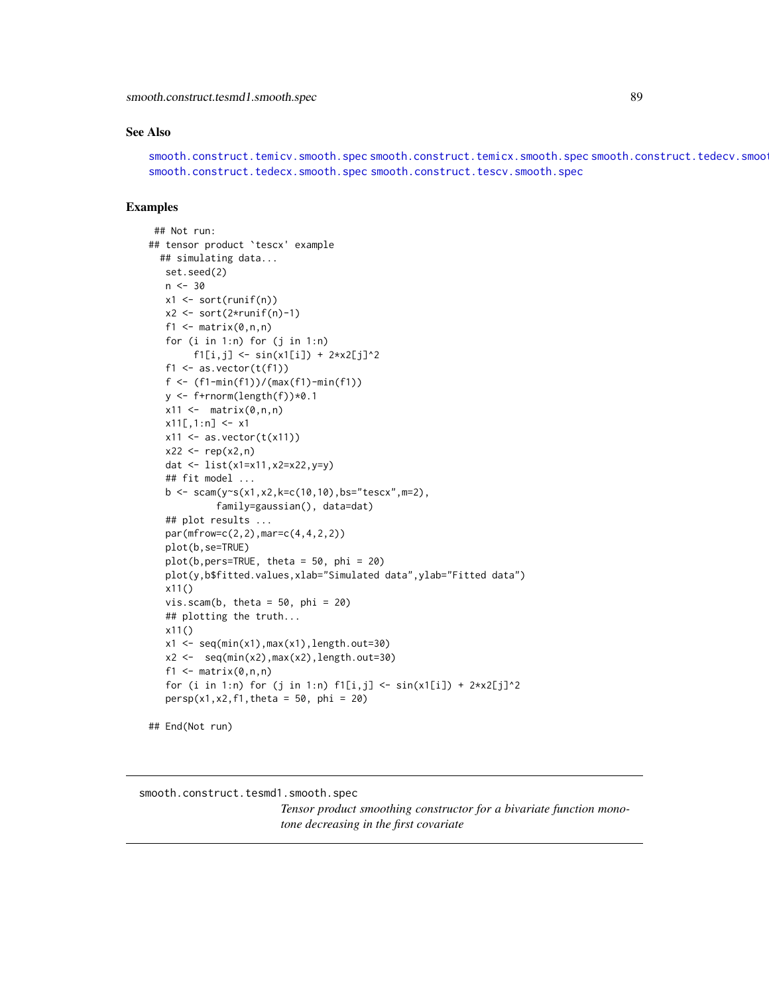<span id="page-88-1"></span>smooth.construct.tesmd1.smooth.spec 89

#### See Also

[smooth.construct.temicv.smooth.spec](#page-81-0) [smooth.construct.temicx.smooth.spec](#page-83-0) smooth.construct.tedecv.smoo [smooth.construct.tedecx.smooth.spec](#page-76-0) [smooth.construct.tescv.smooth.spec](#page-85-0)

# Examples

```
## Not run:
## tensor product `tescx' example
  ## simulating data...
   set.seed(2)
   n < -30x1 \leftarrow sort(runif(n))x2 \le sort(2*runif(n)-1)
   f1 \leq matrix(0,n,n)
   for (i in 1:n) for (j in 1:n)
        f1[i,j] < -sin(x1[i]) + 2*x2[j]<sup>2</sup>
   f1 \leq as. vector(t(f1))
   f <- (f1-min(f1))/(max(f1)-min(f1))
   y <- f+rnorm(length(f))*0.1
   x11 \leftarrow \text{matrix}(0, n, n)x11[,1:n] <- x1x11 \leftarrow as.vector(t(x11))x22 \le - rep(x2, n)
   dat <- list(x1=x11,x2=x22,y=y)
   ## fit model ...
   b \leq -scam(y \leq (x1, x2, k=c(10, 10), bs="tescx", m=2),family=gaussian(), data=dat)
   ## plot results ...
   par(mfrow=c(2,2),mar=c(4,4,2,2))
   plot(b,se=TRUE)
   plot(b,pers=TRUE, theta = 50, phi = 20)
   plot(y,b$fitted.values,xlab="Simulated data",ylab="Fitted data")
   x11()
   vis.scam(b, theta = 50, phi = 20)
   ## plotting the truth...
   x11()
   x1 \leftarrow \text{seq(min(x1),max(x1),length.out=30)}x2 \leq -\text{seq}(\text{min}(x2),\text{max}(x2),\text{length}.\text{out=30})f1 \leq matrix(0,n,n)
   for (i in 1:n) for (j in 1:n) f1[i,j] < - \sin(x1[i]) + 2*x2[j]^2persp(x1, x2, f1, theta = 50, phi = 20)
```
## End(Not run)

<span id="page-88-0"></span>smooth.construct.tesmd1.smooth.spec

*Tensor product smoothing constructor for a bivariate function monotone decreasing in the first covariate*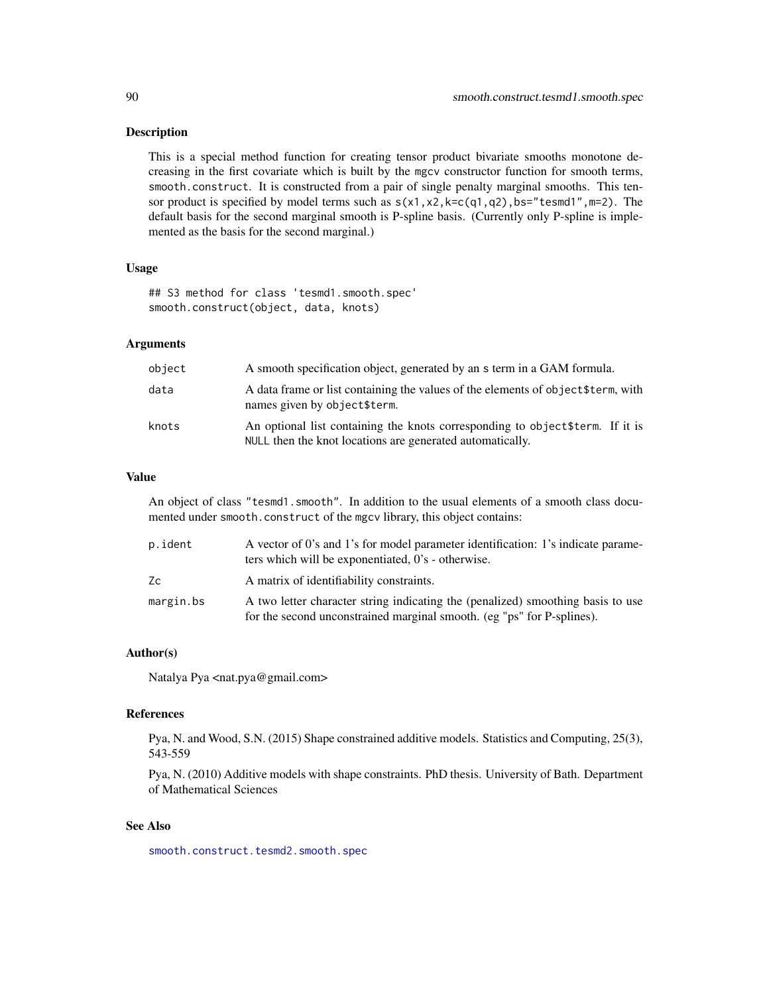#### <span id="page-89-0"></span>Description

This is a special method function for creating tensor product bivariate smooths monotone decreasing in the first covariate which is built by the mgcv constructor function for smooth terms, smooth.construct. It is constructed from a pair of single penalty marginal smooths. This tensor product is specified by model terms such as  $s(x1, x2, k=c(q1, q2), bs="t{esmd1", m=2}).$  The default basis for the second marginal smooth is P-spline basis. (Currently only P-spline is implemented as the basis for the second marginal.)

#### Usage

## S3 method for class 'tesmd1.smooth.spec' smooth.construct(object, data, knots)

#### Arguments

| object | A smooth specification object, generated by an s term in a GAM formula.                                                                     |
|--------|---------------------------------------------------------------------------------------------------------------------------------------------|
| data   | A data frame or list containing the values of the elements of object \$term, with<br>names given by object\$term.                           |
| knots  | An optional list containing the knots corresponding to object \$term. If it is<br>NULL then the knot locations are generated automatically. |

#### Value

An object of class "tesmd1.smooth". In addition to the usual elements of a smooth class documented under smooth.construct of the mgcv library, this object contains:

| p.ident   | A vector of 0's and 1's for model parameter identification: 1's indicate parame-<br>ters which will be exponentiated, 0's - otherwise.                    |
|-----------|-----------------------------------------------------------------------------------------------------------------------------------------------------------|
| Zc        | A matrix of identifiability constraints.                                                                                                                  |
| margin.bs | A two letter character string indicating the (penalized) smoothing basis to use<br>for the second unconstrained marginal smooth. (eg "ps" for P-splines). |

#### Author(s)

Natalya Pya <nat.pya@gmail.com>

#### References

Pya, N. and Wood, S.N. (2015) Shape constrained additive models. Statistics and Computing, 25(3), 543-559

Pya, N. (2010) Additive models with shape constraints. PhD thesis. University of Bath. Department of Mathematical Sciences

# See Also

[smooth.construct.tesmd2.smooth.spec](#page-90-0)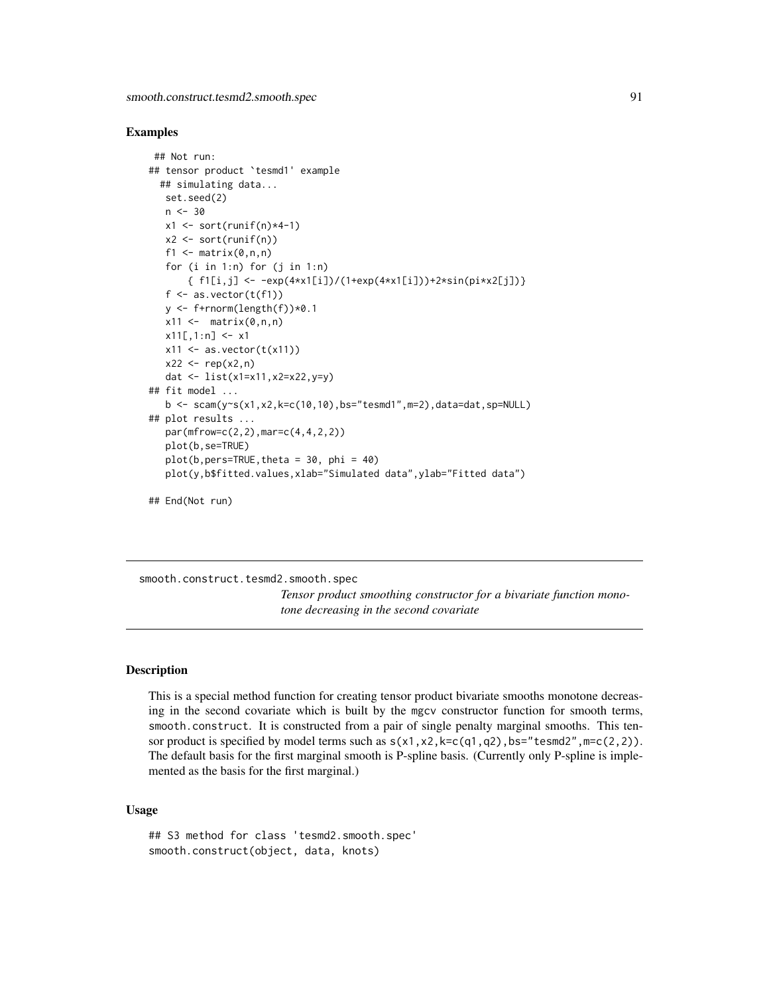#### <span id="page-90-1"></span>Examples

```
## Not run:
## tensor product `tesmd1' example
  ## simulating data...
   set.seed(2)
   n < -30x1 \leftarrow sort(runif(n)*4-1)x2 \le sort(runif(n))
   f1 \leq matrix(0,n,n)
   for (i in 1:n) for (j in 1:n)
       { f1[i,j] <- -exp(4*x1[i])/(1+exp(4*x1[i]))+2*sin(pixx2[j]))f \leftarrow as.vector(t(f1))y \leftarrow f+rnorm(length(f))*0.1
   x11 \leftarrow \text{matrix}(0, n, n)x11[,1:n] <- x1x11 \leftarrow as.vector(t(x11))x22 \le - rep(x2, n)
   dat <- list(x1=x11,x2=x22,y=y)
## fit model ...
   b \leq scam(y~s(x1,x2,k=c(10,10),bs="tesmd1",m=2),data=dat,sp=NULL)
## plot results ...
   par(mfrow=c(2,2),mar=c(4,4,2,2))
   plot(b,se=TRUE)
   plot(b,pers=TRUE, theta = 30, phi = 40)plot(y,b$fitted.values,xlab="Simulated data",ylab="Fitted data")
## End(Not run)
```
<span id="page-90-0"></span>smooth.construct.tesmd2.smooth.spec *Tensor product smoothing constructor for a bivariate function monotone decreasing in the second covariate*

# Description

This is a special method function for creating tensor product bivariate smooths monotone decreasing in the second covariate which is built by the mgcv constructor function for smooth terms, smooth.construct. It is constructed from a pair of single penalty marginal smooths. This tensor product is specified by model terms such as  $s(x1, x2, k=c(q1, q2)$ , bs="tesmd2", m=c(2,2)). The default basis for the first marginal smooth is P-spline basis. (Currently only P-spline is implemented as the basis for the first marginal.)

# Usage

```
## S3 method for class 'tesmd2.smooth.spec'
smooth.construct(object, data, knots)
```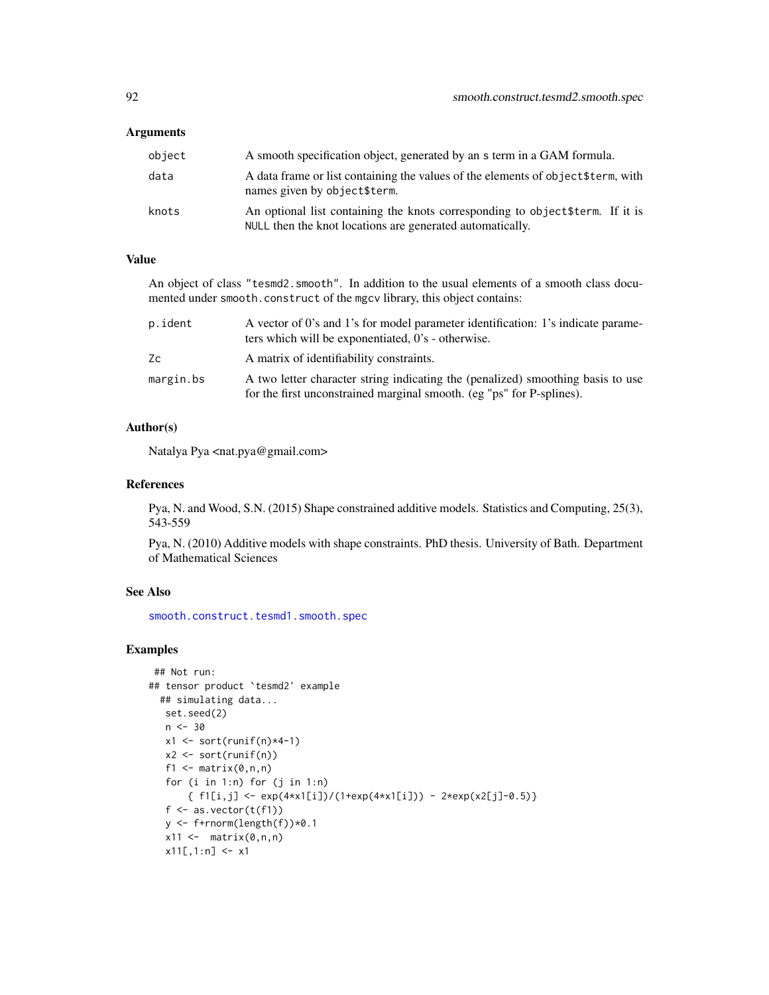#### <span id="page-91-0"></span>**Arguments**

| object | A smooth specification object, generated by an s term in a GAM formula.                                                                     |
|--------|---------------------------------------------------------------------------------------------------------------------------------------------|
| data   | A data frame or list containing the values of the elements of object \$term, with<br>names given by object\$term.                           |
| knots  | An optional list containing the knots corresponding to object \$term. If it is<br>NULL then the knot locations are generated automatically. |

# Value

An object of class "tesmd2.smooth". In addition to the usual elements of a smooth class documented under smooth.construct of the mgcv library, this object contains:

| p.ident   | A vector of 0's and 1's for model parameter identification: 1's indicate parame-<br>ters which will be exponentiated, 0's - otherwise.                   |
|-----------|----------------------------------------------------------------------------------------------------------------------------------------------------------|
| Zc        | A matrix of identifiability constraints.                                                                                                                 |
| margin.bs | A two letter character string indicating the (penalized) smoothing basis to use<br>for the first unconstrained marginal smooth. (eg "ps" for P-splines). |

# Author(s)

Natalya Pya <nat.pya@gmail.com>

# References

Pya, N. and Wood, S.N. (2015) Shape constrained additive models. Statistics and Computing, 25(3), 543-559

Pya, N. (2010) Additive models with shape constraints. PhD thesis. University of Bath. Department of Mathematical Sciences

# See Also

[smooth.construct.tesmd1.smooth.spec](#page-88-0)

```
## Not run:
## tensor product `tesmd2' example
  ## simulating data...
  set.seed(2)
   n < -30x1 \leftarrow sort(runif(n)*4-1)x2 <- sort(runif(n))
   f1 \leftarrow matrix(0,n,n)
   for (i in 1:n) for (j in 1:n)
       {f1[i,j] \leftarrow \exp(4*x1[i])/(1+exp(4*x1[i])) - 2*exp(x2[j]-0.5)}f \leftarrow as-vector(t(f1))y <- f+rnorm(length(f))*0.1
   x11 \leftarrow \text{matrix}(0, n, n)x11[,1:n] <- x1
```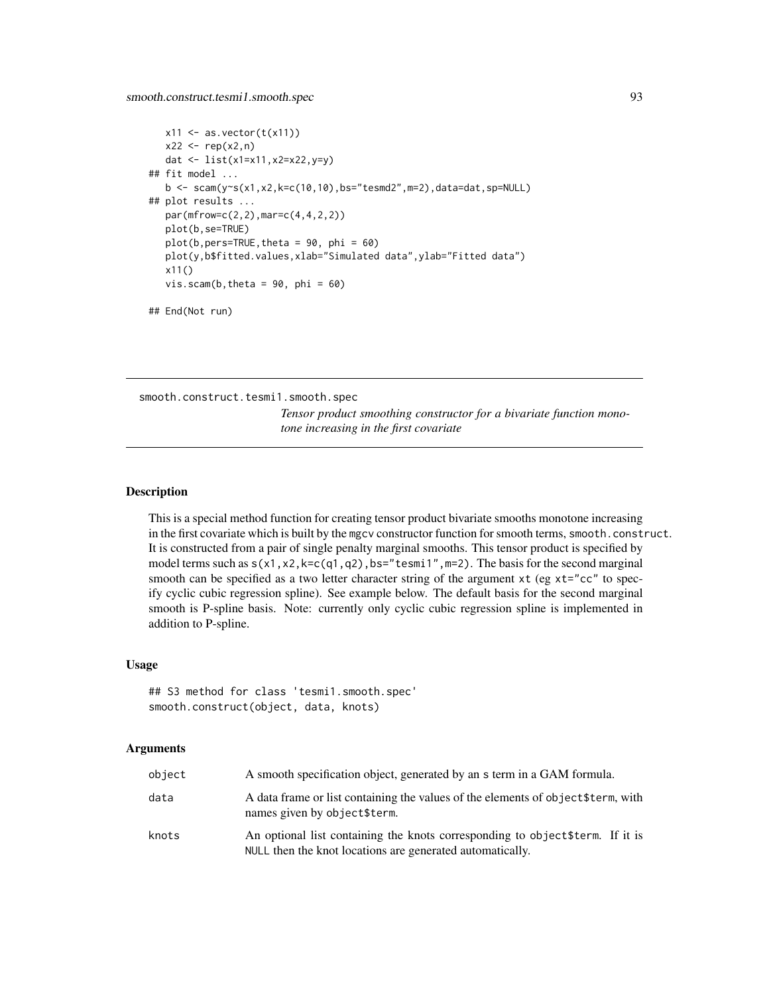```
x11 \leftarrow as.vector(t(x11))x22 \leq -rep(x2, n)dat <- list(x1=x11,x2=x22,y=y)
## fit model ...
  b \leq scam(y~s(x1,x2,k=c(10,10),bs="tesmd2",m=2),data=dat,sp=NULL)
## plot results ...
  par(mfrow=c(2,2),mar=c(4,4,2,2))
  plot(b,se=TRUE)
  plot(b,pers=TRUE, theta = 90, phi = 60)plot(y,b$fitted.values,xlab="Simulated data",ylab="Fitted data")
  x11()
  vis.scam(b, theta = 90, phi = 60)
```

```
## End(Not run)
```
<span id="page-92-0"></span>smooth.construct.tesmi1.smooth.spec

*Tensor product smoothing constructor for a bivariate function monotone increasing in the first covariate*

# Description

This is a special method function for creating tensor product bivariate smooths monotone increasing in the first covariate which is built by the mgcv constructor function for smooth terms, smooth.construct. It is constructed from a pair of single penalty marginal smooths. This tensor product is specified by model terms such as  $s(x1, x2, k=c(q1, q2), bs="tesmi1", m=2)$ . The basis for the second marginal smooth can be specified as a two letter character string of the argument xt (eg xt="cc" to specify cyclic cubic regression spline). See example below. The default basis for the second marginal smooth is P-spline basis. Note: currently only cyclic cubic regression spline is implemented in addition to P-spline.

#### Usage

```
## S3 method for class 'tesmi1.smooth.spec'
smooth.construct(object, data, knots)
```
#### Arguments

| object | A smooth specification object, generated by an s term in a GAM formula.                                                                     |
|--------|---------------------------------------------------------------------------------------------------------------------------------------------|
| data   | A data frame or list containing the values of the elements of object \$term, with<br>names given by object\$term.                           |
| knots  | An optional list containing the knots corresponding to object \$term. If it is<br>NULL then the knot locations are generated automatically. |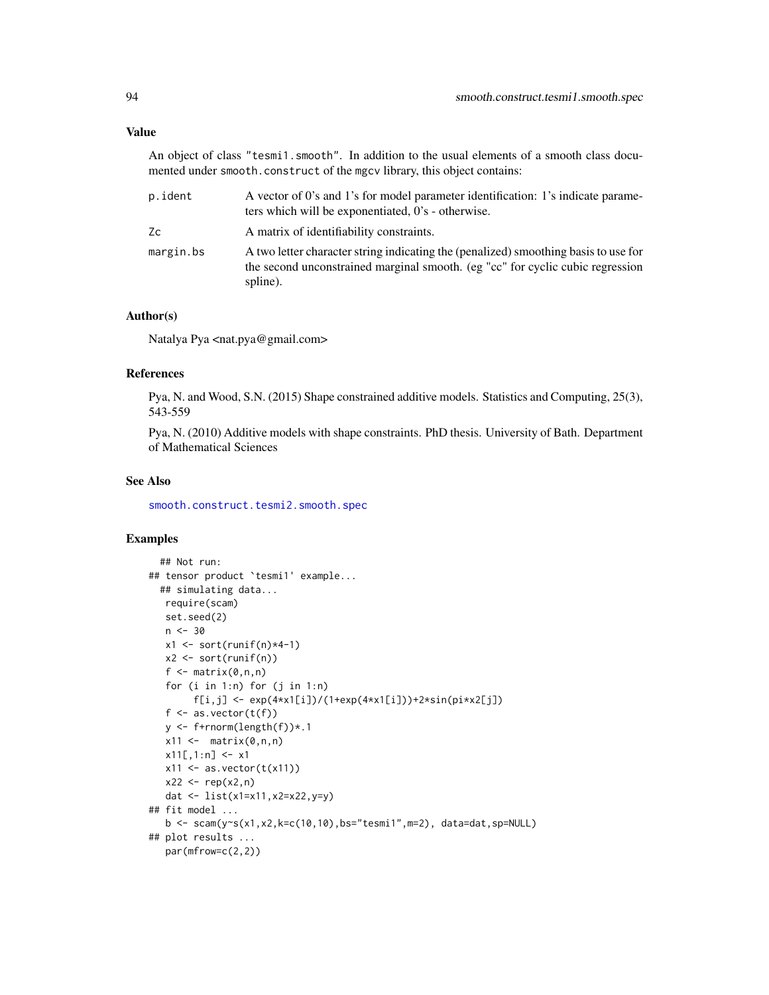# <span id="page-93-0"></span>Value

An object of class "tesmi1.smooth". In addition to the usual elements of a smooth class documented under smooth.construct of the mgcv library, this object contains:

| p.ident   | A vector of 0's and 1's for model parameter identification: 1's indicate parame-<br>ters which will be exponentiated, 0's - otherwise.                                            |
|-----------|-----------------------------------------------------------------------------------------------------------------------------------------------------------------------------------|
| Zc        | A matrix of identifiability constraints.                                                                                                                                          |
| margin.bs | A two letter character string indicating the (penalized) smoothing basis to use for<br>the second unconstrained marginal smooth. (eg "cc" for cyclic cubic regression<br>spline). |

# Author(s)

Natalya Pya <nat.pya@gmail.com>

### References

Pya, N. and Wood, S.N. (2015) Shape constrained additive models. Statistics and Computing, 25(3), 543-559

Pya, N. (2010) Additive models with shape constraints. PhD thesis. University of Bath. Department of Mathematical Sciences

#### See Also

[smooth.construct.tesmi2.smooth.spec](#page-94-0)

```
## Not run:
## tensor product `tesmi1' example...
  ## simulating data...
   require(scam)
   set.seed(2)
   n < -30x1 \leftarrow sort(runif(n)*4-1)x2 \le sort(runif(n))
   f \leftarrow matrix(0, n, n)for (i \text{ in } 1:n) for (j \text{ in } 1:n)f[i,j] <- exp(4*x1[i])/(1+exp(4*x1[i]))+2*sin(pix2[j])f \leftarrow as.vector(t(f))y <- f+rnorm(length(f))*.1
   x11 \leftarrow \text{matrix}(0, n, n)x11[,1:n] <- x1x11 \leftarrow as.vector(t(x11))x22 \leq -rep(x2, n)dat <- list(x1=x11,x2=x22,y=y)
## fit model ...
   b \leq scam(y~s(x1,x2,k=c(10,10),bs="tesmi1",m=2), data=dat,sp=NULL)
## plot results ...
   par(mfrow=c(2,2))
```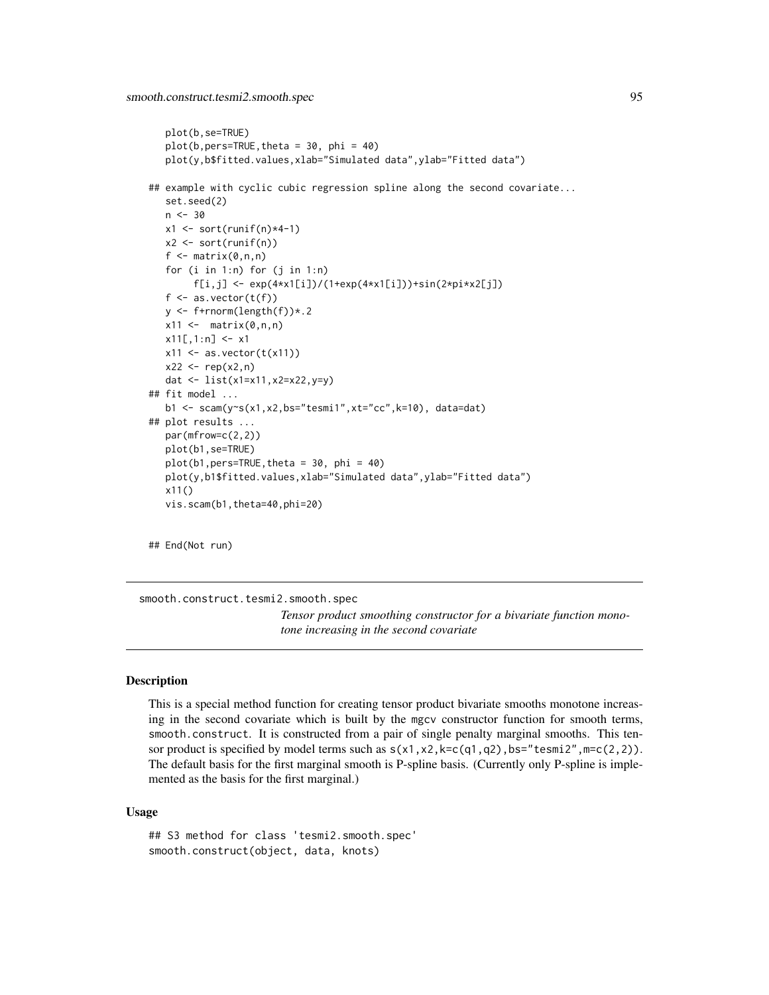```
plot(b,se=TRUE)
   plot(b,pers=TRUE,theta = 30, phi = 40)
   plot(y,b$fitted.values,xlab="Simulated data",ylab="Fitted data")
## example with cyclic cubic regression spline along the second covariate...
   set.seed(2)
   n < -30x1 \leftarrow sort(runif(n)*4-1)x2 \le sort(runif(n))
   f \leftarrow matrix(0, n, n)for (i in 1:n) for (j in 1:n)
        f[i,j] <- exp(4*x1[i])/(1+exp(4*x1[i]))+sin(2*pix2[j])f \leftarrow as.vector(t(f))y \leftarrow f+rnorm(length(f))*.2
   x11 \leftarrow \text{matrix}(0, n, n)x11[,1:n] <- x1x11 \leftarrow as.vector(t(x11))x22 \leq -rep(x2, n)dat <- list(x1=x11,x2=x22,y=y)
## fit model ...
   b1 <- scam(y~s(x1,x2,bs="tesmi1",xt="cc",k=10), data=dat)
## plot results ...
   par(mfrow=c(2,2))
   plot(b1,se=TRUE)
   plot(b1,pers=TRUE, theta = 30, phi = 40)plot(y,b1$fitted.values,xlab="Simulated data",ylab="Fitted data")
   x11()
   vis.scam(b1,theta=40,phi=20)
```
## End(Not run)

<span id="page-94-0"></span>smooth.construct.tesmi2.smooth.spec *Tensor product smoothing constructor for a bivariate function monotone increasing in the second covariate*

# Description

This is a special method function for creating tensor product bivariate smooths monotone increasing in the second covariate which is built by the mgcv constructor function for smooth terms, smooth.construct. It is constructed from a pair of single penalty marginal smooths. This tensor product is specified by model terms such as  $s(x1, x2, k=c(q1, q2), bs="tesmi2", m=c(2,2)).$ The default basis for the first marginal smooth is P-spline basis. (Currently only P-spline is implemented as the basis for the first marginal.)

#### Usage

```
## S3 method for class 'tesmi2.smooth.spec'
smooth.construct(object, data, knots)
```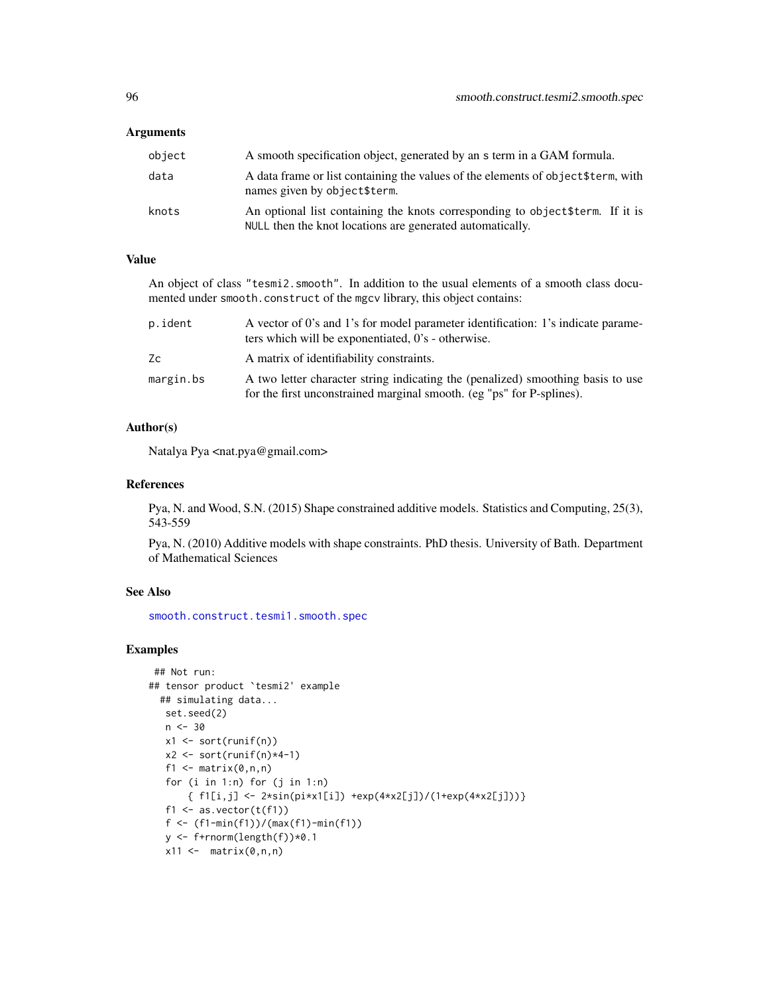#### <span id="page-95-0"></span>**Arguments**

| object | A smooth specification object, generated by an s term in a GAM formula.                                                                     |
|--------|---------------------------------------------------------------------------------------------------------------------------------------------|
| data   | A data frame or list containing the values of the elements of object \$term, with<br>names given by object\$term.                           |
| knots  | An optional list containing the knots corresponding to object \$term. If it is<br>NULL then the knot locations are generated automatically. |

# Value

An object of class "tesmi2.smooth". In addition to the usual elements of a smooth class documented under smooth.construct of the mgcv library, this object contains:

| p.ident   | A vector of 0's and 1's for model parameter identification: 1's indicate parame-<br>ters which will be exponentiated, 0's - otherwise.                   |
|-----------|----------------------------------------------------------------------------------------------------------------------------------------------------------|
| Zc        | A matrix of identifiability constraints.                                                                                                                 |
| margin.bs | A two letter character string indicating the (penalized) smoothing basis to use<br>for the first unconstrained marginal smooth. (eg "ps" for P-splines). |

# Author(s)

Natalya Pya <nat.pya@gmail.com>

# References

Pya, N. and Wood, S.N. (2015) Shape constrained additive models. Statistics and Computing, 25(3), 543-559

Pya, N. (2010) Additive models with shape constraints. PhD thesis. University of Bath. Department of Mathematical Sciences

# See Also

[smooth.construct.tesmi1.smooth.spec](#page-92-0)

```
## Not run:
## tensor product `tesmi2' example
  ## simulating data...
  set.seed(2)
   n < -30x1 <- sort(runif(n))
   x2 \leftarrow sort(runif(n)*4-1)f1 \leq matrix(0,n,n)
   for (i \text{ in } 1:n) for (j \text{ in } 1:n){ f1[i,j] <- 2*sin(pi*x1[i]) +exp(4*x2[j])/(1+exp(4*x2[j]))}
   f1 \leftarrow as.vector(t(f1))f <- (f1-min(f1))/(max(f1)-min(f1))
   y \leftarrow f+rnorm(length(f))*0.1
   x11 \leftarrow \text{matrix}(0, n, n)
```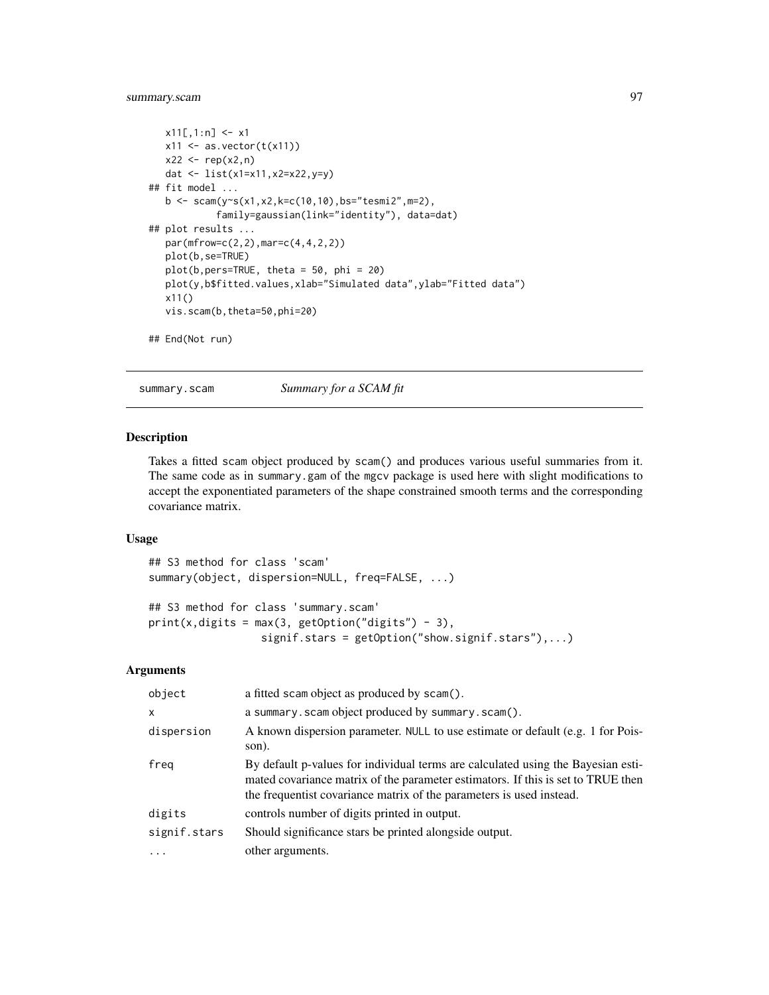# <span id="page-96-0"></span>summary.scam 97

```
x11[,1:n] <- x1x11 \leftarrow as.vector(t(x11))x22 < - rep(x2, n)
  dat <- list(x1=x11,x2=x22,y=y)
## fit model ...
  b <- scam(y~s(x1,x2,k=c(10,10),bs="tesmi2",m=2),
            family=gaussian(link="identity"), data=dat)
## plot results ...
  par(mfrow=c(2,2),mar=c(4,4,2,2))
  plot(b,se=TRUE)
  plot(b,pers=TRUE, theta = 50, phi = 20)
  plot(y,b$fitted.values,xlab="Simulated data",ylab="Fitted data")
  x11()
  vis.scam(b,theta=50,phi=20)
## End(Not run)
```
summary.scam *Summary for a SCAM fit*

#### Description

Takes a fitted scam object produced by scam() and produces various useful summaries from it. The same code as in summary.gam of the mgcv package is used here with slight modifications to accept the exponentiated parameters of the shape constrained smooth terms and the corresponding covariance matrix.

# Usage

```
## S3 method for class 'scam'
summary(object, dispersion=NULL, freq=FALSE, ...)
## S3 method for class 'summary.scam'
print(x, digits = max(3, getOption("digits") - 3),signif.stars = getOption("show.signif.stars"),...)
```
# Arguments

| object       | a fitted scam object as produced by scam().                                                                                                                                                                                                  |
|--------------|----------------------------------------------------------------------------------------------------------------------------------------------------------------------------------------------------------------------------------------------|
| $\mathsf{x}$ | a summary. scam object produced by summary. scam().                                                                                                                                                                                          |
| dispersion   | A known dispersion parameter. NULL to use estimate or default (e.g. 1 for Pois-<br>son).                                                                                                                                                     |
| freg         | By default p-values for individual terms are calculated using the Bayesian esti-<br>mated covariance matrix of the parameter estimators. If this is set to TRUE then<br>the frequentist covariance matrix of the parameters is used instead. |
| digits       | controls number of digits printed in output.                                                                                                                                                                                                 |
| signif.stars | Should significance stars be printed alongside output.                                                                                                                                                                                       |
|              | other arguments.                                                                                                                                                                                                                             |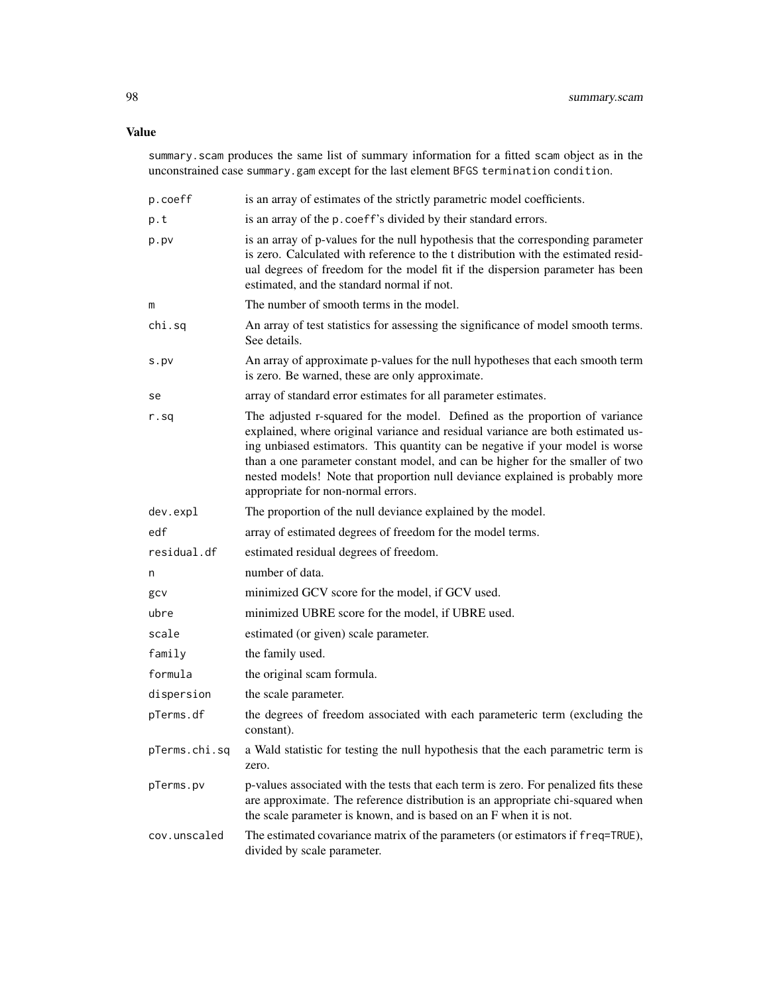# Value

summary.scam produces the same list of summary information for a fitted scam object as in the unconstrained case summary.gam except for the last element BFGS termination condition.

| p.coeff       | is an array of estimates of the strictly parametric model coefficients.                                                                                                                                                                                                                                                                                                                                                                                |
|---------------|--------------------------------------------------------------------------------------------------------------------------------------------------------------------------------------------------------------------------------------------------------------------------------------------------------------------------------------------------------------------------------------------------------------------------------------------------------|
| p.t           | is an array of the p. coeff's divided by their standard errors.                                                                                                                                                                                                                                                                                                                                                                                        |
| p.pv          | is an array of p-values for the null hypothesis that the corresponding parameter<br>is zero. Calculated with reference to the t distribution with the estimated resid-<br>ual degrees of freedom for the model fit if the dispersion parameter has been<br>estimated, and the standard normal if not.                                                                                                                                                  |
| m             | The number of smooth terms in the model.                                                                                                                                                                                                                                                                                                                                                                                                               |
| chi.sq        | An array of test statistics for assessing the significance of model smooth terms.<br>See details.                                                                                                                                                                                                                                                                                                                                                      |
| s.py          | An array of approximate p-values for the null hypotheses that each smooth term<br>is zero. Be warned, these are only approximate.                                                                                                                                                                                                                                                                                                                      |
| se            | array of standard error estimates for all parameter estimates.                                                                                                                                                                                                                                                                                                                                                                                         |
| r.sq          | The adjusted r-squared for the model. Defined as the proportion of variance<br>explained, where original variance and residual variance are both estimated us-<br>ing unbiased estimators. This quantity can be negative if your model is worse<br>than a one parameter constant model, and can be higher for the smaller of two<br>nested models! Note that proportion null deviance explained is probably more<br>appropriate for non-normal errors. |
| dev.expl      | The proportion of the null deviance explained by the model.                                                                                                                                                                                                                                                                                                                                                                                            |
| edf           | array of estimated degrees of freedom for the model terms.                                                                                                                                                                                                                                                                                                                                                                                             |
| residual.df   | estimated residual degrees of freedom.                                                                                                                                                                                                                                                                                                                                                                                                                 |
| n             | number of data.                                                                                                                                                                                                                                                                                                                                                                                                                                        |
| gcv           | minimized GCV score for the model, if GCV used.                                                                                                                                                                                                                                                                                                                                                                                                        |
| ubre          | minimized UBRE score for the model, if UBRE used.                                                                                                                                                                                                                                                                                                                                                                                                      |
| scale         | estimated (or given) scale parameter.                                                                                                                                                                                                                                                                                                                                                                                                                  |
| family        | the family used.                                                                                                                                                                                                                                                                                                                                                                                                                                       |
| formula       | the original scam formula.                                                                                                                                                                                                                                                                                                                                                                                                                             |
| dispersion    | the scale parameter.                                                                                                                                                                                                                                                                                                                                                                                                                                   |
| pTerms.df     | the degrees of freedom associated with each parameteric term (excluding the<br>constant).                                                                                                                                                                                                                                                                                                                                                              |
| pTerms.chi.sq | a Wald statistic for testing the null hypothesis that the each parametric term is<br>zero.                                                                                                                                                                                                                                                                                                                                                             |
| pTerms.pv     | p-values associated with the tests that each term is zero. For penalized fits these<br>are approximate. The reference distribution is an appropriate chi-squared when<br>the scale parameter is known, and is based on an F when it is not.                                                                                                                                                                                                            |
| cov.unscaled  | The estimated covariance matrix of the parameters (or estimators if freq=TRUE),<br>divided by scale parameter.                                                                                                                                                                                                                                                                                                                                         |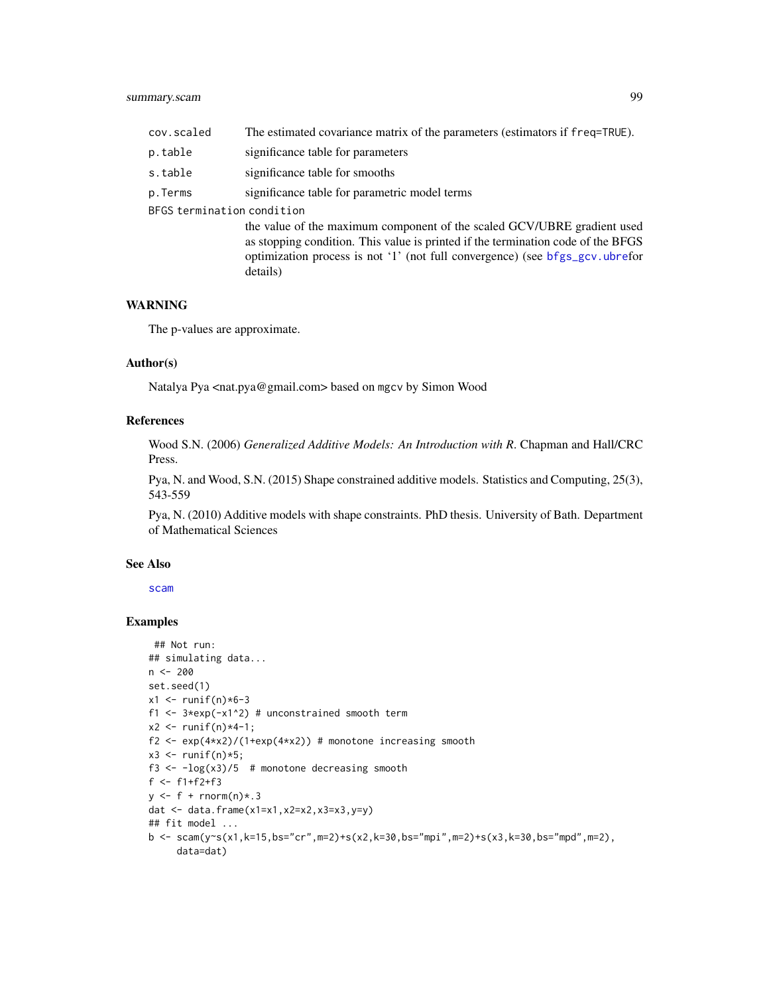# <span id="page-98-0"></span>summary.scam 99

| cov.scaled                 | The estimated covariance matrix of the parameters (estimators if freq=TRUE).                                                                                                                                                                            |
|----------------------------|---------------------------------------------------------------------------------------------------------------------------------------------------------------------------------------------------------------------------------------------------------|
| p.table                    | significance table for parameters                                                                                                                                                                                                                       |
| s.table                    | significance table for smooths                                                                                                                                                                                                                          |
| p.Terms                    | significance table for parametric model terms                                                                                                                                                                                                           |
| BFGS termination condition |                                                                                                                                                                                                                                                         |
|                            | the value of the maximum component of the scaled GCV/UBRE gradient used<br>as stopping condition. This value is printed if the termination code of the BFGS<br>optimization process is not '1' (not full convergence) (see bfgs_gcv.ubrefor<br>details) |

# WARNING

The p-values are approximate.

#### Author(s)

Natalya Pya <nat.pya@gmail.com> based on mgcv by Simon Wood

### References

Wood S.N. (2006) *Generalized Additive Models: An Introduction with R*. Chapman and Hall/CRC Press.

Pya, N. and Wood, S.N. (2015) Shape constrained additive models. Statistics and Computing, 25(3), 543-559

Pya, N. (2010) Additive models with shape constraints. PhD thesis. University of Bath. Department of Mathematical Sciences

#### See Also

[scam](#page-30-0)

```
## Not run:
## simulating data...
n <- 200
set.seed(1)
x1 <- runif(n)*6-3
f1 \leq 3*exp(-x1^2) # unconstrained smooth term
x2 \le runif(n)*4-1;
f2 <- exp(4*x2)/(1+exp(4*x2)) # monotone increasing smooth
x3 \le- runif(n)*5;
f3 <- -\log(x3)/5 # monotone decreasing smooth
f <- f1+f2+f3
y \leftarrow f + \text{rnorm}(n) \times .3dat \leq data.frame(x1=x1,x2=x2,x3=x3,y=y)
## fit model ...
b <- scam(y~s(x1,k=15,bs="cr",m=2)+s(x2,k=30,bs="mpi",m=2)+s(x3,k=30,bs="mpd",m=2),
     data=dat)
```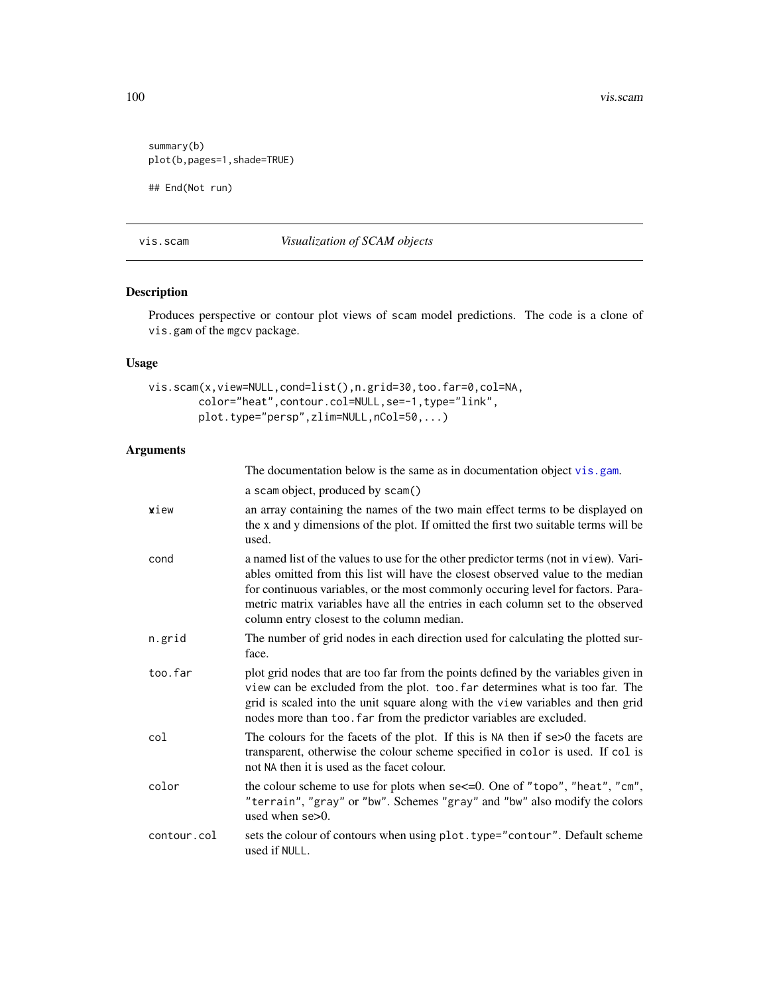<span id="page-99-1"></span>100 vis.scam vis.scam vis.scam vis.scam vis.scam vis.scam vis.scam vis.scam vis.scam vis.scam vis.sc

```
summary(b)
plot(b,pages=1,shade=TRUE)
```
## End(Not run)

vis.scam *Visualization of SCAM objects*

# <span id="page-99-0"></span>Description

Produces perspective or contour plot views of scam model predictions. The code is a clone of vis.gam of the mgcv package.

The documentation below is the same as in documentation object [vis.gam](#page-0-0).

# Usage

```
vis.scam(x,view=NULL,cond=list(),n.grid=30,too.far=0,col=NA,
        color="heat",contour.col=NULL,se=-1,type="link",
        plot.type="persp",zlim=NULL,nCol=50,...)
```
# Arguments

|             | a scam object, produced by scam()                                                                                                                                                                                                                                                                                                                                                            |
|-------------|----------------------------------------------------------------------------------------------------------------------------------------------------------------------------------------------------------------------------------------------------------------------------------------------------------------------------------------------------------------------------------------------|
| xiew        | an array containing the names of the two main effect terms to be displayed on<br>the x and y dimensions of the plot. If omitted the first two suitable terms will be<br>used.                                                                                                                                                                                                                |
| cond        | a named list of the values to use for the other predictor terms (not in view). Vari-<br>ables omitted from this list will have the closest observed value to the median<br>for continuous variables, or the most commonly occuring level for factors. Para-<br>metric matrix variables have all the entries in each column set to the observed<br>column entry closest to the column median. |
| n.grid      | The number of grid nodes in each direction used for calculating the plotted sur-<br>face.                                                                                                                                                                                                                                                                                                    |
| too.far     | plot grid nodes that are too far from the points defined by the variables given in<br>view can be excluded from the plot. too. far determines what is too far. The<br>grid is scaled into the unit square along with the view variables and then grid<br>nodes more than too. far from the predictor variables are excluded.                                                                 |
| col         | The colours for the facets of the plot. If this is NA then if se>0 the facets are<br>transparent, otherwise the colour scheme specified in color is used. If col is<br>not NA then it is used as the facet colour.                                                                                                                                                                           |
| color       | the colour scheme to use for plots when se<=0. One of "topo", "heat", "cm",<br>"terrain", "gray" or "bw". Schemes "gray" and "bw" also modify the colors<br>used when $se>0$ .                                                                                                                                                                                                               |
| contour.col | sets the colour of contours when using plot. type="contour". Default scheme<br>used if NULL.                                                                                                                                                                                                                                                                                                 |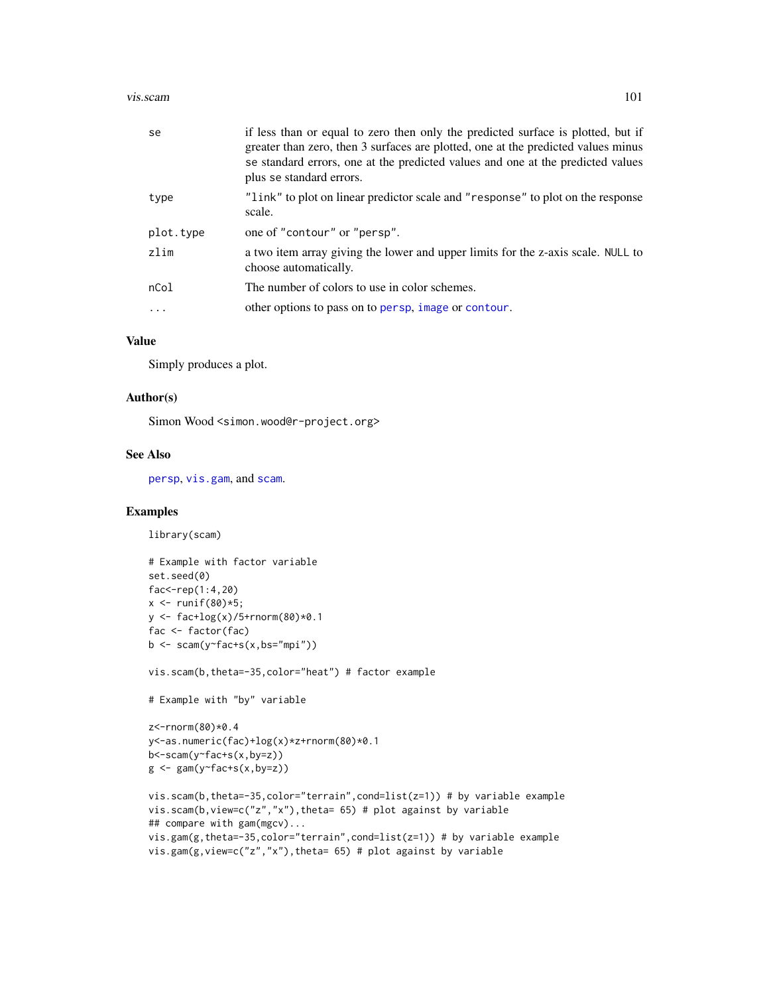#### <span id="page-100-0"></span>vis.scam and the contract of the contract of the contract of the contract of the contract of the contract of the contract of the contract of the contract of the contract of the contract of the contract of the contract of t

| se        | if less than or equal to zero then only the predicted surface is plotted, but if<br>greater than zero, then 3 surfaces are plotted, one at the predicted values minus<br>se standard errors, one at the predicted values and one at the predicted values<br>plus se standard errors. |
|-----------|--------------------------------------------------------------------------------------------------------------------------------------------------------------------------------------------------------------------------------------------------------------------------------------|
| type      | "link" to plot on linear predictor scale and "response" to plot on the response<br>scale.                                                                                                                                                                                            |
| plot.type | one of "contour" or "persp".                                                                                                                                                                                                                                                         |
| zlim      | a two item array giving the lower and upper limits for the z-axis scale. NULL to<br>choose automatically.                                                                                                                                                                            |
| nCol      | The number of colors to use in color schemes.                                                                                                                                                                                                                                        |
| $\ddotsc$ | other options to pass on to persp, image or contour.                                                                                                                                                                                                                                 |
|           |                                                                                                                                                                                                                                                                                      |

# Value

Simply produces a plot.

#### Author(s)

Simon Wood <simon.wood@r-project.org>

# See Also

[persp](#page-99-0), [vis.gam](#page-0-0), and [scam](#page-30-0).

# Examples

```
library(scam)
```

```
# Example with factor variable
set.seed(0)
fac < -rep(1:4,20)x \le - runif(80)*5;
y <- fac+log(x)/5+rnorm(80)*0.1
fac <- factor(fac)
b \leftarrow \text{scam}(y \text{--} \text{fac} \text{--} \text{--} (x, bs \text{--} \text{--} \text{--} \text{--} \text{--} ))
```
vis.scam(b,theta=-35,color="heat") # factor example

```
# Example with "by" variable
```

```
z<-rnorm(80)*0.4
y<-as.numeric(fac)+log(x)*z+rnorm(80)*0.1
b<-scam(y~fac+s(x,by=z))
g \leftarrow \text{gam}(y \sim \text{fac} + s(x, by = z))
```

```
vis.scam(b,theta=-35,color="terrain",cond=list(z=1)) # by variable example
vis.scam(b,view=c("z","x"),theta= 65) # plot against by variable
## compare with gam(mgcv)...
vis.gam(g,theta=-35,color="terrain",cond=list(z=1)) # by variable example
vis.gam(g,view=c("z","x"),theta= 65) # plot against by variable
```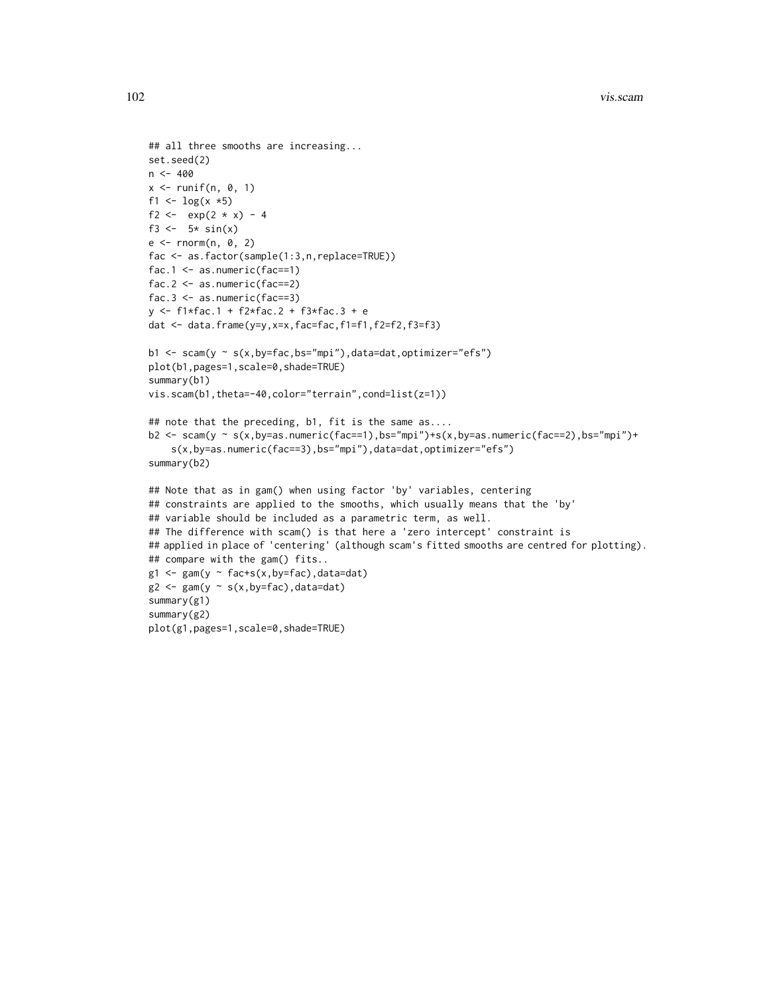```
## all three smooths are increasing...
set.seed(2)
n < -400x \le runif(n, 0, 1)
f1 <- \log(x * 5)f2 <- exp(2 * x) - 4f3 <-5* sin(x)e \le - rnorm(n, 0, 2)fac <- as.factor(sample(1:3,n,replace=TRUE))
fac.1 <- as.numeric(fac==1)
fac.2 <- as.numeric(fac==2)
fac.3 \leq 1 as.numeric(fac==3)
y <- f1*fac.1 + f2*fac.2 + f3*fac.3 + e
dat <- data.frame(y=y,x=x,fac=fac,f1=f1,f2=f2,f3=f3)
b1 <- scam(y ~ s(x,by=fac,bs="mpi"),data=dat,optimizer="efs")
plot(b1,pages=1,scale=0,shade=TRUE)
summary(b1)
vis.scam(b1,theta=-40,color="terrain",cond=list(z=1))
## note that the preceding, b1, fit is the same as....
b2 <- scam(y ~ s(x,by=as.numeric(fac==1),bs="mpi")+s(x,by=as.numeric(fac==2),bs="mpi")+
    s(x,by=as.numeric(fac==3),bs="mpi"),data=dat,optimizer="efs")
summary(b2)
## Note that as in gam() when using factor 'by' variables, centering
## constraints are applied to the smooths, which usually means that the 'by'
## variable should be included as a parametric term, as well.
## The difference with scam() is that here a 'zero intercept' constraint is
## applied in place of 'centering' (although scam's fitted smooths are centred for plotting).
## compare with the gam() fits..
g1 \leftarrow gan(y \sim fac+s(x,by=fac), data=dat)
g2 \leftarrow gan(y \sim s(x, by = fac), data = dat)summary(g1)
summary(g2)
plot(g1,pages=1,scale=0,shade=TRUE)
```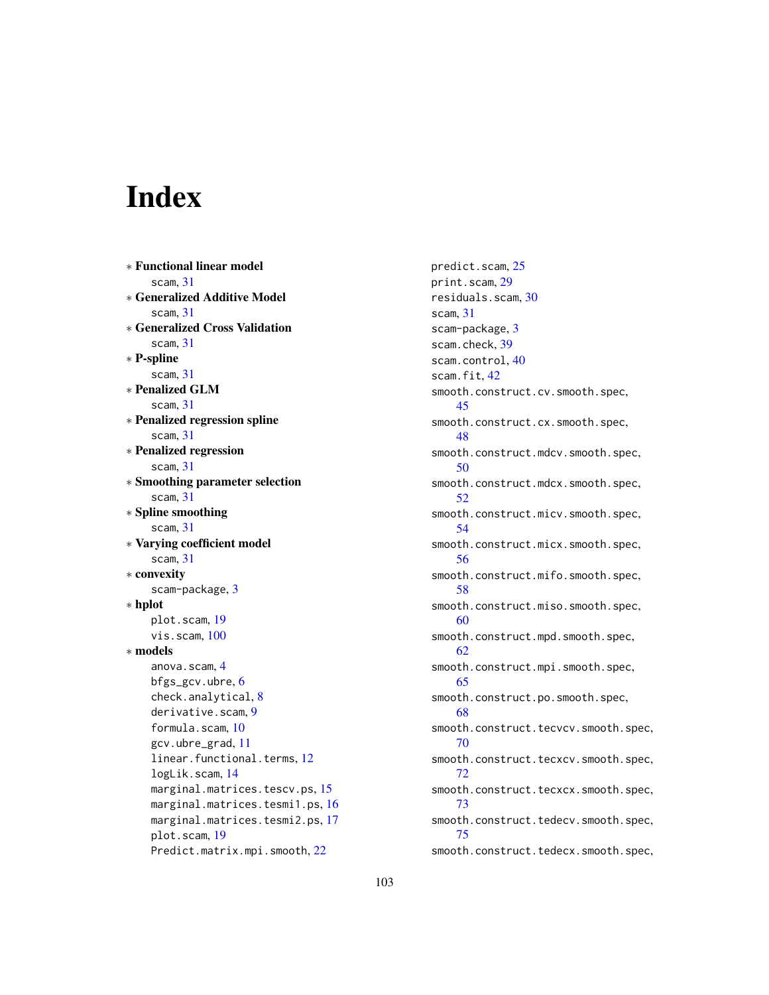# Index

∗ Functional linear model scam, [31](#page-30-1) ∗ Generalized Additive Model scam, [31](#page-30-1) ∗ Generalized Cross Validation scam, [31](#page-30-1) ∗ P-spline scam, [31](#page-30-1) ∗ Penalized GLM scam, [31](#page-30-1) ∗ Penalized regression spline scam, [31](#page-30-1) ∗ Penalized regression scam, [31](#page-30-1) ∗ Smoothing parameter selection scam, [31](#page-30-1) ∗ Spline smoothing scam, [31](#page-30-1) ∗ Varying coefficient model scam, [31](#page-30-1) ∗ convexity scam-package, [3](#page-2-0) ∗ hplot plot.scam, [19](#page-18-0) vis.scam, [100](#page-99-1) ∗ models anova.scam, [4](#page-3-0) bfgs\_gcv.ubre, [6](#page-5-1) check.analytical, [8](#page-7-0) derivative.scam, [9](#page-8-0) formula.scam, [10](#page-9-0) gcv.ubre\_grad, [11](#page-10-0) linear.functional.terms, [12](#page-11-0) logLik.scam, [14](#page-13-0) marginal.matrices.tescv.ps, [15](#page-14-0) marginal.matrices.tesmi1.ps, [16](#page-15-0) marginal.matrices.tesmi2.ps, [17](#page-16-0) plot.scam, [19](#page-18-0) Predict.matrix.mpi.smooth, [22](#page-21-0)

predict.scam, [25](#page-24-0) print.scam, [29](#page-28-0) residuals.scam, [30](#page-29-0) scam, [31](#page-30-1) scam-package, [3](#page-2-0) scam.check, [39](#page-38-0) scam.control, [40](#page-39-0) scam.fit.[42](#page-41-0) smooth.construct.cv.smooth.spec, [45](#page-44-0) smooth.construct.cx.smooth.spec, [48](#page-47-0) smooth.construct.mdcv.smooth.spec, [50](#page-49-0) smooth.construct.mdcx.smooth.spec, [52](#page-51-0) smooth.construct.micv.smooth.spec, [54](#page-53-0) smooth.construct.micx.smooth.spec, [56](#page-55-0) smooth.construct.mifo.smooth.spec, [58](#page-57-0) smooth.construct.miso.smooth.spec, [60](#page-59-0) smooth.construct.mpd.smooth.spec, [62](#page-61-0) smooth.construct.mpi.smooth.spec, [65](#page-64-0) smooth.construct.po.smooth.spec, [68](#page-67-0) smooth.construct.tecvcv.smooth.spec, [70](#page-69-1) smooth.construct.tecxcv.smooth.spec, [72](#page-71-1) smooth.construct.tecxcx.smooth.spec, [73](#page-72-1) smooth.construct.tedecv.smooth.spec, [75](#page-74-1) smooth.construct.tedecx.smooth.spec,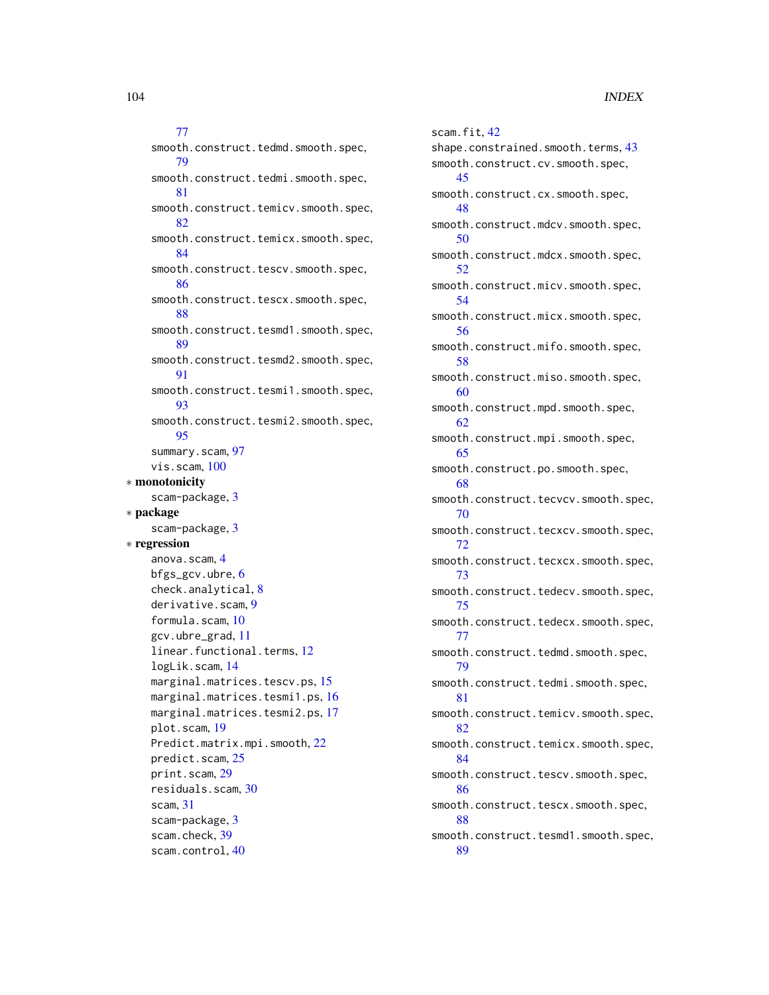# [77](#page-76-1)

smooth.construct.tedmd.smooth.spec, [79](#page-78-1) smooth.construct.tedmi.smooth.spec, [81](#page-80-1) smooth.construct.temicv.smooth.spec, [82](#page-81-1) smooth.construct.temicx.smooth.spec, [84](#page-83-1) smooth.construct.tescv.smooth.spec, [86](#page-85-1) smooth.construct.tescx.smooth.spec, [88](#page-87-1) smooth.construct.tesmd1.smooth.spec, [89](#page-88-1) smooth.construct.tesmd2.smooth.spec, [91](#page-90-1) smooth.construct.tesmi1.smooth.spec, [93](#page-92-1) smooth.construct.tesmi2.smooth.spec, [95](#page-94-1) summary.scam, [97](#page-96-0) vis.scam, [100](#page-99-1) ∗ monotonicity scam-package, [3](#page-2-0) ∗ package scam-package, [3](#page-2-0) ∗ regression anova.scam, [4](#page-3-0) bfgs\_gcv.ubre, [6](#page-5-1) check.analytical, [8](#page-7-0) derivative.scam, [9](#page-8-0) formula.scam, [10](#page-9-0) gcv.ubre\_grad, [11](#page-10-0) linear.functional.terms, [12](#page-11-0) logLik.scam, [14](#page-13-0) marginal.matrices.tescv.ps, [15](#page-14-0) marginal.matrices.tesmi1.ps, [16](#page-15-0) marginal.matrices.tesmi2.ps, [17](#page-16-0) plot.scam, [19](#page-18-0) Predict.matrix.mpi.smooth, [22](#page-21-0) predict.scam, [25](#page-24-0) print.scam, [29](#page-28-0) residuals.scam, [30](#page-29-0) scam, [31](#page-30-1) scam-package, [3](#page-2-0) scam.check, [39](#page-38-0) scam.control, [40](#page-39-0)

scam.fit, [42](#page-41-0) shape.constrained.smooth.terms, [43](#page-42-0) smooth.construct.cv.smooth.spec, [45](#page-44-0) smooth.construct.cx.smooth.spec, [48](#page-47-0) smooth.construct.mdcv.smooth.spec, [50](#page-49-0) smooth.construct.mdcx.smooth.spec, [52](#page-51-0) smooth.construct.micv.smooth.spec, [54](#page-53-0) smooth.construct.micx.smooth.spec, [56](#page-55-0) smooth.construct.mifo.smooth.spec, [58](#page-57-0) smooth.construct.miso.smooth.spec, [60](#page-59-0) smooth.construct.mpd.smooth.spec, [62](#page-61-0) smooth.construct.mpi.smooth.spec, [65](#page-64-0) smooth.construct.po.smooth.spec, [68](#page-67-0) smooth.construct.tecvcv.smooth.spec, [70](#page-69-1) smooth.construct.tecxcv.smooth.spec, [72](#page-71-1) smooth.construct.tecxcx.smooth.spec, [73](#page-72-1) smooth.construct.tedecv.smooth.spec, [75](#page-74-1) smooth.construct.tedecx.smooth.spec, [77](#page-76-1) smooth.construct.tedmd.smooth.spec, [79](#page-78-1) smooth.construct.tedmi.smooth.spec, [81](#page-80-1) smooth.construct.temicv.smooth.spec, [82](#page-81-1) smooth.construct.temicx.smooth.spec, [84](#page-83-1) smooth.construct.tescv.smooth.spec, [86](#page-85-1) smooth.construct.tescx.smooth.spec, [88](#page-87-1) smooth.construct.tesmd1.smooth.spec,

[89](#page-88-1)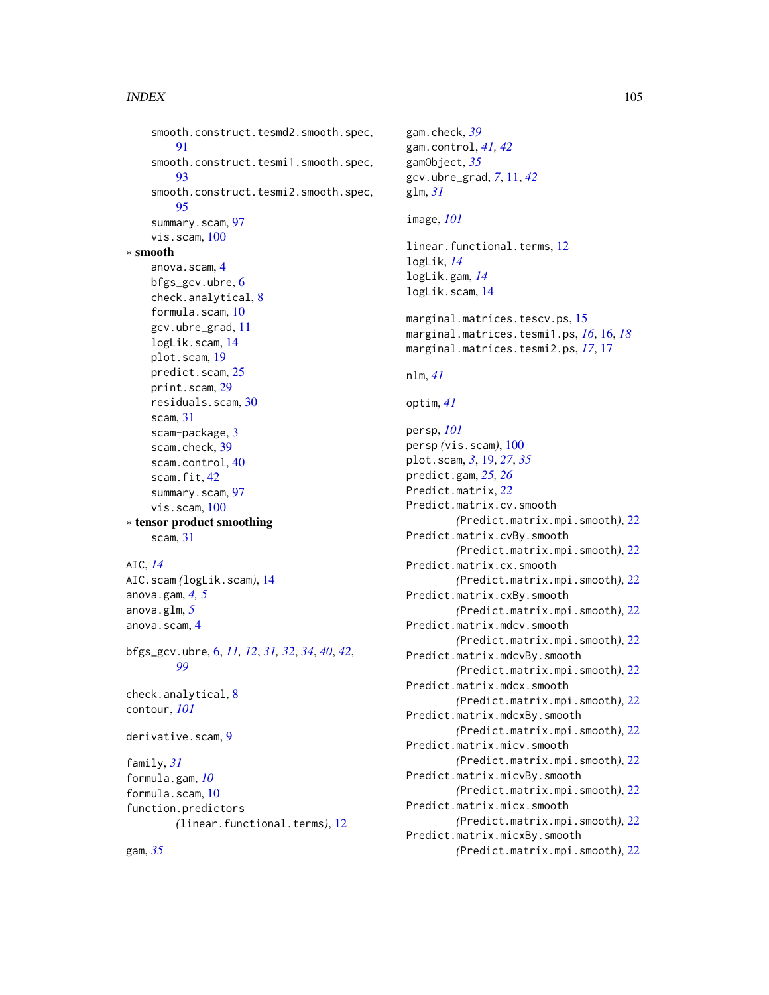#### INDEX 105

smooth.construct.tesmd2.smooth.spec, [91](#page-90-1) smooth.construct.tesmi1.smooth.spec, [93](#page-92-1) smooth.construct.tesmi2.smooth.spec, [95](#page-94-1) summary.scam, [97](#page-96-0) vis.scam, [100](#page-99-1) ∗ smooth anova.scam, [4](#page-3-0) bfgs\_gcv.ubre, [6](#page-5-1) check.analytical, [8](#page-7-0) formula.scam, [10](#page-9-0) gcv.ubre\_grad, [11](#page-10-0) logLik.scam, [14](#page-13-0) plot.scam, [19](#page-18-0) predict.scam, [25](#page-24-0) print.scam, [29](#page-28-0) residuals.scam, [30](#page-29-0) scam, [31](#page-30-1) scam-package, [3](#page-2-0) scam.check, [39](#page-38-0) scam.control, [40](#page-39-0) scam.fit, [42](#page-41-0) summary.scam, [97](#page-96-0) vis.scam, [100](#page-99-1) ∗ tensor product smoothing scam, [31](#page-30-1) AIC, *[14](#page-13-0)* AIC.scam *(*logLik.scam*)*, [14](#page-13-0) anova.gam, *[4,](#page-3-0) [5](#page-4-0)* anova.glm, *[5](#page-4-0)* anova.scam, [4](#page-3-0) bfgs\_gcv.ubre, [6,](#page-5-1) *[11,](#page-10-0) [12](#page-11-0)*, *[31,](#page-30-1) [32](#page-31-0)*, *[34](#page-33-0)*, *[40](#page-39-0)*, *[42](#page-41-0)*, *[99](#page-98-0)* check.analytical, [8](#page-7-0) contour, *[101](#page-100-0)* derivative.scam, [9](#page-8-0) family, *[31](#page-30-1)* formula.gam, *[10](#page-9-0)* formula.scam, [10](#page-9-0) function.predictors *(*linear.functional.terms*)*, [12](#page-11-0)

gam.check, *[39](#page-38-0)* gam.control, *[41,](#page-40-0) [42](#page-41-0)* gamObject, *[35](#page-34-0)* gcv.ubre\_grad, *[7](#page-6-0)*, [11,](#page-10-0) *[42](#page-41-0)* glm, *[31](#page-30-1)* image, *[101](#page-100-0)* linear.functional.terms, [12](#page-11-0) logLik, *[14](#page-13-0)* logLik.gam, *[14](#page-13-0)* logLik.scam, [14](#page-13-0) marginal.matrices.tescv.ps, [15](#page-14-0) marginal.matrices.tesmi1.ps, *[16](#page-15-0)*, [16,](#page-15-0) *[18](#page-17-0)* marginal.matrices.tesmi2.ps, *[17](#page-16-0)*, [17](#page-16-0) nlm, *[41](#page-40-0)* optim, *[41](#page-40-0)* persp, *[101](#page-100-0)* persp *(*vis.scam*)*, [100](#page-99-1) plot.scam, *[3](#page-2-0)*, [19,](#page-18-0) *[27](#page-26-0)*, *[35](#page-34-0)* predict.gam, *[25,](#page-24-0) [26](#page-25-0)* Predict.matrix, *[22](#page-21-0)* Predict.matrix.cv.smooth *(*Predict.matrix.mpi.smooth*)*, [22](#page-21-0) Predict.matrix.cvBy.smooth *(*Predict.matrix.mpi.smooth*)*, [22](#page-21-0) Predict.matrix.cx.smooth *(*Predict.matrix.mpi.smooth*)*, [22](#page-21-0) Predict.matrix.cxBy.smooth *(*Predict.matrix.mpi.smooth*)*, [22](#page-21-0) Predict.matrix.mdcv.smooth *(*Predict.matrix.mpi.smooth*)*, [22](#page-21-0) Predict.matrix.mdcvBy.smooth *(*Predict.matrix.mpi.smooth*)*, [22](#page-21-0) Predict.matrix.mdcx.smooth *(*Predict.matrix.mpi.smooth*)*, [22](#page-21-0) Predict.matrix.mdcxBy.smooth *(*Predict.matrix.mpi.smooth*)*, [22](#page-21-0) Predict.matrix.micv.smooth *(*Predict.matrix.mpi.smooth*)*, [22](#page-21-0) Predict.matrix.micvBy.smooth *(*Predict.matrix.mpi.smooth*)*, [22](#page-21-0) Predict.matrix.micx.smooth *(*Predict.matrix.mpi.smooth*)*, [22](#page-21-0) Predict.matrix.micxBy.smooth

gam, *[35](#page-34-0)*

*(*Predict.matrix.mpi.smooth*)*, [22](#page-21-0)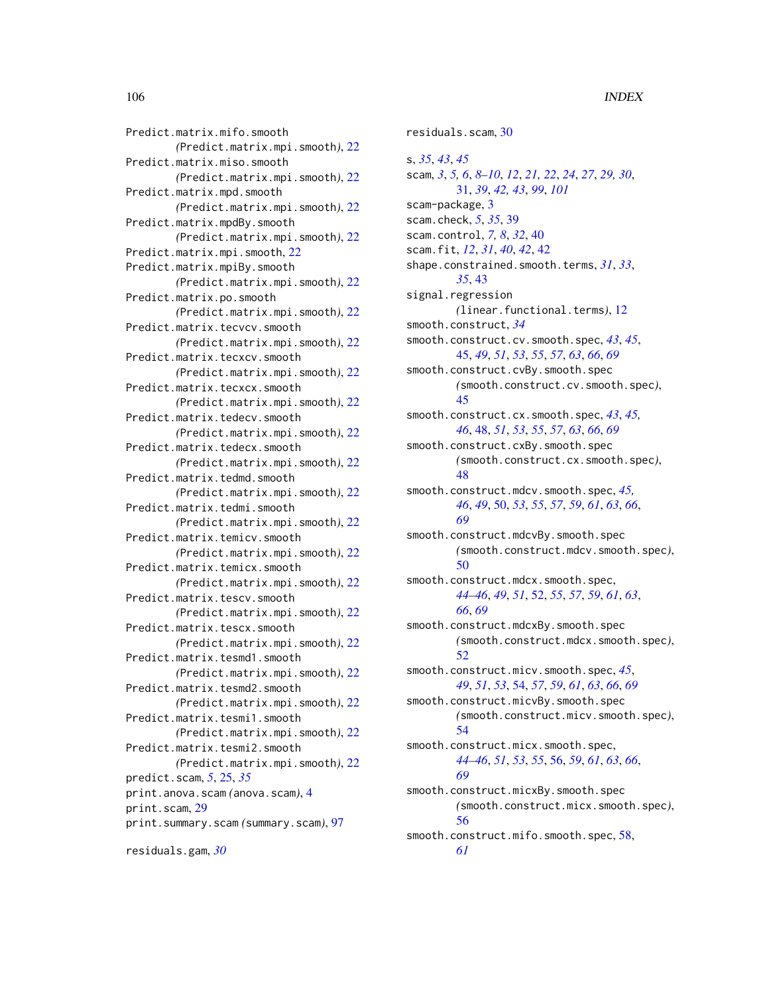Predict.matrix.mifo.smooth *(*Predict.matrix.mpi.smooth*)*, [22](#page-21-0) Predict.matrix.miso.smooth *(*Predict.matrix.mpi.smooth*)*, [22](#page-21-0) Predict.matrix.mpd.smooth *(*Predict.matrix.mpi.smooth*)*, [22](#page-21-0) Predict.matrix.mpdBy.smooth *(*Predict.matrix.mpi.smooth*)*, [22](#page-21-0) Predict.matrix.mpi.smooth, [22](#page-21-0) Predict.matrix.mpiBy.smooth *(*Predict.matrix.mpi.smooth*)*, [22](#page-21-0) Predict.matrix.po.smooth *(*Predict.matrix.mpi.smooth*)*, [22](#page-21-0) Predict.matrix.tecvcv.smooth *(*Predict.matrix.mpi.smooth*)*, [22](#page-21-0) Predict.matrix.tecxcv.smooth *(*Predict.matrix.mpi.smooth*)*, [22](#page-21-0) Predict.matrix.tecxcx.smooth *(*Predict.matrix.mpi.smooth*)*, [22](#page-21-0) Predict.matrix.tedecv.smooth *(*Predict.matrix.mpi.smooth*)*, [22](#page-21-0) Predict.matrix.tedecx.smooth *(*Predict.matrix.mpi.smooth*)*, [22](#page-21-0) Predict.matrix.tedmd.smooth *(*Predict.matrix.mpi.smooth*)*, [22](#page-21-0) Predict.matrix.tedmi.smooth *(*Predict.matrix.mpi.smooth*)*, [22](#page-21-0) Predict.matrix.temicv.smooth *(*Predict.matrix.mpi.smooth*)*, [22](#page-21-0) Predict.matrix.temicx.smooth *(*Predict.matrix.mpi.smooth*)*, [22](#page-21-0) Predict.matrix.tescv.smooth *(*Predict.matrix.mpi.smooth*)*, [22](#page-21-0) Predict.matrix.tescx.smooth *(*Predict.matrix.mpi.smooth*)*, [22](#page-21-0) Predict.matrix.tesmd1.smooth *(*Predict.matrix.mpi.smooth*)*, [22](#page-21-0) Predict.matrix.tesmd2.smooth *(*Predict.matrix.mpi.smooth*)*, [22](#page-21-0) Predict.matrix.tesmi1.smooth *(*Predict.matrix.mpi.smooth*)*, [22](#page-21-0) Predict.matrix.tesmi2.smooth *(*Predict.matrix.mpi.smooth*)*, [22](#page-21-0) predict.scam, *[5](#page-4-0)*, [25,](#page-24-0) *[35](#page-34-0)* print.anova.scam *(*anova.scam*)*, [4](#page-3-0) print.scam, [29](#page-28-0) print.summary.scam *(*summary.scam*)*, [97](#page-96-0)

residuals.gam, *[30](#page-29-0)*

residuals.scam, [30](#page-29-0)

s, *[35](#page-34-0)*, *[43](#page-42-0)*, *[45](#page-44-0)* scam, *[3](#page-2-0)*, *[5,](#page-4-0) [6](#page-5-1)*, *[8](#page-7-0)[–10](#page-9-0)*, *[12](#page-11-0)*, *[21,](#page-20-0) [22](#page-21-0)*, *[24](#page-23-0)*, *[27](#page-26-0)*, *[29,](#page-28-0) [30](#page-29-0)*, [31,](#page-30-1) *[39](#page-38-0)*, *[42,](#page-41-0) [43](#page-42-0)*, *[99](#page-98-0)*, *[101](#page-100-0)* scam-package, [3](#page-2-0) scam.check, *[5](#page-4-0)*, *[35](#page-34-0)*, [39](#page-38-0) scam.control, *[7,](#page-6-0) [8](#page-7-0)*, *[32](#page-31-0)*, [40](#page-39-0) scam.fit, *[12](#page-11-0)*, *[31](#page-30-1)*, *[40](#page-39-0)*, *[42](#page-41-0)*, [42](#page-41-0) shape.constrained.smooth.terms, *[31](#page-30-1)*, *[33](#page-32-0)*, *[35](#page-34-0)*, [43](#page-42-0) signal.regression *(*linear.functional.terms*)*, [12](#page-11-0) smooth.construct, *[34](#page-33-0)* smooth.construct.cv.smooth.spec, *[43](#page-42-0)*, *[45](#page-44-0)*, [45,](#page-44-0) *[49](#page-48-0)*, *[51](#page-50-0)*, *[53](#page-52-0)*, *[55](#page-54-0)*, *[57](#page-56-0)*, *[63](#page-62-0)*, *[66](#page-65-0)*, *[69](#page-68-0)* smooth.construct.cvBy.smooth.spec *(*smooth.construct.cv.smooth.spec*)*, [45](#page-44-0) smooth.construct.cx.smooth.spec, *[43](#page-42-0)*, *[45,](#page-44-0) [46](#page-45-0)*, [48,](#page-47-0) *[51](#page-50-0)*, *[53](#page-52-0)*, *[55](#page-54-0)*, *[57](#page-56-0)*, *[63](#page-62-0)*, *[66](#page-65-0)*, *[69](#page-68-0)* smooth.construct.cxBy.smooth.spec *(*smooth.construct.cx.smooth.spec*)*, [48](#page-47-0) smooth.construct.mdcv.smooth.spec, *[45,](#page-44-0) [46](#page-45-0)*, *[49](#page-48-0)*, [50,](#page-49-0) *[53](#page-52-0)*, *[55](#page-54-0)*, *[57](#page-56-0)*, *[59](#page-58-0)*, *[61](#page-60-0)*, *[63](#page-62-0)*, *[66](#page-65-0)*, *[69](#page-68-0)* smooth.construct.mdcvBy.smooth.spec *(*smooth.construct.mdcv.smooth.spec*)*, [50](#page-49-0) smooth.construct.mdcx.smooth.spec, *[44](#page-43-0)[–46](#page-45-0)*, *[49](#page-48-0)*, *[51](#page-50-0)*, [52,](#page-51-0) *[55](#page-54-0)*, *[57](#page-56-0)*, *[59](#page-58-0)*, *[61](#page-60-0)*, *[63](#page-62-0)*, *[66](#page-65-0)*, *[69](#page-68-0)* smooth.construct.mdcxBy.smooth.spec *(*smooth.construct.mdcx.smooth.spec*)*, [52](#page-51-0) smooth.construct.micv.smooth.spec, *[45](#page-44-0)*, *[49](#page-48-0)*, *[51](#page-50-0)*, *[53](#page-52-0)*, [54,](#page-53-0) *[57](#page-56-0)*, *[59](#page-58-0)*, *[61](#page-60-0)*, *[63](#page-62-0)*, *[66](#page-65-0)*, *[69](#page-68-0)* smooth.construct.micvBy.smooth.spec *(*smooth.construct.micv.smooth.spec*)*, [54](#page-53-0) smooth.construct.micx.smooth.spec, *[44](#page-43-0)[–46](#page-45-0)*, *[51](#page-50-0)*, *[53](#page-52-0)*, *[55](#page-54-0)*, [56,](#page-55-0) *[59](#page-58-0)*, *[61](#page-60-0)*, *[63](#page-62-0)*, *[66](#page-65-0)*, *[69](#page-68-0)* smooth.construct.micxBy.smooth.spec *(*smooth.construct.micx.smooth.spec*)*, [56](#page-55-0) smooth.construct.mifo.smooth.spec, [58,](#page-57-0) *[61](#page-60-0)*